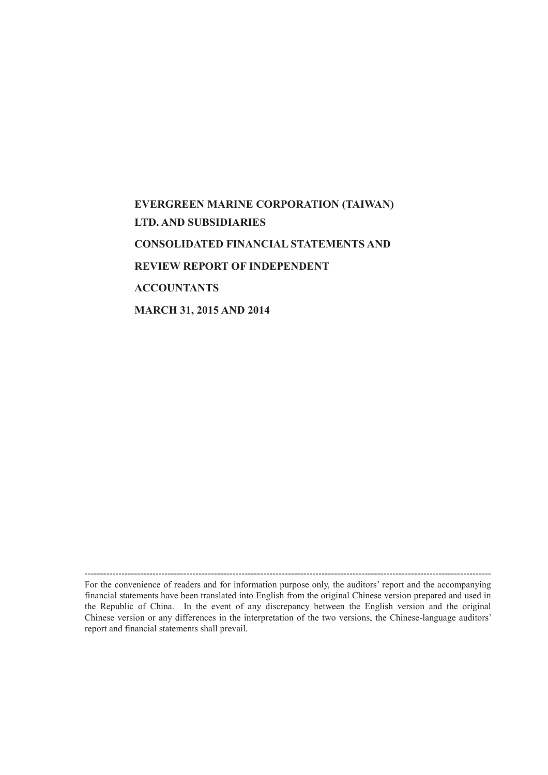# **EVERGREEN MARINE CORPORATION (TAIWAN) LTD. AND SUBSIDIARIES CONSOLIDATED FINANCIAL STATEMENTS AND REVIEW REPORT OF INDEPENDENT ACCOUNTANTS MARCH 31, 2015 AND 2014**

------------------------------------------------------------------------------------------------------------------------------------ For the convenience of readers and for information purpose only, the auditors' report and the accompanying financial statements have been translated into English from the original Chinese version prepared and used in the Republic of China. In the event of any discrepancy between the English version and the original Chinese version or any differences in the interpretation of the two versions, the Chinese-language auditors' report and financial statements shall prevail.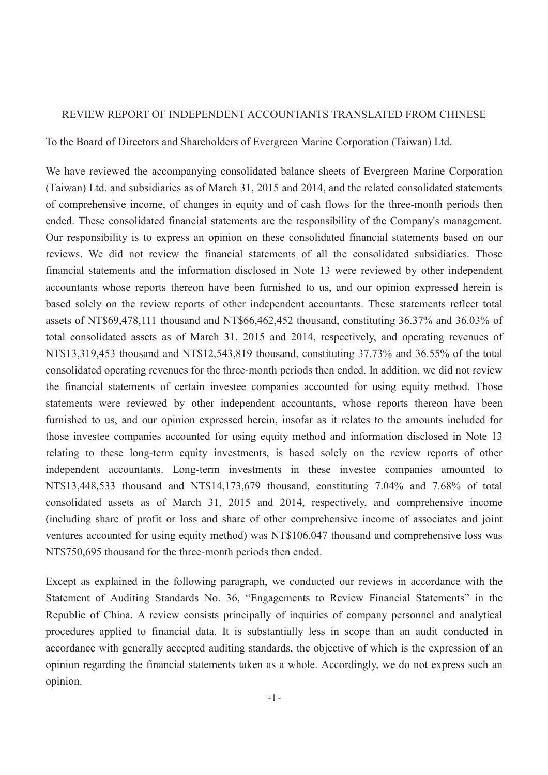#### REVIEW REPORT OF INDEPENDENT ACCOUNTANTS TRANSLATED FROM CHINESE

To the Board of Directors and Shareholders of Evergreen Marine Corporation (Taiwan) Ltd.

We have reviewed the accompanying consolidated balance sheets of Evergreen Marine Corporation (Taiwan) Ltd. and subsidiaries as of March 31, 2015 and 2014, and the related consolidated statements of comprehensive income, of changes in equity and of cash flows for the three-month periods then ended. These consolidated financial statements are the responsibility of the Company's management. Our responsibility is to express an opinion on these consolidated financial statements based on our reviews. We did not review the financial statements of all the consolidated subsidiaries. Those financial statements and the information disclosed in Note 13 were reviewed by other independent accountants whose reports thereon have been furnished to us, and our opinion expressed herein is based solely on the review reports of other independent accountants. These statements reflect total assets of NT\$69,478,111 thousand and NT\$66,462,452 thousand, constituting 36.37% and 36.03% of total consolidated assets as of March 31, 2015 and 2014, respectively, and operating revenues of NT\$13,319,453 thousand and NT\$12,543,819 thousand, constituting 37.73% and 36.55% of the total consolidated operating revenues for the three-month periods then ended. In addition, we did not review the financial statements of certain investee companies accounted for using equity method. Those statements were reviewed by other independent accountants, whose reports thereon have been furnished to us, and our opinion expressed herein, insofar as it relates to the amounts included for those investee companies accounted for using equity method and information disclosed in Note 13 relating to these long-term equity investments, is based solely on the review reports of other independent accountants. Long-term investments in these investee companies amounted to NT\$13,448,533 thousand and NT\$14,173,679 thousand, constituting 7.04% and 7.68% of total consolidated assets as of March 31, 2015 and 2014, respectively, and comprehensive income (including share of profit or loss and share of other comprehensive income of associates and joint ventures accounted for using equity method) was NT\$106,047 thousand and comprehensive loss was NT\$750,695 thousand for the three-month periods then ended.

Except as explained in the following paragraph, we conducted our reviews in accordance with the Statement of Auditing Standards No. 36, "Engagements to Review Financial Statements" in the Republic of China. A review consists principally of inquiries of company personnel and analytical procedures applied to financial data. It is substantially less in scope than an audit conducted in accordance with generally accepted auditing standards, the objective of which is the expression of an opinion regarding the financial statements taken as a whole. Accordingly, we do not express such an opinion.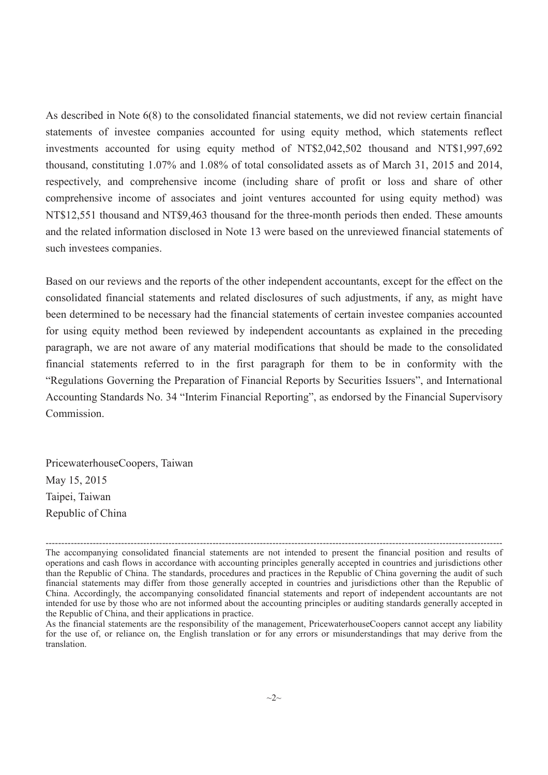As described in Note 6(8) to the consolidated financial statements, we did not review certain financial statements of investee companies accounted for using equity method, which statements reflect investments accounted for using equity method of NT\$2,042,502 thousand and NT\$1,997,692 thousand, constituting 1.07% and 1.08% of total consolidated assets as of March 31, 2015 and 2014, respectively, and comprehensive income (including share of profit or loss and share of other comprehensive income of associates and joint ventures accounted for using equity method) was NT\$12,551 thousand and NT\$9,463 thousand for the three-month periods then ended. These amounts and the related information disclosed in Note 13 were based on the unreviewed financial statements of such investees companies.

Based on our reviews and the reports of the other independent accountants, except for the effect on the consolidated financial statements and related disclosures of such adjustments, if any, as might have been determined to be necessary had the financial statements of certain investee companies accounted for using equity method been reviewed by independent accountants as explained in the preceding paragraph, we are not aware of any material modifications that should be made to the consolidated financial statements referred to in the first paragraph for them to be in conformity with the "Regulations Governing the Preparation of Financial Reports by Securities Issuers", and International Accounting Standards No. 34 "Interim Financial Reporting", as endorsed by the Financial Supervisory Commission.

PricewaterhouseCoopers, Taiwan May 15, 2015 Taipei, Taiwan Republic of China

<sup>-------------------------------------------------------------------------------------------------------------------------------------------------</sup> The accompanying consolidated financial statements are not intended to present the financial position and results of operations and cash flows in accordance with accounting principles generally accepted in countries and jurisdictions other than the Republic of China. The standards, procedures and practices in the Republic of China governing the audit of such financial statements may differ from those generally accepted in countries and jurisdictions other than the Republic of China. Accordingly, the accompanying consolidated financial statements and report of independent accountants are not intended for use by those who are not informed about the accounting principles or auditing standards generally accepted in the Republic of China, and their applications in practice.

As the financial statements are the responsibility of the management, PricewaterhouseCoopers cannot accept any liability for the use of, or reliance on, the English translation or for any errors or misunderstandings that may derive from the translation.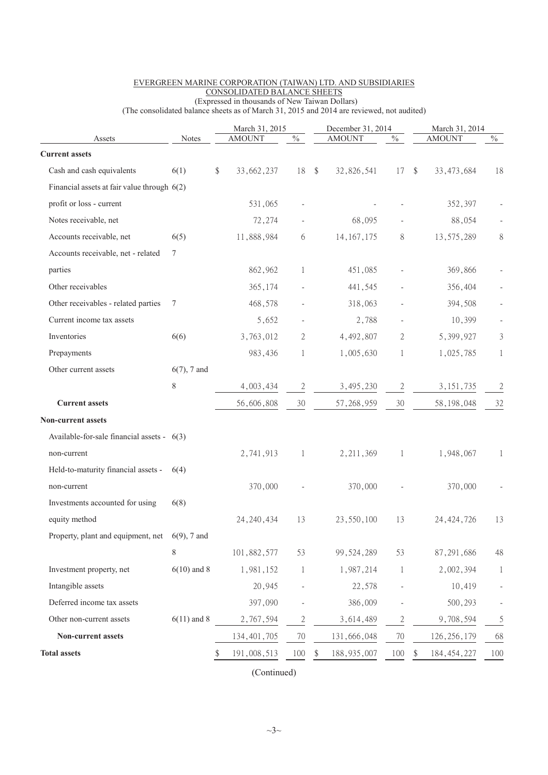|                                                   |                | March 31, 2015   |                           | December 31, 2014   |              |               | March 31, 2014 |                         |
|---------------------------------------------------|----------------|------------------|---------------------------|---------------------|--------------|---------------|----------------|-------------------------|
| Assets<br><b>Current assets</b>                   | <b>Notes</b>   | <b>AMOUNT</b>    | $\sqrt[0]{\phantom{0}}_0$ | <b>AMOUNT</b>       | $\%$         |               | <b>AMOUNT</b>  | $\sqrt[0]{\phantom{0}}$ |
|                                                   |                |                  |                           |                     |              |               |                |                         |
| Cash and cash equivalents                         | 6(1)           | \$<br>33,662,237 | 18                        | \$<br>32,826,541    | 17           | $\mathcal{S}$ | 33, 473, 684   | 18                      |
| Financial assets at fair value through $6(2)$     |                |                  |                           |                     |              |               |                |                         |
| profit or loss - current                          |                | 531,065          | $\overline{\phantom{a}}$  |                     |              |               | 352,397        |                         |
| Notes receivable, net                             |                | 72,274           |                           | 68,095              |              |               | 88,054         |                         |
| Accounts receivable, net                          | 6(5)           | 11,888,984       | 6                         | 14, 167, 175        | 8            |               | 13,575,289     | 8                       |
| Accounts receivable, net - related                | $\tau$         |                  |                           |                     |              |               |                |                         |
| parties                                           |                | 862,962          | 1                         | 451,085             |              |               | 369,866        |                         |
| Other receivables                                 |                | 365,174          |                           | 441,545             |              |               | 356,404        |                         |
| Other receivables - related parties               | 7              | 468,578          |                           | 318,063             |              |               | 394,508        |                         |
| Current income tax assets                         |                | 5,652            |                           | 2,788               |              |               | 10,399         |                         |
| Inventories                                       | 6(6)           | 3,763,012        | 2                         | 4,492,807           | 2            |               | 5,399,927      | $\mathfrak{Z}$          |
| Prepayments                                       |                | 983,436          | 1                         | 1,005,630           | 1            |               | 1,025,785      | $\mathbf{1}$            |
| Other current assets                              | $6(7)$ , 7 and |                  |                           |                     |              |               |                |                         |
|                                                   | 8              | 4,003,434        | $\mathbf{2}$              | 3,495,230           | $\mathbf{2}$ |               | 3, 151, 735    | $\sqrt{2}$              |
| <b>Current assets</b>                             |                | 56,606,808       | 30                        | 57, 268, 959        | 30           |               | 58, 198, 048   | 32                      |
| Non-current assets                                |                |                  |                           |                     |              |               |                |                         |
| Available-for-sale financial assets - $6(3)$      |                |                  |                           |                     |              |               |                |                         |
| non-current                                       |                | 2,741,913        | 1                         | 2, 211, 369         | 1            |               | 1,948,067      | 1                       |
| Held-to-maturity financial assets -               | 6(4)           |                  |                           |                     |              |               |                |                         |
| non-current                                       |                | 370,000          |                           | 370,000             |              |               | 370,000        |                         |
| Investments accounted for using                   | 6(8)           |                  |                           |                     |              |               |                |                         |
| equity method                                     |                | 24, 240, 434     | 13                        | 23,550,100          | 13           |               | 24, 424, 726   | 13                      |
| Property, plant and equipment, net $6(9)$ , 7 and |                |                  |                           |                     |              |               |                |                         |
|                                                   | $\,$ 8 $\,$    | 101,882,577      | 53                        | 99, 524, 289        | 53           |               | 87, 291, 686   | 48                      |
| Investment property, net                          | $6(10)$ and 8  | 1,981,152        | $\mathbf{1}$              | 1,987,214           | 1            |               | 2,002,394      | 1                       |
| Intangible assets                                 |                | 20,945           |                           | 22,578              |              |               | 10,419         |                         |
| Deferred income tax assets                        |                | 397,090          |                           | 386,009             |              |               | 500,293        |                         |
| Other non-current assets                          | $6(11)$ and 8  | 2,767,594        | $\mathfrak{2}$            | 3,614,489           | $\mathbf{2}$ |               | 9,708,594      | 5                       |
| Non-current assets                                |                | 134, 401, 705    | 70                        | 131,666,048         | $70\,$       |               | 126, 256, 179  | 68                      |
|                                                   |                |                  |                           |                     |              |               |                |                         |
| <b>Total assets</b>                               |                | 191,008,513      | 100                       | \$<br>188, 935, 007 | 100          |               | 184, 454, 227  | 100                     |

#### EVERGREEN MARINE CORPORATION (TAIWAN) LTD. AND SUBSIDIARIES CONSOLIDATED BALANCE SHEETS (Expressed in thousands of New Taiwan Dollars)

(The consolidated balance sheets as of March 31, 2015 and 2014 are reviewed, not audited)

(Continued)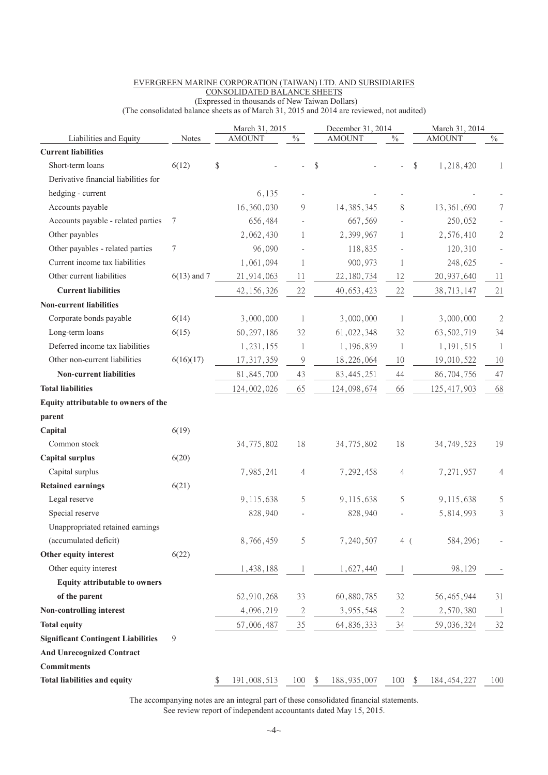|                                           |               | March 31, 2015    |                           | December 31, 2014   |               | March 31, 2014      |                |
|-------------------------------------------|---------------|-------------------|---------------------------|---------------------|---------------|---------------------|----------------|
| Liabilities and Equity                    | <b>Notes</b>  | <b>AMOUNT</b>     | $\sqrt[0]{\phantom{0}}_0$ | <b>AMOUNT</b>       | $\frac{0}{0}$ | <b>AMOUNT</b>       | $\frac{0}{6}$  |
| <b>Current liabilities</b>                |               |                   |                           |                     |               |                     |                |
| Short-term loans                          | 6(12)         | \$                |                           | \$                  |               | \$<br>1,218,420     | 1              |
| Derivative financial liabilities for      |               |                   |                           |                     |               |                     |                |
| hedging - current                         |               | 6,135             |                           |                     |               |                     |                |
| Accounts payable                          |               | 16,360,030        | 9                         | 14, 385, 345        | 8             | 13,361,690          | 7              |
| Accounts payable - related parties        | 7             | 656,484           |                           | 667,569             |               | 250,052             |                |
| Other payables                            |               | 2,062,430         | 1                         | 2,399,967           | 1             | 2,576,410           | $\overline{c}$ |
| Other payables - related parties          | $\tau$        | 96,090            |                           | 118,835             |               | 120,310             |                |
| Current income tax liabilities            |               | 1,061,094         | 1                         | 900,973             | 1             | 248,625             |                |
| Other current liabilities                 | $6(13)$ and 7 | 21,914,063        | 11                        | 22, 180, 734        | 12            | 20, 937, 640        | 11             |
| <b>Current liabilities</b>                |               | 42, 156, 326      | 22                        | 40, 653, 423        | 22            | 38,713,147          | 21             |
| <b>Non-current liabilities</b>            |               |                   |                           |                     |               |                     |                |
| Corporate bonds payable                   | 6(14)         | 3,000,000         | 1                         | 3,000,000           | 1             | 3,000,000           | $\overline{2}$ |
| Long-term loans                           | 6(15)         | 60, 297, 186      | 32                        | 61,022,348          | 32            | 63,502,719          | 34             |
| Deferred income tax liabilities           |               | 1,231,155         | 1                         | 1,196,839           | 1             | 1,191,515           | $\mathbf{1}$   |
| Other non-current liabilities             | 6(16)(17)     | 17, 317, 359      | 9                         | 18,226,064          | 10            | 19,010,522          | 10             |
| <b>Non-current liabilities</b>            |               | 81, 845, 700      | 43                        | 83, 445, 251        | 44            | 86,704,756          | 47             |
| <b>Total liabilities</b>                  |               | 124,002,026       | 65                        | 124,098,674         | 66            | 125, 417, 903       | 68             |
| Equity attributable to owners of the      |               |                   |                           |                     |               |                     |                |
| parent                                    |               |                   |                           |                     |               |                     |                |
| Capital                                   | 6(19)         |                   |                           |                     |               |                     |                |
| Common stock                              |               | 34, 775, 802      | 18                        | 34,775,802          | 18            | 34, 749, 523        | 19             |
| <b>Capital surplus</b>                    | 6(20)         |                   |                           |                     |               |                     |                |
| Capital surplus                           |               | 7,985,241         | 4                         | 7,292,458           | 4             | 7,271,957           | 4              |
| <b>Retained earnings</b>                  | 6(21)         |                   |                           |                     |               |                     |                |
| Legal reserve                             |               | 9,115,638         | 5                         | 9,115,638           | 5             | 9,115,638           | 5              |
| Special reserve                           |               | 828,940           |                           | 828,940             |               | 5,814,993           | 3              |
| Unappropriated retained earnings          |               |                   |                           |                     |               |                     |                |
| (accumulated deficit)                     |               | 8,766,459         | 5                         | 7,240,507           | 4(            | 584,296)            |                |
| Other equity interest                     | 6(22)         |                   |                           |                     |               |                     |                |
| Other equity interest                     |               | 1,438,188         | 1                         | 1,627,440           |               | 98,129              |                |
| <b>Equity attributable to owners</b>      |               |                   |                           |                     |               |                     |                |
| of the parent                             |               | 62,910,268        | 33                        | 60,880,785          | 32            | 56, 465, 944        | 31             |
| Non-controlling interest                  |               | 4,096,219         | $\overline{c}$            | 3,955,548           | $\mathbf{2}$  | 2,570,380           | $\mathbf{1}$   |
| <b>Total equity</b>                       |               | 67,006,487        | $35\,$                    | 64, 836, 333        | 34            | 59,036,324          | 32             |
| <b>Significant Contingent Liabilities</b> | 9             |                   |                           |                     |               |                     |                |
| <b>And Unrecognized Contract</b>          |               |                   |                           |                     |               |                     |                |
| <b>Commitments</b>                        |               |                   |                           |                     |               |                     |                |
| <b>Total liabilities and equity</b>       |               | \$<br>191,008,513 | 100                       | \$<br>188, 935, 007 | 100           | \$<br>184, 454, 227 | 100            |
|                                           |               |                   |                           |                     |               |                     |                |

#### EVERGREEN MARINE CORPORATION (TAIWAN) LTD. AND SUBSIDIARIES CONSOLIDATED BALANCE SHEETS (Expressed in thousands of New Taiwan Dollars)

(The consolidated balance sheets as of March 31, 2015 and 2014 are reviewed, not audited)

The accompanying notes are an integral part of these consolidated financial statements. See review report of independent accountants dated May 15, 2015.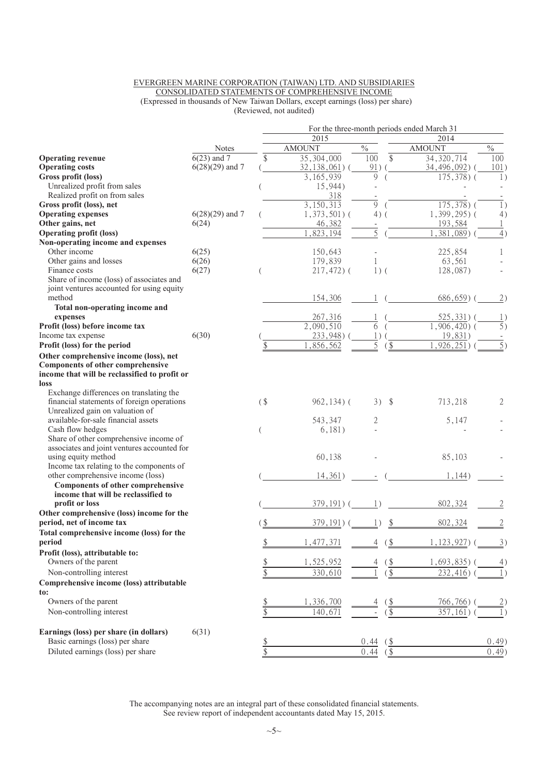#### EVERGREEN MARINE CORPORATION (TAIWAN) LTD. AND SUBSIDIARIES CONSOLIDATED STATEMENTS OF COMPREHENSIVE INCOME (Expressed in thousands of New Taiwan Dollars, except earnings (loss) per share) (Reviewed, not audited)

|                                               |                          |                 |                  |                       | For the three-month periods ended March 31 |                  |
|-----------------------------------------------|--------------------------|-----------------|------------------|-----------------------|--------------------------------------------|------------------|
|                                               |                          |                 | 2015             |                       | 2014                                       |                  |
|                                               | <b>Notes</b>             |                 | <b>AMOUNT</b>    | $\frac{0}{0}$         | <b>AMOUNT</b>                              | $\%$             |
| <b>Operating revenue</b>                      | $\overline{6(23)}$ and 7 | \$              | 35, 304, 000     | 100<br>\$             | 34, 320, 714                               | 100              |
| <b>Operating costs</b>                        | $6(28)(29)$ and 7        |                 | 32, 138, 061)    | 91)                   | 34, 496, 092) (                            | 101)             |
| Gross profit (loss)                           |                          |                 | 3,165,939        | $\mathbf Q$           | $175,378$ ) (                              | 1)               |
| Unrealized profit from sales                  |                          |                 | 15,944)          |                       |                                            |                  |
| Realized profit on from sales                 |                          |                 | 318              |                       |                                            |                  |
| Gross profit (loss), net                      |                          |                 | 3,150,313        | 9                     | $175,378$ ) (                              | 1)               |
| <b>Operating expenses</b>                     | $6(28)(29)$ and 7        |                 | $1,373,501$ (    | $4)$ (                | 1,399,295)(                                | 4)               |
| Other gains, net                              | 6(24)                    |                 | 46,382           |                       | 193,584                                    | 1                |
| <b>Operating profit (loss)</b>                |                          |                 | $\sqrt{823,194}$ | 5                     | $\overline{,}381,089)$                     | 4)               |
| Non-operating income and expenses             |                          |                 |                  |                       |                                            |                  |
| Other income                                  | 6(25)                    |                 | 150,643          |                       | 225,854                                    | 1                |
| Other gains and losses                        | 6(26)                    |                 | 179,839          | $\mathbf{1}$          | 63,561                                     |                  |
| Finance costs                                 | 6(27)                    |                 | $217,472$ ) (    | $1)$ (                | 128,087)                                   |                  |
| Share of income (loss) of associates and      |                          |                 |                  |                       |                                            |                  |
| joint ventures accounted for using equity     |                          |                 |                  |                       |                                            |                  |
| method                                        |                          |                 | 154,306          |                       | $686,659$ )                                | (2)              |
| Total non-operating income and                |                          |                 |                  |                       |                                            |                  |
| expenses                                      |                          |                 | 267,316          |                       | $525,331)$ (                               | 1)               |
| Profit (loss) before income tax               |                          |                 | 2,090,510        | 6                     | $1,906,420$ ) (                            | $\overline{5}$ ) |
| Income tax expense                            | 6(30)                    |                 | 233,948)         | 1)                    | 19,831)                                    |                  |
| Profit (loss) for the period                  |                          |                 | ,856,562         | 5                     | ,926,251)                                  | 5)               |
| Other comprehensive income (loss), net        |                          |                 |                  |                       |                                            |                  |
| <b>Components of other comprehensive</b>      |                          |                 |                  |                       |                                            |                  |
| income that will be reclassified to profit or |                          |                 |                  |                       |                                            |                  |
| loss                                          |                          |                 |                  |                       |                                            |                  |
| Exchange differences on translating the       |                          |                 |                  |                       |                                            |                  |
| financial statements of foreign operations    |                          | (               | $962, 134)$ (    | $3)$ \$               | 713,218                                    | 2                |
| Unrealized gain on valuation of               |                          |                 |                  |                       |                                            |                  |
| available-for-sale financial assets           |                          |                 | 543,347          | 2                     | 5,147                                      |                  |
| Cash flow hedges                              |                          |                 | 6,181)           |                       |                                            |                  |
| Share of other comprehensive income of        |                          |                 |                  |                       |                                            |                  |
| associates and joint ventures accounted for   |                          |                 |                  |                       |                                            |                  |
| using equity method                           |                          |                 | 60,138           |                       | 85,103                                     |                  |
| Income tax relating to the components of      |                          |                 |                  |                       |                                            |                  |
| other comprehensive income (loss)             |                          |                 | 14,361)          |                       | 1,144)                                     |                  |
| <b>Components of other comprehensive</b>      |                          |                 |                  |                       |                                            |                  |
| income that will be reclassified to           |                          |                 |                  |                       |                                            |                  |
| profit or loss                                |                          |                 | 379, 191)        |                       | 802,324                                    |                  |
| Other comprehensive (loss) income for the     |                          |                 |                  |                       |                                            |                  |
| period, net of income tax                     |                          |                 | 379, 191)        |                       | 802,324                                    | $\overline{2}$   |
| Total comprehensive income (loss) for the     |                          |                 |                  |                       |                                            |                  |
| period                                        |                          | $\frac{1}{2}$   | 1,477,371        | (\$<br>4              | 1, 123, 927                                | 3)               |
| Profit (loss), attributable to:               |                          |                 |                  |                       |                                            |                  |
| Owners of the parent                          |                          |                 | 1,525,952        | $\frac{1}{2}$<br>4    | $1,693,835$ )                              | 4)               |
| Non-controlling interest                      |                          | $\frac{\$}{\$}$ | 330,610          | $\underline{\$}$      | $232,416$ )                                | $\mathbf{1}$     |
| Comprehensive income (loss) attributable      |                          |                 |                  |                       |                                            |                  |
| to:                                           |                          |                 |                  |                       |                                            |                  |
| Owners of the parent                          |                          |                 | 1,336,700        | <u>(\$</u>            | 766,766)                                   |                  |
| Non-controlling interest                      |                          | $rac{1}{2}$     | 140,671          | $\sqrt{3}$            | 357,161)                                   |                  |
|                                               |                          |                 |                  |                       |                                            |                  |
| Earnings (loss) per share (in dollars)        | 6(31)                    |                 |                  |                       |                                            |                  |
| Basic earnings (loss) per share               |                          |                 |                  |                       |                                            |                  |
|                                               |                          | $rac{1}{3}$     |                  | 0.44<br>$\frac{1}{2}$ |                                            | (0.49)           |
| Diluted earnings (loss) per share             |                          |                 |                  | 0.44<br>$($ \$        |                                            | 0.49             |

The accompanying notes are an integral part of these consolidated financial statements. See review report of independent accountants dated May 15, 2015.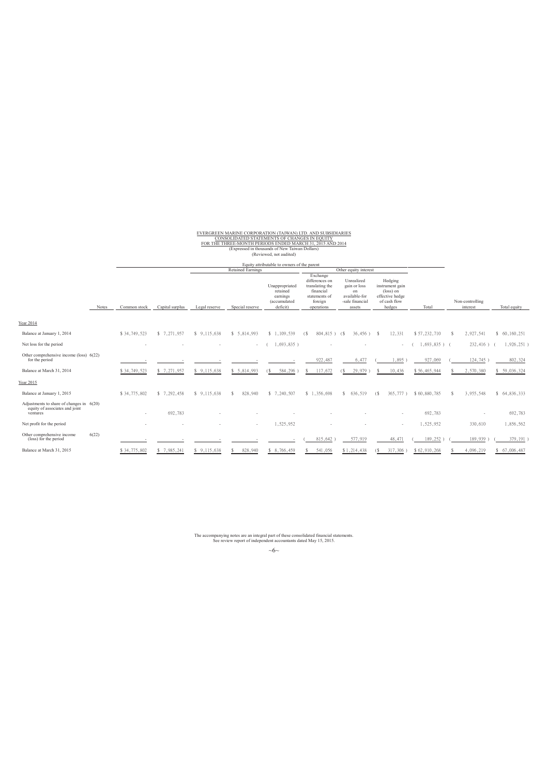EVERGREEN MARINE CORPORATION (TAIWAN) LTD. AND SUBSIDIARIES<br>FOR THE THREE-MONTH PERIODS ENDED MARCH 31, 2015 AND 2014<br>FOR THE THREE-MONTH PERIODS ENDED MARCH 31, 2015 AND 2014<br>(Expressed in thousands of New Taiwan Dollars)

|                                                                                          |       |              |                 |               |                          | Equity attributable to owners of the parent                        |                                                                                                      |                                                                                |                                                                                      |                 |    |                             |                     |
|------------------------------------------------------------------------------------------|-------|--------------|-----------------|---------------|--------------------------|--------------------------------------------------------------------|------------------------------------------------------------------------------------------------------|--------------------------------------------------------------------------------|--------------------------------------------------------------------------------------|-----------------|----|-----------------------------|---------------------|
|                                                                                          |       |              |                 |               | <b>Retained Earnings</b> |                                                                    |                                                                                                      | Other equity interest                                                          |                                                                                      |                 |    |                             |                     |
|                                                                                          | Notes | Common stock | Capital surplus | Legal reserve | Special reserve          | Unappropriated<br>retained<br>earnings<br>(accumulated<br>deficit) | Exchange<br>differences on<br>translating the<br>financial<br>statements of<br>foreign<br>operations | Unrealized<br>gain or loss<br>on<br>available-for<br>-sale financial<br>assets | Hedging<br>instrument gain<br>(loss) on<br>effective hedge<br>of cash flow<br>hedges | Total           |    | Non-controlling<br>interest | Total equity        |
| Year 2014                                                                                |       |              |                 |               |                          |                                                                    |                                                                                                      |                                                                                |                                                                                      |                 |    |                             |                     |
| Balance at January 1, 2014                                                               |       | \$34,749,523 | \$ 7,271,957    | \$9,115,638   | \$5,814,993              | \$1,109,539                                                        | 804,815) (\$<br>( S                                                                                  | $36,456$ ) \$                                                                  | 12,331                                                                               | \$57,232,710    | -S | 2,927,541                   | 60, 160, 251<br>\$. |
| Net loss for the period                                                                  |       |              |                 |               | $\Delta \sim 10^{-11}$   | 1,693,835)                                                         |                                                                                                      |                                                                                |                                                                                      | $1,693,835$ ) ( |    | $232,416$ )                 | $1,926,251$ )       |
| Other comprehensive income (loss) $6(22)$<br>for the period                              |       |              |                 |               |                          |                                                                    | 922,487                                                                                              | 6,477                                                                          | 1,895)                                                                               | 927,069         |    | 124,745                     | 802,324             |
| Balance at March 31, 2014                                                                |       | \$34,749,523 | \$7,271,957     | \$9,115,638   | \$5,814,993              | 584,296<br>(S)                                                     | 117,672<br>s                                                                                         | 29,979<br>(S)                                                                  | 10,436                                                                               | \$56,465,944    |    | 2,570,380                   | \$59,036,324        |
| Year 2015                                                                                |       |              |                 |               |                          |                                                                    |                                                                                                      |                                                                                |                                                                                      |                 |    |                             |                     |
| Balance at January 1, 2015                                                               |       | \$34,775,802 | \$7,292,458     | \$9,115,638   | 828,940                  | \$ 7,240,507                                                       | \$1,356,698                                                                                          | 636,519<br>s.                                                                  | 365,777)<br>(                                                                        | \$60,880,785    |    | 3,955,548                   | \$64,836,333        |
| Adjustments to share of changes in $6(20)$<br>equity of associates and joint<br>ventures |       | $\sim$       | 692,783         |               |                          |                                                                    |                                                                                                      |                                                                                | ٠                                                                                    | 692,783         |    |                             | 692.783             |
| Net profit for the period                                                                |       |              |                 |               | $\sim$                   | 1.525.952                                                          |                                                                                                      |                                                                                | $\sim$                                                                               | 1.525.952       |    | 330,610                     | 1,856,562           |
| Other comprehensive income<br>(loss) for the period                                      | 6(22) |              |                 |               |                          |                                                                    | 815,642                                                                                              | 577,919                                                                        | 48,471                                                                               | 189,252         |    | 189,939                     | 379,191             |
| Balance at March 31, 2015                                                                |       | \$34,775,802 | \$7,985,241     | \$9,115,638   | 828,940                  | \$ 8,766,459                                                       | 541,056                                                                                              | \$1,214,438                                                                    | 317,306)<br>$\left( \mathcal{S} \right)$                                             | \$62,910,268    |    | 4,096,219                   | \$ 67,006,487       |

The accompanying notes are an integral part of these consolidated financial statements. See review report of independent accountants dated May 15, 2015.

 $~\sim\!6\sim$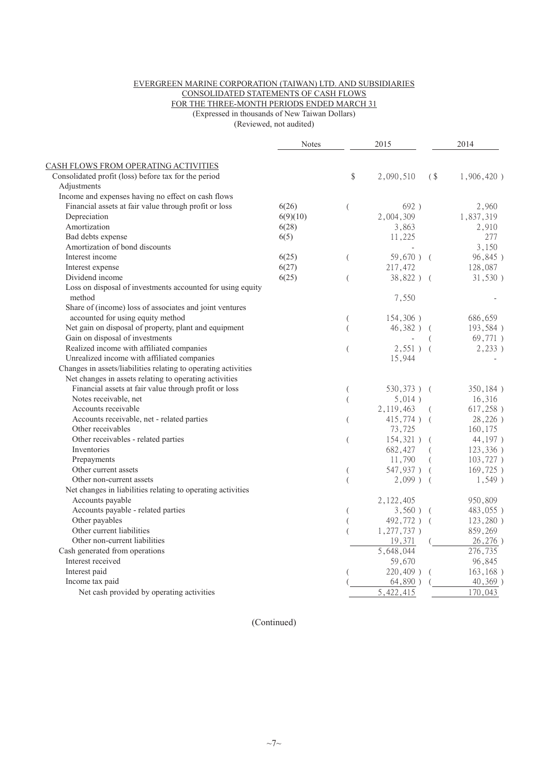#### EVERGREEN MARINE CORPORATION (TAIWAN) LTD. AND SUBSIDIARIES CONSOLIDATED STATEMENTS OF CASH FLOWS FOR THE THREE-MONTH PERIODS ENDED MARCH 31

(Expressed in thousands of New Taiwan Dollars)

(Reviewed, not audited)

|                                                                | <b>Notes</b> |                  | 2015          |                                                      | 2014          |
|----------------------------------------------------------------|--------------|------------------|---------------|------------------------------------------------------|---------------|
| CASH FLOWS FROM OPERATING ACTIVITIES                           |              |                  |               |                                                      |               |
| Consolidated profit (loss) before tax for the period           |              | \$               | 2,090,510     | $\left( \begin{array}{c} 1 \\ 2 \end{array} \right)$ | $1,906,420$ ) |
| Adjustments                                                    |              |                  |               |                                                      |               |
| Income and expenses having no effect on cash flows             |              |                  |               |                                                      |               |
| Financial assets at fair value through profit or loss          | 6(26)        | $\overline{(}$   | 692)          |                                                      | 2,960         |
| Depreciation                                                   | 6(9)(10)     |                  | 2,004,309     |                                                      | 1,837,319     |
| Amortization                                                   | 6(28)        |                  | 3,863         |                                                      | 2,910         |
| Bad debts expense                                              | 6(5)         |                  | 11,225        |                                                      | 277           |
| Amortization of bond discounts                                 |              |                  |               |                                                      | 3,150         |
| Interest income                                                | 6(25)        | $\left($         | $59,670$ ) (  |                                                      | 96,845)       |
| Interest expense                                               | 6(27)        |                  | 217,472       |                                                      | 128,087       |
| Dividend income                                                | 6(25)        | $\overline{(\ }$ | 38,822) (     |                                                      | 31,530)       |
| Loss on disposal of investments accounted for using equity     |              |                  |               |                                                      |               |
| method                                                         |              |                  | 7,550         |                                                      |               |
| Share of (income) loss of associates and joint ventures        |              |                  |               |                                                      |               |
| accounted for using equity method                              |              | $\overline{(\ }$ | 154,306)      |                                                      | 686,659       |
| Net gain on disposal of property, plant and equipment          |              | $\overline{(\ }$ | $46,382$ )    |                                                      | 193,584)      |
| Gain on disposal of investments                                |              |                  |               |                                                      | 69,771)       |
| Realized income with affiliated companies                      |              | $\overline{(\ }$ | $2,551$ ) (   |                                                      | 2,233)        |
| Unrealized income with affiliated companies                    |              |                  | 15,944        |                                                      |               |
| Changes in assets/liabilities relating to operating activities |              |                  |               |                                                      |               |
| Net changes in assets relating to operating activities         |              |                  |               |                                                      |               |
| Financial assets at fair value through profit or loss          |              | (                | 530,373) (    |                                                      | 350,184)      |
| Notes receivable, net                                          |              | $\overline{(}$   | 5,014)        |                                                      | 16,316        |
| Accounts receivable                                            |              |                  | 2,119,463     | $\left($                                             | $617,258$ )   |
| Accounts receivable, net - related parties                     |              | (                | $415,774$ )   | $\left($                                             | 28,226)       |
| Other receivables                                              |              |                  | 73,725        |                                                      | 160,175       |
| Other receivables - related parties                            |              | $\left($         | $154,321$ )   | $\left($                                             | 44,197)       |
| Inventories                                                    |              |                  | 682,427       |                                                      | 123,336)      |
| Prepayments                                                    |              |                  | 11,790        |                                                      | $103,727$ )   |
| Other current assets                                           |              | $\overline{(}$   | 547,937) (    |                                                      | 169,725)      |
| Other non-current assets                                       |              | $\overline{(}$   | $2,099$ ) (   |                                                      | $1,549$ )     |
| Net changes in liabilities relating to operating activities    |              |                  |               |                                                      |               |
| Accounts payable                                               |              |                  | 2,122,405     |                                                      | 950,809       |
| Accounts payable - related parties                             |              | $\overline{(}$   | $3,560$ ) (   |                                                      | 483,055)      |
| Other payables                                                 |              |                  | 492,772) (    |                                                      | $123,280$ )   |
| Other current liabilities                                      |              |                  | $1,277,737$ ) |                                                      | 859,269       |
| Other non-current liabilities                                  |              |                  | 19,371        |                                                      | 26,276)       |
| Cash generated from operations                                 |              |                  | 5,648,044     |                                                      | 276,735       |
| Interest received                                              |              |                  | 59,670        |                                                      | 96,845        |
| Interest paid                                                  |              |                  | $220,409$ )   | $\left($                                             | 163, 168)     |
| Income tax paid                                                |              |                  | 64,890)       |                                                      | $40,369$ )    |
| Net cash provided by operating activities                      |              |                  | 5,422,415     |                                                      | 170,043       |
|                                                                |              |                  |               |                                                      |               |

(Continued)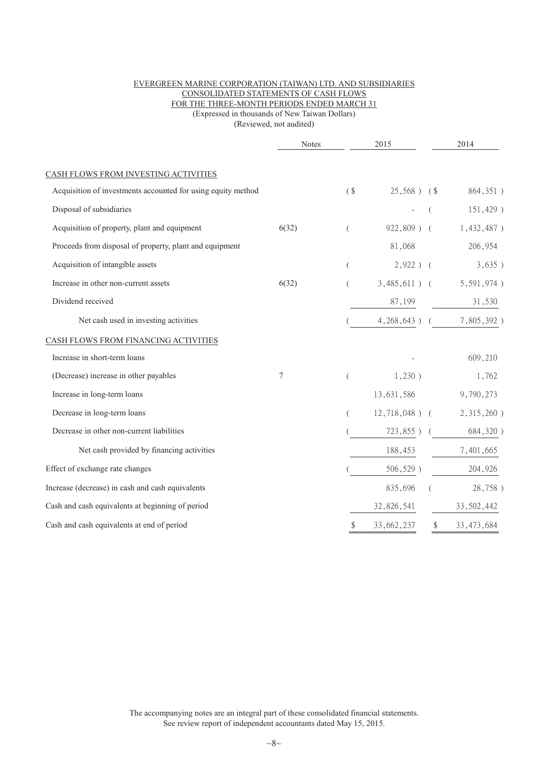#### EVERGREEN MARINE CORPORATION (TAIWAN) LTD. AND SUBSIDIARIES CONSOLIDATED STATEMENTS OF CASH FLOWS FOR THE THREE-MONTH PERIODS ENDED MARCH 31 (Expressed in thousands of New Taiwan Dollars)

(Reviewed, not audited)

|                                                              | <b>Notes</b> |          | 2015             |               | 2014                        |  |
|--------------------------------------------------------------|--------------|----------|------------------|---------------|-----------------------------|--|
| CASH FLOWS FROM INVESTING ACTIVITIES                         |              |          |                  |               |                             |  |
| Acquisition of investments accounted for using equity method |              | $($ \$   | $25,568$ ) $\$$  |               | 864,351)                    |  |
| Disposal of subsidiaries                                     |              |          |                  |               | 151,429)                    |  |
| Acquisition of property, plant and equipment                 | 6(32)        | $\left($ |                  |               | 922,809) ( 1,432,487)       |  |
| Proceeds from disposal of property, plant and equipment      |              |          | 81,068           |               | 206,954                     |  |
| Acquisition of intangible assets                             |              | $\left($ | $2,922$ ) (      |               | 3,635)                      |  |
| Increase in other non-current assets                         | 6(32)        |          | $3,485,611$ ) (  |               | 5,591,974)                  |  |
| Dividend received                                            |              |          | 87,199           |               | 31,530                      |  |
| Net cash used in investing activities                        |              |          |                  |               | 4, 268, 643) ( 7, 805, 392) |  |
| CASH FLOWS FROM FINANCING ACTIVITIES                         |              |          |                  |               |                             |  |
| Increase in short-term loans                                 |              |          |                  |               | 609,210                     |  |
| (Decrease) increase in other payables                        | 7            | $\left($ | 1,230)           |               | 1,762                       |  |
| Increase in long-term loans                                  |              |          | 13,631,586       |               | 9,790,273                   |  |
| Decrease in long-term loans                                  |              | (        | $12,718,048$ ) ( |               | $2,315,260$ )               |  |
| Decrease in other non-current liabilities                    |              |          |                  |               | $723,855$ ) (684,320)       |  |
| Net cash provided by financing activities                    |              |          | 188,453          |               | 7,401,665                   |  |
| Effect of exchange rate changes                              |              |          | $506, 529$ )     |               | 204,926                     |  |
| Increase (decrease) in cash and cash equivalents             |              |          | 835,696          |               | 28,758)                     |  |
| Cash and cash equivalents at beginning of period             |              |          | 32,826,541       |               | 33, 502, 442                |  |
| Cash and cash equivalents at end of period                   |              | \$       | 33,662,237       | $\frac{1}{2}$ | 33, 473, 684                |  |

The accompanying notes are an integral part of these consolidated financial statements. See review report of independent accountants dated May 15, 2015.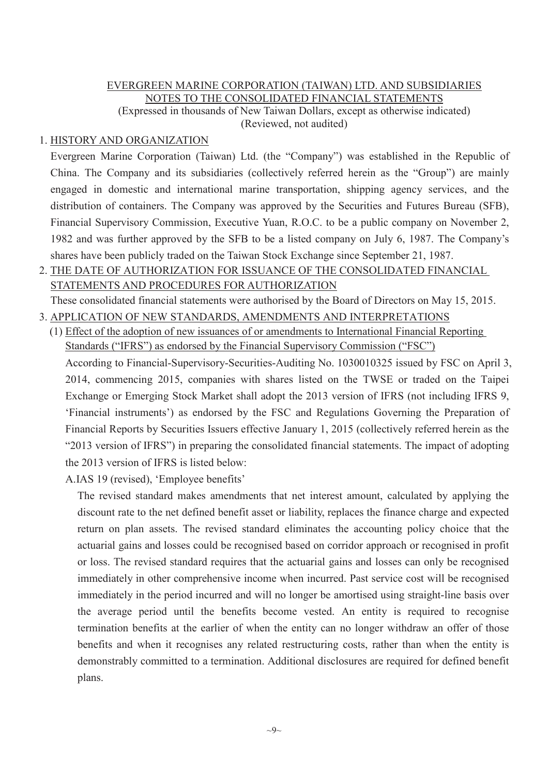# EVERGREEN MARINE CORPORATION (TAIWAN) LTD. AND SUBSIDIARIES NOTES TO THE CONSOLIDATED FINANCIAL STATEMENTS (Expressed in thousands of New Taiwan Dollars, except as otherwise indicated)

(Reviewed, not audited)

# 1. HISTORY AND ORGANIZATION

Evergreen Marine Corporation (Taiwan) Ltd. (the "Company") was established in the Republic of China. The Company and its subsidiaries (collectively referred herein as the "Group") are mainly engaged in domestic and international marine transportation, shipping agency services, and the distribution of containers. The Company was approved by the Securities and Futures Bureau (SFB), Financial Supervisory Commission, Executive Yuan, R.O.C. to be a public company on November 2, 1982 and was further approved by the SFB to be a listed company on July 6, 1987. The Company's shares have been publicly traded on the Taiwan Stock Exchange since September 21, 1987.

2. THE DATE OF AUTHORIZATION FOR ISSUANCE OF THE CONSOLIDATED FINANCIAL STATEMENTS AND PROCEDURES FOR AUTHORIZATION

These consolidated financial statements were authorised by the Board of Directors on May 15, 2015.

- 3. APPLICATION OF NEW STANDARDS, AMENDMENTS AND INTERPRETATIONS
- (1) Effect of the adoption of new issuances of or amendments to International Financial Reporting Standards ("IFRS") as endorsed by the Financial Supervisory Commission ("FSC")

According to Financial-Supervisory-Securities-Auditing No. 1030010325 issued by FSC on April 3, 2014, commencing 2015, companies with shares listed on the TWSE or traded on the Taipei Exchange or Emerging Stock Market shall adopt the 2013 version of IFRS (not including IFRS 9, 'Financial instruments') as endorsed by the FSC and Regulations Governing the Preparation of Financial Reports by Securities Issuers effective January 1, 2015 (collectively referred herein as the "2013 version of IFRS") in preparing the consolidated financial statements. The impact of adopting the 2013 version of IFRS is listed below:

A.IAS 19 (revised), 'Employee benefits'

The revised standard makes amendments that net interest amount, calculated by applying the discount rate to the net defined benefit asset or liability, replaces the finance charge and expected return on plan assets. The revised standard eliminates the accounting policy choice that the actuarial gains and losses could be recognised based on corridor approach or recognised in profit or loss. The revised standard requires that the actuarial gains and losses can only be recognised immediately in other comprehensive income when incurred. Past service cost will be recognised immediately in the period incurred and will no longer be amortised using straight-line basis over the average period until the benefits become vested. An entity is required to recognise termination benefits at the earlier of when the entity can no longer withdraw an offer of those benefits and when it recognises any related restructuring costs, rather than when the entity is demonstrably committed to a termination. Additional disclosures are required for defined benefit plans.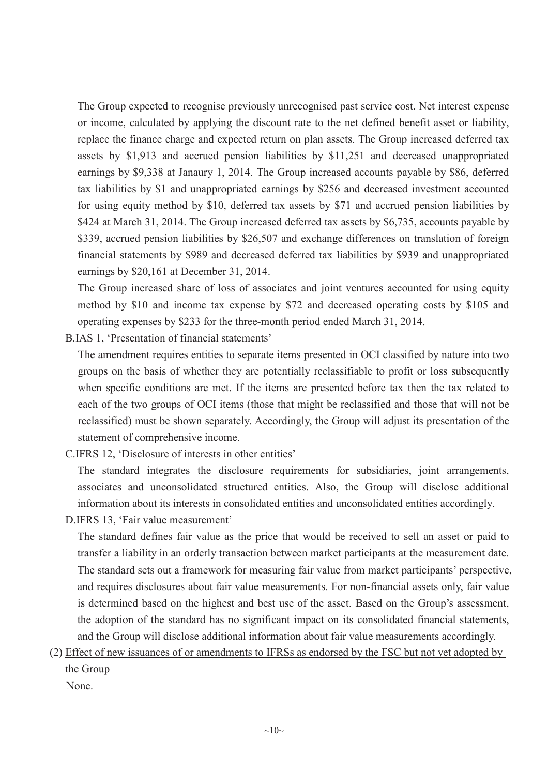The Group expected to recognise previously unrecognised past service cost. Net interest expense or income, calculated by applying the discount rate to the net defined benefit asset or liability, replace the finance charge and expected return on plan assets. The Group increased deferred tax assets by \$1,913 and accrued pension liabilities by \$11,251 and decreased unappropriated earnings by \$9,338 at Janaury 1, 2014. The Group increased accounts payable by \$86, deferred tax liabilities by \$1 and unappropriated earnings by \$256 and decreased investment accounted for using equity method by \$10, deferred tax assets by \$71 and accrued pension liabilities by \$424 at March 31, 2014. The Group increased deferred tax assets by \$6,735, accounts payable by \$339, accrued pension liabilities by \$26,507 and exchange differences on translation of foreign financial statements by \$989 and decreased deferred tax liabilities by \$939 and unappropriated earnings by \$20,161 at December 31, 2014.

The Group increased share of loss of associates and joint ventures accounted for using equity method by \$10 and income tax expense by \$72 and decreased operating costs by \$105 and operating expenses by \$233 for the three-month period ended March 31, 2014.

B.IAS 1, 'Presentation of financial statements'

The amendment requires entities to separate items presented in OCI classified by nature into two groups on the basis of whether they are potentially reclassifiable to profit or loss subsequently when specific conditions are met. If the items are presented before tax then the tax related to each of the two groups of OCI items (those that might be reclassified and those that will not be reclassified) must be shown separately. Accordingly, the Group will adjust its presentation of the statement of comprehensive income.

C.IFRS 12, 'Disclosure of interests in other entities'

The standard integrates the disclosure requirements for subsidiaries, joint arrangements, associates and unconsolidated structured entities. Also, the Group will disclose additional information about its interests in consolidated entities and unconsolidated entities accordingly.

D.IFRS 13, 'Fair value measurement'

The standard defines fair value as the price that would be received to sell an asset or paid to transfer a liability in an orderly transaction between market participants at the measurement date. The standard sets out a framework for measuring fair value from market participants' perspective, and requires disclosures about fair value measurements. For non-financial assets only, fair value is determined based on the highest and best use of the asset. Based on the Group's assessment, the adoption of the standard has no significant impact on its consolidated financial statements, and the Group will disclose additional information about fair value measurements accordingly.

(2) Effect of new issuances of or amendments to IFRSs as endorsed by the FSC but not yet adopted by the Group

None.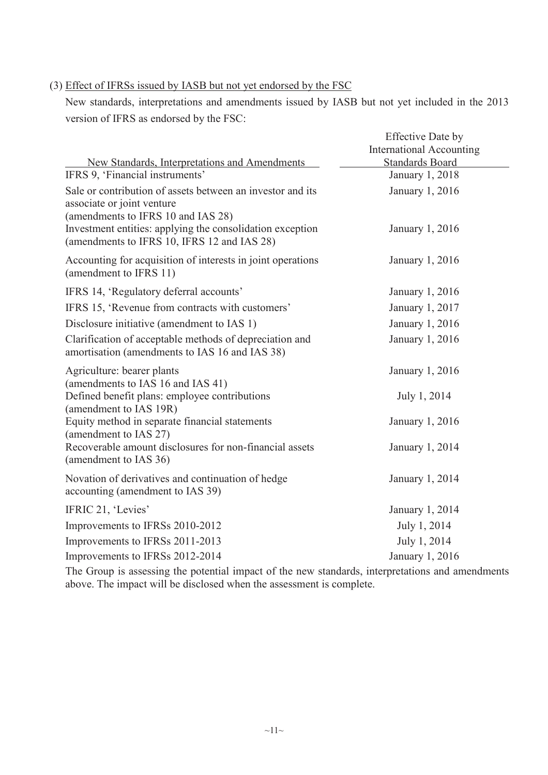#### (3) Effect of IFRSs issued by IASB but not yet endorsed by the FSC

New standards, interpretations and amendments issued by IASB but not yet included in the 2013 version of IFRS as endorsed by the FSC:

| New Standards, Interpretations and Amendments                                                                                  | <b>Effective Date by</b><br><b>International Accounting</b><br><b>Standards Board</b> |
|--------------------------------------------------------------------------------------------------------------------------------|---------------------------------------------------------------------------------------|
| IFRS 9, 'Financial instruments'                                                                                                | January 1, 2018                                                                       |
| Sale or contribution of assets between an investor and its<br>associate or joint venture<br>(amendments to IFRS 10 and IAS 28) | January 1, 2016                                                                       |
| Investment entities: applying the consolidation exception<br>(amendments to IFRS 10, IFRS 12 and IAS 28)                       | January 1, 2016                                                                       |
| Accounting for acquisition of interests in joint operations<br>(amendment to IFRS 11)                                          | January 1, 2016                                                                       |
| IFRS 14, 'Regulatory deferral accounts'                                                                                        | January 1, 2016                                                                       |
| IFRS 15, 'Revenue from contracts with customers'                                                                               | January 1, 2017                                                                       |
| Disclosure initiative (amendment to IAS 1)                                                                                     | January 1, 2016                                                                       |
| Clarification of acceptable methods of depreciation and<br>amortisation (amendments to IAS 16 and IAS 38)                      | January 1, 2016                                                                       |
| Agriculture: bearer plants<br>(amendments to IAS 16 and IAS 41)                                                                | January 1, 2016                                                                       |
| Defined benefit plans: employee contributions<br>(amendment to IAS 19R)                                                        | July 1, 2014                                                                          |
| Equity method in separate financial statements<br>(amendment to IAS 27)                                                        | January 1, 2016                                                                       |
| Recoverable amount disclosures for non-financial assets<br>(amendment to IAS 36)                                               | January 1, 2014                                                                       |
| Novation of derivatives and continuation of hedge<br>accounting (amendment to IAS 39)                                          | January 1, 2014                                                                       |
| IFRIC 21, 'Levies'                                                                                                             | January 1, 2014                                                                       |
| Improvements to IFRSs 2010-2012                                                                                                | July 1, 2014                                                                          |
| Improvements to IFRSs 2011-2013                                                                                                | July 1, 2014                                                                          |
| Improvements to IFRSs 2012-2014                                                                                                | January 1, 2016                                                                       |

The Group is assessing the potential impact of the new standards, interpretations and amendments above. The impact will be disclosed when the assessment is complete.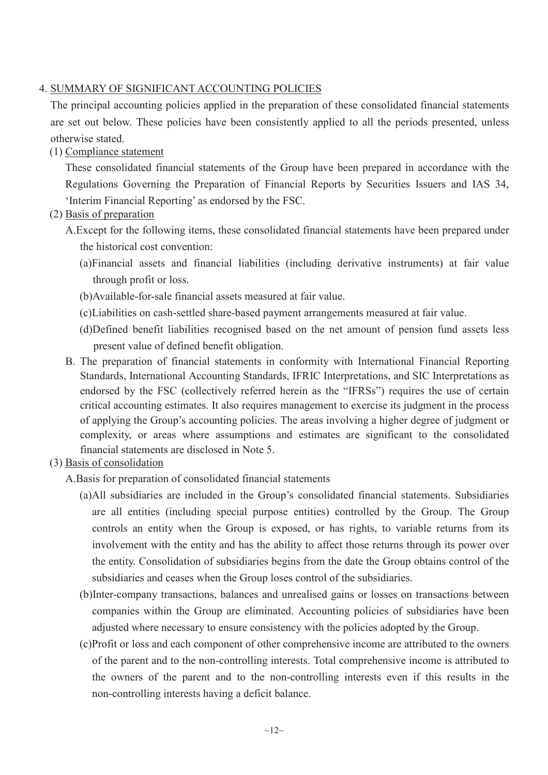# 4. SUMMARY OF SIGNIFICANT ACCOUNTING POLICIES

The principal accounting policies applied in the preparation of these consolidated financial statements are set out below. These policies have been consistently applied to all the periods presented, unless otherwise stated.

(1) Compliance statement

These consolidated financial statements of the Group have been prepared in accordance with the Regulations Governing the Preparation of Financial Reports by Securities Issuers and IAS 34, 'Interim Financial Reporting' as endorsed by the FSC.

- (2) Basis of preparation
	- A.Except for the following items, these consolidated financial statements have been prepared under the historical cost convention:
		- (a)Financial assets and financial liabilities (including derivative instruments) at fair value through profit or loss.
		- (b)Available-for-sale financial assets measured at fair value.
		- (c)Liabilities on cash-settled share-based payment arrangements measured at fair value.
		- (d)Defined benefit liabilities recognised based on the net amount of pension fund assets less present value of defined benefit obligation.
	- B. The preparation of financial statements in conformity with International Financial Reporting Standards, International Accounting Standards, IFRIC Interpretations, and SIC Interpretations as endorsed by the FSC (collectively referred herein as the "IFRSs") requires the use of certain critical accounting estimates. It also requires management to exercise its judgment in the process of applying the Group's accounting policies. The areas involving a higher degree of judgment or complexity, or areas where assumptions and estimates are significant to the consolidated financial statements are disclosed in Note 5.
- (3) Basis of consolidation
	- A.Basis for preparation of consolidated financial statements
		- (a)All subsidiaries are included in the Group's consolidated financial statements. Subsidiaries are all entities (including special purpose entities) controlled by the Group. The Group controls an entity when the Group is exposed, or has rights, to variable returns from its involvement with the entity and has the ability to affect those returns through its power over the entity. Consolidation of subsidiaries begins from the date the Group obtains control of the subsidiaries and ceases when the Group loses control of the subsidiaries.
		- (b)Inter-company transactions, balances and unrealised gains or losses on transactions between companies within the Group are eliminated. Accounting policies of subsidiaries have been adjusted where necessary to ensure consistency with the policies adopted by the Group.
		- (c)Profit or loss and each component of other comprehensive income are attributed to the owners of the parent and to the non-controlling interests. Total comprehensive income is attributed to the owners of the parent and to the non-controlling interests even if this results in the non-controlling interests having a deficit balance.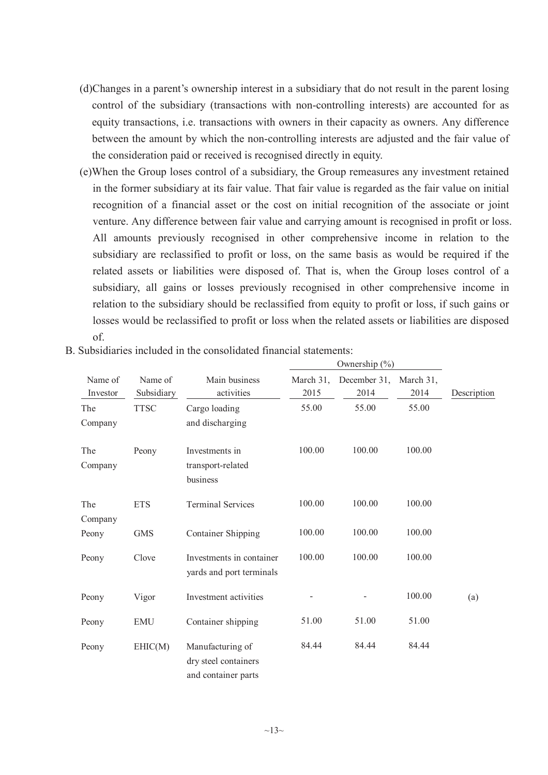- (d)Changes in a parent's ownership interest in a subsidiary that do not result in the parent losing control of the subsidiary (transactions with non-controlling interests) are accounted for as equity transactions, i.e. transactions with owners in their capacity as owners. Any difference between the amount by which the non-controlling interests are adjusted and the fair value of the consideration paid or received is recognised directly in equity.
- (e)When the Group loses control of a subsidiary, the Group remeasures any investment retained in the former subsidiary at its fair value. That fair value is regarded as the fair value on initial recognition of a financial asset or the cost on initial recognition of the associate or joint venture. Any difference between fair value and carrying amount is recognised in profit or loss. All amounts previously recognised in other comprehensive income in relation to the subsidiary are reclassified to profit or loss, on the same basis as would be required if the related assets or liabilities were disposed of. That is, when the Group loses control of a subsidiary, all gains or losses previously recognised in other comprehensive income in relation to the subsidiary should be reclassified from equity to profit or loss, if such gains or losses would be reclassified to profit or loss when the related assets or liabilities are disposed of.

|                     |                       |                                                                 |                   | Ownership $(\% )$    |                   |             |
|---------------------|-----------------------|-----------------------------------------------------------------|-------------------|----------------------|-------------------|-------------|
| Name of<br>Investor | Name of<br>Subsidiary | Main business<br>activities                                     | March 31,<br>2015 | December 31,<br>2014 | March 31,<br>2014 | Description |
| The<br>Company      | <b>TTSC</b>           | Cargo loading<br>and discharging                                | 55.00             | 55.00                | 55.00             |             |
| The<br>Company      | Peony                 | Investments in<br>transport-related<br>business                 | 100.00            | 100.00               | 100.00            |             |
| The<br>Company      | <b>ETS</b>            | <b>Terminal Services</b>                                        | 100.00            | 100.00               | 100.00            |             |
| Peony               | <b>GMS</b>            | <b>Container Shipping</b>                                       | 100.00            | 100.00               | 100.00            |             |
| Peony               | Clove                 | Investments in container<br>yards and port terminals            | 100.00            | 100.00               | 100.00            |             |
| Peony               | Vigor                 | Investment activities                                           |                   |                      | 100.00            | (a)         |
| Peony               | <b>EMU</b>            | Container shipping                                              | 51.00             | 51.00                | 51.00             |             |
| Peony               | EHIC(M)               | Manufacturing of<br>dry steel containers<br>and container parts | 84.44             | 84.44                | 84.44             |             |

B. Subsidiaries included in the consolidated financial statements: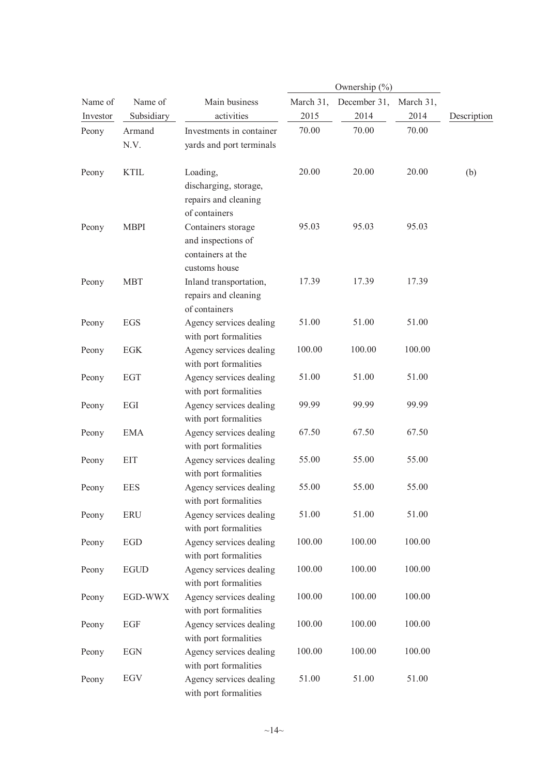|          |                |                                                                                  |           | Ownership $(\% )$ |           |             |
|----------|----------------|----------------------------------------------------------------------------------|-----------|-------------------|-----------|-------------|
| Name of  | Name of        | Main business                                                                    | March 31, | December 31,      | March 31, |             |
| Investor | Subsidiary     | activities                                                                       | 2015      | 2014              | 2014      | Description |
| Peony    | Armand<br>N.V. | Investments in container<br>yards and port terminals                             | 70.00     | 70.00             | 70.00     |             |
| Peony    | <b>KTIL</b>    | Loading,<br>discharging, storage,<br>repairs and cleaning                        | 20.00     | 20.00             | 20.00     | (b)         |
| Peony    | <b>MBPI</b>    | of containers<br>Containers storage<br>and inspections of<br>containers at the   | 95.03     | 95.03             | 95.03     |             |
| Peony    | <b>MBT</b>     | customs house<br>Inland transportation,<br>repairs and cleaning<br>of containers | 17.39     | 17.39             | 17.39     |             |
| Peony    | EGS            | Agency services dealing<br>with port formalities                                 | 51.00     | 51.00             | 51.00     |             |
| Peony    | EGK            | Agency services dealing<br>with port formalities                                 | 100.00    | 100.00            | 100.00    |             |
| Peony    | <b>EGT</b>     | Agency services dealing<br>with port formalities                                 | 51.00     | 51.00             | 51.00     |             |
| Peony    | EGI            | Agency services dealing<br>with port formalities                                 | 99.99     | 99.99             | 99.99     |             |
| Peony    | <b>EMA</b>     | Agency services dealing<br>with port formalities                                 | 67.50     | 67.50             | 67.50     |             |
| Peony    | <b>EIT</b>     | Agency services dealing<br>with port formalities                                 | 55.00     | 55.00             | 55.00     |             |
| Peony    | <b>EES</b>     | Agency services dealing<br>with port formalities                                 | 55.00     | 55.00             | 55.00     |             |
| Peony    | <b>ERU</b>     | Agency services dealing<br>with port formalities                                 | 51.00     | 51.00             | 51.00     |             |
| Peony    | <b>EGD</b>     | Agency services dealing<br>with port formalities                                 | 100.00    | 100.00            | 100.00    |             |
| Peony    | <b>EGUD</b>    | Agency services dealing<br>with port formalities                                 | 100.00    | 100.00            | 100.00    |             |
| Peony    | EGD-WWX        | Agency services dealing<br>with port formalities                                 | 100.00    | 100.00            | 100.00    |             |
| Peony    | EGF            | Agency services dealing<br>with port formalities                                 | 100.00    | 100.00            | 100.00    |             |
| Peony    | <b>EGN</b>     | Agency services dealing<br>with port formalities                                 | 100.00    | 100.00            | 100.00    |             |
| Peony    | EGV            | Agency services dealing<br>with port formalities                                 | 51.00     | 51.00             | 51.00     |             |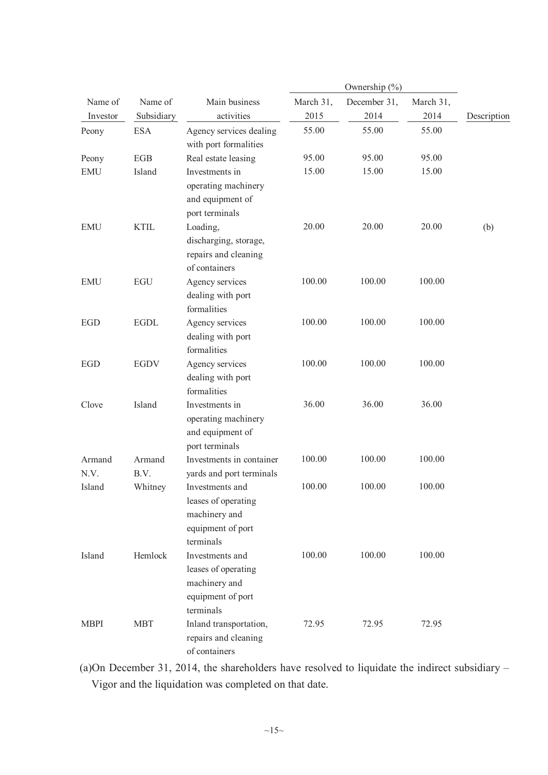|                     |                       |                                                                                           |                   | Ownership (%)        |                   |             |
|---------------------|-----------------------|-------------------------------------------------------------------------------------------|-------------------|----------------------|-------------------|-------------|
| Name of<br>Investor | Name of<br>Subsidiary | Main business<br>activities                                                               | March 31,<br>2015 | December 31,<br>2014 | March 31,<br>2014 | Description |
| Peony               | <b>ESA</b>            | Agency services dealing<br>with port formalities                                          | 55.00             | 55.00                | 55.00             |             |
| Peony               | EGB                   | Real estate leasing                                                                       | 95.00             | 95.00                | 95.00             |             |
| <b>EMU</b>          | Island                | Investments in<br>operating machinery<br>and equipment of<br>port terminals               | 15.00             | 15.00                | 15.00             |             |
| <b>EMU</b>          | <b>KTIL</b>           | Loading,<br>discharging, storage,<br>repairs and cleaning<br>of containers                | 20.00             | 20.00                | 20.00             | (b)         |
| <b>EMU</b>          | <b>EGU</b>            | Agency services<br>dealing with port<br>formalities                                       | 100.00            | 100.00               | 100.00            |             |
| <b>EGD</b>          | <b>EGDL</b>           | Agency services<br>dealing with port<br>formalities                                       | 100.00            | 100.00               | 100.00            |             |
| <b>EGD</b>          | <b>EGDV</b>           | Agency services<br>dealing with port<br>formalities                                       | 100.00            | 100.00               | 100.00            |             |
| Clove               | Island                | Investments in<br>operating machinery<br>and equipment of<br>port terminals               | 36.00             | 36.00                | 36.00             |             |
| Armand<br>N.V.      | Armand<br>B.V.        | Investments in container<br>yards and port terminals                                      | 100.00            | 100.00               | 100.00            |             |
| Island              | Whitney               | Investments and<br>leases of operating<br>machinery and<br>equipment of port<br>terminals | 100.00            | 100.00               | 100.00            |             |
| Island              | Hemlock               | Investments and<br>leases of operating<br>machinery and<br>equipment of port<br>terminals | 100.00            | 100.00               | 100.00            |             |
| <b>MBPI</b>         | <b>MBT</b>            | Inland transportation,<br>repairs and cleaning<br>of containers                           | 72.95             | 72.95                | 72.95             |             |

(a)On December 31, 2014, the shareholders have resolved to liquidate the indirect subsidiary – Vigor and the liquidation was completed on that date.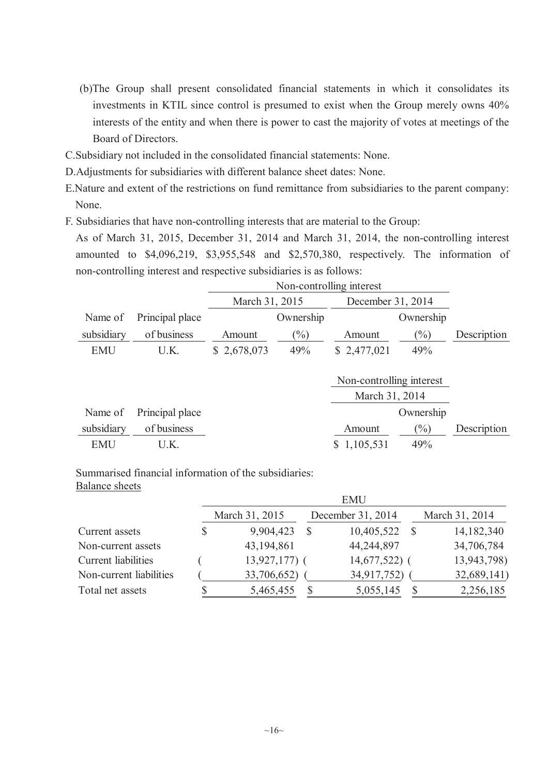- (b)The Group shall present consolidated financial statements in which it consolidates its investments in KTIL since control is presumed to exist when the Group merely owns 40% interests of the entity and when there is power to cast the majority of votes at meetings of the Board of Directors.
- C.Subsidiary not included in the consolidated financial statements: None.
- D.Adjustments for subsidiaries with different balance sheet dates: None.
- E.Nature and extent of the restrictions on fund remittance from subsidiaries to the parent company: None.
- F. Subsidiaries that have non-controlling interests that are material to the Group:

As of March 31, 2015, December 31, 2014 and March 31, 2014, the non-controlling interest amounted to \$4,096,219, \$3,955,548 and \$2,570,380, respectively. The information of non-controlling interest and respective subsidiaries is as follows:

|                 |             | Non-controlling interest |                |           |                                                                 |  |  |
|-----------------|-------------|--------------------------|----------------|-----------|-----------------------------------------------------------------|--|--|
|                 |             |                          |                |           |                                                                 |  |  |
| Principal place |             | Ownership                |                | Ownership |                                                                 |  |  |
| of business     | Amount      | $(\%)$                   | Amount         | $(\%)$    | Description                                                     |  |  |
| U.K.            | \$2,678,073 | 49%                      | \$2,477,021    | 49%       |                                                                 |  |  |
|                 |             |                          |                |           |                                                                 |  |  |
|                 |             |                          |                |           |                                                                 |  |  |
|                 |             |                          |                |           |                                                                 |  |  |
| Principal place |             |                          |                | Ownership |                                                                 |  |  |
| of business     |             |                          | Amount         | $(\%)$    | Description                                                     |  |  |
| U.K.            |             |                          | 1,105,531<br>S | 49%       |                                                                 |  |  |
|                 |             |                          | March 31, 2015 |           | December 31, 2014<br>Non-controlling interest<br>March 31, 2014 |  |  |

Summarised financial information of the subsidiaries: Balance sheets

|                         |    |                |   | <b>EMU</b>        |                |
|-------------------------|----|----------------|---|-------------------|----------------|
|                         |    | March 31, 2015 |   | December 31, 2014 | March 31, 2014 |
| Current assets          | \$ | 9,904,423      |   | 10,405,522        | 14, 182, 340   |
| Non-current assets      |    | 43, 194, 861   |   | 44,244,897        | 34,706,784     |
| Current liabilities     |    | $13,927,177$ ( |   | $14,677,522$ (    | 13,943,798)    |
| Non-current liabilities |    | 33,706,652)    |   | 34,917,752)       | 32,689,141)    |
| Total net assets        | ה. | 5,465,455      | S | 5,055,145         | 2,256,185      |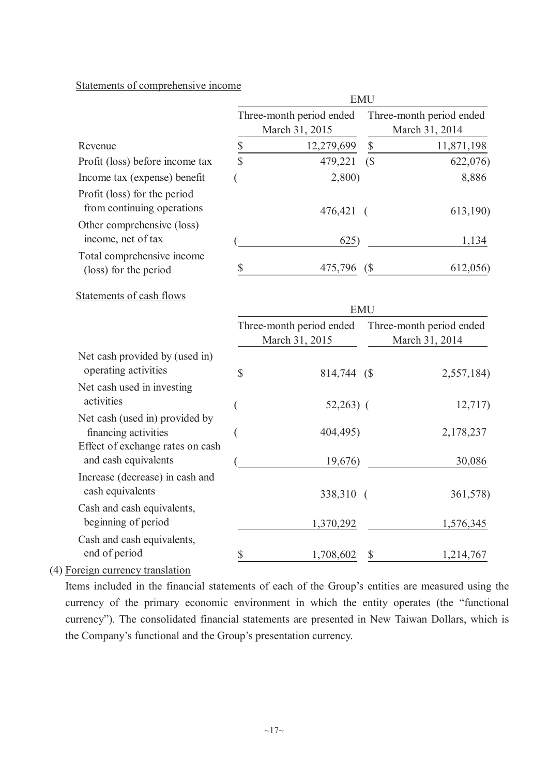# Statements of comprehensive income

|                                                                                            | <b>EMU</b>    |                                            |                            |                                            |  |  |  |
|--------------------------------------------------------------------------------------------|---------------|--------------------------------------------|----------------------------|--------------------------------------------|--|--|--|
|                                                                                            |               | Three-month period ended<br>March 31, 2015 |                            | Three-month period ended<br>March 31, 2014 |  |  |  |
| Revenue                                                                                    |               | 12,279,699                                 | $\mathbb S$                | 11,871,198                                 |  |  |  |
| Profit (loss) before income tax                                                            | $\frac{S}{S}$ | 479,221                                    | (S)                        | 622,076)                                   |  |  |  |
| Income tax (expense) benefit                                                               |               | 2,800                                      |                            | 8,886                                      |  |  |  |
| Profit (loss) for the period<br>from continuing operations                                 |               | 476,421                                    | $\left($                   | 613,190)                                   |  |  |  |
| Other comprehensive (loss)<br>income, net of tax                                           |               | 625)                                       |                            | 1,134                                      |  |  |  |
| Total comprehensive income<br>(loss) for the period                                        | \$            | 475,796                                    | $\left( \text{\$} \right)$ | 612,056)                                   |  |  |  |
| Statements of cash flows                                                                   |               |                                            | <b>EMU</b>                 |                                            |  |  |  |
|                                                                                            |               | Three-month period ended<br>March 31, 2015 |                            | Three-month period ended<br>March 31, 2014 |  |  |  |
| Net cash provided by (used in)<br>operating activities                                     | \$            | 814,744 (\$                                |                            | 2,557,184)                                 |  |  |  |
| Net cash used in investing<br>activities                                                   |               | $52,263)$ (                                |                            | 12,717                                     |  |  |  |
| Net cash (used in) provided by<br>financing activities<br>Effect of exchange rates on cash | (             | 404,495)                                   |                            | 2,178,237                                  |  |  |  |
| and cash equivalents                                                                       |               | 19,676)                                    |                            | 30,086                                     |  |  |  |
| Increase (decrease) in cash and<br>cash equivalents                                        |               | 338,310                                    | $\sqrt{2}$                 | 361,578)                                   |  |  |  |
| Cash and cash equivalents,<br>beginning of period                                          |               | 1,370,292                                  |                            | 1,576,345                                  |  |  |  |
| Cash and cash equivalents,<br>end of period                                                | \$            | 1,708,602                                  | \$                         | 1,214,767                                  |  |  |  |

(4) Foreign currency translation

Items included in the financial statements of each of the Group's entities are measured using the currency of the primary economic environment in which the entity operates (the "functional currency"). The consolidated financial statements are presented in New Taiwan Dollars, which is the Company's functional and the Group's presentation currency.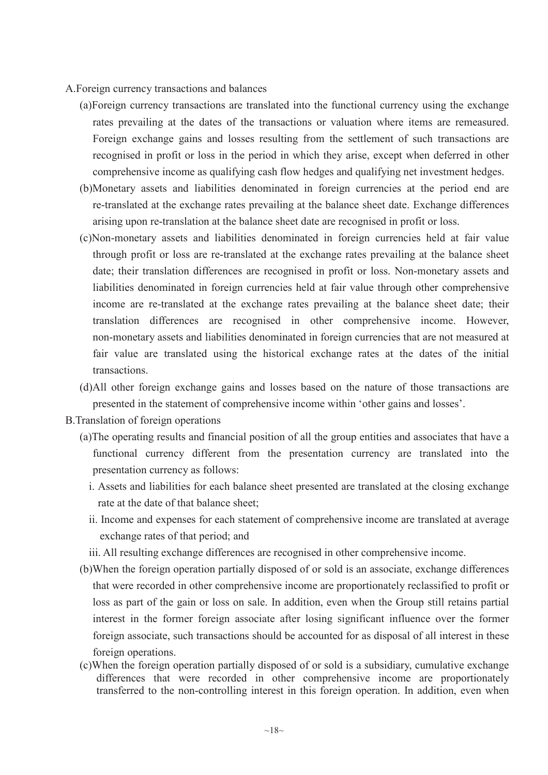- A.Foreign currency transactions and balances
	- (a)Foreign currency transactions are translated into the functional currency using the exchange rates prevailing at the dates of the transactions or valuation where items are remeasured. Foreign exchange gains and losses resulting from the settlement of such transactions are recognised in profit or loss in the period in which they arise, except when deferred in other comprehensive income as qualifying cash flow hedges and qualifying net investment hedges.
	- (b)Monetary assets and liabilities denominated in foreign currencies at the period end are re-translated at the exchange rates prevailing at the balance sheet date. Exchange differences arising upon re-translation at the balance sheet date are recognised in profit or loss.
	- (c)Non-monetary assets and liabilities denominated in foreign currencies held at fair value through profit or loss are re-translated at the exchange rates prevailing at the balance sheet date; their translation differences are recognised in profit or loss. Non-monetary assets and liabilities denominated in foreign currencies held at fair value through other comprehensive income are re-translated at the exchange rates prevailing at the balance sheet date; their translation differences are recognised in other comprehensive income. However, non-monetary assets and liabilities denominated in foreign currencies that are not measured at fair value are translated using the historical exchange rates at the dates of the initial transactions.
	- (d)All other foreign exchange gains and losses based on the nature of those transactions are presented in the statement of comprehensive income within 'other gains and losses'.
- B.Translation of foreign operations
	- (a)The operating results and financial position of all the group entities and associates that have a functional currency different from the presentation currency are translated into the presentation currency as follows:
		- i. Assets and liabilities for each balance sheet presented are translated at the closing exchange rate at the date of that balance sheet;
		- ii. Income and expenses for each statement of comprehensive income are translated at average exchange rates of that period; and
		- iii. All resulting exchange differences are recognised in other comprehensive income.
	- (b)When the foreign operation partially disposed of or sold is an associate, exchange differences that were recorded in other comprehensive income are proportionately reclassified to profit or loss as part of the gain or loss on sale. In addition, even when the Group still retains partial interest in the former foreign associate after losing significant influence over the former foreign associate, such transactions should be accounted for as disposal of all interest in these foreign operations.
	- (c)When the foreign operation partially disposed of or sold is a subsidiary, cumulative exchange differences that were recorded in other comprehensive income are proportionately transferred to the non-controlling interest in this foreign operation. In addition, even when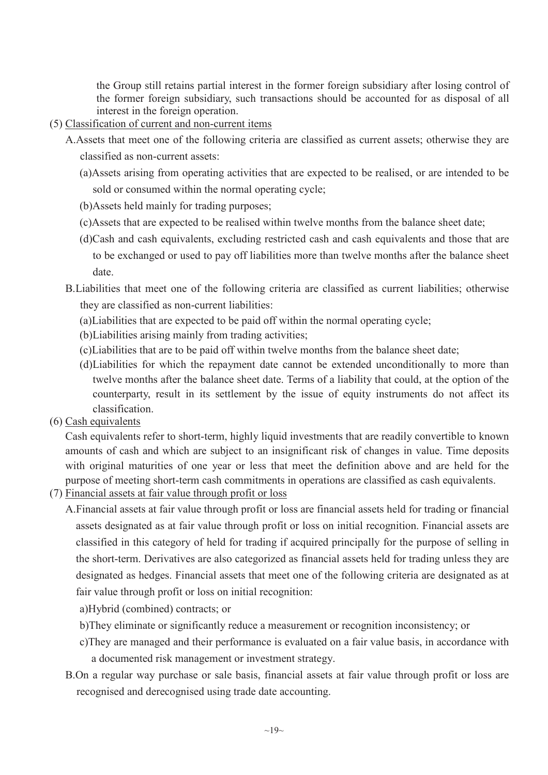the Group still retains partial interest in the former foreign subsidiary after losing control of the former foreign subsidiary, such transactions should be accounted for as disposal of all interest in the foreign operation.

- (5) Classification of current and non-current items
	- A.Assets that meet one of the following criteria are classified as current assets; otherwise they are classified as non-current assets:
		- (a)Assets arising from operating activities that are expected to be realised, or are intended to be sold or consumed within the normal operating cycle;
		- (b)Assets held mainly for trading purposes;
		- (c)Assets that are expected to be realised within twelve months from the balance sheet date;
		- (d)Cash and cash equivalents, excluding restricted cash and cash equivalents and those that are to be exchanged or used to pay off liabilities more than twelve months after the balance sheet date.
	- B.Liabilities that meet one of the following criteria are classified as current liabilities; otherwise they are classified as non-current liabilities:
		- (a)Liabilities that are expected to be paid off within the normal operating cycle;
		- (b)Liabilities arising mainly from trading activities;
		- (c)Liabilities that are to be paid off within twelve months from the balance sheet date;
		- (d)Liabilities for which the repayment date cannot be extended unconditionally to more than twelve months after the balance sheet date. Terms of a liability that could, at the option of the counterparty, result in its settlement by the issue of equity instruments do not affect its classification.
- (6) Cash equivalents

Cash equivalents refer to short-term, highly liquid investments that are readily convertible to known amounts of cash and which are subject to an insignificant risk of changes in value. Time deposits with original maturities of one year or less that meet the definition above and are held for the purpose of meeting short-term cash commitments in operations are classified as cash equivalents.

- (7) Financial assets at fair value through profit or loss
	- A.Financial assets at fair value through profit or loss are financial assets held for trading or financial assets designated as at fair value through profit or loss on initial recognition. Financial assets are classified in this category of held for trading if acquired principally for the purpose of selling in the short-term. Derivatives are also categorized as financial assets held for trading unless they are designated as hedges. Financial assets that meet one of the following criteria are designated as at fair value through profit or loss on initial recognition:

a)Hybrid (combined) contracts; or

- b)They eliminate or significantly reduce a measurement or recognition inconsistency; or
- c)They are managed and their performance is evaluated on a fair value basis, in accordance with a documented risk management or investment strategy.
- B.On a regular way purchase or sale basis, financial assets at fair value through profit or loss are recognised and derecognised using trade date accounting.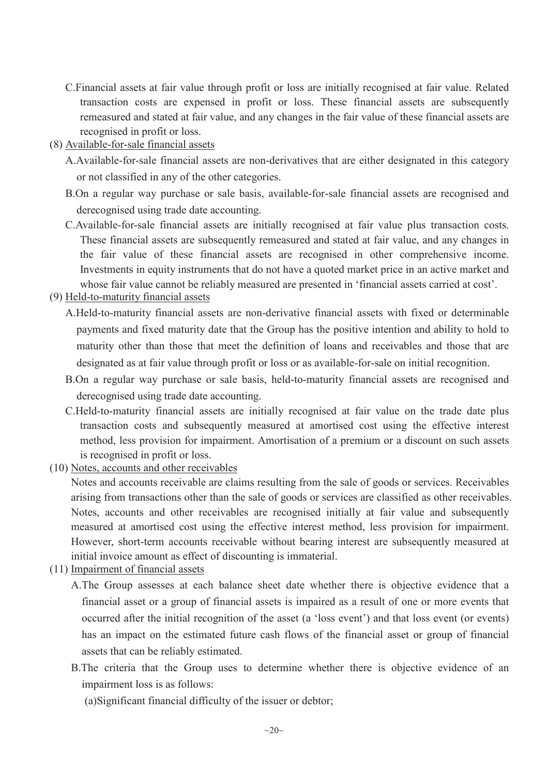- C.Financial assets at fair value through profit or loss are initially recognised at fair value. Related transaction costs are expensed in profit or loss. These financial assets are subsequently remeasured and stated at fair value, and any changes in the fair value of these financial assets are recognised in profit or loss.
- (8) Available-for-sale financial assets
	- A.Available-for-sale financial assets are non-derivatives that are either designated in this category or not classified in any of the other categories.
	- B.On a regular way purchase or sale basis, available-for-sale financial assets are recognised and derecognised using trade date accounting.
	- C.Available-for-sale financial assets are initially recognised at fair value plus transaction costs. These financial assets are subsequently remeasured and stated at fair value, and any changes in the fair value of these financial assets are recognised in other comprehensive income. Investments in equity instruments that do not have a quoted market price in an active market and whose fair value cannot be reliably measured are presented in 'financial assets carried at cost'.
- (9) Held-to-maturity financial assets
	- A.Held-to-maturity financial assets are non-derivative financial assets with fixed or determinable payments and fixed maturity date that the Group has the positive intention and ability to hold to maturity other than those that meet the definition of loans and receivables and those that are designated as at fair value through profit or loss or as available-for-sale on initial recognition.
	- B.On a regular way purchase or sale basis, held-to-maturity financial assets are recognised and derecognised using trade date accounting.
	- C.Held-to-maturity financial assets are initially recognised at fair value on the trade date plus transaction costs and subsequently measured at amortised cost using the effective interest method, less provision for impairment. Amortisation of a premium or a discount on such assets is recognised in profit or loss.
- (10) Notes, accounts and other receivables

Notes and accounts receivable are claims resulting from the sale of goods or services. Receivables arising from transactions other than the sale of goods or services are classified as other receivables. Notes, accounts and other receivables are recognised initially at fair value and subsequently measured at amortised cost using the effective interest method, less provision for impairment. However, short-term accounts receivable without bearing interest are subsequently measured at initial invoice amount as effect of discounting is immaterial.

- (11) Impairment of financial assets
	- A.The Group assesses at each balance sheet date whether there is objective evidence that a financial asset or a group of financial assets is impaired as a result of one or more events that occurred after the initial recognition of the asset (a 'loss event') and that loss event (or events) has an impact on the estimated future cash flows of the financial asset or group of financial assets that can be reliably estimated.
	- B.The criteria that the Group uses to determine whether there is objective evidence of an impairment loss is as follows:

(a)Significant financial difficulty of the issuer or debtor;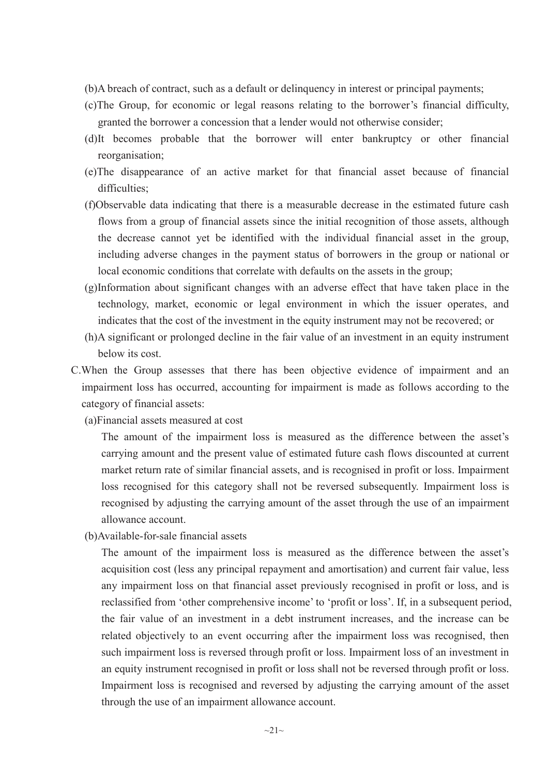- (b)A breach of contract, such as a default or delinquency in interest or principal payments;
- (c)The Group, for economic or legal reasons relating to the borrower's financial difficulty, granted the borrower a concession that a lender would not otherwise consider;
- (d)It becomes probable that the borrower will enter bankruptcy or other financial reorganisation;
- (e)The disappearance of an active market for that financial asset because of financial difficulties:
- (f)Observable data indicating that there is a measurable decrease in the estimated future cash flows from a group of financial assets since the initial recognition of those assets, although the decrease cannot yet be identified with the individual financial asset in the group, including adverse changes in the payment status of borrowers in the group or national or local economic conditions that correlate with defaults on the assets in the group;
- (g)Information about significant changes with an adverse effect that have taken place in the technology, market, economic or legal environment in which the issuer operates, and indicates that the cost of the investment in the equity instrument may not be recovered; or
- (h)A significant or prolonged decline in the fair value of an investment in an equity instrument below its cost.
- C.When the Group assesses that there has been objective evidence of impairment and an impairment loss has occurred, accounting for impairment is made as follows according to the category of financial assets:
	- (a)Financial assets measured at cost

The amount of the impairment loss is measured as the difference between the asset's carrying amount and the present value of estimated future cash flows discounted at current market return rate of similar financial assets, and is recognised in profit or loss. Impairment loss recognised for this category shall not be reversed subsequently. Impairment loss is recognised by adjusting the carrying amount of the asset through the use of an impairment allowance account.

(b)Available-for-sale financial assets

The amount of the impairment loss is measured as the difference between the asset's acquisition cost (less any principal repayment and amortisation) and current fair value, less any impairment loss on that financial asset previously recognised in profit or loss, and is reclassified from 'other comprehensive income' to 'profit or loss'. If, in a subsequent period, the fair value of an investment in a debt instrument increases, and the increase can be related objectively to an event occurring after the impairment loss was recognised, then such impairment loss is reversed through profit or loss. Impairment loss of an investment in an equity instrument recognised in profit or loss shall not be reversed through profit or loss. Impairment loss is recognised and reversed by adjusting the carrying amount of the asset through the use of an impairment allowance account.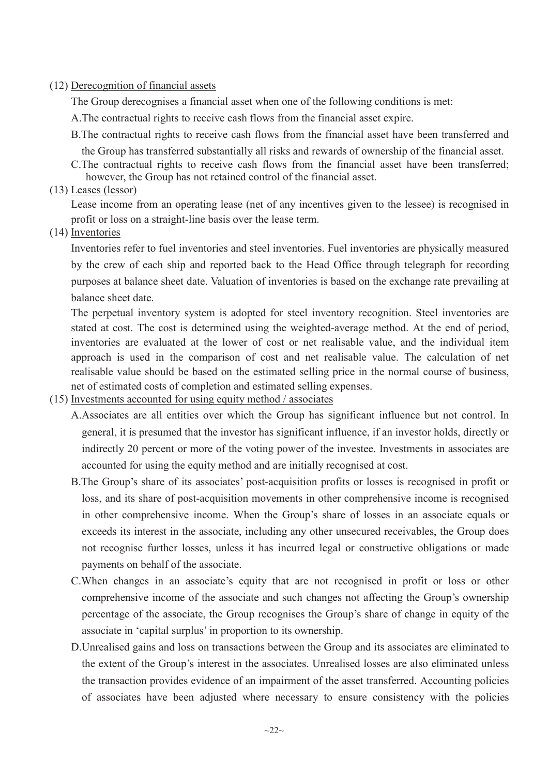#### (12) Derecognition of financial assets

The Group derecognises a financial asset when one of the following conditions is met:

- A.The contractual rights to receive cash flows from the financial asset expire.
- B.The contractual rights to receive cash flows from the financial asset have been transferred and

the Group has transferred substantially all risks and rewards of ownership of the financial asset.

C.The contractual rights to receive cash flows from the financial asset have been transferred; however, the Group has not retained control of the financial asset.

(13) Leases (lessor)

Lease income from an operating lease (net of any incentives given to the lessee) is recognised in profit or loss on a straight-line basis over the lease term.

(14) Inventories

Inventories refer to fuel inventories and steel inventories. Fuel inventories are physically measured by the crew of each ship and reported back to the Head Office through telegraph for recording purposes at balance sheet date. Valuation of inventories is based on the exchange rate prevailing at balance sheet date.

The perpetual inventory system is adopted for steel inventory recognition. Steel inventories are stated at cost. The cost is determined using the weighted-average method. At the end of period, inventories are evaluated at the lower of cost or net realisable value, and the individual item approach is used in the comparison of cost and net realisable value. The calculation of net realisable value should be based on the estimated selling price in the normal course of business, net of estimated costs of completion and estimated selling expenses.

# (15) Investments accounted for using equity method / associates

- A.Associates are all entities over which the Group has significant influence but not control. In general, it is presumed that the investor has significant influence, if an investor holds, directly or indirectly 20 percent or more of the voting power of the investee. Investments in associates are accounted for using the equity method and are initially recognised at cost.
- B.The Group's share of its associates' post-acquisition profits or losses is recognised in profit or loss, and its share of post-acquisition movements in other comprehensive income is recognised in other comprehensive income. When the Group's share of losses in an associate equals or exceeds its interest in the associate, including any other unsecured receivables, the Group does not recognise further losses, unless it has incurred legal or constructive obligations or made payments on behalf of the associate.
- C.When changes in an associate's equity that are not recognised in profit or loss or other comprehensive income of the associate and such changes not affecting the Group's ownership percentage of the associate, the Group recognises the Group's share of change in equity of the associate in 'capital surplus' in proportion to its ownership.
- D.Unrealised gains and loss on transactions between the Group and its associates are eliminated to the extent of the Group's interest in the associates. Unrealised losses are also eliminated unless the transaction provides evidence of an impairment of the asset transferred. Accounting policies of associates have been adjusted where necessary to ensure consistency with the policies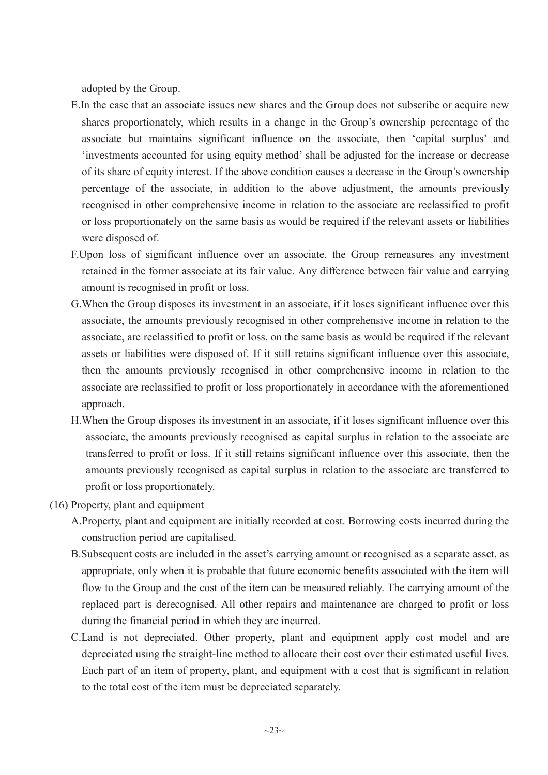adopted by the Group.

- E.In the case that an associate issues new shares and the Group does not subscribe or acquire new shares proportionately, which results in a change in the Group's ownership percentage of the associate but maintains significant influence on the associate, then 'capital surplus' and 'investments accounted for using equity method' shall be adjusted for the increase or decrease of its share of equity interest. If the above condition causes a decrease in the Group's ownership percentage of the associate, in addition to the above adjustment, the amounts previously recognised in other comprehensive income in relation to the associate are reclassified to profit or loss proportionately on the same basis as would be required if the relevant assets or liabilities were disposed of.
- F.Upon loss of significant influence over an associate, the Group remeasures any investment retained in the former associate at its fair value. Any difference between fair value and carrying amount is recognised in profit or loss.
- G.When the Group disposes its investment in an associate, if it loses significant influence over this associate, the amounts previously recognised in other comprehensive income in relation to the associate, are reclassified to profit or loss, on the same basis as would be required if the relevant assets or liabilities were disposed of. If it still retains significant influence over this associate, then the amounts previously recognised in other comprehensive income in relation to the associate are reclassified to profit or loss proportionately in accordance with the aforementioned approach.
- H.When the Group disposes its investment in an associate, if it loses significant influence over this associate, the amounts previously recognised as capital surplus in relation to the associate are transferred to profit or loss. If it still retains significant influence over this associate, then the amounts previously recognised as capital surplus in relation to the associate are transferred to profit or loss proportionately.
- (16) Property, plant and equipment
	- A.Property, plant and equipment are initially recorded at cost. Borrowing costs incurred during the construction period are capitalised.
	- B.Subsequent costs are included in the asset's carrying amount or recognised as a separate asset, as appropriate, only when it is probable that future economic benefits associated with the item will flow to the Group and the cost of the item can be measured reliably. The carrying amount of the replaced part is derecognised. All other repairs and maintenance are charged to profit or loss during the financial period in which they are incurred.
	- C.Land is not depreciated. Other property, plant and equipment apply cost model and are depreciated using the straight-line method to allocate their cost over their estimated useful lives. Each part of an item of property, plant, and equipment with a cost that is significant in relation to the total cost of the item must be depreciated separately.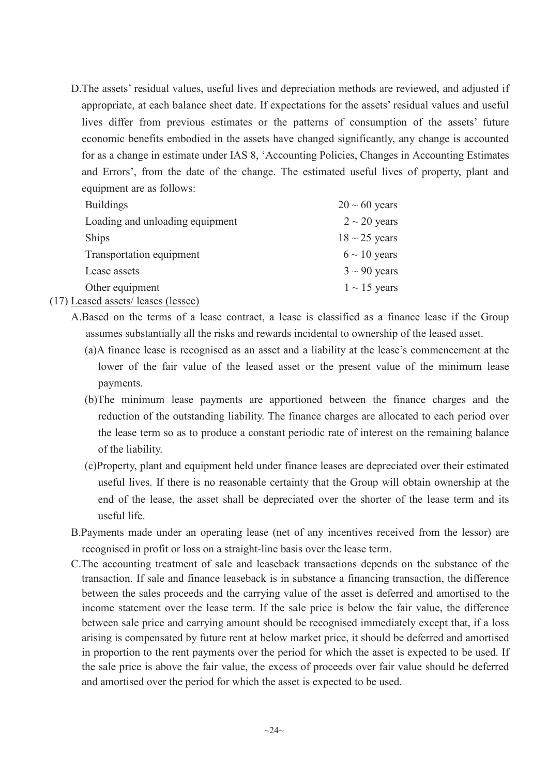D.The assets' residual values, useful lives and depreciation methods are reviewed, and adjusted if appropriate, at each balance sheet date. If expectations for the assets' residual values and useful lives differ from previous estimates or the patterns of consumption of the assets' future economic benefits embodied in the assets have changed significantly, any change is accounted for as a change in estimate under IAS 8, 'Accounting Policies, Changes in Accounting Estimates and Errors', from the date of the change. The estimated useful lives of property, plant and equipment are as follows:

| <b>Buildings</b>                                                   | $20 \sim 60$ years |
|--------------------------------------------------------------------|--------------------|
| Loading and unloading equipment                                    | $2 \sim 20$ years  |
| <b>Ships</b>                                                       | $18 \sim 25$ years |
| Transportation equipment                                           | $6 \sim 10$ years  |
| Lease assets                                                       | $3 \sim 90$ years  |
| Other equipment<br>$\mathbf{A}$ , and the contract of $\mathbf{A}$ | $1 \sim 15$ years  |

(17) Leased assets/ leases (lessee)

- A.Based on the terms of a lease contract, a lease is classified as a finance lease if the Group assumes substantially all the risks and rewards incidental to ownership of the leased asset.
	- (a)A finance lease is recognised as an asset and a liability at the lease's commencement at the lower of the fair value of the leased asset or the present value of the minimum lease payments.
	- (b)The minimum lease payments are apportioned between the finance charges and the reduction of the outstanding liability. The finance charges are allocated to each period over the lease term so as to produce a constant periodic rate of interest on the remaining balance of the liability.
	- (c)Property, plant and equipment held under finance leases are depreciated over their estimated useful lives. If there is no reasonable certainty that the Group will obtain ownership at the end of the lease, the asset shall be depreciated over the shorter of the lease term and its useful life.
- B.Payments made under an operating lease (net of any incentives received from the lessor) are recognised in profit or loss on a straight-line basis over the lease term.
- C.The accounting treatment of sale and leaseback transactions depends on the substance of the transaction. If sale and finance leaseback is in substance a financing transaction, the difference between the sales proceeds and the carrying value of the asset is deferred and amortised to the income statement over the lease term. If the sale price is below the fair value, the difference between sale price and carrying amount should be recognised immediately except that, if a loss arising is compensated by future rent at below market price, it should be deferred and amortised in proportion to the rent payments over the period for which the asset is expected to be used. If the sale price is above the fair value, the excess of proceeds over fair value should be deferred and amortised over the period for which the asset is expected to be used.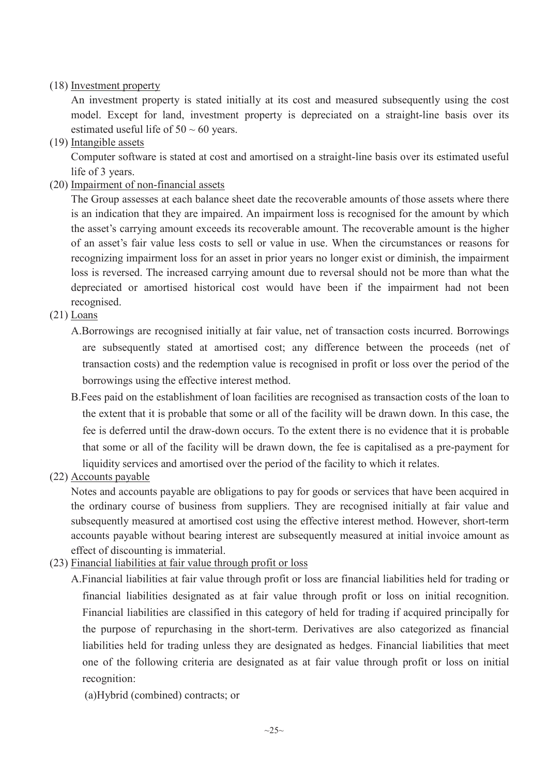# (18) Investment property

An investment property is stated initially at its cost and measured subsequently using the cost model. Except for land, investment property is depreciated on a straight-line basis over its estimated useful life of  $50 \sim 60$  years.

(19) Intangible assets

Computer software is stated at cost and amortised on a straight-line basis over its estimated useful life of 3 years.

(20) Impairment of non-financial assets

The Group assesses at each balance sheet date the recoverable amounts of those assets where there is an indication that they are impaired. An impairment loss is recognised for the amount by which the asset's carrying amount exceeds its recoverable amount. The recoverable amount is the higher of an asset's fair value less costs to sell or value in use. When the circumstances or reasons for recognizing impairment loss for an asset in prior years no longer exist or diminish, the impairment loss is reversed. The increased carrying amount due to reversal should not be more than what the depreciated or amortised historical cost would have been if the impairment had not been recognised.

- (21) Loans
	- A.Borrowings are recognised initially at fair value, net of transaction costs incurred. Borrowings are subsequently stated at amortised cost; any difference between the proceeds (net of transaction costs) and the redemption value is recognised in profit or loss over the period of the borrowings using the effective interest method.
	- B.Fees paid on the establishment of loan facilities are recognised as transaction costs of the loan to the extent that it is probable that some or all of the facility will be drawn down. In this case, the fee is deferred until the draw-down occurs. To the extent there is no evidence that it is probable that some or all of the facility will be drawn down, the fee is capitalised as a pre-payment for liquidity services and amortised over the period of the facility to which it relates.
- (22) Accounts payable

Notes and accounts payable are obligations to pay for goods or services that have been acquired in the ordinary course of business from suppliers. They are recognised initially at fair value and subsequently measured at amortised cost using the effective interest method. However, short-term accounts payable without bearing interest are subsequently measured at initial invoice amount as effect of discounting is immaterial.

- (23) Financial liabilities at fair value through profit or loss
	- A.Financial liabilities at fair value through profit or loss are financial liabilities held for trading or financial liabilities designated as at fair value through profit or loss on initial recognition. Financial liabilities are classified in this category of held for trading if acquired principally for the purpose of repurchasing in the short-term. Derivatives are also categorized as financial liabilities held for trading unless they are designated as hedges. Financial liabilities that meet one of the following criteria are designated as at fair value through profit or loss on initial recognition:

(a)Hybrid (combined) contracts; or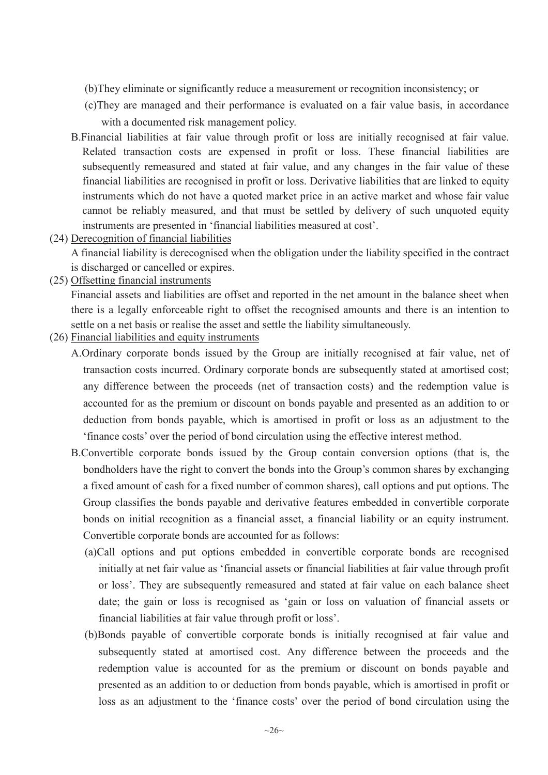- (b)They eliminate or significantly reduce a measurement or recognition inconsistency; or
- (c)They are managed and their performance is evaluated on a fair value basis, in accordance with a documented risk management policy.
- B.Financial liabilities at fair value through profit or loss are initially recognised at fair value. Related transaction costs are expensed in profit or loss. These financial liabilities are subsequently remeasured and stated at fair value, and any changes in the fair value of these financial liabilities are recognised in profit or loss. Derivative liabilities that are linked to equity instruments which do not have a quoted market price in an active market and whose fair value cannot be reliably measured, and that must be settled by delivery of such unquoted equity instruments are presented in 'financial liabilities measured at cost'.
- (24) Derecognition of financial liabilities

A financial liability is derecognised when the obligation under the liability specified in the contract is discharged or cancelled or expires.

(25) Offsetting financial instruments

Financial assets and liabilities are offset and reported in the net amount in the balance sheet when there is a legally enforceable right to offset the recognised amounts and there is an intention to settle on a net basis or realise the asset and settle the liability simultaneously.

- (26) Financial liabilities and equity instruments
	- A.Ordinary corporate bonds issued by the Group are initially recognised at fair value, net of transaction costs incurred. Ordinary corporate bonds are subsequently stated at amortised cost; any difference between the proceeds (net of transaction costs) and the redemption value is accounted for as the premium or discount on bonds payable and presented as an addition to or deduction from bonds payable, which is amortised in profit or loss as an adjustment to the 'finance costs' over the period of bond circulation using the effective interest method.
	- B.Convertible corporate bonds issued by the Group contain conversion options (that is, the bondholders have the right to convert the bonds into the Group's common shares by exchanging a fixed amount of cash for a fixed number of common shares), call options and put options. The Group classifies the bonds payable and derivative features embedded in convertible corporate bonds on initial recognition as a financial asset, a financial liability or an equity instrument. Convertible corporate bonds are accounted for as follows:
		- (a)Call options and put options embedded in convertible corporate bonds are recognised initially at net fair value as 'financial assets or financial liabilities at fair value through profit or loss'. They are subsequently remeasured and stated at fair value on each balance sheet date; the gain or loss is recognised as 'gain or loss on valuation of financial assets or financial liabilities at fair value through profit or loss'.
		- (b)Bonds payable of convertible corporate bonds is initially recognised at fair value and subsequently stated at amortised cost. Any difference between the proceeds and the redemption value is accounted for as the premium or discount on bonds payable and presented as an addition to or deduction from bonds payable, which is amortised in profit or loss as an adjustment to the 'finance costs' over the period of bond circulation using the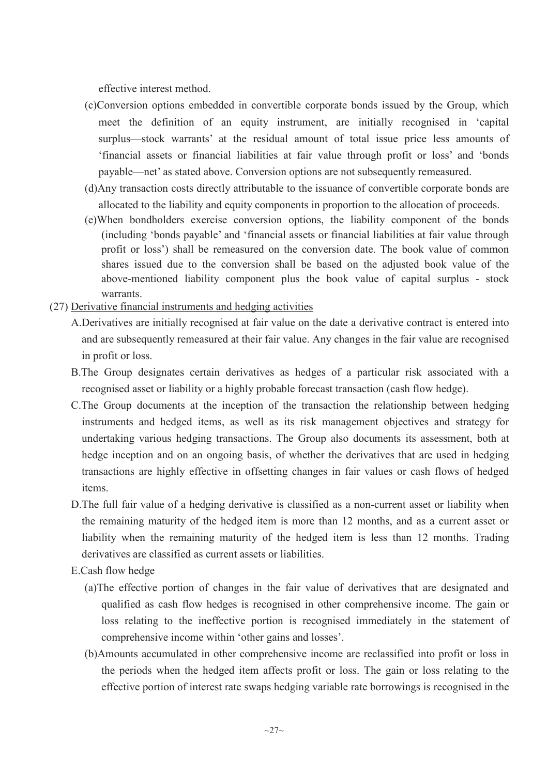effective interest method.

- (c)Conversion options embedded in convertible corporate bonds issued by the Group, which meet the definition of an equity instrument, are initially recognised in 'capital surplus—stock warrants' at the residual amount of total issue price less amounts of 'financial assets or financial liabilities at fair value through profit or loss' and 'bonds payable—net' as stated above. Conversion options are not subsequently remeasured.
- (d)Any transaction costs directly attributable to the issuance of convertible corporate bonds are allocated to the liability and equity components in proportion to the allocation of proceeds.
- (e)When bondholders exercise conversion options, the liability component of the bonds (including 'bonds payable' and 'financial assets or financial liabilities at fair value through profit or loss') shall be remeasured on the conversion date. The book value of common shares issued due to the conversion shall be based on the adjusted book value of the above-mentioned liability component plus the book value of capital surplus - stock warrants.
- (27) Derivative financial instruments and hedging activities
	- A.Derivatives are initially recognised at fair value on the date a derivative contract is entered into and are subsequently remeasured at their fair value. Any changes in the fair value are recognised in profit or loss.
	- B.The Group designates certain derivatives as hedges of a particular risk associated with a recognised asset or liability or a highly probable forecast transaction (cash flow hedge).
	- C.The Group documents at the inception of the transaction the relationship between hedging instruments and hedged items, as well as its risk management objectives and strategy for undertaking various hedging transactions. The Group also documents its assessment, both at hedge inception and on an ongoing basis, of whether the derivatives that are used in hedging transactions are highly effective in offsetting changes in fair values or cash flows of hedged items.
	- D.The full fair value of a hedging derivative is classified as a non-current asset or liability when the remaining maturity of the hedged item is more than 12 months, and as a current asset or liability when the remaining maturity of the hedged item is less than 12 months. Trading derivatives are classified as current assets or liabilities.
	- E.Cash flow hedge
		- (a)The effective portion of changes in the fair value of derivatives that are designated and qualified as cash flow hedges is recognised in other comprehensive income. The gain or loss relating to the ineffective portion is recognised immediately in the statement of comprehensive income within 'other gains and losses'.
		- (b)Amounts accumulated in other comprehensive income are reclassified into profit or loss in the periods when the hedged item affects profit or loss. The gain or loss relating to the effective portion of interest rate swaps hedging variable rate borrowings is recognised in the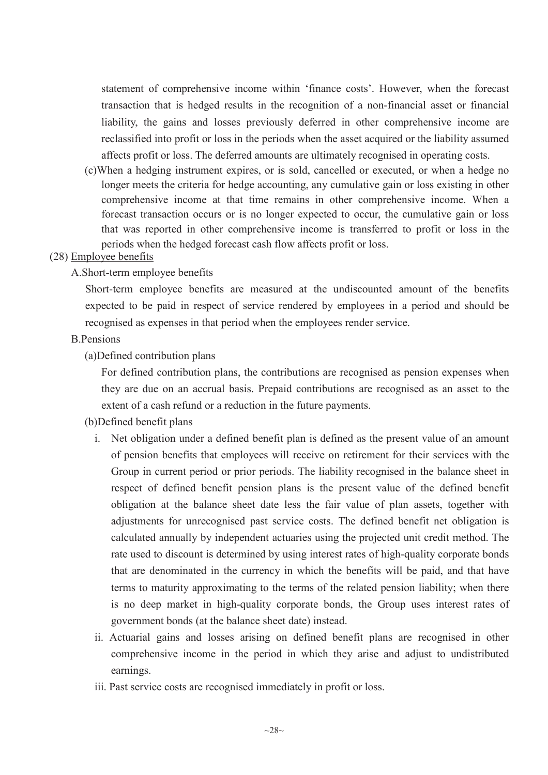statement of comprehensive income within 'finance costs'. However, when the forecast transaction that is hedged results in the recognition of a non-financial asset or financial liability, the gains and losses previously deferred in other comprehensive income are reclassified into profit or loss in the periods when the asset acquired or the liability assumed affects profit or loss. The deferred amounts are ultimately recognised in operating costs.

(c)When a hedging instrument expires, or is sold, cancelled or executed, or when a hedge no longer meets the criteria for hedge accounting, any cumulative gain or loss existing in other comprehensive income at that time remains in other comprehensive income. When a forecast transaction occurs or is no longer expected to occur, the cumulative gain or loss that was reported in other comprehensive income is transferred to profit or loss in the periods when the hedged forecast cash flow affects profit or loss.

# (28) Employee benefits

A.Short-term employee benefits

Short-term employee benefits are measured at the undiscounted amount of the benefits expected to be paid in respect of service rendered by employees in a period and should be recognised as expenses in that period when the employees render service.

#### B.Pensions

(a)Defined contribution plans

For defined contribution plans, the contributions are recognised as pension expenses when they are due on an accrual basis. Prepaid contributions are recognised as an asset to the extent of a cash refund or a reduction in the future payments.

# (b)Defined benefit plans

- i. Net obligation under a defined benefit plan is defined as the present value of an amount of pension benefits that employees will receive on retirement for their services with the Group in current period or prior periods. The liability recognised in the balance sheet in respect of defined benefit pension plans is the present value of the defined benefit obligation at the balance sheet date less the fair value of plan assets, together with adjustments for unrecognised past service costs. The defined benefit net obligation is calculated annually by independent actuaries using the projected unit credit method. The rate used to discount is determined by using interest rates of high-quality corporate bonds that are denominated in the currency in which the benefits will be paid, and that have terms to maturity approximating to the terms of the related pension liability; when there is no deep market in high-quality corporate bonds, the Group uses interest rates of government bonds (at the balance sheet date) instead.
- ii. Actuarial gains and losses arising on defined benefit plans are recognised in other comprehensive income in the period in which they arise and adjust to undistributed earnings.
- iii. Past service costs are recognised immediately in profit or loss.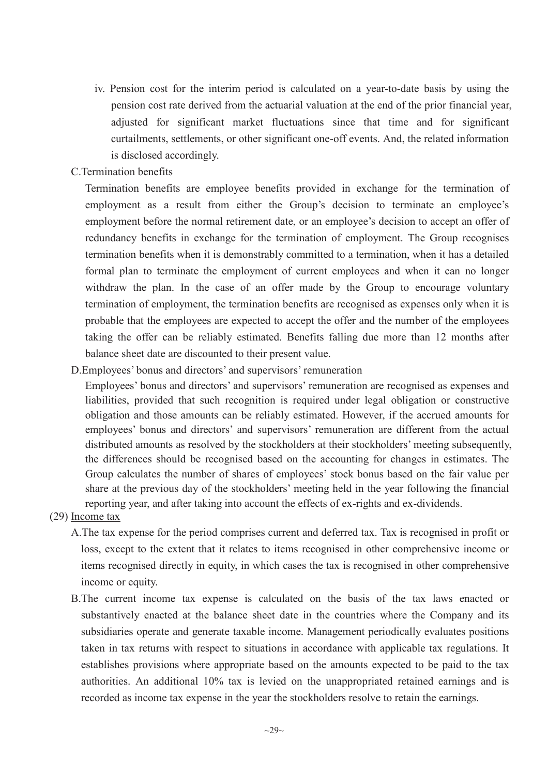- iv. Pension cost for the interim period is calculated on a year-to-date basis by using the pension cost rate derived from the actuarial valuation at the end of the prior financial year, adjusted for significant market fluctuations since that time and for significant curtailments, settlements, or other significant one-off events. And, the related information is disclosed accordingly.
- C.Termination benefits

Termination benefits are employee benefits provided in exchange for the termination of employment as a result from either the Group's decision to terminate an employee's employment before the normal retirement date, or an employee's decision to accept an offer of redundancy benefits in exchange for the termination of employment. The Group recognises termination benefits when it is demonstrably committed to a termination, when it has a detailed formal plan to terminate the employment of current employees and when it can no longer withdraw the plan. In the case of an offer made by the Group to encourage voluntary termination of employment, the termination benefits are recognised as expenses only when it is probable that the employees are expected to accept the offer and the number of the employees taking the offer can be reliably estimated. Benefits falling due more than 12 months after balance sheet date are discounted to their present value.

D.Employees' bonus and directors' and supervisors' remuneration

Employees' bonus and directors' and supervisors' remuneration are recognised as expenses and liabilities, provided that such recognition is required under legal obligation or constructive obligation and those amounts can be reliably estimated. However, if the accrued amounts for employees' bonus and directors' and supervisors' remuneration are different from the actual distributed amounts as resolved by the stockholders at their stockholders' meeting subsequently, the differences should be recognised based on the accounting for changes in estimates. The Group calculates the number of shares of employees' stock bonus based on the fair value per share at the previous day of the stockholders' meeting held in the year following the financial reporting year, and after taking into account the effects of ex-rights and ex-dividends.

- (29) Income tax
	- A.The tax expense for the period comprises current and deferred tax. Tax is recognised in profit or loss, except to the extent that it relates to items recognised in other comprehensive income or items recognised directly in equity, in which cases the tax is recognised in other comprehensive income or equity.
	- B.The current income tax expense is calculated on the basis of the tax laws enacted or substantively enacted at the balance sheet date in the countries where the Company and its subsidiaries operate and generate taxable income. Management periodically evaluates positions taken in tax returns with respect to situations in accordance with applicable tax regulations. It establishes provisions where appropriate based on the amounts expected to be paid to the tax authorities. An additional 10% tax is levied on the unappropriated retained earnings and is recorded as income tax expense in the year the stockholders resolve to retain the earnings.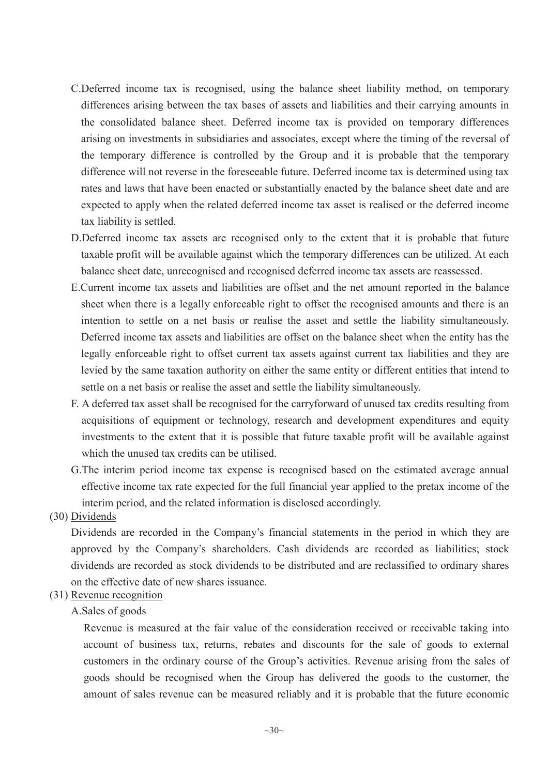- C.Deferred income tax is recognised, using the balance sheet liability method, on temporary differences arising between the tax bases of assets and liabilities and their carrying amounts in the consolidated balance sheet. Deferred income tax is provided on temporary differences arising on investments in subsidiaries and associates, except where the timing of the reversal of the temporary difference is controlled by the Group and it is probable that the temporary difference will not reverse in the foreseeable future. Deferred income tax is determined using tax rates and laws that have been enacted or substantially enacted by the balance sheet date and are expected to apply when the related deferred income tax asset is realised or the deferred income tax liability is settled.
- D.Deferred income tax assets are recognised only to the extent that it is probable that future taxable profit will be available against which the temporary differences can be utilized. At each balance sheet date, unrecognised and recognised deferred income tax assets are reassessed.
- E.Current income tax assets and liabilities are offset and the net amount reported in the balance sheet when there is a legally enforceable right to offset the recognised amounts and there is an intention to settle on a net basis or realise the asset and settle the liability simultaneously. Deferred income tax assets and liabilities are offset on the balance sheet when the entity has the legally enforceable right to offset current tax assets against current tax liabilities and they are levied by the same taxation authority on either the same entity or different entities that intend to settle on a net basis or realise the asset and settle the liability simultaneously.
- F. A deferred tax asset shall be recognised for the carryforward of unused tax credits resulting from acquisitions of equipment or technology, research and development expenditures and equity investments to the extent that it is possible that future taxable profit will be available against which the unused tax credits can be utilised.
- G.The interim period income tax expense is recognised based on the estimated average annual effective income tax rate expected for the full financial year applied to the pretax income of the interim period, and the related information is disclosed accordingly.

(30) Dividends

Dividends are recorded in the Company's financial statements in the period in which they are approved by the Company's shareholders. Cash dividends are recorded as liabilities; stock dividends are recorded as stock dividends to be distributed and are reclassified to ordinary shares on the effective date of new shares issuance.

# (31) Revenue recognition

# A.Sales of goods

Revenue is measured at the fair value of the consideration received or receivable taking into account of business tax, returns, rebates and discounts for the sale of goods to external customers in the ordinary course of the Group's activities. Revenue arising from the sales of goods should be recognised when the Group has delivered the goods to the customer, the amount of sales revenue can be measured reliably and it is probable that the future economic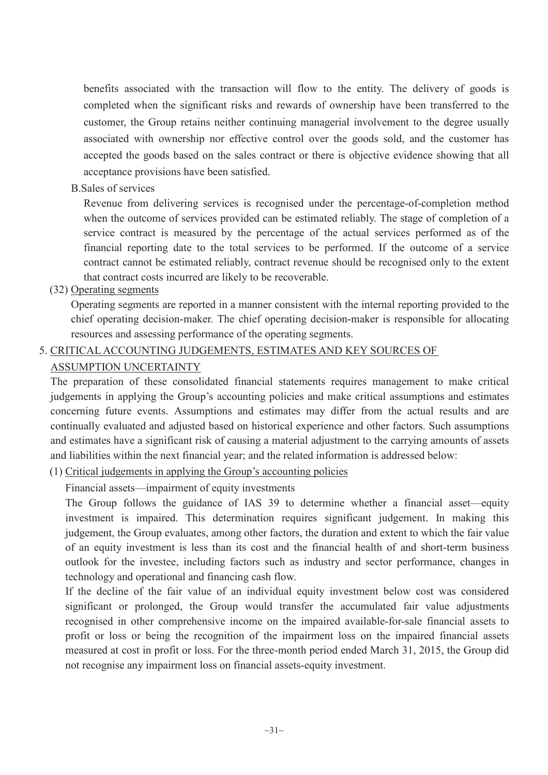benefits associated with the transaction will flow to the entity. The delivery of goods is completed when the significant risks and rewards of ownership have been transferred to the customer, the Group retains neither continuing managerial involvement to the degree usually associated with ownership nor effective control over the goods sold, and the customer has accepted the goods based on the sales contract or there is objective evidence showing that all acceptance provisions have been satisfied.

B.Sales of services

Revenue from delivering services is recognised under the percentage-of-completion method when the outcome of services provided can be estimated reliably. The stage of completion of a service contract is measured by the percentage of the actual services performed as of the financial reporting date to the total services to be performed. If the outcome of a service contract cannot be estimated reliably, contract revenue should be recognised only to the extent that contract costs incurred are likely to be recoverable.

(32) Operating segments

Operating segments are reported in a manner consistent with the internal reporting provided to the chief operating decision-maker. The chief operating decision-maker is responsible for allocating resources and assessing performance of the operating segments.

# 5. CRITICAL ACCOUNTING JUDGEMENTS, ESTIMATES AND KEY SOURCES OF

# ASSUMPTION UNCERTAINTY

The preparation of these consolidated financial statements requires management to make critical judgements in applying the Group's accounting policies and make critical assumptions and estimates concerning future events. Assumptions and estimates may differ from the actual results and are continually evaluated and adjusted based on historical experience and other factors. Such assumptions and estimates have a significant risk of causing a material adjustment to the carrying amounts of assets and liabilities within the next financial year; and the related information is addressed below:

(1) Critical judgements in applying the Group's accounting policies

Financial assets—impairment of equity investments

The Group follows the guidance of IAS 39 to determine whether a financial asset—equity investment is impaired. This determination requires significant judgement. In making this judgement, the Group evaluates, among other factors, the duration and extent to which the fair value of an equity investment is less than its cost and the financial health of and short-term business outlook for the investee, including factors such as industry and sector performance, changes in technology and operational and financing cash flow.

If the decline of the fair value of an individual equity investment below cost was considered significant or prolonged, the Group would transfer the accumulated fair value adjustments recognised in other comprehensive income on the impaired available-for-sale financial assets to profit or loss or being the recognition of the impairment loss on the impaired financial assets measured at cost in profit or loss. For the three-month period ended March 31, 2015, the Group did not recognise any impairment loss on financial assets-equity investment.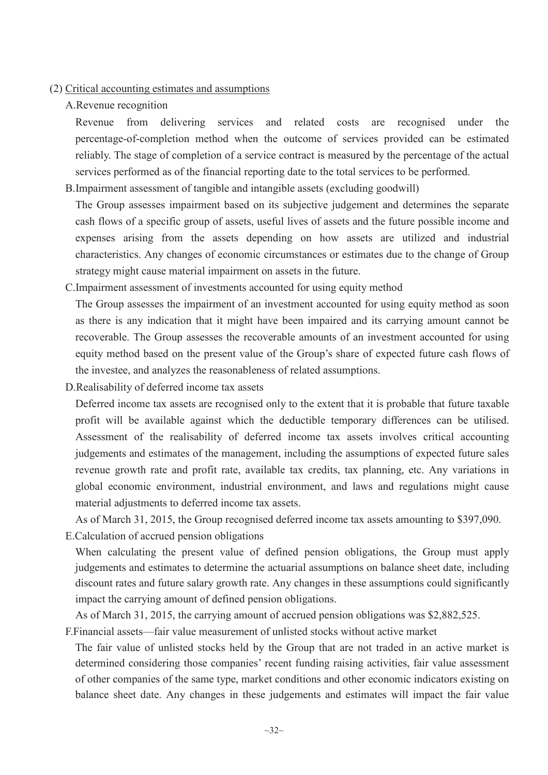#### (2) Critical accounting estimates and assumptions

#### A.Revenue recognition

Revenue from delivering services and related costs are recognised under the percentage-of-completion method when the outcome of services provided can be estimated reliably. The stage of completion of a service contract is measured by the percentage of the actual services performed as of the financial reporting date to the total services to be performed.

B.Impairment assessment of tangible and intangible assets (excluding goodwill)

The Group assesses impairment based on its subjective judgement and determines the separate cash flows of a specific group of assets, useful lives of assets and the future possible income and expenses arising from the assets depending on how assets are utilized and industrial characteristics. Any changes of economic circumstances or estimates due to the change of Group strategy might cause material impairment on assets in the future.

C.Impairment assessment of investments accounted for using equity method

The Group assesses the impairment of an investment accounted for using equity method as soon as there is any indication that it might have been impaired and its carrying amount cannot be recoverable. The Group assesses the recoverable amounts of an investment accounted for using equity method based on the present value of the Group's share of expected future cash flows of the investee, and analyzes the reasonableness of related assumptions.

D.Realisability of deferred income tax assets

Deferred income tax assets are recognised only to the extent that it is probable that future taxable profit will be available against which the deductible temporary differences can be utilised. Assessment of the realisability of deferred income tax assets involves critical accounting judgements and estimates of the management, including the assumptions of expected future sales revenue growth rate and profit rate, available tax credits, tax planning, etc. Any variations in global economic environment, industrial environment, and laws and regulations might cause material adjustments to deferred income tax assets.

As of March 31, 2015, the Group recognised deferred income tax assets amounting to \$397,090.

E.Calculation of accrued pension obligations

When calculating the present value of defined pension obligations, the Group must apply judgements and estimates to determine the actuarial assumptions on balance sheet date, including discount rates and future salary growth rate. Any changes in these assumptions could significantly impact the carrying amount of defined pension obligations.

As of March 31, 2015, the carrying amount of accrued pension obligations was \$2,882,525.

F.Financial assets—fair value measurement of unlisted stocks without active market

The fair value of unlisted stocks held by the Group that are not traded in an active market is determined considering those companies' recent funding raising activities, fair value assessment of other companies of the same type, market conditions and other economic indicators existing on balance sheet date. Any changes in these judgements and estimates will impact the fair value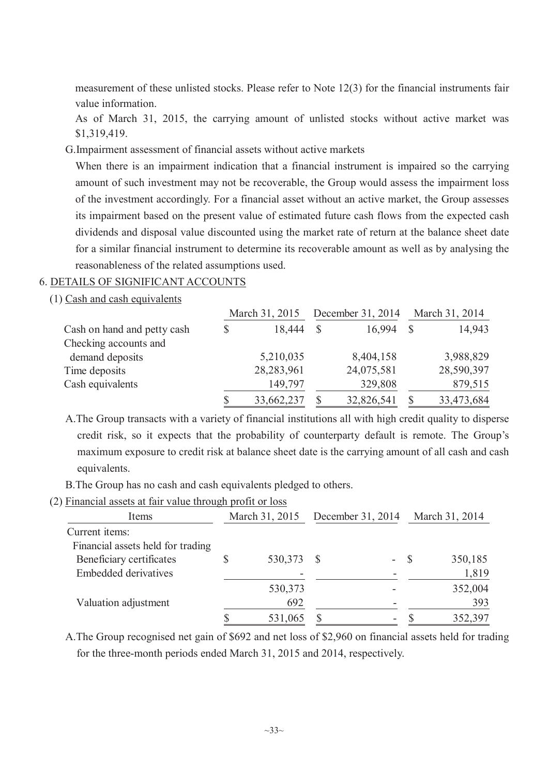measurement of these unlisted stocks. Please refer to Note 12(3) for the financial instruments fair value information.

As of March 31, 2015, the carrying amount of unlisted stocks without active market was \$1,319,419.

G.Impairment assessment of financial assets without active markets

When there is an impairment indication that a financial instrument is impaired so the carrying amount of such investment may not be recoverable, the Group would assess the impairment loss of the investment accordingly. For a financial asset without an active market, the Group assesses its impairment based on the present value of estimated future cash flows from the expected cash dividends and disposal value discounted using the market rate of return at the balance sheet date for a similar financial instrument to determine its recoverable amount as well as by analysing the reasonableness of the related assumptions used.

# 6. DETAILS OF SIGNIFICANT ACCOUNTS

(1) Cash and cash equivalents

|                             | March 31, 2015   |               | December 31, 2014 |  | March 31, 2014 |  |
|-----------------------------|------------------|---------------|-------------------|--|----------------|--|
| Cash on hand and petty cash | \$<br>18,444     | $\mathcal{S}$ | 16,994            |  | 14,943         |  |
| Checking accounts and       |                  |               |                   |  |                |  |
| demand deposits             | 5,210,035        |               | 8,404,158         |  | 3,988,829      |  |
| Time deposits               | 28,283,961       |               | 24,075,581        |  | 28,590,397     |  |
| Cash equivalents            | 149,797          |               | 329,808           |  | 879,515        |  |
|                             | \$<br>33,662,237 |               | 32,826,541        |  | 33,473,684     |  |

A.The Group transacts with a variety of financial institutions all with high credit quality to disperse credit risk, so it expects that the probability of counterparty default is remote. The Group's maximum exposure to credit risk at balance sheet date is the carrying amount of all cash and cash equivalents.

B.The Group has no cash and cash equivalents pledged to others.

#### (2) Financial assets at fair value through profit or loss

| Items                                                                                                          | March 31, 2015 |                           | December 31, 2014 |                | March 31, 2014 |                           |
|----------------------------------------------------------------------------------------------------------------|----------------|---------------------------|-------------------|----------------|----------------|---------------------------|
| Current items:<br>Financial assets held for trading<br>Beneficiary certificates<br><b>Embedded derivatives</b> |                | 530,373                   | <b>S</b>          | $\blacksquare$ | - S            | 350,185<br>1,819          |
| Valuation adjustment                                                                                           | \$             | 530,373<br>692<br>531,065 |                   |                |                | 352,004<br>393<br>352,397 |

A.The Group recognised net gain of \$692 and net loss of \$2,960 on financial assets held for trading for the three-month periods ended March 31, 2015 and 2014, respectively.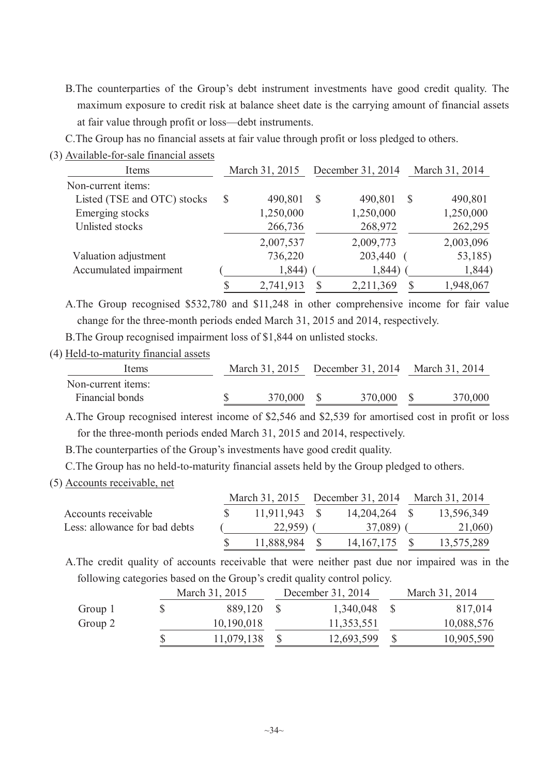- B.The counterparties of the Group's debt instrument investments have good credit quality. The maximum exposure to credit risk at balance sheet date is the carrying amount of financial assets at fair value through profit or loss—debt instruments.
- C.The Group has no financial assets at fair value through profit or loss pledged to others.
- (3) Available-for-sale financial assets

| Items                       |              | March 31, 2015 |              | December 31, 2014 |               | March 31, 2014 |  |
|-----------------------------|--------------|----------------|--------------|-------------------|---------------|----------------|--|
| Non-current items:          |              |                |              |                   |               |                |  |
| Listed (TSE and OTC) stocks | $\mathbb{S}$ | 490,801        | S            | 490,801           | $\mathcal{S}$ | 490,801        |  |
| Emerging stocks             |              | 1,250,000      |              | 1,250,000         |               | 1,250,000      |  |
| Unlisted stocks             |              | 266,736        |              | 268,972           |               | 262,295        |  |
|                             |              | 2,007,537      |              | 2,009,773         |               | 2,003,096      |  |
| Valuation adjustment        |              | 736,220        |              | 203,440           |               | 53,185)        |  |
| Accumulated impairment      |              | 1,844)         |              | 1,844)            |               | 1,844)         |  |
|                             | Я            | 2,741,913      | $\mathbb{S}$ | 2,211,369         | S             | 1,948,067      |  |

A.The Group recognised \$532,780 and \$11,248 in other comprehensive income for fair value change for the three-month periods ended March 31, 2015 and 2014, respectively.

B.The Group recognised impairment loss of \$1,844 on unlisted stocks.

(4) Held-to-maturity financial assets

| <b>Items</b>                          |  |            |            | March 31, 2015 December 31, 2014 March 31, 2014 |         |
|---------------------------------------|--|------------|------------|-------------------------------------------------|---------|
| Non-current items:<br>Financial bonds |  | 370,000 \$ | 370,000 \$ |                                                 | 370,000 |

A.The Group recognised interest income of \$2,546 and \$2,539 for amortised cost in profit or loss for the three-month periods ended March 31, 2015 and 2014, respectively.

B.The counterparties of the Group's investments have good credit quality.

C.The Group has no held-to-maturity financial assets held by the Group pledged to others.

#### (5) Accounts receivable, net

|                               |  |                 | March 31, 2015 December 31, 2014 March 31, 2014 |               |  |            |  |
|-------------------------------|--|-----------------|-------------------------------------------------|---------------|--|------------|--|
| Accounts receivable           |  | $11,911,943$ \$ |                                                 | 14,204,264 \$ |  | 13,596,349 |  |
| Less: allowance for bad debts |  | $22,959$ (      |                                                 | 37,089) (     |  | 21,060)    |  |
|                               |  | 11,888,984      |                                                 | 14, 167, 175  |  | 13,575,289 |  |

A.The credit quality of accounts receivable that were neither past due nor impaired was in the following categories based on the Group's credit quality control policy.

|         | March 31, 2015 | December 31, 2014 | March 31, 2014 |
|---------|----------------|-------------------|----------------|
| Group 1 | 889,120        | 1,340,048         | 817,014        |
| Group 2 | 10,190,018     | 11,353,551        | 10,088,576     |
|         | 11,079,138     | 12,693,599        | 10,905,590     |
|         |                |                   |                |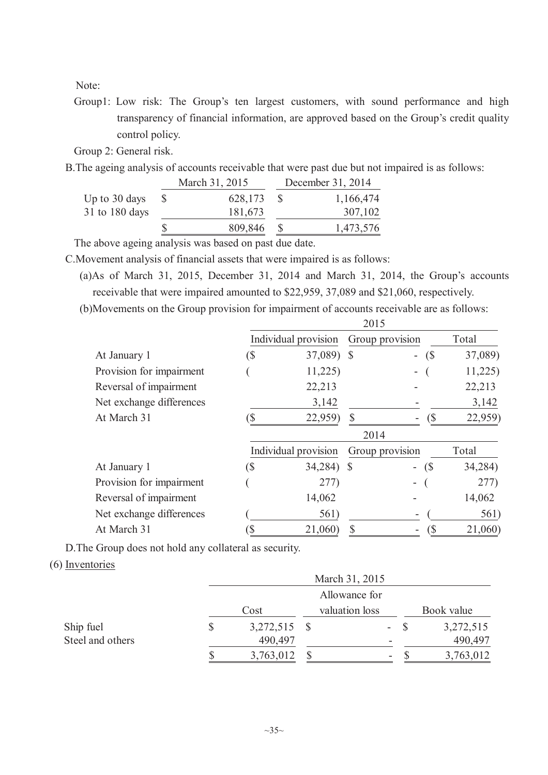Note:

Group1: Low risk: The Group's ten largest customers, with sound performance and high transparency of financial information, are approved based on the Group's credit quality control policy.

Group 2: General risk.

B.The ageing analysis of accounts receivable that were past due but not impaired is as follows:

|                | March 31, 2015 | December 31, 2014 |
|----------------|----------------|-------------------|
| Up to 30 days  | 628,173        | 1,166,474         |
| 31 to 180 days | 181,673        | 307,102           |
|                | 809,846        | 1,473,576         |

The above ageing analysis was based on past due date.

C.Movement analysis of financial assets that were impaired is as follows:

(a)As of March 31, 2015, December 31, 2014 and March 31, 2014, the Group's accounts receivable that were impaired amounted to \$22,959, 37,089 and \$21,060, respectively.

(b)Movements on the Group provision for impairment of accounts receivable are as follows:  $2015$ 

|                          |      | 201J                 |  |                 |         |  |  |  |  |
|--------------------------|------|----------------------|--|-----------------|---------|--|--|--|--|
|                          |      | Individual provision |  | Group provision | Total   |  |  |  |  |
| At January 1             | (\$  | 37,089) \$           |  | (S<br>÷.        | 37,089) |  |  |  |  |
| Provision for impairment |      | 11,225               |  | -               | 11,225  |  |  |  |  |
| Reversal of impairment   |      | 22,213               |  |                 | 22,213  |  |  |  |  |
| Net exchange differences |      | 3,142                |  |                 | 3,142   |  |  |  |  |
| At March 31              |      | 22,959)              |  |                 | 22,959) |  |  |  |  |
|                          | 2014 |                      |  |                 |         |  |  |  |  |
|                          |      | Individual provision |  | Group provision | Total   |  |  |  |  |
| At January 1             | (\$  | 34,284) \$           |  | (S<br>$\sim$    | 34,284) |  |  |  |  |
| Provision for impairment |      | 277)                 |  |                 | 277)    |  |  |  |  |
| Reversal of impairment   |      | 14,062               |  |                 | 14,062  |  |  |  |  |
| Net exchange differences |      | 561)                 |  |                 | 561)    |  |  |  |  |
| At March 31              |      | 21,060)              |  | (\$             | 21,060) |  |  |  |  |

D.The Group does not hold any collateral as security.

(6) Inventories

|                  |                 | March 31, 2015 |   |  |            |  |  |  |
|------------------|-----------------|----------------|---|--|------------|--|--|--|
|                  | Allowance for   |                |   |  |            |  |  |  |
|                  | Cost            | valuation loss |   |  | Book value |  |  |  |
| Ship fuel        | \$<br>3,272,515 |                | ۰ |  | 3,272,515  |  |  |  |
| Steel and others | 490,497         |                | - |  | 490,497    |  |  |  |
|                  | \$<br>3,763,012 |                | - |  | 3,763,012  |  |  |  |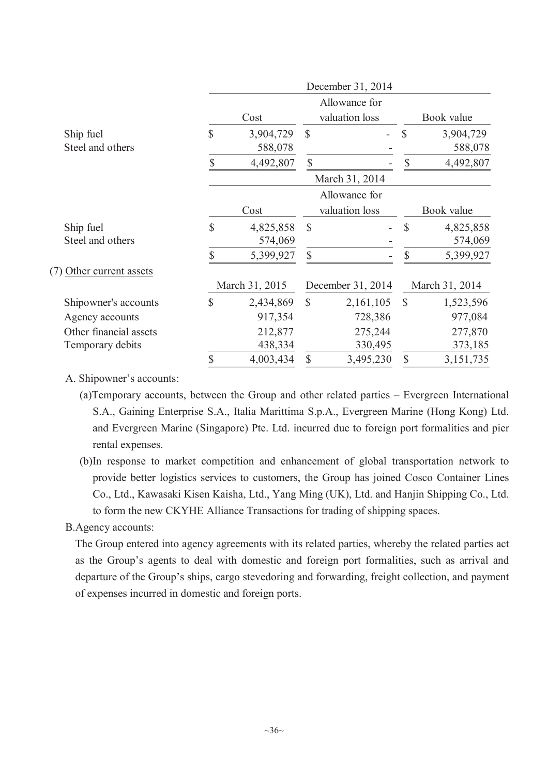|                          | December 31, 2014 |                |               |                   |               |                |  |  |  |
|--------------------------|-------------------|----------------|---------------|-------------------|---------------|----------------|--|--|--|
|                          |                   |                |               | Allowance for     |               |                |  |  |  |
|                          |                   | Cost           |               | valuation loss    | Book value    |                |  |  |  |
| Ship fuel                | $\mathbb{S}$      | 3,904,729      | $\mathcal{S}$ |                   | $\mathcal{S}$ | 3,904,729      |  |  |  |
| Steel and others         |                   | 588,078        |               |                   |               | 588,078        |  |  |  |
|                          | S                 | 4,492,807      | \$            |                   | $\mathcal{S}$ | 4,492,807      |  |  |  |
|                          |                   |                |               | March 31, 2014    |               |                |  |  |  |
|                          |                   |                |               | Allowance for     |               |                |  |  |  |
|                          | Cost              |                |               | valuation loss    |               | Book value     |  |  |  |
| Ship fuel                | $\mathbb{S}$      | 4,825,858      | $\mathcal{S}$ |                   | $\mathcal{S}$ | 4,825,858      |  |  |  |
| Steel and others         |                   | 574,069        |               |                   |               | 574,069        |  |  |  |
|                          | \$                | 5,399,927      | \$            |                   | \$            | 5,399,927      |  |  |  |
| (7) Other current assets |                   |                |               |                   |               |                |  |  |  |
|                          |                   | March 31, 2015 |               | December 31, 2014 |               | March 31, 2014 |  |  |  |
| Shipowner's accounts     | \$                | 2,434,869      | $\mathbb{S}$  | 2,161,105         | $\mathbb{S}$  | 1,523,596      |  |  |  |
| Agency accounts          |                   | 917,354        |               | 728,386           |               | 977,084        |  |  |  |
| Other financial assets   |                   | 212,877        |               | 275,244           |               | 277,870        |  |  |  |
| Temporary debits         |                   | 438,334        |               | 330,495           |               | 373,185        |  |  |  |
|                          | \$                | 4,003,434      | $\mathbb{S}$  | 3,495,230         | \$            | 3,151,735      |  |  |  |
|                          |                   |                |               |                   |               |                |  |  |  |

### A. Shipowner's accounts:

- (a)Temporary accounts, between the Group and other related parties Evergreen International S.A., Gaining Enterprise S.A., Italia Marittima S.p.A., Evergreen Marine (Hong Kong) Ltd. and Evergreen Marine (Singapore) Pte. Ltd. incurred due to foreign port formalities and pier rental expenses.
- (b)In response to market competition and enhancement of global transportation network to provide better logistics services to customers, the Group has joined Cosco Container Lines Co., Ltd., Kawasaki Kisen Kaisha, Ltd., Yang Ming (UK), Ltd. and Hanjin Shipping Co., Ltd. to form the new CKYHE Alliance Transactions for trading of shipping spaces.

#### B.Agency accounts:

The Group entered into agency agreements with its related parties, whereby the related parties act as the Group's agents to deal with domestic and foreign port formalities, such as arrival and departure of the Group's ships, cargo stevedoring and forwarding, freight collection, and payment of expenses incurred in domestic and foreign ports.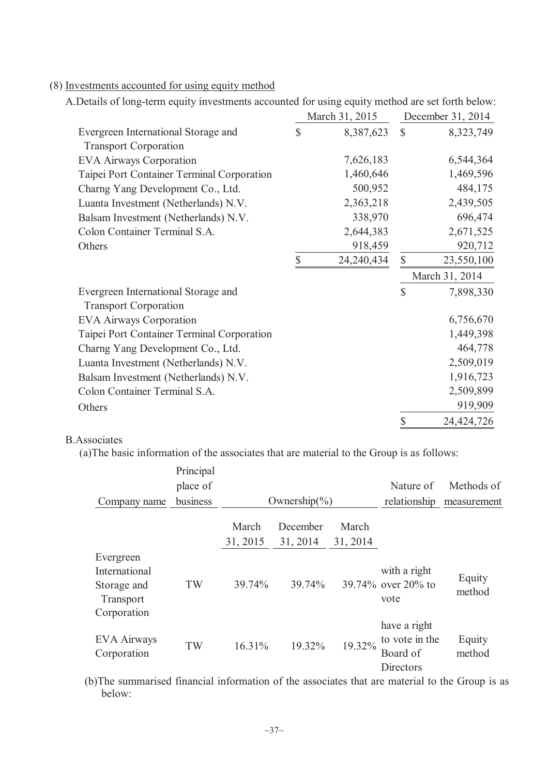| A.Details of long-term equity investments accounted for using equity method are set forth below |              |                |              |                   |
|-------------------------------------------------------------------------------------------------|--------------|----------------|--------------|-------------------|
|                                                                                                 |              | March 31, 2015 |              | December 31, 2014 |
| Evergreen International Storage and<br><b>Transport Corporation</b>                             | $\mathbb{S}$ | 8,387,623      | $\mathbb{S}$ | 8,323,749         |
| <b>EVA Airways Corporation</b>                                                                  |              | 7,626,183      |              | 6,544,364         |
| Taipei Port Container Terminal Corporation                                                      |              | 1,460,646      |              | 1,469,596         |
| Charng Yang Development Co., Ltd.                                                               |              | 500,952        |              | 484,175           |
| Luanta Investment (Netherlands) N.V.                                                            |              | 2,363,218      |              | 2,439,505         |
| Balsam Investment (Netherlands) N.V.                                                            |              | 338,970        |              | 696,474           |
| Colon Container Terminal S.A.                                                                   |              | 2,644,383      |              | 2,671,525         |
| Others                                                                                          |              | 918,459        |              | 920,712           |
|                                                                                                 | \$           | 24, 240, 434   | $\mathbb{S}$ | 23,550,100        |
|                                                                                                 |              |                |              | March 31, 2014    |
| Evergreen International Storage and<br><b>Transport Corporation</b>                             |              |                | $\mathbb{S}$ | 7,898,330         |
| <b>EVA Airways Corporation</b>                                                                  |              |                |              | 6,756,670         |
| Taipei Port Container Terminal Corporation                                                      |              |                |              | 1,449,398         |
| Charng Yang Development Co., Ltd.                                                               |              |                |              | 464,778           |
| Luanta Investment (Netherlands) N.V.                                                            |              |                |              | 2,509,019         |
| Balsam Investment (Netherlands) N.V.                                                            |              |                |              | 1,916,723         |
| Colon Container Terminal S.A.                                                                   |              |                |              | 2,509,899         |
| Others                                                                                          |              |                |              | 919,909           |
|                                                                                                 |              |                | \$           | 24,424,726        |

### (8) Investments accounted for using equity method

A.Details of long-term equity investments accounted for using equity method are set forth below:

### B.Associates

(a)The basic information of the associates that are material to the Group is as follows:

|                                                                       | Principal |                   |                                      |                   |                                                         |                  |
|-----------------------------------------------------------------------|-----------|-------------------|--------------------------------------|-------------------|---------------------------------------------------------|------------------|
|                                                                       | place of  |                   |                                      |                   | Nature of                                               | Methods of       |
| Company name                                                          | business  |                   | Ownership $\left(\frac{6}{6}\right)$ |                   | relationship                                            | measurement      |
|                                                                       |           | March<br>31, 2015 | December<br>31, 2014                 | March<br>31, 2014 |                                                         |                  |
| Evergreen<br>International<br>Storage and<br>Transport<br>Corporation | TW        | 39.74%            | 39.74%                               |                   | with a right<br>39.74% over 20% to<br>vote              | Equity<br>method |
| <b>EVA Airways</b><br>Corporation                                     | TW        | 16.31%            | 19.32%                               | 19.32%            | have a right<br>to vote in the<br>Board of<br>Directors | Equity<br>method |

(b)The summarised financial information of the associates that are material to the Group is as below: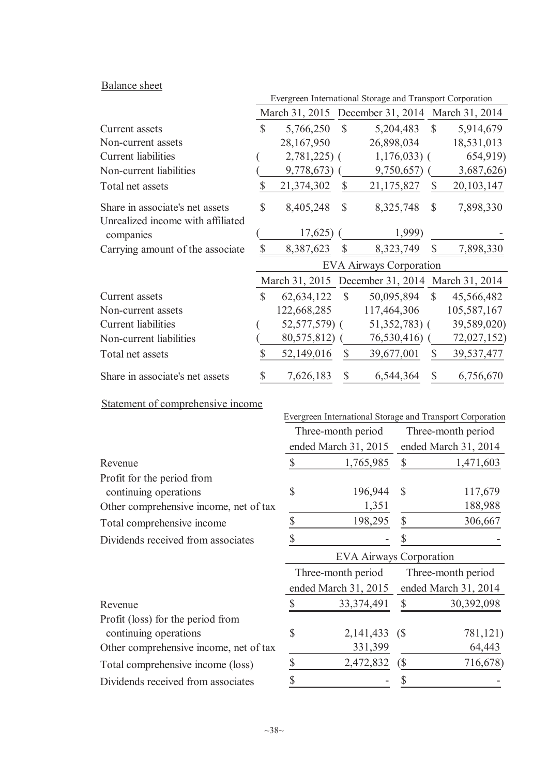# Balance sheet

|                                                                      | Evergreen International Storage and Transport Corporation |                      |                           |                                |                |                    |                                                           |  |
|----------------------------------------------------------------------|-----------------------------------------------------------|----------------------|---------------------------|--------------------------------|----------------|--------------------|-----------------------------------------------------------|--|
|                                                                      |                                                           |                      |                           |                                |                |                    | March 31, 2015 December 31, 2014 March 31, 2014           |  |
| Current assets                                                       | \$                                                        | 5,766,250            | $\mathcal{S}$             |                                | 5,204,483      | $\mathcal{S}$      | 5,914,679                                                 |  |
| Non-current assets                                                   |                                                           | 28,167,950           |                           | 26,898,034                     |                |                    | 18,531,013                                                |  |
| Current liabilities                                                  |                                                           | $2,781,225$ (        |                           |                                | $1,176,033$ (  |                    | 654,919)                                                  |  |
| Non-current liabilities                                              |                                                           | 9,778,673)           |                           |                                | $9,750,657$ (  |                    | 3,687,626)                                                |  |
| Total net assets                                                     | \$                                                        | 21,374,302           | $\mathbb S$               | 21,175,827                     |                | \$                 | 20, 103, 147                                              |  |
| Share in associate's net assets<br>Unrealized income with affiliated | \$                                                        | 8,405,248            | \$                        |                                | 8,325,748      | $\mathbb{S}$       | 7,898,330                                                 |  |
| companies                                                            |                                                           | 17,625)              |                           |                                | 1,999)         |                    |                                                           |  |
| Carrying amount of the associate                                     | \$                                                        | 8,387,623            | $\boldsymbol{\mathsf{S}}$ |                                | 8,323,749      | \$                 | 7,898,330                                                 |  |
|                                                                      |                                                           |                      |                           | <b>EVA Airways Corporation</b> |                |                    |                                                           |  |
|                                                                      |                                                           |                      |                           |                                |                |                    | March 31, 2015 December 31, 2014 March 31, 2014           |  |
| Current assets                                                       | $\mathsf{\$}$                                             | 62, 634, 122         | $\mathbb{S}$              | 50,095,894                     |                | $\mathbb{S}$       | 45,566,482                                                |  |
| Non-current assets                                                   |                                                           | 122,668,285          |                           | 117,464,306                    |                |                    | 105,587,167                                               |  |
| <b>Current</b> liabilities                                           |                                                           | 52,577,579) (        |                           |                                | $51,352,783$ ( |                    | 39,589,020)                                               |  |
| Non-current liabilities                                              |                                                           | 80,575,812)          |                           |                                | $76,530,416$ ( |                    | 72,027,152)                                               |  |
| Total net assets                                                     | \$                                                        | 52,149,016           | $\mathcal{S}$             | 39,677,001                     |                | $\mathbb{S}$       | 39,537,477                                                |  |
| Share in associate's net assets                                      | \$                                                        | 7,626,183            | \$                        |                                | 6,544,364      | \$                 | 6,756,670                                                 |  |
| Statement of comprehensive income                                    |                                                           |                      |                           |                                |                |                    |                                                           |  |
|                                                                      |                                                           |                      |                           |                                |                |                    | Evergreen International Storage and Transport Corporation |  |
|                                                                      |                                                           | Three-month period   |                           |                                |                |                    | Three-month period                                        |  |
|                                                                      |                                                           | ended March 31, 2015 |                           |                                |                |                    | ended March 31, 2014                                      |  |
| Revenue                                                              |                                                           | \$                   |                           | 1,765,985                      | \$             |                    | 1,471,603                                                 |  |
| Profit for the period from                                           |                                                           |                      |                           |                                |                |                    |                                                           |  |
| continuing operations                                                |                                                           | \$                   |                           | 196,944                        | \$             |                    | 117,679                                                   |  |
| Other comprehensive income, net of tax                               |                                                           |                      |                           | 1,351                          |                |                    | 188,988                                                   |  |
| Total comprehensive income                                           |                                                           | \$                   |                           | 198,295                        | \$             |                    | 306,667                                                   |  |
| Dividends received from associates                                   |                                                           | \$                   |                           |                                | \$             |                    |                                                           |  |
|                                                                      |                                                           |                      |                           | <b>EVA Airways Corporation</b> |                |                    |                                                           |  |
|                                                                      |                                                           | Three-month period   |                           |                                |                | Three-month period |                                                           |  |
|                                                                      |                                                           | ended March 31, 2015 |                           |                                |                |                    | ended March 31, 2014                                      |  |
| Revenue                                                              |                                                           | \$                   |                           | 33, 374, 491                   | \$             |                    | 30,392,098                                                |  |
| Profit (loss) for the period from                                    |                                                           |                      |                           |                                |                |                    |                                                           |  |

continuing operations  $\qquad$  \$ 2,141,433 (\$ 781,121)

Other comprehensive income, net of tax 331,399 64,443 Total comprehensive income (loss)  $\frac{\$}{2,472,832}$  ( $\$$  716,678)

Dividends received from associates  $\frac{\$}{\$}$  -  $\frac{\$}{\$}$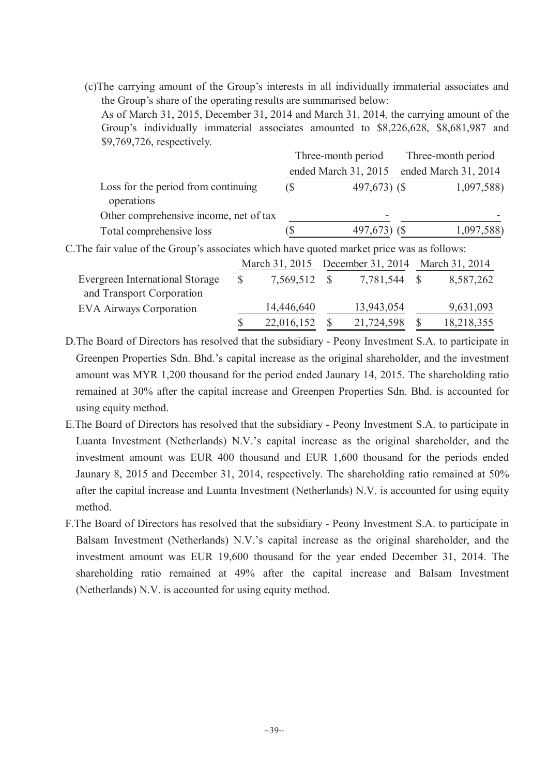(c)The carrying amount of the Group's interests in all individually immaterial associates and the Group's share of the operating results are summarised below:

As of March 31, 2015, December 31, 2014 and March 31, 2014, the carrying amount of the Group's individually immaterial associates amounted to \$8,226,628, \$8,681,987 and \$9,769,726, respectively.

|                                                                                            |            | Three-month period   | Three-month period |                      |  |
|--------------------------------------------------------------------------------------------|------------|----------------------|--------------------|----------------------|--|
|                                                                                            |            | ended March 31, 2015 |                    | ended March 31, 2014 |  |
| Loss for the period from continuing<br>operations                                          | $\sqrt{S}$ | 497,673) (\$         |                    | 1,097,588)           |  |
| Other comprehensive income, net of tax                                                     |            | -                    |                    |                      |  |
| Total comprehensive loss                                                                   |            | $497,673$ (\$)       |                    | 1,097,588)           |  |
| C. The fair value of the Group's associates which have quoted market price was as follows: |            |                      |                    |                      |  |

|                                                              |              | March 31, 2015 December 31, 2014 March 31, 2014 |            |  |            |
|--------------------------------------------------------------|--------------|-------------------------------------------------|------------|--|------------|
| Evergreen International Storage<br>and Transport Corporation | 7,569,512 \$ |                                                 | 7,781,544  |  | 8,587,262  |
| <b>EVA Airways Corporation</b>                               | 14,446,640   |                                                 | 13,943,054 |  | 9,631,093  |
|                                                              | 22,016,152   |                                                 | 21,724,598 |  | 18,218,355 |

D.The Board of Directors has resolved that the subsidiary - Peony Investment S.A. to participate in Greenpen Properties Sdn. Bhd.'s capital increase as the original shareholder, and the investment amount was MYR 1,200 thousand for the period ended Jaunary 14, 2015. The shareholding ratio remained at 30% after the capital increase and Greenpen Properties Sdn. Bhd. is accounted for using equity method.

- E.The Board of Directors has resolved that the subsidiary Peony Investment S.A. to participate in Luanta Investment (Netherlands) N.V.'s capital increase as the original shareholder, and the investment amount was EUR 400 thousand and EUR 1,600 thousand for the periods ended Jaunary 8, 2015 and December 31, 2014, respectively. The shareholding ratio remained at 50% after the capital increase and Luanta Investment (Netherlands) N.V. is accounted for using equity method.
- F.The Board of Directors has resolved that the subsidiary Peony Investment S.A. to participate in Balsam Investment (Netherlands) N.V.'s capital increase as the original shareholder, and the investment amount was EUR 19,600 thousand for the year ended December 31, 2014. The shareholding ratio remained at 49% after the capital increase and Balsam Investment (Netherlands) N.V. is accounted for using equity method.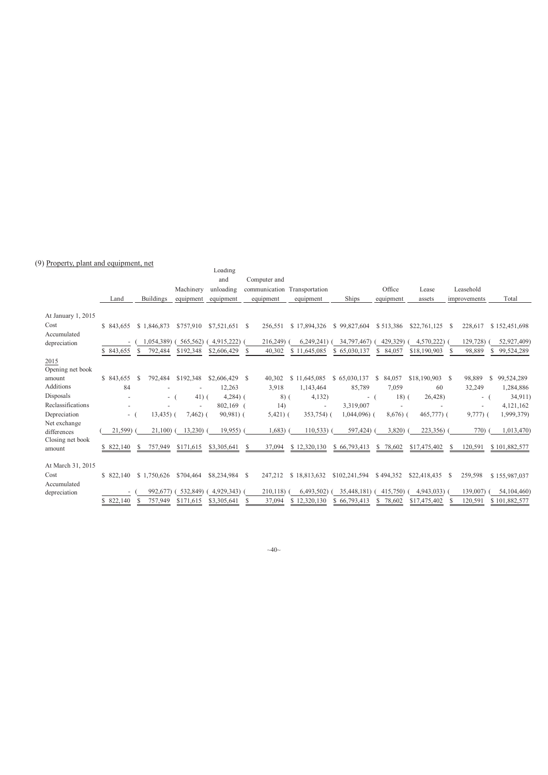#### (9) Property, plant and equipment, net

| тторену, рыны ана едигритент, нег               |            |                  |             | Loading           |               |                 |                 |                |                 |              |                 |
|-------------------------------------------------|------------|------------------|-------------|-------------------|---------------|-----------------|-----------------|----------------|-----------------|--------------|-----------------|
|                                                 |            |                  |             | and               | Computer and  |                 |                 |                |                 |              |                 |
|                                                 |            |                  | Machinery   | unloading         | communication | Transportation  |                 | Office         | Lease           | Leasehold    |                 |
|                                                 | Land       | <b>Buildings</b> | equipment   | equipment         | equipment     | equipment       | Ships           | equipment      | assets          | improvements | Total           |
| At January 1, 2015                              |            |                  |             |                   |               |                 |                 |                |                 |              |                 |
| Cost                                            | \$843,655  | \$1,846,873      | \$757,910   | $$7,521,651$ \ \$ | 256,551       | \$17,894,326    | \$99,827,604    | \$513,386      | \$22,761,125    | 228,617<br>S | \$152,451,698   |
| Accumulated                                     |            |                  |             |                   |               |                 |                 |                |                 |              |                 |
| depreciation                                    |            | 1,054,389)       | 565,562)    | 4,915,222)        | 216,249)      | 6,249,241       | 34,797,467)     | 429,329)<br>S. | 4,570,222)      | 129,728)     | 52,927,409)     |
|                                                 | \$843,655  | 792,484          | \$192,348   | \$2,606,429       | 40,302        | \$11,645,085    | \$65,030,137    | 84,057         | \$18,190,903    | 98,889       | 99,524,289      |
| 2015<br>Opening net book                        |            |                  |             |                   |               |                 |                 |                |                 |              |                 |
| amount                                          | \$843,655  | 792,484<br>-S    | \$192,348   | \$2,606,429       | -S<br>40,302  | \$11,645,085    | \$65,030,137    | S.<br>84,057   | \$18,190,903 \$ | 98,889       | 99,524,289<br>S |
| Additions                                       | 84         |                  |             | 12,263            | 3,918         | 1,143,464       | 85,789          | 7,059          | 60              | 32,249       | 1,284,886       |
| Disposals                                       |            | $\sim$           | $41)$ (     | $4,284$ ) (       | $8)$ (        | 4,132)          | $-$ (           | $18)$ (        | 26,428)         | $-$ (        | 34,911)         |
| Reclassifications                               |            |                  |             | $802,169$ (       | 14)           | $\sim$          | 3,319,007       |                |                 | ٠            | 4,121,162       |
| Depreciation                                    | - (        | $13,435$ ) (     | $7,462$ ) ( | $90,981$ (        | $5,421)$ (    | 353,754) (      | 1,044,096) (    | $8,676$ (      | 465,777) (      | $9,777)$ (   | 1,999,379)      |
| Net exchange<br>differences<br>Closing net book | 21,599)    | 21,100           | 13,230)     | 19,955            | 1,683)        | 110,533         | 597,424)        | 3,820)         | 223,356)        | 770)         | 1,013,470)      |
| amount                                          | \$822,140  | 757,949          | \$171,615   | \$3,305,641       | 37,094<br>-S  | \$12,320,130    | \$66,793,413    | 78,602<br>\$   | \$17,475,402    | 120,591<br>S | \$101,882,577   |
| At March 31, 2015                               |            |                  |             |                   |               |                 |                 |                |                 |              |                 |
| Cost                                            | \$822,140  | \$1,750,626      | \$704.464   | \$8,234,984 \$    | 247,212       | \$18,813,632    | \$102,241,594   | \$494,352      | \$22,418,435    | 259,598<br>S | \$155,987,037   |
| Accumulated<br>depreciation                     |            | 992,677)         | 532,849)    | 4,929,343)        | 210,118)      | 6,493,502)      | 35,448,181)     | 415,750)       | 4,943,033)      | 139,007      | 54, 104, 460)   |
|                                                 | \$ 822,140 | 757,949          | \$171,615   | \$3,305,641       | 37,094        | 12,320,130<br>S | 66,793,413<br>S | 78,602<br>S    | \$17,475,402    | 120,591      | \$101,882,577   |
|                                                 |            |                  |             |                   |               |                 |                 |                |                 |              |                 |

 $~10~$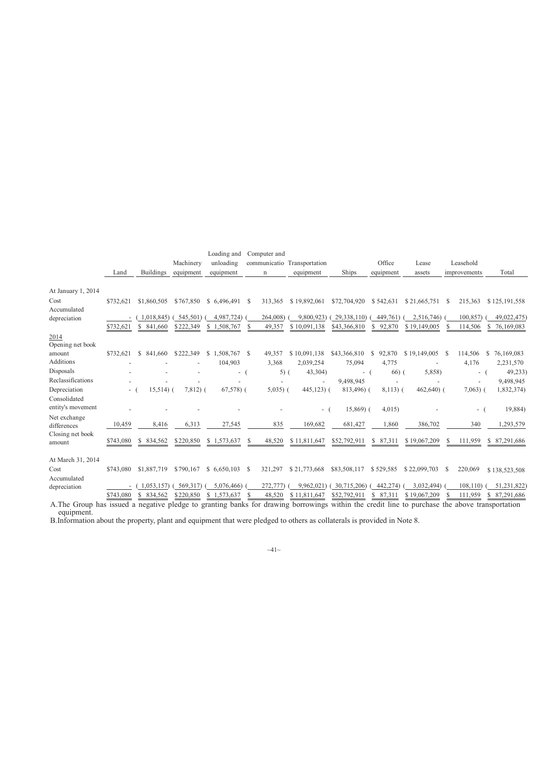|                                   |           |                  | Machinery   | Loading and<br>unloading | Computer and | communicatio Transportation |              | Office       | Lease        | Leasehold                |                  |
|-----------------------------------|-----------|------------------|-------------|--------------------------|--------------|-----------------------------|--------------|--------------|--------------|--------------------------|------------------|
|                                   | Land      | <b>Buildings</b> | equipment   | equipment                | $\mathbf n$  | equipment                   | Ships        | equipment    | assets       | improvements             | Total            |
|                                   |           |                  |             |                          |              |                             |              |              |              |                          |                  |
| At January 1, 2014                |           |                  |             |                          |              |                             |              |              |              |                          |                  |
| Cost                              | \$732,621 | \$1,860,505      | \$767,850   | \$ 6,496,491             | 313,365<br>S | \$19,892,061                | \$72,704,920 | \$542,631    | \$21,665,751 | 215,363<br><sup>\$</sup> | \$125,191,558    |
| Accumulated                       |           |                  |             |                          |              |                             |              |              |              |                          |                  |
| depreciation                      |           | 1,018,845)       | 545,501)    | 4,987,724)               | 264,008)     | 9.800.923)                  | 29,338,110)  | 449,761)     | 2,516,746)   | 100,857)                 | 49,022,475)      |
|                                   | \$732,621 | \$ 841,660       | \$222,349   | \$1,508,767              | 49,357<br>S  | \$10.091.138                | \$43,366,810 | \$92,870     | \$19,149,005 | 114,506                  | 76,169,083<br>S. |
| 2014<br>Opening net book          |           |                  |             |                          |              |                             |              |              |              |                          |                  |
| amount                            | \$732,621 | S.<br>841,660    | \$222,349   | \$1,508,767              | S<br>49,357  | \$10,091,138                | \$43,366,810 | 92,870<br>S  | \$19,149,005 | 114,506<br>-S            | 76,169,083<br>S  |
| <b>Additions</b>                  |           |                  |             | 104,903                  | 3,368        | 2,039,254                   | 75,094       | 4,775        |              | 4,176                    | 2,231,570        |
| Disposals                         |           |                  |             | - (                      | $5)$ (       | 43,304)                     | - (          | $66)$ (      | 5,858)       | - (                      | 49,233           |
| Reclassifications                 |           |                  |             |                          |              |                             | 9,498,945    |              |              |                          | 9,498,945        |
| Depreciation                      | $-1$      | $15,514$ ) (     | $7,812$ $($ | $67,578$ ) (             | $5,035$ ) (  | $445,123$ ) (               | 813,496) (   | $8,113)$ (   | $462,640$ (  | $7,063$ ) (              | 1,832,374)       |
| Consolidated<br>entity's movement |           |                  |             |                          |              | - (                         | $15,869$ (   | 4,015        |              | - (                      | 19,884)          |
| Net exchange                      |           |                  |             |                          |              |                             |              |              |              |                          |                  |
| differences                       | 10,459    | 8,416            | 6,313       | 27,545                   | 835          | 169,682                     | 681,427      | 1,860        | 386,702      | 340                      | 1,293,579        |
| Closing net book<br>amount        | \$743,080 | \$ 834,562       | \$220,850   | \$1,573,637              | S<br>48,520  | \$11,811,647                | \$52,792,911 | 87,311<br>\$ | \$19,067,209 | 111,959<br>\$            | \$ 87,291,686    |
| At March 31, 2014                 |           |                  |             |                          |              |                             |              |              |              |                          |                  |
| Cost                              | \$743.080 | \$1,887,719      | \$790,167   | \$6,650,103              | 321,297<br>S | \$21,773,668                | \$83,508,117 | \$529,585    | \$22,099,703 | 220,069<br>-S            | \$138,523,508    |
| Accumulated                       |           |                  |             |                          |              |                             |              |              |              |                          |                  |
| depreciation                      |           | 1.053.157        | 569,317)    | 5,076,466)               | 272,777)     | 9.962.021                   | 30,715,206)  | 442,274)     | 3,032,494)   | 108, 110                 | 51,231,822)      |
|                                   | \$743,080 | \$ 834,562       | \$220,850   | \$1,573,637              | S<br>48,520  | \$11,811,647                | \$52,792,911 | 87,311       | \$19,067,209 | 111,959<br>S             | 87,291,686<br>\$ |

A.The Group has issued a negative pledge to granting banks for drawing borrowings within the credit line to purchase the above transportation equipment.

B.Information about the property, plant and equipment that were pledged to others as collaterals is provided in Note 8.

 $~1~1~$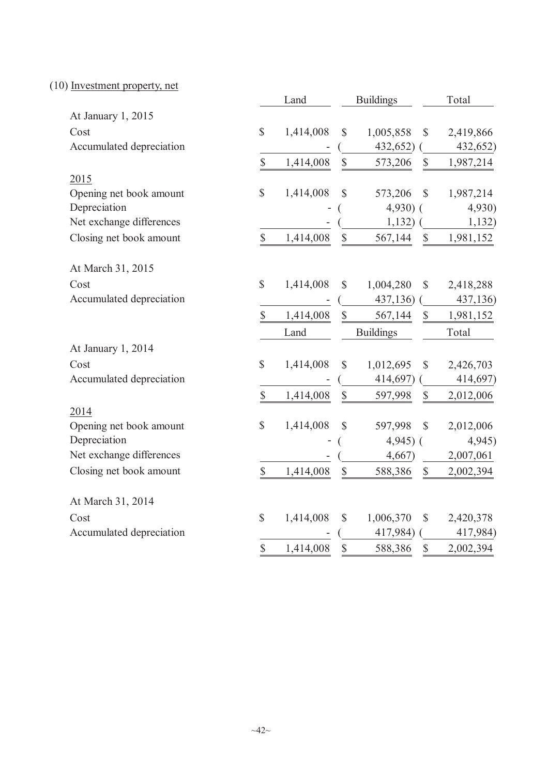(10) Investment property, net

|                          |                           | Land      |                           | <b>Buildings</b> | Total                     |                       |  |
|--------------------------|---------------------------|-----------|---------------------------|------------------|---------------------------|-----------------------|--|
| At January 1, 2015       |                           |           |                           |                  |                           |                       |  |
| Cost                     | $\boldsymbol{\mathsf{S}}$ | 1,414,008 | $\mathbb{S}$              | 1,005,858        | $\mathcal{S}$             | 2,419,866             |  |
| Accumulated depreciation |                           |           |                           | 432,652)         |                           | 432,652)              |  |
|                          | $\mathbb S$               | 1,414,008 | $\mathbb{S}$              | 573,206          | $\mathbb{S}$              | 1,987,214             |  |
| 2015                     |                           |           |                           |                  |                           |                       |  |
| Opening net book amount  | \$                        | 1,414,008 | \$                        | 573,206          | $\mathbb{S}$              | 1,987,214             |  |
| Depreciation             |                           |           |                           | $4,930$ (        |                           | 4,930)                |  |
| Net exchange differences |                           |           |                           | 1,132)           |                           | 1,132)                |  |
| Closing net book amount  | $\boldsymbol{\mathsf{S}}$ | 1,414,008 | $\boldsymbol{\mathsf{S}}$ | 567,144          | $\boldsymbol{\mathsf{S}}$ | 1,981,152             |  |
| At March 31, 2015        |                           |           |                           |                  |                           |                       |  |
| Cost                     | $\mathbb{S}$              | 1,414,008 | $\mathbb{S}$              | 1,004,280        | $\mathbb{S}$              | 2,418,288             |  |
| Accumulated depreciation |                           |           |                           | 437,136)         |                           | 437,136)              |  |
|                          | $\mathbb{S}$              | 1,414,008 | $\mathbb{S}$              | 567,144          | $\mathbb{S}$              | 1,981,152             |  |
|                          |                           | Land      |                           | <b>Buildings</b> |                           | Total                 |  |
|                          |                           |           |                           |                  |                           |                       |  |
| At January 1, 2014       |                           |           |                           |                  |                           |                       |  |
| Cost                     | \$                        | 1,414,008 | $\mathbb{S}$              | 1,012,695        | $\mathbb{S}$              | 2,426,703             |  |
| Accumulated depreciation |                           |           |                           | 414,697)         |                           | 414,697)              |  |
|                          | \$                        | 1,414,008 | $\boldsymbol{\mathsf{S}}$ | 597,998          | $\boldsymbol{\mathsf{S}}$ | 2,012,006             |  |
| 2014                     |                           |           |                           |                  |                           |                       |  |
| Opening net book amount  | \$                        | 1,414,008 | \$                        | 597,998          | $\mathbb{S}$              | 2,012,006             |  |
| Depreciation             |                           |           |                           | $4,945$ ) (      |                           | 4,945                 |  |
| Net exchange differences |                           |           |                           | 4,667)           |                           | 2,007,061             |  |
| Closing net book amount  | $\mathbb{S}$              | 1,414,008 | $\mathbb{S}$              | 588,386          | $\mathbb{S}$              | 2,002,394             |  |
| At March 31, 2014        |                           |           |                           |                  |                           |                       |  |
| Cost                     | \$                        | 1,414,008 | $\mathbb{S}$              | 1,006,370        | $\mathcal{S}$             |                       |  |
| Accumulated depreciation |                           |           |                           | 417,984)         |                           | 2,420,378<br>417,984) |  |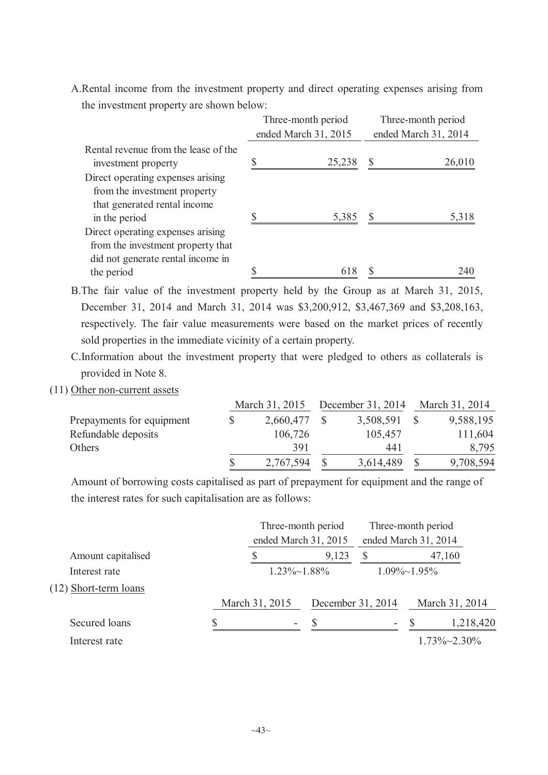A.Rental income from the investment property and direct operating expenses arising from the investment property are shown below:

|                                                                                                             | Three-month period   | Three-month period   |        |  |  |
|-------------------------------------------------------------------------------------------------------------|----------------------|----------------------|--------|--|--|
|                                                                                                             | ended March 31, 2015 | ended March 31, 2014 |        |  |  |
| Rental revenue from the lease of the<br>investment property                                                 | 25,238               |                      | 26,010 |  |  |
| Direct operating expenses arising<br>from the investment property<br>that generated rental income           |                      |                      |        |  |  |
| in the period                                                                                               | 5,385                |                      | 5,318  |  |  |
| Direct operating expenses arising<br>from the investment property that<br>did not generate rental income in |                      |                      |        |  |  |
| the period                                                                                                  | 618                  |                      | 240    |  |  |

B.The fair value of the investment property held by the Group as at March 31, 2015, December 31, 2014 and March 31, 2014 was \$3,200,912, \$3,467,369 and \$3,208,163, respectively. The fair value measurements were based on the market prices of recently sold properties in the immediate vicinity of a certain property.

C.Information about the investment property that were pledged to others as collaterals is provided in Note 8.

(11) Other non-current assets

|                           | March 31, 2015 |  | December 31, 2014 | March 31, 2014 |           |  |
|---------------------------|----------------|--|-------------------|----------------|-----------|--|
| Prepayments for equipment | 2,660,477 \$   |  | 3,508,591         |                | 9,588,195 |  |
| Refundable deposits       | 106,726        |  | 105,457           |                | 111,604   |  |
| Others                    | 391            |  | 441               |                | 8,795     |  |
|                           | 2,767,594      |  | 3,614,489         |                | 9,708,594 |  |

Amount of borrowing costs capitalised as part of prepayment for equipment and the range of the interest rates for such capitalisation are as follows:

|                         |  | Three-month period<br>ended March 31, 2015 |                   |                      | Three-month period<br>ended March 31, 2014 |                      |  |
|-------------------------|--|--------------------------------------------|-------------------|----------------------|--------------------------------------------|----------------------|--|
|                         |  |                                            |                   |                      |                                            |                      |  |
| Amount capitalised      |  |                                            | 9,123             |                      |                                            | 47,160               |  |
| Interest rate           |  | $1.23\% \sim 1.88\%$                       |                   | $1.09\% \sim 1.95\%$ |                                            |                      |  |
| $(12)$ Short-term loans |  |                                            |                   |                      |                                            |                      |  |
|                         |  | March 31, 2015                             | December 31, 2014 |                      |                                            | March 31, 2014       |  |
| Secured loans           |  | ۰                                          |                   |                      |                                            | 1,218,420            |  |
| Interest rate           |  |                                            |                   |                      |                                            | $1.73\% \sim 2.30\%$ |  |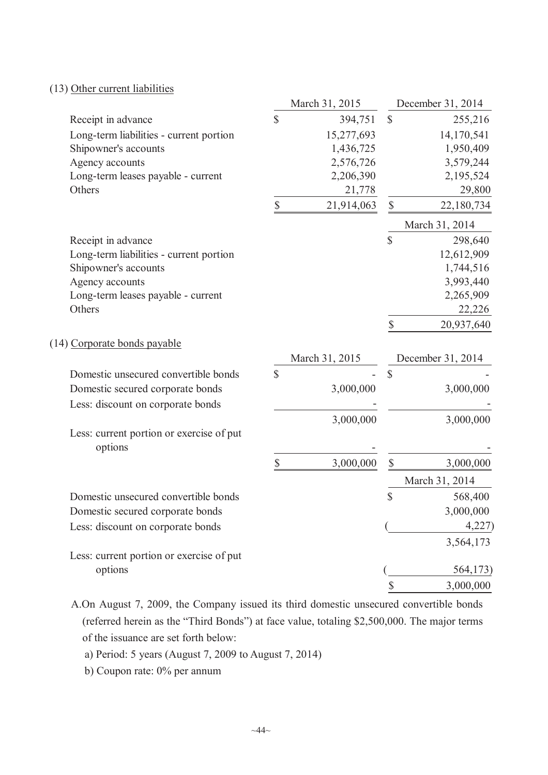|                                                     |               | March 31, 2015 |                           | December 31, 2014 |
|-----------------------------------------------------|---------------|----------------|---------------------------|-------------------|
| Receipt in advance                                  | $\mathsf{\$}$ | 394,751        | $\mathbb{S}$              | 255,216           |
| Long-term liabilities - current portion             |               | 15,277,693     |                           | 14,170,541        |
| Shipowner's accounts                                |               | 1,436,725      |                           | 1,950,409         |
| Agency accounts                                     |               | 2,576,726      |                           | 3,579,244         |
| Long-term leases payable - current                  |               | 2,206,390      |                           | 2,195,524         |
| Others                                              |               | 21,778         |                           | 29,800            |
|                                                     | \$            | 21,914,063     | \$                        | 22,180,734        |
|                                                     |               |                |                           | March 31, 2014    |
| Receipt in advance                                  |               |                | $\mathsf{\$}$             | 298,640           |
| Long-term liabilities - current portion             |               |                |                           | 12,612,909        |
| Shipowner's accounts                                |               |                |                           | 1,744,516         |
| Agency accounts                                     |               |                |                           | 3,993,440         |
| Long-term leases payable - current                  |               |                |                           | 2,265,909         |
| Others                                              |               |                |                           | 22,226            |
|                                                     |               |                | \$                        | 20,937,640        |
| (14) Corporate bonds payable                        |               |                |                           |                   |
|                                                     |               | March 31, 2015 |                           | December 31, 2014 |
| Domestic unsecured convertible bonds                | \$            |                | $\boldsymbol{\mathsf{S}}$ |                   |
| Domestic secured corporate bonds                    |               | 3,000,000      |                           | 3,000,000         |
| Less: discount on corporate bonds                   |               |                |                           |                   |
|                                                     |               | 3,000,000      |                           | 3,000,000         |
| Less: current portion or exercise of put<br>options |               |                |                           |                   |
|                                                     | \$            | 3,000,000      | $\mathbb{S}$              | 3,000,000         |
|                                                     |               |                |                           | March 31, 2014    |
| Domestic unsecured convertible bonds                |               |                | \$                        | 568,400           |
| Domestic secured corporate bonds                    |               |                |                           | 3,000,000         |
| Less: discount on corporate bonds                   |               |                |                           | 4,227             |
|                                                     |               |                |                           | 3,564,173         |
| Less: current portion or exercise of put            |               |                |                           |                   |
| options                                             |               |                |                           | 564,173)          |
|                                                     |               |                | \$                        | 3,000,000         |

A.On August 7, 2009, the Company issued its third domestic unsecured convertible bonds (referred herein as the "Third Bonds") at face value, totaling \$2,500,000. The major terms of the issuance are set forth below:

a) Period: 5 years (August 7, 2009 to August 7, 2014)

b) Coupon rate: 0% per annum

(13) Other current liabilities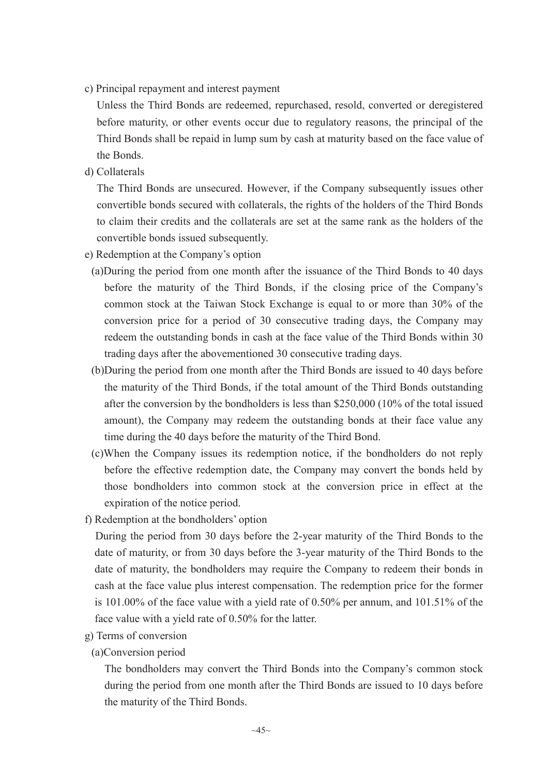c) Principal repayment and interest payment

Unless the Third Bonds are redeemed, repurchased, resold, converted or deregistered before maturity, or other events occur due to regulatory reasons, the principal of the Third Bonds shall be repaid in lump sum by cash at maturity based on the face value of the Bonds.

d) Collaterals

The Third Bonds are unsecured. However, if the Company subsequently issues other convertible bonds secured with collaterals, the rights of the holders of the Third Bonds to claim their credits and the collaterals are set at the same rank as the holders of the convertible bonds issued subsequently.

- e) Redemption at the Company's option
	- (a)During the period from one month after the issuance of the Third Bonds to 40 days before the maturity of the Third Bonds, if the closing price of the Company's common stock at the Taiwan Stock Exchange is equal to or more than 30% of the conversion price for a period of 30 consecutive trading days, the Company may redeem the outstanding bonds in cash at the face value of the Third Bonds within 30 trading days after the abovementioned 30 consecutive trading days.
	- (b)During the period from one month after the Third Bonds are issued to 40 days before the maturity of the Third Bonds, if the total amount of the Third Bonds outstanding after the conversion by the bondholders is less than \$250,000 (10% of the total issued amount), the Company may redeem the outstanding bonds at their face value any time during the 40 days before the maturity of the Third Bond.
	- (c)When the Company issues its redemption notice, if the bondholders do not reply before the effective redemption date, the Company may convert the bonds held by those bondholders into common stock at the conversion price in effect at the expiration of the notice period.
- f) Redemption at the bondholders' option

During the period from 30 days before the 2-year maturity of the Third Bonds to the date of maturity, or from 30 days before the 3-year maturity of the Third Bonds to the date of maturity, the bondholders may require the Company to redeem their bonds in cash at the face value plus interest compensation. The redemption price for the former is 101.00% of the face value with a yield rate of 0.50% per annum, and 101.51% of the face value with a yield rate of 0.50% for the latter.

- g) Terms of conversion
	- (a)Conversion period

The bondholders may convert the Third Bonds into the Company's common stock during the period from one month after the Third Bonds are issued to 10 days before the maturity of the Third Bonds.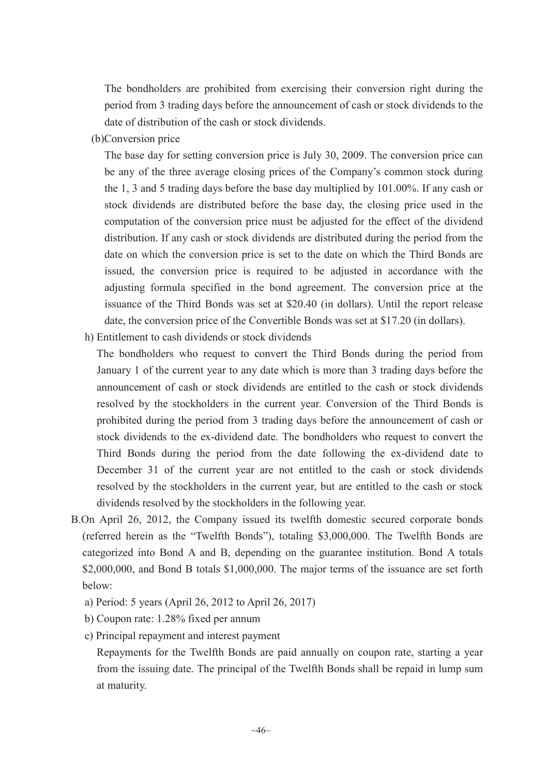The bondholders are prohibited from exercising their conversion right during the period from 3 trading days before the announcement of cash or stock dividends to the date of distribution of the cash or stock dividends.

(b)Conversion price

The base day for setting conversion price is July 30, 2009. The conversion price can be any of the three average closing prices of the Company's common stock during the 1, 3 and 5 trading days before the base day multiplied by 101.00%. If any cash or stock dividends are distributed before the base day, the closing price used in the computation of the conversion price must be adjusted for the effect of the dividend distribution. If any cash or stock dividends are distributed during the period from the date on which the conversion price is set to the date on which the Third Bonds are issued, the conversion price is required to be adjusted in accordance with the adjusting formula specified in the bond agreement. The conversion price at the issuance of the Third Bonds was set at \$20.40 (in dollars). Until the report release date, the conversion price of the Convertible Bonds was set at \$17.20 (in dollars).

h) Entitlement to cash dividends or stock dividends

The bondholders who request to convert the Third Bonds during the period from January 1 of the current year to any date which is more than 3 trading days before the announcement of cash or stock dividends are entitled to the cash or stock dividends resolved by the stockholders in the current year. Conversion of the Third Bonds is prohibited during the period from 3 trading days before the announcement of cash or stock dividends to the ex-dividend date. The bondholders who request to convert the Third Bonds during the period from the date following the ex-dividend date to December 31 of the current year are not entitled to the cash or stock dividends resolved by the stockholders in the current year, but are entitled to the cash or stock dividends resolved by the stockholders in the following year.

- B.On April 26, 2012, the Company issued its twelfth domestic secured corporate bonds (referred herein as the "Twelfth Bonds"), totaling \$3,000,000. The Twelfth Bonds are categorized into Bond A and B, depending on the guarantee institution. Bond A totals \$2,000,000, and Bond B totals \$1,000,000. The major terms of the issuance are set forth below:
	- a) Period: 5 years (April 26, 2012 to April 26, 2017)
	- b) Coupon rate: 1.28% fixed per annum
	- c) Principal repayment and interest payment

Repayments for the Twelfth Bonds are paid annually on coupon rate, starting a year from the issuing date. The principal of the Twelfth Bonds shall be repaid in lump sum at maturity.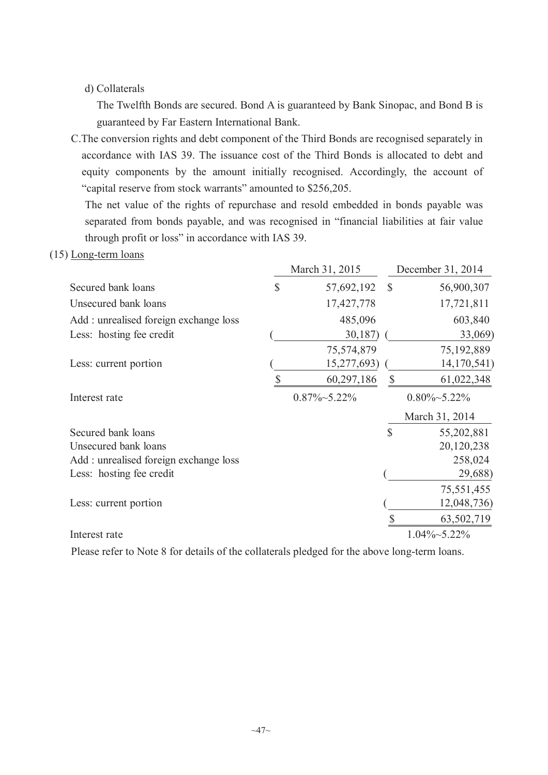# d) Collaterals

The Twelfth Bonds are secured. Bond A is guaranteed by Bank Sinopac, and Bond B is guaranteed by Far Eastern International Bank.

C.The conversion rights and debt component of the Third Bonds are recognised separately in accordance with IAS 39. The issuance cost of the Third Bonds is allocated to debt and equity components by the amount initially recognised. Accordingly, the account of "capital reserve from stock warrants" amounted to \$256,205.

The net value of the rights of repurchase and resold embedded in bonds payable was separated from bonds payable, and was recognised in "financial liabilities at fair value through profit or loss" in accordance with IAS 39.

(15) Long-term loans

|                                       |              | March 31, 2015       |               | December 31, 2014    |
|---------------------------------------|--------------|----------------------|---------------|----------------------|
| Secured bank loans                    | $\mathbb{S}$ | 57,692,192           | $\mathcal{S}$ | 56,900,307           |
| Unsecured bank loans                  |              | 17,427,778           |               | 17,721,811           |
| Add: unrealised foreign exchange loss |              | 485,096              |               | 603,840              |
| Less: hosting fee credit              |              | 30,187)              |               | 33,069)              |
|                                       |              | 75,574,879           |               | 75,192,889           |
| Less: current portion                 |              | 15,277,693)          |               | 14, 170, 541)        |
|                                       |              | 60,297,186           |               | 61,022,348           |
| Interest rate                         |              | $0.87\% \sim 5.22\%$ |               | $0.80\% \sim 5.22\%$ |
|                                       |              |                      |               | March 31, 2014       |
| Secured bank loans                    |              |                      | $\mathsf{\$}$ | 55,202,881           |
| Unsecured bank loans                  |              |                      |               | 20,120,238           |
| Add: unrealised foreign exchange loss |              |                      |               | 258,024              |
| Less: hosting fee credit              |              |                      |               | 29,688)              |
|                                       |              |                      |               | 75,551,455           |
| Less: current portion                 |              |                      |               | 12,048,736)          |
|                                       |              |                      |               | 63,502,719           |
| Interest rate                         |              |                      |               | $1.04\% \sim 5.22\%$ |

Please refer to Note 8 for details of the collaterals pledged for the above long-term loans.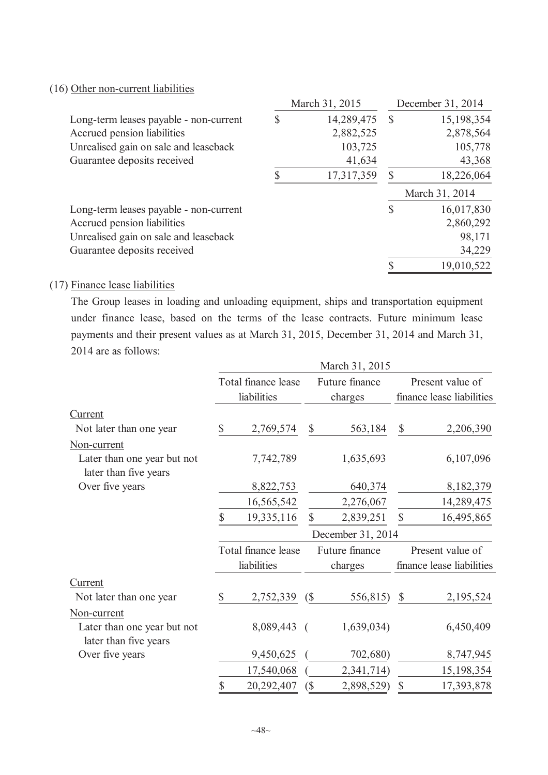# (16) Other non-current liabilities

|                                        | March 31, 2015 |            |    | December 31, 2014 |  |  |
|----------------------------------------|----------------|------------|----|-------------------|--|--|
| Long-term leases payable - non-current | S              | 14,289,475 | S  | 15,198,354        |  |  |
| Accrued pension liabilities            |                | 2,882,525  |    | 2,878,564         |  |  |
| Unrealised gain on sale and leaseback  |                | 103,725    |    | 105,778           |  |  |
| Guarantee deposits received            |                | 41,634     |    | 43,368            |  |  |
|                                        |                | 17,317,359 |    | 18,226,064        |  |  |
|                                        |                |            |    | March 31, 2014    |  |  |
| Long-term leases payable - non-current |                |            | \$ | 16,017,830        |  |  |
| Accrued pension liabilities            |                |            |    | 2,860,292         |  |  |
| Unrealised gain on sale and leaseback  |                |            |    | 98,171            |  |  |
| Guarantee deposits received            |                |            |    | 34,229            |  |  |
|                                        |                |            |    | 19,010,522        |  |  |

#### (17) Finance lease liabilities

The Group leases in loading and unloading equipment, ships and transportation equipment under finance lease, based on the terms of the lease contracts. Future minimum lease payments and their present values as at March 31, 2015, December 31, 2014 and March 31, 2014 are as follows:

|                                                      |    | Total finance lease |                            | Future finance |                           | Present value of          |
|------------------------------------------------------|----|---------------------|----------------------------|----------------|---------------------------|---------------------------|
|                                                      |    | liabilities         |                            | charges        |                           | finance lease liabilities |
| Current                                              |    |                     |                            |                |                           |                           |
| Not later than one year                              | \$ | 2,769,574           | \$                         | 563,184        | $\boldsymbol{\mathsf{S}}$ | 2,206,390                 |
| Non-current                                          |    |                     |                            |                |                           |                           |
| Later than one year but not<br>later than five years |    | 7,742,789           |                            | 1,635,693      |                           | 6,107,096                 |
| Over five years                                      |    | 8,822,753           |                            | 640,374        |                           | 8,182,379                 |
|                                                      |    | 16,565,542          |                            | 2,276,067      |                           | 14,289,475                |
|                                                      | \$ | 19,335,116          | $\mathbb{S}$               | 2,839,251      | $\mathbb{S}$              | 16,495,865                |
|                                                      |    |                     | December 31, 2014          |                |                           |                           |
|                                                      |    | Total finance lease |                            | Future finance |                           | Present value of          |
|                                                      |    | liabilities         |                            | charges        |                           | finance lease liabilities |
| Current                                              |    |                     |                            |                |                           |                           |
| Not later than one year                              | \$ | $2,752,339$ (\$)    |                            | 556,815)       | $\mathcal{S}$             | 2,195,524                 |
| Non-current                                          |    |                     |                            |                |                           |                           |
| Later than one year but not<br>later than five years |    | 8,089,443 (         |                            | 1,639,034)     |                           | 6,450,409                 |
| Over five years                                      |    | 9,450,625           |                            | 702,680)       |                           | 8,747,945                 |
|                                                      |    | 17,540,068          |                            | 2,341,714)     |                           | 15,198,354                |
|                                                      | \$ | 20,292,407          | $\left(\frac{1}{2}\right)$ | 2,898,529)     | $\mathcal{S}$             | 17,393,878                |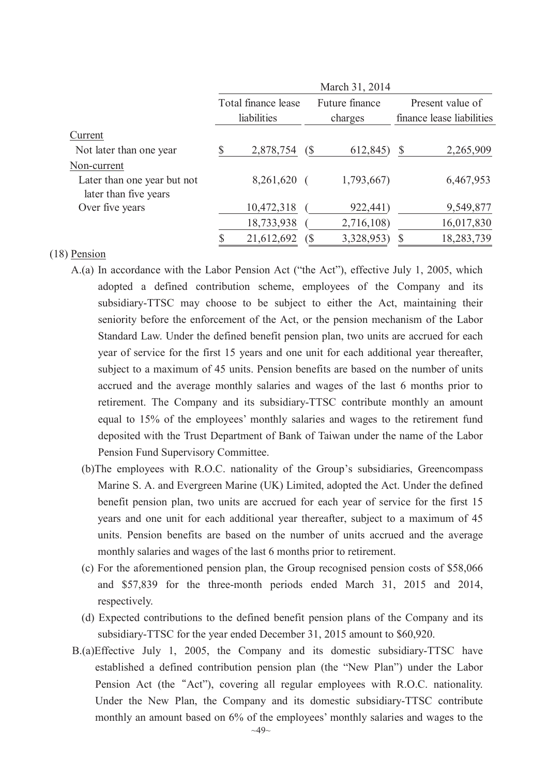|                                                      |                     |            | March 31, 2014            |              |                           |
|------------------------------------------------------|---------------------|------------|---------------------------|--------------|---------------------------|
|                                                      | Total finance lease |            | Future finance<br>charges |              | Present value of          |
|                                                      | liabilities         |            |                           |              | finance lease liabilities |
| Current                                              |                     |            |                           |              |                           |
| Not later than one year                              | 2,878,754           | $\sqrt{S}$ | 612,845)                  | $\mathbb{S}$ | 2,265,909                 |
| Non-current                                          |                     |            |                           |              |                           |
| Later than one year but not<br>later than five years | 8,261,620           |            | 1,793,667)                |              | 6,467,953                 |
| Over five years                                      | 10,472,318          |            | 922,441)                  |              | 9,549,877                 |
|                                                      | 18,733,938          |            | 2,716,108)                |              | 16,017,830                |
|                                                      | 21,612,692          |            | 3,328,953)                |              | 18,283,739                |

#### (18) Pension

- A.(a) In accordance with the Labor Pension Act ("the Act"), effective July 1, 2005, which adopted a defined contribution scheme, employees of the Company and its subsidiary-TTSC may choose to be subject to either the Act, maintaining their seniority before the enforcement of the Act, or the pension mechanism of the Labor Standard Law. Under the defined benefit pension plan, two units are accrued for each year of service for the first 15 years and one unit for each additional year thereafter, subject to a maximum of 45 units. Pension benefits are based on the number of units accrued and the average monthly salaries and wages of the last 6 months prior to retirement. The Company and its subsidiary-TTSC contribute monthly an amount equal to 15% of the employees' monthly salaries and wages to the retirement fund deposited with the Trust Department of Bank of Taiwan under the name of the Labor Pension Fund Supervisory Committee.
	- (b)The employees with R.O.C. nationality of the Group's subsidiaries, Greencompass Marine S. A. and Evergreen Marine (UK) Limited, adopted the Act. Under the defined benefit pension plan, two units are accrued for each year of service for the first 15 years and one unit for each additional year thereafter, subject to a maximum of 45 units. Pension benefits are based on the number of units accrued and the average monthly salaries and wages of the last 6 months prior to retirement.
	- (c) For the aforementioned pension plan, the Group recognised pension costs of \$58,066 and \$57,839 for the three-month periods ended March 31, 2015 and 2014, respectively.
	- (d) Expected contributions to the defined benefit pension plans of the Company and its subsidiary-TTSC for the year ended December 31, 2015 amount to \$60,920.
- B.(a)Effective July 1, 2005, the Company and its domestic subsidiary-TTSC have established a defined contribution pension plan (the "New Plan") under the Labor Pension Act (the "Act"), covering all regular employees with R.O.C. nationality. Under the New Plan, the Company and its domestic subsidiary-TTSC contribute monthly an amount based on 6% of the employees' monthly salaries and wages to the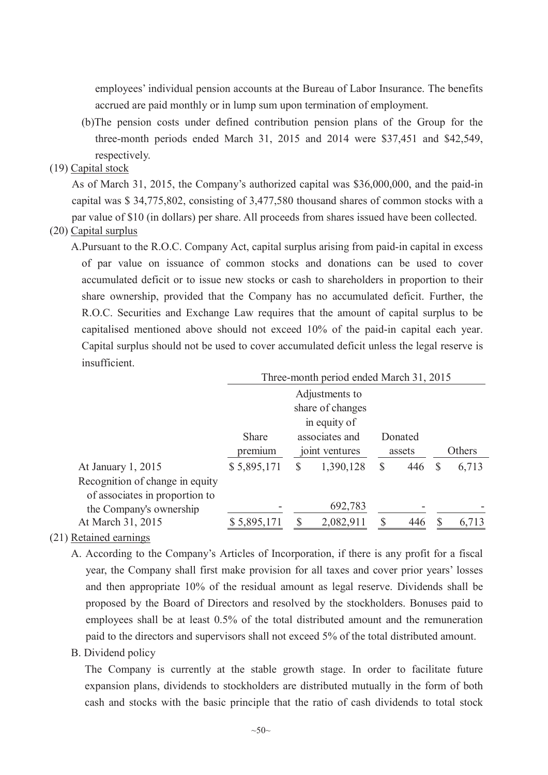employees' individual pension accounts at the Bureau of Labor Insurance. The benefits accrued are paid monthly or in lump sum upon termination of employment.

(b)The pension costs under defined contribution pension plans of the Group for the three-month periods ended March 31, 2015 and 2014 were \$37,451 and \$42,549, respectively.

#### (19) Capital stock

As of March 31, 2015, the Company's authorized capital was \$36,000,000, and the paid-in capital was \$ 34,775,802, consisting of 3,477,580 thousand shares of common stocks with a par value of \$10 (in dollars) per share. All proceeds from shares issued have been collected.

#### (20) Capital surplus

A.Pursuant to the R.O.C. Company Act, capital surplus arising from paid-in capital in excess of par value on issuance of common stocks and donations can be used to cover accumulated deficit or to issue new stocks or cash to shareholders in proportion to their share ownership, provided that the Company has no accumulated deficit. Further, the R.O.C. Securities and Exchange Law requires that the amount of capital surplus to be capitalised mentioned above should not exceed 10% of the paid-in capital each year. Capital surplus should not be used to cover accumulated deficit unless the legal reserve is insufficient.

|                                 | Three-month period ended March 31, 2015 |                |              |              |     |    |        |  |  |  |
|---------------------------------|-----------------------------------------|----------------|--------------|--------------|-----|----|--------|--|--|--|
|                                 | Adjustments to                          |                |              |              |     |    |        |  |  |  |
|                                 | share of changes                        |                |              |              |     |    |        |  |  |  |
|                                 |                                         |                | in equity of |              |     |    |        |  |  |  |
|                                 | Share                                   |                |              |              |     |    |        |  |  |  |
|                                 | premium                                 | joint ventures |              | assets       |     |    | Others |  |  |  |
| At January 1, 2015              | \$5,895,171                             | <sup>S</sup>   | 1,390,128    | $\mathbb{S}$ | 446 | \$ | 6,713  |  |  |  |
| Recognition of change in equity |                                         |                |              |              |     |    |        |  |  |  |
| of associates in proportion to  |                                         |                |              |              |     |    |        |  |  |  |
| the Company's ownership         |                                         |                | 692,783      |              |     |    |        |  |  |  |
| At March 31, 2015               | \$5,895,171                             |                | 2,082,911    |              | 446 |    | 6,713  |  |  |  |

#### (21) Retained earnings

A. According to the Company's Articles of Incorporation, if there is any profit for a fiscal year, the Company shall first make provision for all taxes and cover prior years' losses and then appropriate 10% of the residual amount as legal reserve. Dividends shall be proposed by the Board of Directors and resolved by the stockholders. Bonuses paid to employees shall be at least 0.5% of the total distributed amount and the remuneration paid to the directors and supervisors shall not exceed 5% of the total distributed amount.

#### B. Dividend policy

The Company is currently at the stable growth stage. In order to facilitate future expansion plans, dividends to stockholders are distributed mutually in the form of both cash and stocks with the basic principle that the ratio of cash dividends to total stock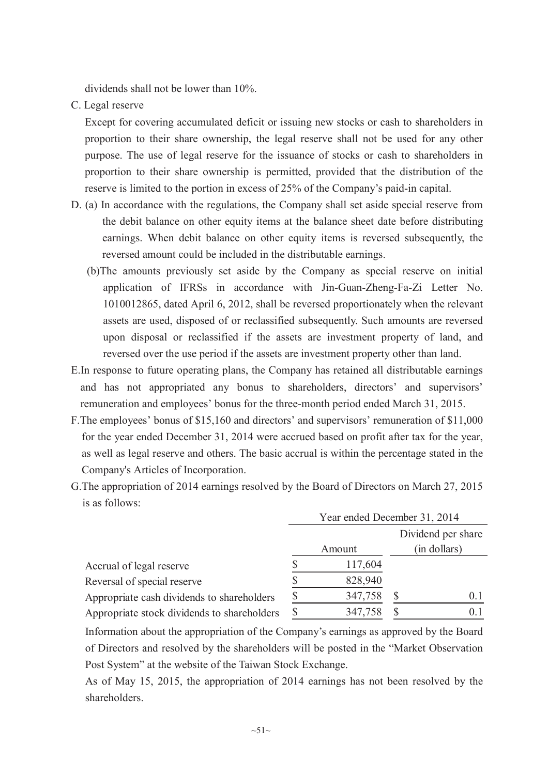dividends shall not be lower than 10%.

C. Legal reserve

Except for covering accumulated deficit or issuing new stocks or cash to shareholders in proportion to their share ownership, the legal reserve shall not be used for any other purpose. The use of legal reserve for the issuance of stocks or cash to shareholders in proportion to their share ownership is permitted, provided that the distribution of the reserve is limited to the portion in excess of 25% of the Company's paid-in capital.

- D. (a) In accordance with the regulations, the Company shall set aside special reserve from the debit balance on other equity items at the balance sheet date before distributing earnings. When debit balance on other equity items is reversed subsequently, the reversed amount could be included in the distributable earnings.
	- (b)The amounts previously set aside by the Company as special reserve on initial application of IFRSs in accordance with Jin-Guan-Zheng-Fa-Zi Letter No. 1010012865, dated April 6, 2012, shall be reversed proportionately when the relevant assets are used, disposed of or reclassified subsequently. Such amounts are reversed upon disposal or reclassified if the assets are investment property of land, and reversed over the use period if the assets are investment property other than land.
- E.In response to future operating plans, the Company has retained all distributable earnings and has not appropriated any bonus to shareholders, directors' and supervisors' remuneration and employees' bonus for the three-month period ended March 31, 2015.
- F.The employees' bonus of \$15,160 and directors' and supervisors' remuneration of \$11,000 for the year ended December 31, 2014 were accrued based on profit after tax for the year, as well as legal reserve and others. The basic accrual is within the percentage stated in the Company's Articles of Incorporation.
- G.The appropriation of 2014 earnings resolved by the Board of Directors on March 27, 2015 is as follows:

|                                             | Year ended December 31, 2014 |         |              |                    |  |  |  |
|---------------------------------------------|------------------------------|---------|--------------|--------------------|--|--|--|
|                                             |                              |         |              | Dividend per share |  |  |  |
|                                             |                              | Amount  | (in dollars) |                    |  |  |  |
| Accrual of legal reserve                    |                              | 117,604 |              |                    |  |  |  |
| Reversal of special reserve                 |                              | 828,940 |              |                    |  |  |  |
| Appropriate cash dividends to shareholders  |                              | 347,758 |              | 0 <sup>1</sup>     |  |  |  |
| Appropriate stock dividends to shareholders |                              | 347,758 |              | 0.1                |  |  |  |

Information about the appropriation of the Company's earnings as approved by the Board of Directors and resolved by the shareholders will be posted in the "Market Observation Post System" at the website of the Taiwan Stock Exchange.

As of May 15, 2015, the appropriation of 2014 earnings has not been resolved by the shareholders.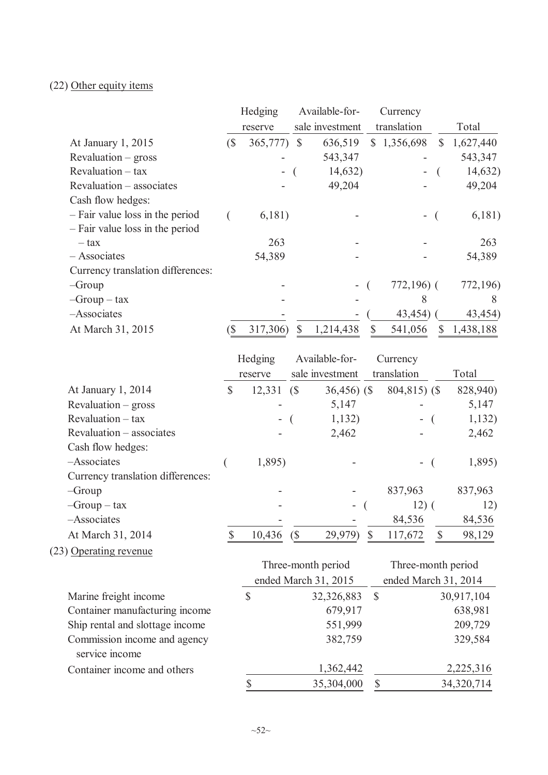# (22) Other equity items

|                                   |                            | Hedging     | Available-for-<br>Currency |                 |             |              |           |
|-----------------------------------|----------------------------|-------------|----------------------------|-----------------|-------------|--------------|-----------|
|                                   |                            | reserve     |                            | sale investment | translation |              | Total     |
| At January 1, 2015                | $\left( \text{\$} \right)$ | 365,777) \$ |                            | 636,519         | \$1,356,698 | $\mathbb{S}$ | 1,627,440 |
| $Revaluation - gross$             |                            |             |                            | 543,347         |             |              | 543,347   |
| $Revaluation - tax$               |                            | Ξ.          |                            | 14,632)         |             |              | 14,632)   |
| Revaluation – associates          |                            |             |                            | 49,204          |             |              | 49,204    |
| Cash flow hedges:                 |                            |             |                            |                 |             |              |           |
| - Fair value loss in the period   |                            | 6,181)      |                            |                 |             |              | 6,181)    |
| - Fair value loss in the period   |                            |             |                            |                 |             |              |           |
| – tax                             |                            | 263         |                            |                 |             |              | 263       |
| - Associates                      |                            | 54,389      |                            |                 |             |              | 54,389    |
| Currency translation differences: |                            |             |                            |                 |             |              |           |
| $-Group$                          |                            |             |                            |                 |             | $772,196$ (  | 772,196)  |
| $-Group - tax$                    |                            |             |                            |                 |             | 8            | 8         |
| -Associates                       |                            |             |                            |                 |             | 43,454       | 43,454)   |
| At March 31, 2015                 |                            | 317,306)    | \$                         | 1,214,438       | S           | 541,056      | 1,438,188 |

|                                   |              | Hedging                  |                            | Available-for-  | Currency       |          |
|-----------------------------------|--------------|--------------------------|----------------------------|-----------------|----------------|----------|
|                                   |              | reserve                  |                            | sale investment | translation    | Total    |
| At January 1, 2014                | $\mathbb{S}$ | 12,331                   | (S                         | $36,456$ (\$)   | $804,815$ (\$) | 828,940) |
| $Revaluation - gross$             |              |                          |                            | 5,147           |                | 5,147    |
| $Revaluation - tax$               |              | $\overline{\phantom{a}}$ |                            | 1,132)          | Ξ.             | 1,132)   |
| Revaluation – associates          |              |                          |                            | 2,462           |                | 2,462    |
| Cash flow hedges:                 |              |                          |                            |                 |                |          |
| -Associates                       |              | 1,895)                   |                            |                 | $\sim$         | 1,895)   |
| Currency translation differences: |              |                          |                            |                 |                |          |
| $-Group$                          |              |                          |                            |                 | 837,963        | 837,963  |
| $-Group - tax$                    |              |                          |                            | $\sim$          | $12)$ (        | 12)      |
| -Associates                       |              |                          |                            |                 | 84,536         | 84,536   |
| At March 31, 2014                 |              | 10,436                   | $\left( \text{\$} \right)$ | 29,979)         | 117,672        | 98,129   |

# (23) Operating revenue

|                                 |    | Three-month period   |                      | Three-month period |  |
|---------------------------------|----|----------------------|----------------------|--------------------|--|
|                                 |    | ended March 31, 2015 | ended March 31, 2014 |                    |  |
| Marine freight income           | S  | 32,326,883           | <sup>S</sup>         | 30,917,104         |  |
| Container manufacturing income  |    | 679,917              |                      | 638,981            |  |
| Ship rental and slottage income |    | 551,999              |                      | 209,729            |  |
| Commission income and agency    |    | 382,759              |                      | 329,584            |  |
| service income                  |    |                      |                      |                    |  |
| Container income and others     |    | 1,362,442            |                      | 2,225,316          |  |
|                                 | \$ | 35,304,000           |                      | 34,320,714         |  |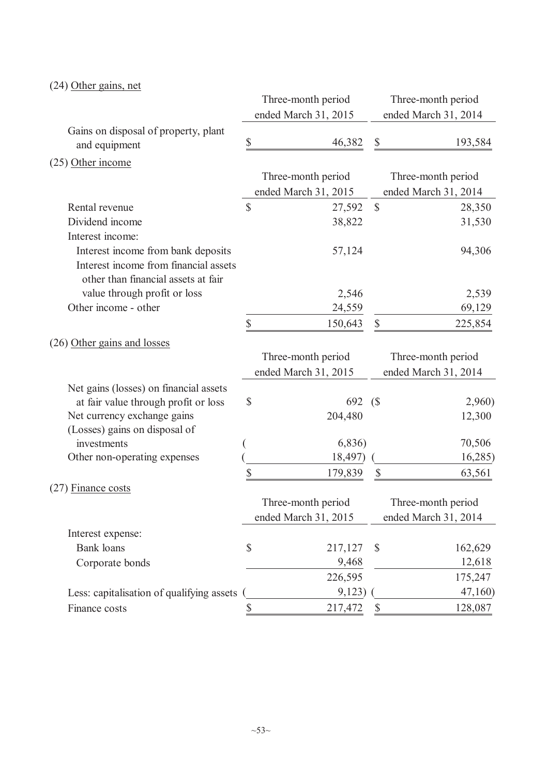# (24) Other gains, net

|                                           |                           | Three-month period   |                           | Three-month period   |
|-------------------------------------------|---------------------------|----------------------|---------------------------|----------------------|
|                                           |                           | ended March 31, 2015 |                           | ended March 31, 2014 |
| Gains on disposal of property, plant      |                           |                      |                           |                      |
| and equipment                             | \$                        | 46,382               | \$                        | 193,584              |
| $(25)$ Other income                       |                           |                      |                           |                      |
|                                           |                           | Three-month period   |                           | Three-month period   |
|                                           |                           | ended March 31, 2015 |                           | ended March 31, 2014 |
| Rental revenue                            | $\boldsymbol{\mathsf{S}}$ | 27,592               | $\mathbb{S}$              | 28,350               |
| Dividend income                           |                           | 38,822               |                           | 31,530               |
| Interest income:                          |                           |                      |                           |                      |
| Interest income from bank deposits        |                           | 57,124               |                           | 94,306               |
| Interest income from financial assets     |                           |                      |                           |                      |
| other than financial assets at fair       |                           |                      |                           |                      |
| value through profit or loss              |                           | 2,546                |                           | 2,539                |
| Other income - other                      |                           | 24,559               |                           | 69,129               |
|                                           | \$                        | 150,643              | $\mathbb{S}$              | 225,854              |
| (26) Other gains and losses               |                           |                      |                           |                      |
|                                           |                           | Three-month period   |                           | Three-month period   |
|                                           |                           | ended March 31, 2015 |                           | ended March 31, 2014 |
| Net gains (losses) on financial assets    |                           |                      |                           |                      |
| at fair value through profit or loss      | \$                        | 692                  | (S)                       | 2,960)               |
| Net currency exchange gains               |                           | 204,480              |                           | 12,300               |
| (Losses) gains on disposal of             |                           |                      |                           |                      |
| investments                               |                           | 6,836                |                           | 70,506               |
| Other non-operating expenses              |                           | 18,497)              |                           | 16,285)              |
|                                           | \$                        | 179,839              | $\boldsymbol{\mathsf{S}}$ | 63,561               |
| $(27)$ Finance costs                      |                           |                      |                           |                      |
|                                           |                           | Three-month period   |                           | Three-month period   |
|                                           |                           | ended March 31, 2015 |                           | ended March 31, 2014 |
| Interest expense:                         |                           |                      |                           |                      |
| <b>Bank</b> loans                         | \$                        | 217,127              | $\mathcal{S}$             | 162,629              |
| Corporate bonds                           |                           | 9,468                |                           | 12,618               |
|                                           |                           | 226,595              |                           | 175,247              |
| Less: capitalisation of qualifying assets |                           | 9,123)               |                           | 47,160)              |
| Finance costs                             | \$                        | 217,472              | $\mathbb{S}$              | 128,087              |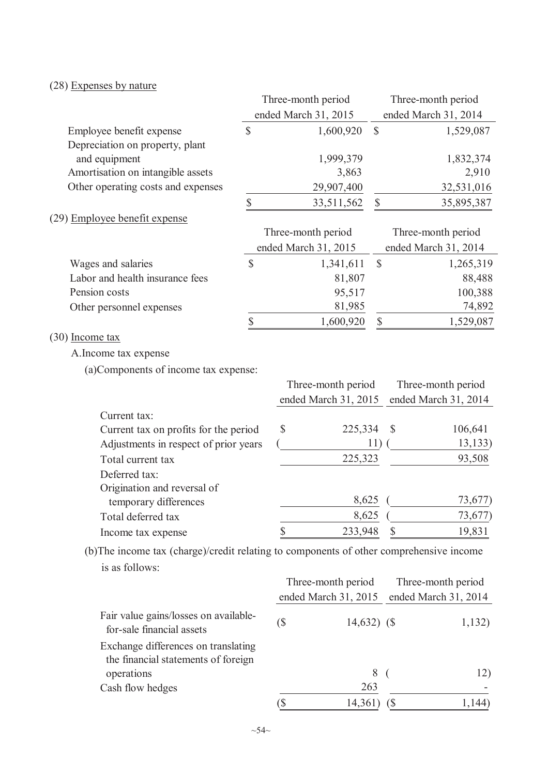# (28) Expenses by nature

|                                                                                         |               | Three-month period   |                    |                   |                            | Three-month period   |
|-----------------------------------------------------------------------------------------|---------------|----------------------|--------------------|-------------------|----------------------------|----------------------|
|                                                                                         |               | ended March 31, 2015 |                    |                   |                            | ended March 31, 2014 |
| Employee benefit expense                                                                | $\mathsf{\$}$ |                      | 1,600,920          | $\mathbb{S}$      |                            | 1,529,087            |
| Depreciation on property, plant<br>and equipment                                        |               |                      | 1,999,379          |                   |                            | 1,832,374            |
| Amortisation on intangible assets                                                       |               |                      | 3,863              |                   |                            | 2,910                |
| Other operating costs and expenses                                                      |               |                      | 29,907,400         |                   |                            | 32,531,016           |
|                                                                                         | \$            |                      | 33,511,562         | $\boldsymbol{\$}$ |                            | 35,895,387           |
| (29) Employee benefit expense                                                           |               |                      |                    |                   |                            |                      |
|                                                                                         |               | Three-month period   |                    |                   |                            | Three-month period   |
|                                                                                         |               | ended March 31, 2015 |                    |                   |                            | ended March 31, 2014 |
| Wages and salaries                                                                      | $\mathbb{S}$  |                      | 1,341,611          | \$                |                            | 1,265,319            |
| Labor and health insurance fees                                                         |               |                      | 81,807             |                   |                            | 88,488               |
| Pension costs                                                                           |               |                      | 95,517             |                   |                            | 100,388              |
| Other personnel expenses                                                                |               |                      | 81,985             |                   |                            | 74,892               |
|                                                                                         | \$            |                      | 1,600,920          | $\mathbb S$       |                            | 1,529,087            |
| (30) Income tax                                                                         |               |                      |                    |                   |                            |                      |
| A. Income tax expense                                                                   |               |                      |                    |                   |                            |                      |
| (a)Components of income tax expense:                                                    |               |                      |                    |                   |                            |                      |
|                                                                                         |               |                      | Three-month period |                   |                            | Three-month period   |
|                                                                                         |               | ended March 31, 2015 |                    |                   |                            | ended March 31, 2014 |
| Current tax:                                                                            |               |                      |                    |                   |                            |                      |
| Current tax on profits for the period                                                   |               | \$                   | 225,334            |                   | \$                         | 106,641              |
| Adjustments in respect of prior years                                                   |               |                      |                    | 11)               |                            | 13, 133)             |
| Total current tax                                                                       |               |                      | 225,323            |                   |                            | 93,508               |
| Deferred tax:                                                                           |               |                      |                    |                   |                            |                      |
| Origination and reversal of                                                             |               |                      |                    |                   |                            |                      |
| temporary differences                                                                   |               |                      | 8,625              |                   |                            | 73,677)              |
| Total deferred tax                                                                      |               |                      | 8,625              |                   |                            | 73,677)              |
| Income tax expense                                                                      |               | \$                   | 233,948            |                   |                            | 19,831               |
| (b) The income tax (charge)/credit relating to components of other comprehensive income |               |                      |                    |                   |                            |                      |
| is as follows:                                                                          |               |                      |                    |                   |                            |                      |
|                                                                                         |               |                      | Three-month period |                   |                            | Three-month period   |
|                                                                                         |               | ended March 31, 2015 |                    |                   |                            | ended March 31, 2014 |
|                                                                                         |               |                      |                    |                   |                            |                      |
| Fair value gains/losses on available-<br>for-sale financial assets                      |               | (                    | $14,632)$ (\$)     |                   |                            | 1,132)               |
| Exchange differences on translating                                                     |               |                      |                    |                   |                            |                      |
| the financial statements of foreign                                                     |               |                      |                    |                   |                            |                      |
| operations                                                                              |               |                      |                    | 8                 |                            | 12)                  |
| Cash flow hedges                                                                        |               |                      |                    | 263               |                            |                      |
|                                                                                         |               | (\$                  | 14,361)            |                   | $\left( \text{\$} \right)$ | 1,144)               |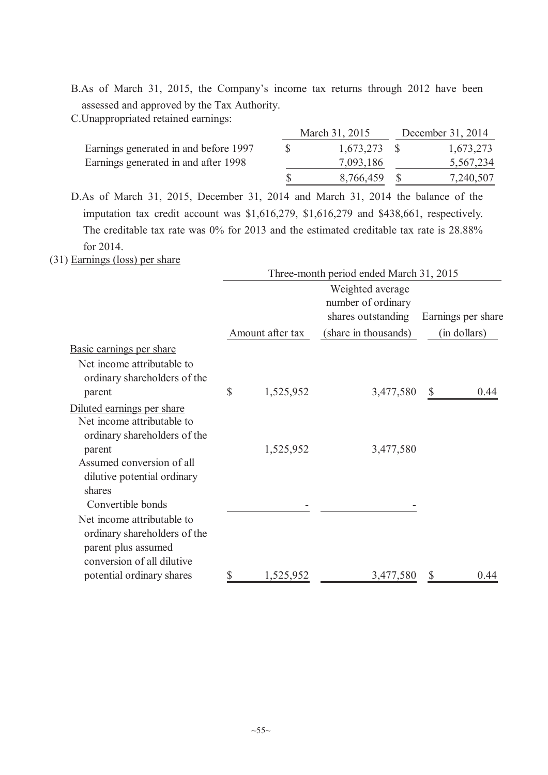B.As of March 31, 2015, the Company's income tax returns through 2012 have been assessed and approved by the Tax Authority.

C.Unappropriated retained earnings:

|                                       | March 31, 2015 |  | December 31, 2014 |  |  |
|---------------------------------------|----------------|--|-------------------|--|--|
| Earnings generated in and before 1997 | $1,673,273$ \$ |  | 1,673,273         |  |  |
| Earnings generated in and after 1998  | 7,093,186      |  | 5,567,234         |  |  |
|                                       | 8,766,459      |  | 7,240,507         |  |  |

D.As of March 31, 2015, December 31, 2014 and March 31, 2014 the balance of the imputation tax credit account was \$1,616,279, \$1,616,279 and \$438,661, respectively. The creditable tax rate was 0% for 2013 and the estimated creditable tax rate is 28.88% for 2014.

(31) Earnings (loss) per share

|                                                                                                                 | Three-month period ended March 31, 2015 |                  |                                        |                      |  |  |  |
|-----------------------------------------------------------------------------------------------------------------|-----------------------------------------|------------------|----------------------------------------|----------------------|--|--|--|
|                                                                                                                 |                                         |                  | Weighted average<br>number of ordinary |                      |  |  |  |
|                                                                                                                 |                                         |                  | shares outstanding                     | Earnings per share   |  |  |  |
|                                                                                                                 |                                         | Amount after tax | (share in thousands)                   | (in dollars)         |  |  |  |
| Basic earnings per share<br>Net income attributable to<br>ordinary shareholders of the<br>parent                | \$                                      | 1,525,952        | 3,477,580                              | $\mathbb{S}$<br>0.44 |  |  |  |
| Diluted earnings per share<br>Net income attributable to<br>ordinary shareholders of the                        |                                         |                  |                                        |                      |  |  |  |
| parent<br>Assumed conversion of all<br>dilutive potential ordinary<br>shares<br>Convertible bonds               |                                         | 1,525,952        | 3,477,580                              |                      |  |  |  |
| Net income attributable to<br>ordinary shareholders of the<br>parent plus assumed<br>conversion of all dilutive |                                         |                  |                                        |                      |  |  |  |
| potential ordinary shares                                                                                       | \$                                      | 1,525,952        | 3,477,580                              | 0.44                 |  |  |  |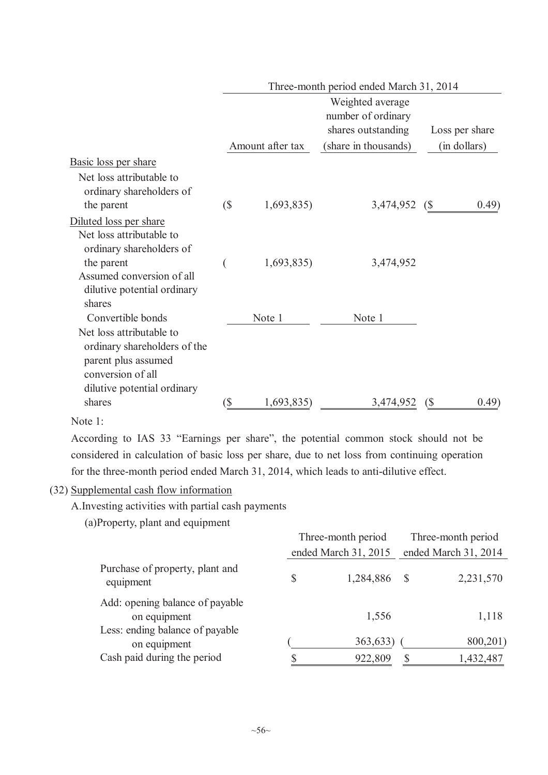|                                                                                                                                     |                            | Three-month period ended March 31, 2014 |                                                              |                      |  |  |  |  |  |
|-------------------------------------------------------------------------------------------------------------------------------------|----------------------------|-----------------------------------------|--------------------------------------------------------------|----------------------|--|--|--|--|--|
|                                                                                                                                     |                            |                                         | Weighted average<br>number of ordinary<br>shares outstanding | Loss per share       |  |  |  |  |  |
|                                                                                                                                     |                            | Amount after tax                        | (share in thousands)                                         | (in dollars)         |  |  |  |  |  |
| Basic loss per share                                                                                                                |                            |                                         |                                                              |                      |  |  |  |  |  |
| Net loss attributable to<br>ordinary shareholders of<br>the parent                                                                  | $\left( \text{\$} \right)$ | 1,693,835)                              | 3,474,952                                                    | (0.49)<br>(\$        |  |  |  |  |  |
| Diluted loss per share                                                                                                              |                            |                                         |                                                              |                      |  |  |  |  |  |
| Net loss attributable to<br>ordinary shareholders of<br>the parent<br>Assumed conversion of all                                     |                            | 1,693,835)                              | 3,474,952                                                    |                      |  |  |  |  |  |
| dilutive potential ordinary<br>shares                                                                                               |                            |                                         |                                                              |                      |  |  |  |  |  |
| Convertible bonds                                                                                                                   |                            | Note 1                                  | Note 1                                                       |                      |  |  |  |  |  |
| Net loss attributable to<br>ordinary shareholders of the<br>parent plus assumed<br>conversion of all<br>dilutive potential ordinary |                            |                                         |                                                              |                      |  |  |  |  |  |
| shares                                                                                                                              | `S                         | 1,693,835)                              | 3,474,952                                                    | (0.49)<br>$\sqrt{5}$ |  |  |  |  |  |
|                                                                                                                                     |                            |                                         |                                                              |                      |  |  |  |  |  |

Note 1:

According to IAS 33 "Earnings per share", the potential common stock should not be considered in calculation of basic loss per share, due to net loss from continuing operation for the three-month period ended March 31, 2014, which leads to anti-dilutive effect.

## (32) Supplemental cash flow information

A.Investing activities with partial cash payments

(a)Property, plant and equipment

|                                                                                |   | Three-month period   | Three-month period<br>ended March 31, 2014 |                       |  |
|--------------------------------------------------------------------------------|---|----------------------|--------------------------------------------|-----------------------|--|
|                                                                                |   | ended March 31, 2015 |                                            |                       |  |
| Purchase of property, plant and<br>equipment                                   | S | 1,284,886 \$         |                                            | 2,231,570             |  |
| Add: opening balance of payable<br>on equipment                                |   | 1,556                |                                            | 1,118                 |  |
| Less: ending balance of payable<br>on equipment<br>Cash paid during the period |   | 363,633)<br>922,809  | S                                          | 800,201)<br>1,432,487 |  |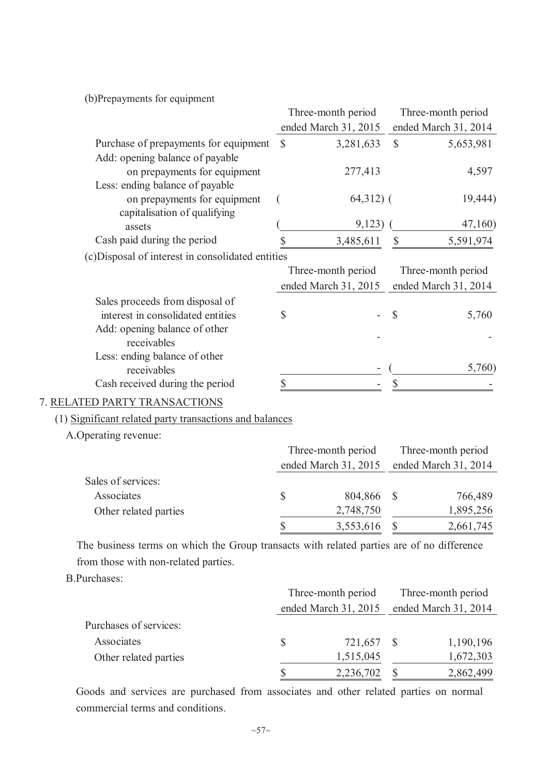(b)Prepayments for equipment

|                                                   |              | Three-month period   |               | Three-month period   |
|---------------------------------------------------|--------------|----------------------|---------------|----------------------|
|                                                   |              | ended March 31, 2015 |               | ended March 31, 2014 |
| Purchase of prepayments for equipment             | <sup>S</sup> | 3,281,633            | $\mathcal{S}$ | 5,653,981            |
| Add: opening balance of payable                   |              |                      |               |                      |
| on prepayments for equipment                      |              | 277,413              |               | 4,597                |
| Less: ending balance of payable                   |              |                      |               |                      |
| on prepayments for equipment                      |              | $64,312)$ (          |               | 19,444)              |
| capitalisation of qualifying                      |              |                      |               |                      |
| assets                                            |              | 9,123)               |               | 47,160)              |
| Cash paid during the period                       |              | 3,485,611            | \$            | 5,591,974            |
| (c) Disposal of interest in consolidated entities |              |                      |               |                      |
|                                                   |              | Three-month period   |               | Three-month period   |
|                                                   |              | ended March 31, 2015 |               | ended March 31, 2014 |
| Sales proceeds from disposal of                   |              |                      |               |                      |
| interest in consolidated entities                 | \$           |                      | $\mathcal{S}$ | 5,760                |
| Add: opening balance of other                     |              |                      |               |                      |
| receivables                                       |              |                      |               |                      |
| Less: ending balance of other                     |              |                      |               |                      |
| receivables                                       |              |                      |               | 5,760)               |
| Cash received during the period                   |              |                      |               |                      |
|                                                   |              |                      |               |                      |

# 7. RELATED PARTY TRANSACTIONS

(1) Significant related party transactions and balances

A.Operating revenue:

|                       |   | Three-month period   | Three-month period<br>ended March 31, 2014 |           |  |
|-----------------------|---|----------------------|--------------------------------------------|-----------|--|
|                       |   | ended March 31, 2015 |                                            |           |  |
| Sales of services:    |   |                      |                                            |           |  |
| Associates            | S | 804,866 \$           |                                            | 766,489   |  |
| Other related parties |   | 2,748,750            |                                            | 1,895,256 |  |
|                       |   | 3,553,616            |                                            | 2,661,745 |  |

The business terms on which the Group transacts with related parties are of no difference from those with non-related parties.

### B.Purchases:

|                        | Three-month period<br>ended March 31, 2015 |            |  | Three-month period   |  |  |
|------------------------|--------------------------------------------|------------|--|----------------------|--|--|
|                        |                                            |            |  | ended March 31, 2014 |  |  |
| Purchases of services: |                                            |            |  |                      |  |  |
| Associates             | S                                          | 721,657 \$ |  | 1,190,196            |  |  |
| Other related parties  |                                            | 1,515,045  |  | 1,672,303            |  |  |
|                        |                                            | 2,236,702  |  | 2,862,499            |  |  |

Goods and services are purchased from associates and other related parties on normal commercial terms and conditions.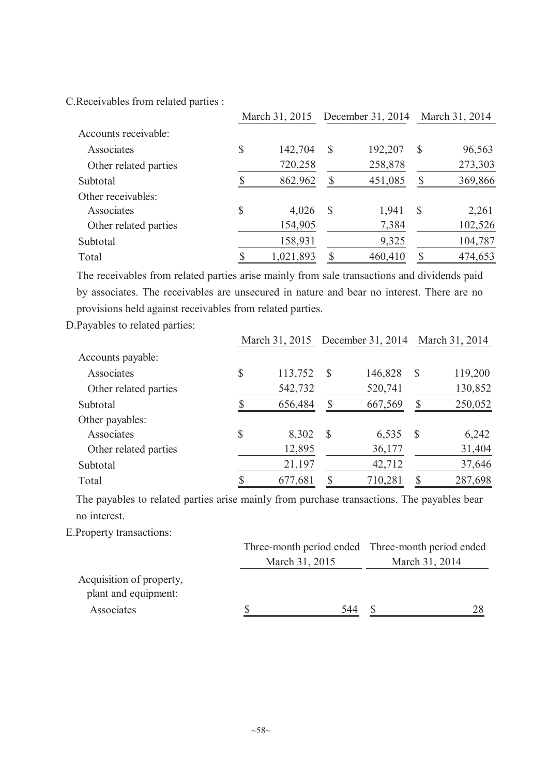C.Receivables from related parties :

|                       |    |           | March 31, 2015 December 31, 2014 March 31, 2014 |         |               |         |
|-----------------------|----|-----------|-------------------------------------------------|---------|---------------|---------|
| Accounts receivable:  |    |           |                                                 |         |               |         |
| Associates            | \$ | 142,704   | $\mathcal{S}$                                   | 192,207 | S             | 96,563  |
| Other related parties |    | 720,258   |                                                 | 258,878 |               | 273,303 |
| Subtotal              |    | 862,962   | S                                               | 451,085 | S             | 369,866 |
| Other receivables:    |    |           |                                                 |         |               |         |
| Associates            | \$ | 4,026     | S                                               | 1,941   | $\mathcal{S}$ | 2,261   |
| Other related parties |    | 154,905   |                                                 | 7,384   |               | 102,526 |
| Subtotal              |    | 158,931   |                                                 | 9,325   |               | 104,787 |
| Total                 |    | 1,021,893 | ς                                               | 460,410 |               | 474,653 |

The receivables from related parties arise mainly from sale transactions and dividends paid by associates. The receivables are unsecured in nature and bear no interest. There are no provisions held against receivables from related parties.

D.Payables to related parties:

|                       |    |         | March 31, 2015 December 31, 2014 March 31, 2014 |         |              |         |
|-----------------------|----|---------|-------------------------------------------------|---------|--------------|---------|
| Accounts payable:     |    |         |                                                 |         |              |         |
| Associates            | \$ | 113,752 | S                                               | 146,828 | $\mathbb{S}$ | 119,200 |
| Other related parties |    | 542,732 |                                                 | 520,741 |              | 130,852 |
| Subtotal              |    | 656,484 | S                                               | 667,569 | S            | 250,052 |
| Other payables:       |    |         |                                                 |         |              |         |
| Associates            | \$ | 8,302   | S                                               | 6,535   | S            | 6,242   |
| Other related parties |    | 12,895  |                                                 | 36,177  |              | 31,404  |
| Subtotal              |    | 21,197  |                                                 | 42,712  |              | 37,646  |
| Total                 |    | 677,681 | S                                               | 710,281 | S            | 287,698 |

The payables to related parties arise mainly from purchase transactions. The payables bear no interest.

E.Property transactions:

|                                                  | Three-month period ended Three-month period ended |                |    |  |
|--------------------------------------------------|---------------------------------------------------|----------------|----|--|
|                                                  | March 31, 2015                                    | March 31, 2014 |    |  |
| Acquisition of property,<br>plant and equipment: |                                                   |                |    |  |
| Associates                                       | 544                                               |                | 28 |  |
|                                                  |                                                   |                |    |  |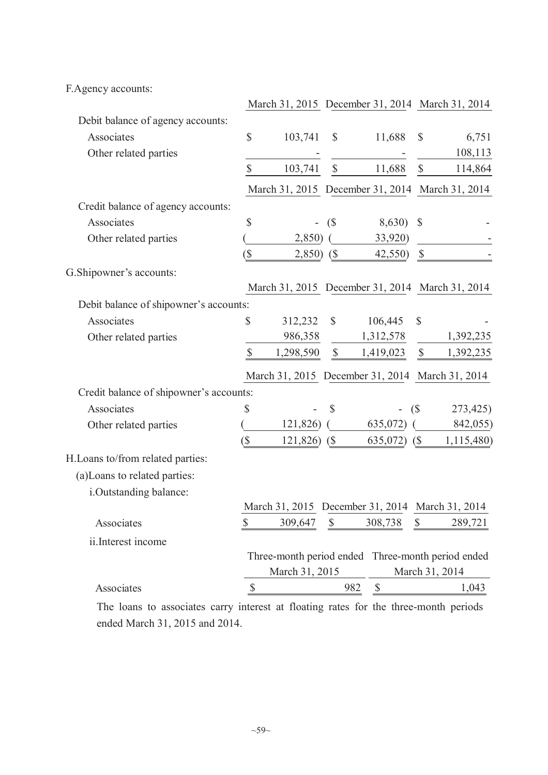F.Agency accounts:

|                                         |                           | March 31, 2015 December 31, 2014 March 31, 2014   |                            |                                  |               |                |
|-----------------------------------------|---------------------------|---------------------------------------------------|----------------------------|----------------------------------|---------------|----------------|
| Debit balance of agency accounts:       |                           |                                                   |                            |                                  |               |                |
| Associates                              | $\mathbb{S}$              | 103,741                                           | $\mathcal{S}$              | 11,688                           | $\mathbb{S}$  | 6,751          |
| Other related parties                   |                           |                                                   |                            |                                  |               | 108,113        |
|                                         | $\mathbb{S}$              | 103,741                                           | $\mathcal{S}$              | 11,688                           | $\$$          | 114,864        |
|                                         |                           | March 31, 2015 December 31, 2014 March 31, 2014   |                            |                                  |               |                |
| Credit balance of agency accounts:      |                           |                                                   |                            |                                  |               |                |
| Associates                              | $\mathbb{S}$              | $\qquad \qquad \blacksquare$                      | (S)                        | 8,630)                           | $\mathcal{S}$ |                |
| Other related parties                   |                           | 2,850)                                            |                            | 33,920)                          |               |                |
|                                         | $(\$\)$                   | 2,850)                                            | $\left( \text{\$} \right)$ | 42,550)                          | $\mathbb{S}$  |                |
| G.Shipowner's accounts:                 |                           |                                                   |                            |                                  |               |                |
|                                         |                           | March 31, 2015 December 31, 2014 March 31, 2014   |                            |                                  |               |                |
| Debit balance of shipowner's accounts:  |                           |                                                   |                            |                                  |               |                |
| Associates                              | \$                        | 312,232                                           | $\mathbb{S}$               | 106,445                          | $\mathbb{S}$  |                |
| Other related parties                   |                           | 986,358                                           |                            | 1,312,578                        |               | 1,392,235      |
|                                         | $\mathbb{S}$              | 1,298,590                                         | $\mathcal{S}$              | 1,419,023                        | $\mathbb S$   | 1,392,235      |
|                                         |                           | March 31, 2015 December 31, 2014 March 31, 2014   |                            |                                  |               |                |
| Credit balance of shipowner's accounts: |                           |                                                   |                            |                                  |               |                |
| Associates                              | \$                        |                                                   | $\mathcal{S}$              | (\$                              |               | 273,425)       |
| Other related parties                   |                           | 121,826)                                          |                            | 635,072)                         |               | 842,055)       |
|                                         | $\sqrt{S}$                | 121,826)                                          | (S)                        | 635,072)                         | (S)           | 1,115,480)     |
| H.Loans to/from related parties:        |                           |                                                   |                            |                                  |               |                |
| (a) Loans to related parties:           |                           |                                                   |                            |                                  |               |                |
| i.Outstanding balance:                  |                           |                                                   |                            |                                  |               |                |
|                                         |                           | March 31, 2015 December 31, 2014 March 31, 2014   |                            |                                  |               |                |
| Associates                              | $\boldsymbol{\mathsf{S}}$ | 309,647                                           | $\boldsymbol{\mathsf{S}}$  | 308,738                          | $\mathbb{S}$  | 289,721        |
| ii.Interest income                      |                           |                                                   |                            |                                  |               |                |
|                                         |                           | Three-month period ended Three-month period ended |                            |                                  |               |                |
|                                         |                           | March 31, 2015                                    |                            |                                  |               | March 31, 2014 |
| Associates                              | $\sqrt{\frac{2}{5}}$      |                                                   |                            | 982<br>$\boldsymbol{\mathsf{S}}$ |               | 1,043          |
|                                         |                           |                                                   |                            |                                  |               |                |

The loans to associates carry interest at floating rates for the three-month periods ended March 31, 2015 and 2014.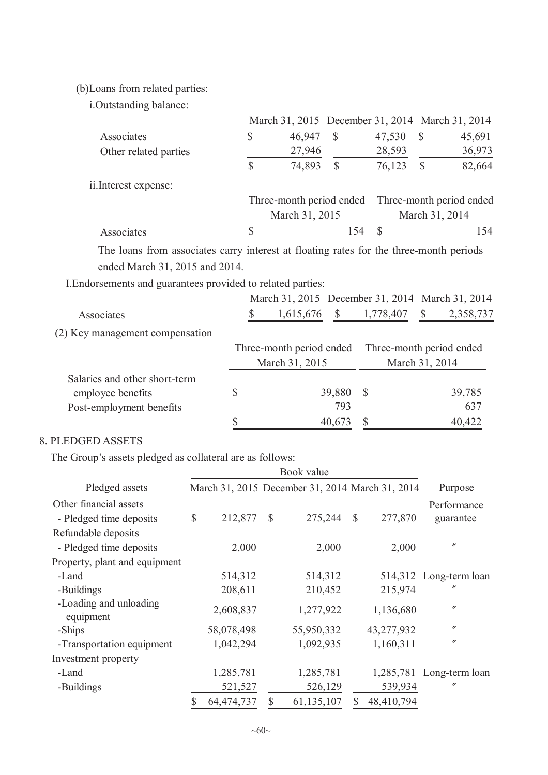(b)Loans from related parties:

i.Outstanding balance:

|                       | March 31, 2015 December 31, 2014 March 31, 2014   |     |        |                |        |  |
|-----------------------|---------------------------------------------------|-----|--------|----------------|--------|--|
| Associates            | 46,947                                            | \$  | 47,530 | S              | 45,691 |  |
| Other related parties | 27,946                                            |     | 28,593 |                | 36,973 |  |
|                       | 74,893                                            | S   | 76,123 |                | 82,664 |  |
| ii.Interest expense:  |                                                   |     |        |                |        |  |
|                       | Three-month period ended Three-month period ended |     |        |                |        |  |
|                       | March 31, 2015                                    |     |        | March 31, 2014 |        |  |
| Associates            |                                                   | 154 |        |                | 154    |  |
|                       |                                                   |     |        |                |        |  |

The loans from associates carry interest at floating rates for the three-month periods ended March 31, 2015 and 2014.

I.Endorsements and guarantees provided to related parties:

|                                 | March 31, 2015 December 31, 2014 March 31, 2014 |              |                          |                |           |
|---------------------------------|-------------------------------------------------|--------------|--------------------------|----------------|-----------|
| Associates                      | 1,615,676                                       | <sup>S</sup> | 1,778,407                |                | 2,358,737 |
| (2) Key management compensation |                                                 |              |                          |                |           |
|                                 | Three-month period ended                        |              | Three-month period ended |                |           |
|                                 | March 31, 2015                                  |              |                          | March 31, 2014 |           |
| Salaries and other short-term   |                                                 |              |                          |                |           |
| employee benefits               | \$                                              | 39,880       | <sup>S</sup>             |                | 39,785    |
| Post-employment benefits        |                                                 | 793          |                          |                | 637       |
|                                 |                                                 | 40,673       |                          |                | 40,422    |
|                                 |                                                 |              |                          |                |           |

# 8. PLEDGED ASSETS

The Group's assets pledged as collateral are as follows:

|                                                   |                  |    | Book value                                      |               |            |                          |
|---------------------------------------------------|------------------|----|-------------------------------------------------|---------------|------------|--------------------------|
| Pledged assets                                    |                  |    | March 31, 2015 December 31, 2014 March 31, 2014 |               |            | Purpose                  |
| Other financial assets<br>- Pledged time deposits | \$<br>212,877    | S  | 275,244                                         | $\mathcal{S}$ | 277,870    | Performance<br>guarantee |
| Refundable deposits                               |                  |    |                                                 |               |            |                          |
| - Pledged time deposits                           | 2,000            |    | 2,000                                           |               | 2,000      | $^{\prime\prime}$        |
| Property, plant and equipment                     |                  |    |                                                 |               |            |                          |
| -Land                                             | 514,312          |    | 514,312                                         |               |            | 514,312 Long-term loan   |
| -Buildings                                        | 208,611          |    | 210,452                                         |               | 215,974    | n                        |
| -Loading and unloading<br>equipment               | 2,608,837        |    | 1,277,922                                       |               | 1,136,680  | $^{\prime\prime}$        |
| -Ships                                            | 58,078,498       |    | 55,950,332                                      |               | 43,277,932 | $^{\prime\prime}$        |
| -Transportation equipment                         | 1,042,294        |    | 1,092,935                                       |               | 1,160,311  | $^{\prime\prime}$        |
| Investment property                               |                  |    |                                                 |               |            |                          |
| -Land                                             | 1,285,781        |    | 1,285,781                                       |               |            | 1,285,781 Long-term loan |
| -Buildings                                        | 521,527          |    | 526,129                                         |               | 539,934    | $^{\prime\prime}$        |
|                                                   | \$<br>64,474,737 | \$ | 61,135,107                                      | \$            | 48,410,794 |                          |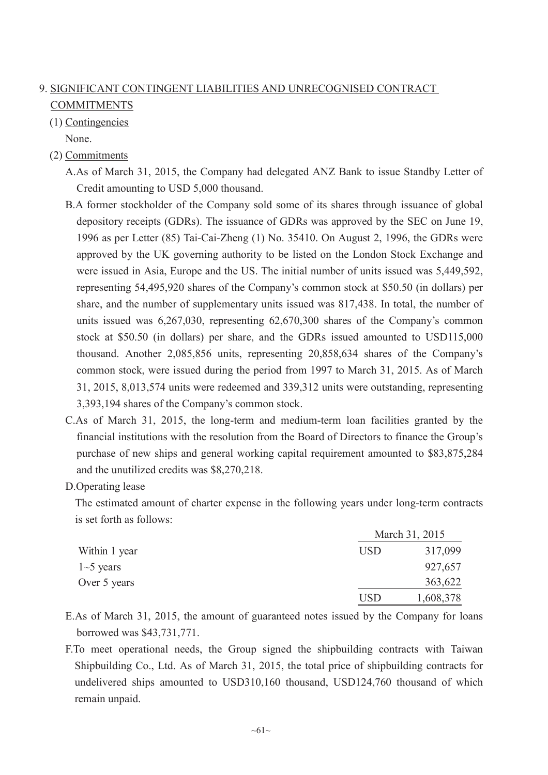# 9. SIGNIFICANT CONTINGENT LIABILITIES AND UNRECOGNISED CONTRACT COMMITMENTS

(1) Contingencies

None.

- (2) Commitments
	- A.As of March 31, 2015, the Company had delegated ANZ Bank to issue Standby Letter of Credit amounting to USD 5,000 thousand.
	- B.A former stockholder of the Company sold some of its shares through issuance of global depository receipts (GDRs). The issuance of GDRs was approved by the SEC on June 19, 1996 as per Letter (85) Tai-Cai-Zheng (1) No. 35410. On August 2, 1996, the GDRs were approved by the UK governing authority to be listed on the London Stock Exchange and were issued in Asia, Europe and the US. The initial number of units issued was 5,449,592, representing 54,495,920 shares of the Company's common stock at \$50.50 (in dollars) per share, and the number of supplementary units issued was 817,438. In total, the number of units issued was 6,267,030, representing 62,670,300 shares of the Company's common stock at \$50.50 (in dollars) per share, and the GDRs issued amounted to USD115,000 thousand. Another 2,085,856 units, representing 20,858,634 shares of the Company's common stock, were issued during the period from 1997 to March 31, 2015. As of March 31, 2015, 8,013,574 units were redeemed and 339,312 units were outstanding, representing 3,393,194 shares of the Company's common stock.
	- C.As of March 31, 2015, the long-term and medium-term loan facilities granted by the financial institutions with the resolution from the Board of Directors to finance the Group's purchase of new ships and general working capital requirement amounted to \$83,875,284 and the unutilized credits was \$8,270,218.
	- D.Operating lease

The estimated amount of charter expense in the following years under long-term contracts is set forth as follows:

|               |            | March 31, 2015 |
|---------------|------------|----------------|
| Within 1 year | <b>USD</b> | 317,099        |
| $1-5$ years   |            | 927,657        |
| Over 5 years  |            | 363,622        |
|               | USD.       | 1,608,378      |

- E.As of March 31, 2015, the amount of guaranteed notes issued by the Company for loans borrowed was \$43,731,771.
- F.To meet operational needs, the Group signed the shipbuilding contracts with Taiwan Shipbuilding Co., Ltd. As of March 31, 2015, the total price of shipbuilding contracts for undelivered ships amounted to USD310,160 thousand, USD124,760 thousand of which remain unpaid.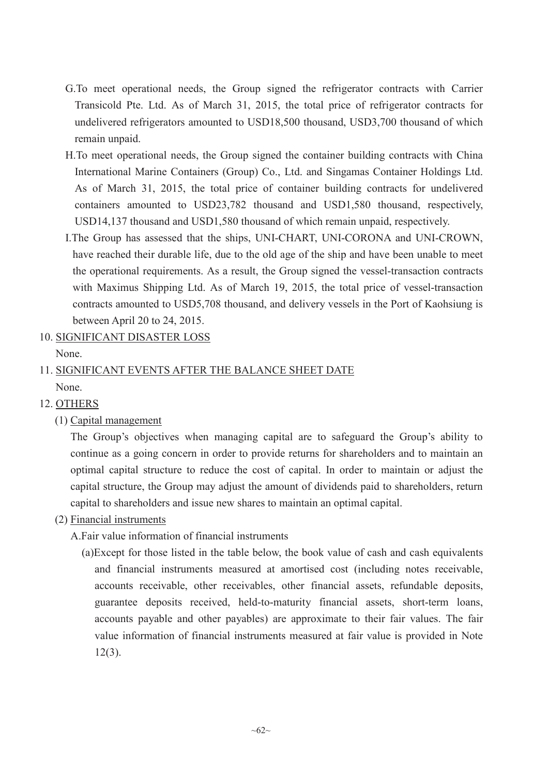- G.To meet operational needs, the Group signed the refrigerator contracts with Carrier Transicold Pte. Ltd. As of March 31, 2015, the total price of refrigerator contracts for undelivered refrigerators amounted to USD18,500 thousand, USD3,700 thousand of which remain unpaid.
- H.To meet operational needs, the Group signed the container building contracts with China International Marine Containers (Group) Co., Ltd. and Singamas Container Holdings Ltd. As of March 31, 2015, the total price of container building contracts for undelivered containers amounted to USD23,782 thousand and USD1,580 thousand, respectively, USD14,137 thousand and USD1,580 thousand of which remain unpaid, respectively.
- I.The Group has assessed that the ships, UNI-CHART, UNI-CORONA and UNI-CROWN, have reached their durable life, due to the old age of the ship and have been unable to meet the operational requirements. As a result, the Group signed the vessel-transaction contracts with Maximus Shipping Ltd. As of March 19, 2015, the total price of vessel-transaction contracts amounted to USD5,708 thousand, and delivery vessels in the Port of Kaohsiung is between April 20 to 24, 2015.
- 10. SIGNIFICANT DISASTER LOSS
	- None.

# 11. SIGNIFICANT EVENTS AFTER THE BALANCE SHEET DATE None.

- 12. OTHERS
	- (1) Capital management

The Group's objectives when managing capital are to safeguard the Group's ability to continue as a going concern in order to provide returns for shareholders and to maintain an optimal capital structure to reduce the cost of capital. In order to maintain or adjust the capital structure, the Group may adjust the amount of dividends paid to shareholders, return capital to shareholders and issue new shares to maintain an optimal capital.

- (2) Financial instruments
	- A.Fair value information of financial instruments
		- (a)Except for those listed in the table below, the book value of cash and cash equivalents and financial instruments measured at amortised cost (including notes receivable, accounts receivable, other receivables, other financial assets, refundable deposits, guarantee deposits received, held-to-maturity financial assets, short-term loans, accounts payable and other payables) are approximate to their fair values. The fair value information of financial instruments measured at fair value is provided in Note 12(3).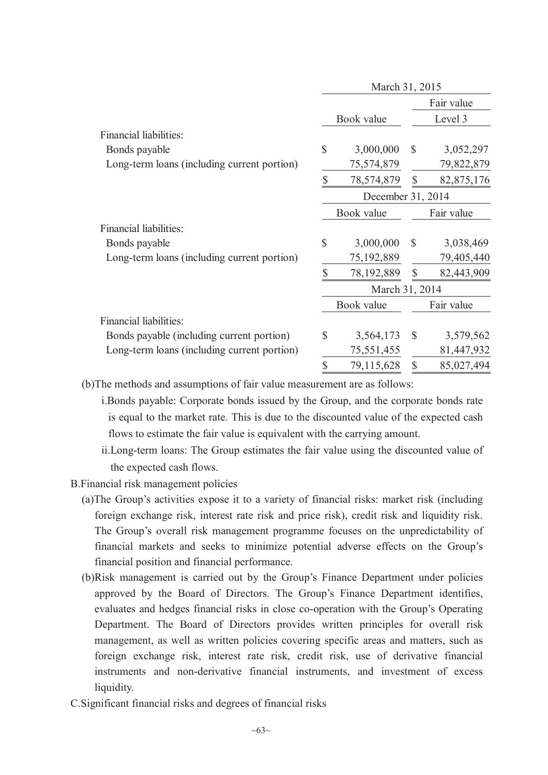|                                             |              | March 31, 2015    |               |            |
|---------------------------------------------|--------------|-------------------|---------------|------------|
|                                             |              |                   |               | Fair value |
|                                             |              | Book value        |               | Level 3    |
| Financial liabilities:                      |              |                   |               |            |
| Bonds payable                               | $\mathbb{S}$ | 3,000,000         | $\mathcal{S}$ | 3,052,297  |
| Long-term loans (including current portion) |              | 75,574,879        |               | 79,822,879 |
|                                             | \$           | 78,574,879        | $\mathbb{S}$  | 82,875,176 |
|                                             |              | December 31, 2014 |               |            |
|                                             |              | Book value        |               | Fair value |
| Financial liabilities:                      |              |                   |               |            |
| Bonds payable                               | \$           | 3,000,000         | $\mathcal{S}$ | 3,038,469  |
| Long-term loans (including current portion) |              | 75,192,889        |               | 79,405,440 |
|                                             | \$           | 78,192,889        | $\mathbb{S}$  | 82,443,909 |
|                                             |              | March 31, 2014    |               |            |
|                                             |              | Book value        |               | Fair value |
| Financial liabilities:                      |              |                   |               |            |
| Bonds payable (including current portion)   | $\mathbb{S}$ | 3,564,173         | $\mathcal{S}$ | 3,579,562  |
| Long-term loans (including current portion) |              | 75,551,455        |               | 81,447,932 |
|                                             | \$           | 79,115,628        | $\mathbb{S}$  | 85,027,494 |
|                                             |              |                   |               |            |

(b)The methods and assumptions of fair value measurement are as follows:

i.Bonds payable: Corporate bonds issued by the Group, and the corporate bonds rate is equal to the market rate. This is due to the discounted value of the expected cash flows to estimate the fair value is equivalent with the carrying amount.

ii.Long-term loans: The Group estimates the fair value using the discounted value of the expected cash flows.

B.Financial risk management policies

- (a)The Group's activities expose it to a variety of financial risks: market risk (including foreign exchange risk, interest rate risk and price risk), credit risk and liquidity risk. The Group's overall risk management programme focuses on the unpredictability of financial markets and seeks to minimize potential adverse effects on the Group's financial position and financial performance.
- (b)Risk management is carried out by the Group's Finance Department under policies approved by the Board of Directors. The Group's Finance Department identifies, evaluates and hedges financial risks in close co-operation with the Group's Operating Department. The Board of Directors provides written principles for overall risk management, as well as written policies covering specific areas and matters, such as foreign exchange risk, interest rate risk, credit risk, use of derivative financial instruments and non-derivative financial instruments, and investment of excess liquidity.
- C.Significant financial risks and degrees of financial risks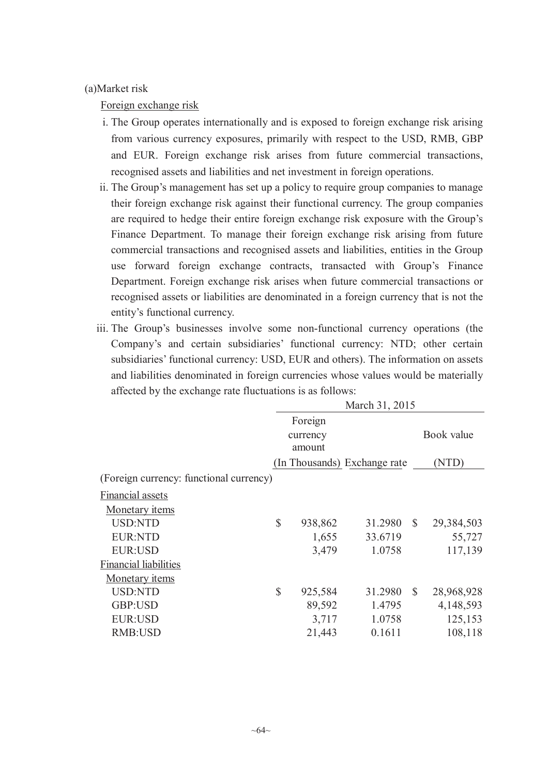### (a)Market risk

Foreign exchange risk

- i. The Group operates internationally and is exposed to foreign exchange risk arising from various currency exposures, primarily with respect to the USD, RMB, GBP and EUR. Foreign exchange risk arises from future commercial transactions, recognised assets and liabilities and net investment in foreign operations.
- ii. The Group's management has set up a policy to require group companies to manage their foreign exchange risk against their functional currency. The group companies are required to hedge their entire foreign exchange risk exposure with the Group's Finance Department. To manage their foreign exchange risk arising from future commercial transactions and recognised assets and liabilities, entities in the Group use forward foreign exchange contracts, transacted with Group's Finance Department. Foreign exchange risk arises when future commercial transactions or recognised assets or liabilities are denominated in a foreign currency that is not the entity's functional currency.
- iii. The Group's businesses involve some non-functional currency operations (the Company's and certain subsidiaries' functional currency: NTD; other certain subsidiaries' functional currency: USD, EUR and others). The information on assets and liabilities denominated in foreign currencies whose values would be materially affected by the exchange rate fluctuations is as follows:

|                                         | March 31, 2015                |         |                              |              |            |
|-----------------------------------------|-------------------------------|---------|------------------------------|--------------|------------|
|                                         | Foreign<br>currency<br>amount |         |                              |              | Book value |
|                                         |                               |         | (In Thousands) Exchange rate |              | (NTD)      |
| (Foreign currency: functional currency) |                               |         |                              |              |            |
| Financial assets                        |                               |         |                              |              |            |
| Monetary <i>items</i>                   |                               |         |                              |              |            |
| <b>USD:NTD</b>                          | $\mathbf S$                   | 938,862 | 31.2980                      | $\mathbb{S}$ | 29,384,503 |
| <b>EUR:NTD</b>                          |                               | 1,655   | 33.6719                      |              | 55,727     |
| <b>EUR:USD</b>                          |                               | 3,479   | 1.0758                       |              | 117,139    |
| <b>Financial liabilities</b>            |                               |         |                              |              |            |
| Monetary items                          |                               |         |                              |              |            |
| <b>USD:NTD</b>                          | $\mathsf{\$}$                 | 925,584 | 31.2980                      | $\mathbb{S}$ | 28,968,928 |
| GBP:USD                                 |                               | 89,592  | 1.4795                       |              | 4,148,593  |
| <b>EUR:USD</b>                          |                               | 3,717   | 1.0758                       |              | 125,153    |
| <b>RMB:USD</b>                          |                               | 21,443  | 0.1611                       |              | 108,118    |
|                                         |                               |         |                              |              |            |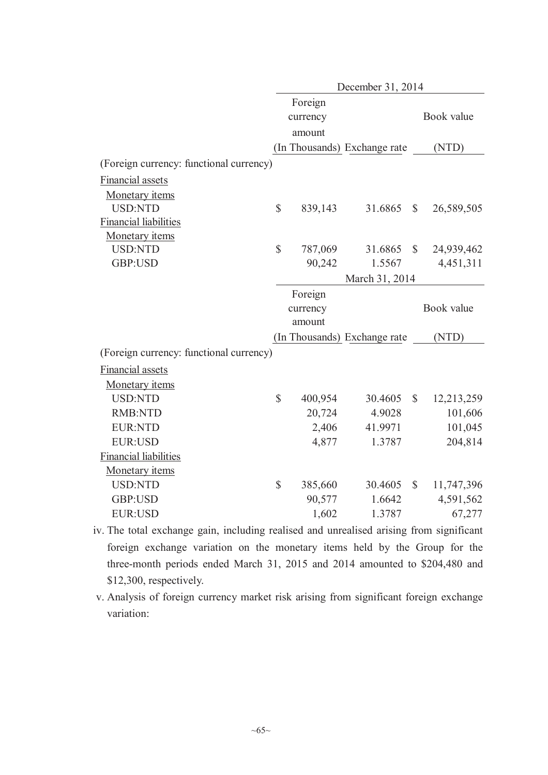| Foreign<br>Book value<br>currency<br>amount<br>(In Thousands) Exchange rate<br>(NTD)<br>(Foreign currency: functional currency)<br><b>Financial assets</b><br>Monetary items<br>$\mathbb{S}$<br><b>USD:NTD</b><br>839,143<br>31.6865<br>$\mathbb{S}$<br>26,589,505<br><b>Financial liabilities</b><br><b>Monetary items</b><br>\$<br><b>USD:NTD</b><br>787,069<br>$\mathcal{S}$<br>31.6865<br>24,939,462<br>GBP:USD<br>90,242<br>1.5567<br>4,451,311<br>March 31, 2014<br>Foreign<br>Book value<br>currency<br>amount<br>(In Thousands) Exchange rate<br>(NTD)<br>(Foreign currency: functional currency)<br>Financial assets<br>Monetary items<br>\$<br><b>USD:NTD</b><br>400,954<br>$\mathcal{S}$<br>30.4605<br>12,213,259<br><b>RMB:NTD</b><br>20,724<br>4.9028<br>101,606 |
|-------------------------------------------------------------------------------------------------------------------------------------------------------------------------------------------------------------------------------------------------------------------------------------------------------------------------------------------------------------------------------------------------------------------------------------------------------------------------------------------------------------------------------------------------------------------------------------------------------------------------------------------------------------------------------------------------------------------------------------------------------------------------------|
|                                                                                                                                                                                                                                                                                                                                                                                                                                                                                                                                                                                                                                                                                                                                                                               |
|                                                                                                                                                                                                                                                                                                                                                                                                                                                                                                                                                                                                                                                                                                                                                                               |
|                                                                                                                                                                                                                                                                                                                                                                                                                                                                                                                                                                                                                                                                                                                                                                               |
|                                                                                                                                                                                                                                                                                                                                                                                                                                                                                                                                                                                                                                                                                                                                                                               |
|                                                                                                                                                                                                                                                                                                                                                                                                                                                                                                                                                                                                                                                                                                                                                                               |
|                                                                                                                                                                                                                                                                                                                                                                                                                                                                                                                                                                                                                                                                                                                                                                               |
|                                                                                                                                                                                                                                                                                                                                                                                                                                                                                                                                                                                                                                                                                                                                                                               |
|                                                                                                                                                                                                                                                                                                                                                                                                                                                                                                                                                                                                                                                                                                                                                                               |
|                                                                                                                                                                                                                                                                                                                                                                                                                                                                                                                                                                                                                                                                                                                                                                               |
|                                                                                                                                                                                                                                                                                                                                                                                                                                                                                                                                                                                                                                                                                                                                                                               |
|                                                                                                                                                                                                                                                                                                                                                                                                                                                                                                                                                                                                                                                                                                                                                                               |
|                                                                                                                                                                                                                                                                                                                                                                                                                                                                                                                                                                                                                                                                                                                                                                               |
|                                                                                                                                                                                                                                                                                                                                                                                                                                                                                                                                                                                                                                                                                                                                                                               |
|                                                                                                                                                                                                                                                                                                                                                                                                                                                                                                                                                                                                                                                                                                                                                                               |
|                                                                                                                                                                                                                                                                                                                                                                                                                                                                                                                                                                                                                                                                                                                                                                               |
|                                                                                                                                                                                                                                                                                                                                                                                                                                                                                                                                                                                                                                                                                                                                                                               |
|                                                                                                                                                                                                                                                                                                                                                                                                                                                                                                                                                                                                                                                                                                                                                                               |
|                                                                                                                                                                                                                                                                                                                                                                                                                                                                                                                                                                                                                                                                                                                                                                               |
|                                                                                                                                                                                                                                                                                                                                                                                                                                                                                                                                                                                                                                                                                                                                                                               |
|                                                                                                                                                                                                                                                                                                                                                                                                                                                                                                                                                                                                                                                                                                                                                                               |
|                                                                                                                                                                                                                                                                                                                                                                                                                                                                                                                                                                                                                                                                                                                                                                               |
|                                                                                                                                                                                                                                                                                                                                                                                                                                                                                                                                                                                                                                                                                                                                                                               |
| 101,045<br>2,406<br><b>EUR:NTD</b><br>41.9971                                                                                                                                                                                                                                                                                                                                                                                                                                                                                                                                                                                                                                                                                                                                 |
| 204,814<br><b>EUR:USD</b><br>1.3787<br>4,877                                                                                                                                                                                                                                                                                                                                                                                                                                                                                                                                                                                                                                                                                                                                  |
| <b>Financial liabilities</b>                                                                                                                                                                                                                                                                                                                                                                                                                                                                                                                                                                                                                                                                                                                                                  |
| Monetary items                                                                                                                                                                                                                                                                                                                                                                                                                                                                                                                                                                                                                                                                                                                                                                |
| \$<br><b>USD:NTD</b><br>385,660<br>30.4605<br>$\mathbb{S}$<br>11,747,396                                                                                                                                                                                                                                                                                                                                                                                                                                                                                                                                                                                                                                                                                                      |
| 90,577<br>GBP:USD<br>1.6642<br>4,591,562                                                                                                                                                                                                                                                                                                                                                                                                                                                                                                                                                                                                                                                                                                                                      |
| <b>EUR:USD</b><br>1,602<br>67,277<br>1.3787                                                                                                                                                                                                                                                                                                                                                                                                                                                                                                                                                                                                                                                                                                                                   |

iv. The total exchange gain, including realised and unrealised arising from significant foreign exchange variation on the monetary items held by the Group for the three-month periods ended March 31, 2015 and 2014 amounted to \$204,480 and \$12,300, respectively.

v. Analysis of foreign currency market risk arising from significant foreign exchange variation: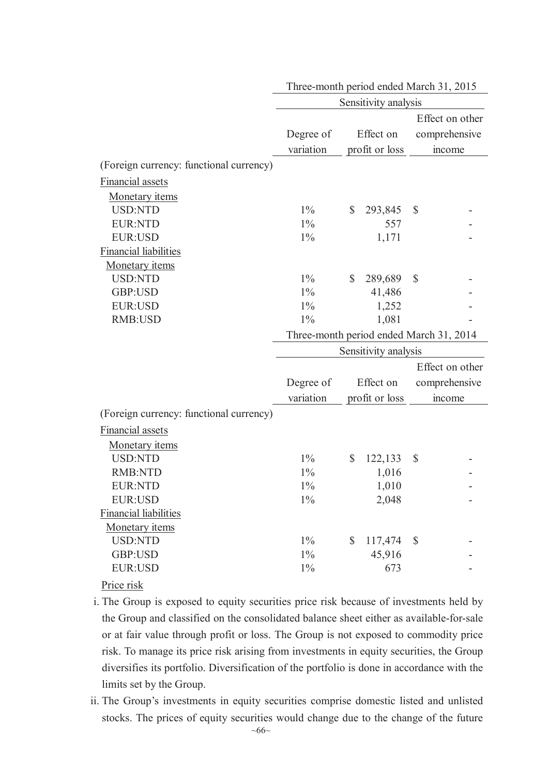|                                         | Sensitivity analysis                    |               |                      |                           |                 |
|-----------------------------------------|-----------------------------------------|---------------|----------------------|---------------------------|-----------------|
|                                         |                                         |               |                      |                           | Effect on other |
|                                         | Degree of                               |               | Effect on            |                           | comprehensive   |
|                                         | variation                               |               | profit or loss       |                           | income          |
| (Foreign currency: functional currency) |                                         |               |                      |                           |                 |
| Financial assets                        |                                         |               |                      |                           |                 |
|                                         |                                         |               |                      |                           |                 |
| Monetary items<br><b>USD:NTD</b>        | $1\%$                                   | $\mathbb{S}$  |                      |                           |                 |
|                                         |                                         |               | 293,845              | $\boldsymbol{\mathsf{S}}$ |                 |
| <b>EUR:NTD</b>                          | $1\%$                                   |               | 557                  |                           |                 |
| <b>EUR:USD</b>                          | $1\%$                                   |               | 1,171                |                           |                 |
| <b>Financial liabilities</b>            |                                         |               |                      |                           |                 |
| Monetary items                          |                                         |               |                      |                           |                 |
| <b>USD:NTD</b>                          | $1\%$                                   | \$            | 289,689              | $\mathbb{S}$              |                 |
| GBP:USD                                 | $1\%$                                   |               | 41,486               |                           |                 |
| <b>EUR:USD</b>                          | $1\%$                                   |               | 1,252                |                           |                 |
| <b>RMB:USD</b>                          | $1\%$                                   |               | 1,081                |                           |                 |
|                                         | Three-month period ended March 31, 2014 |               |                      |                           |                 |
|                                         |                                         |               | Sensitivity analysis |                           |                 |
|                                         |                                         |               |                      |                           | Effect on other |
|                                         | Degree of                               |               | Effect on            |                           | comprehensive   |
|                                         | variation                               |               | profit or loss       |                           | income          |
| (Foreign currency: functional currency) |                                         |               |                      |                           |                 |
| <b>Financial assets</b>                 |                                         |               |                      |                           |                 |
| Monetary items                          |                                         |               |                      |                           |                 |
| <b>USD:NTD</b>                          | $1\%$                                   | $\mathcal{S}$ | 122,133              | $\boldsymbol{\mathsf{S}}$ |                 |
| <b>RMB:NTD</b>                          | $1\%$                                   |               | 1,016                |                           |                 |
| <b>EUR:NTD</b>                          | $1\%$                                   |               | 1,010                |                           |                 |
| <b>EUR:USD</b>                          | $1\%$                                   |               |                      |                           |                 |
|                                         |                                         |               | 2,048                |                           |                 |
| <b>Financial liabilities</b>            |                                         |               |                      |                           |                 |
| Monetary items                          |                                         |               |                      |                           |                 |
| <b>USD:NTD</b>                          | $1\%$                                   | $\mathbb{S}$  | 117,474              | $\mathcal{S}$             |                 |
| GBP:USD                                 | $1\%$                                   |               | 45,916               |                           |                 |
| <b>EUR:USD</b>                          | $1\%$                                   |               | 673                  |                           |                 |
| Price risk                              |                                         |               |                      |                           |                 |

Three-month period ended March 31, 2015

- i. The Group is exposed to equity securities price risk because of investments held by the Group and classified on the consolidated balance sheet either as available-for-sale or at fair value through profit or loss. The Group is not exposed to commodity price risk. To manage its price risk arising from investments in equity securities, the Group diversifies its portfolio. Diversification of the portfolio is done in accordance with the limits set by the Group.
- ii. The Group's investments in equity securities comprise domestic listed and unlisted stocks. The prices of equity securities would change due to the change of the future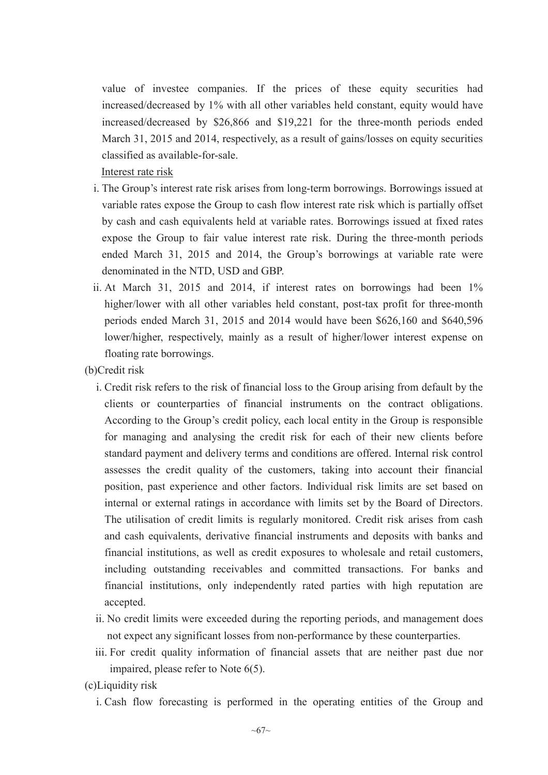value of investee companies. If the prices of these equity securities had increased/decreased by 1% with all other variables held constant, equity would have increased/decreased by \$26,866 and \$19,221 for the three-month periods ended March 31, 2015 and 2014, respectively, as a result of gains/losses on equity securities classified as available-for-sale.

Interest rate risk

- i. The Group's interest rate risk arises from long-term borrowings. Borrowings issued at variable rates expose the Group to cash flow interest rate risk which is partially offset by cash and cash equivalents held at variable rates. Borrowings issued at fixed rates expose the Group to fair value interest rate risk. During the three-month periods ended March 31, 2015 and 2014, the Group's borrowings at variable rate were denominated in the NTD, USD and GBP.
- ii. At March 31, 2015 and 2014, if interest rates on borrowings had been 1% higher/lower with all other variables held constant, post-tax profit for three-month periods ended March 31, 2015 and 2014 would have been \$626,160 and \$640,596 lower/higher, respectively, mainly as a result of higher/lower interest expense on floating rate borrowings.
- (b)Credit risk
	- i. Credit risk refers to the risk of financial loss to the Group arising from default by the clients or counterparties of financial instruments on the contract obligations. According to the Group's credit policy, each local entity in the Group is responsible for managing and analysing the credit risk for each of their new clients before standard payment and delivery terms and conditions are offered. Internal risk control assesses the credit quality of the customers, taking into account their financial position, past experience and other factors. Individual risk limits are set based on internal or external ratings in accordance with limits set by the Board of Directors. The utilisation of credit limits is regularly monitored. Credit risk arises from cash and cash equivalents, derivative financial instruments and deposits with banks and financial institutions, as well as credit exposures to wholesale and retail customers, including outstanding receivables and committed transactions. For banks and financial institutions, only independently rated parties with high reputation are accepted.
	- ii. No credit limits were exceeded during the reporting periods, and management does not expect any significant losses from non-performance by these counterparties.
	- iii. For credit quality information of financial assets that are neither past due nor impaired, please refer to Note 6(5).
- (c)Liquidity risk
	- i. Cash flow forecasting is performed in the operating entities of the Group and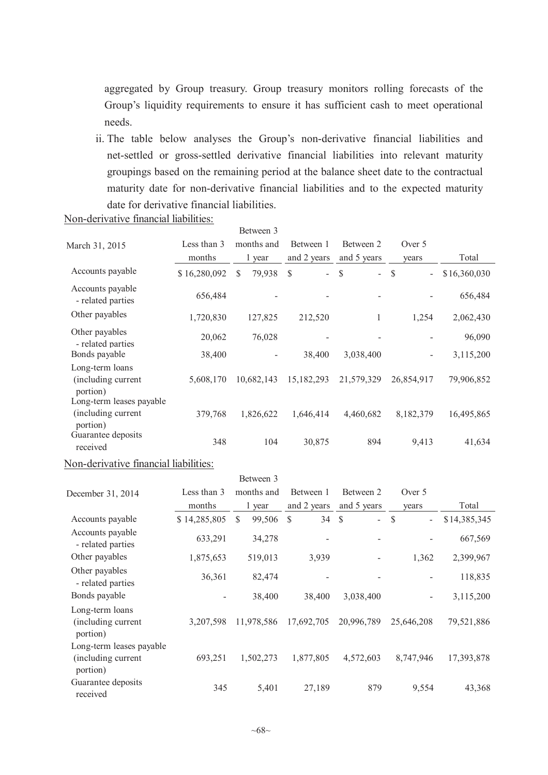aggregated by Group treasury. Group treasury monitors rolling forecasts of the Group's liquidity requirements to ensure it has sufficient cash to meet operational needs.

ii. The table below analyses the Group's non-derivative financial liabilities and net-settled or gross-settled derivative financial liabilities into relevant maturity groupings based on the remaining period at the balance sheet date to the contractual maturity date for non-derivative financial liabilities and to the expected maturity date for derivative financial liabilities.

|                                                                               |              | Between 3               |                                |                                |                                           |              |
|-------------------------------------------------------------------------------|--------------|-------------------------|--------------------------------|--------------------------------|-------------------------------------------|--------------|
| March 31, 2015                                                                | Less than 3  | months and              | Between 1                      | Between 2                      | Over 5                                    |              |
|                                                                               | months       | 1 year                  | and 2 years                    | and 5 years                    | years                                     | Total        |
| Accounts payable                                                              | \$16,280,092 | $\mathbb{S}$<br>79,938  | $\mathbb{S}$<br>$\overline{a}$ | $\mathbb{S}$<br>$\overline{a}$ | $\mathcal{S}$                             | \$16,360,030 |
| Accounts payable<br>- related parties                                         | 656,484      |                         |                                |                                |                                           | 656,484      |
| Other payables                                                                | 1,720,830    | 127,825                 | 212,520                        | 1                              | 1,254                                     | 2,062,430    |
| Other payables<br>- related parties                                           | 20,062       | 76,028                  |                                |                                |                                           | 96,090       |
| Bonds payable                                                                 | 38,400       |                         | 38,400                         | 3,038,400                      |                                           | 3,115,200    |
| Long-term loans<br>(including current<br>portion)<br>Long-term leases payable | 5,608,170    | 10,682,143              | 15,182,293                     | 21,579,329                     | 26,854,917                                | 79,906,852   |
| (including current<br>portion)                                                | 379,768      | 1,826,622               | 1,646,414                      | 4,460,682                      | 8,182,379                                 | 16,495,865   |
| Guarantee deposits<br>received                                                | 348          | 104                     | 30,875                         | 894                            | 9,413                                     | 41,634       |
| Non-derivative financial liabilities:                                         |              |                         |                                |                                |                                           |              |
|                                                                               |              | Between 3               |                                |                                |                                           |              |
| December 31, 2014                                                             | Less than 3  | months and              | Between 1                      | Between 2                      | Over 5                                    |              |
|                                                                               | months       | 1 year                  | and 2 years                    | and 5 years                    | years                                     | Total        |
| Accounts payable                                                              | \$14,285,805 | $\mathcal{S}$<br>99,506 | 34<br>$\mathcal{S}$            | $\mathbb{S}$<br>$\overline{a}$ | $\mathcal{S}$<br>$\overline{\phantom{a}}$ | \$14,385,345 |
| Accounts payable<br>- related parties                                         | 633,291      | 34,278                  |                                |                                |                                           | 667,569      |
| Other payables                                                                | 1,875,653    | 519,013                 | 3,939                          |                                | 1,362                                     | 2,399,967    |
| Other payables<br>- related parties                                           | 36,361       | 82,474                  |                                |                                |                                           | 118,835      |
| Bonds payable                                                                 |              | 38,400                  | 38,400                         | 3,038,400                      |                                           | 3,115,200    |
| Long-term loans<br>(including current<br>portion)                             | 3,207,598    | 11,978,586              | 17,692,705                     | 20,996,789                     | 25,646,208                                | 79,521,886   |
| Long-term leases payable<br>(including current<br>portion)                    | 693,251      | 1,502,273               | 1,877,805                      | 4,572,603                      | 8,747,946                                 | 17,393,878   |

Non-derivative financial liabilities:

Guarantee deposits

received 345 5,401 27,189 879 9,554 43,368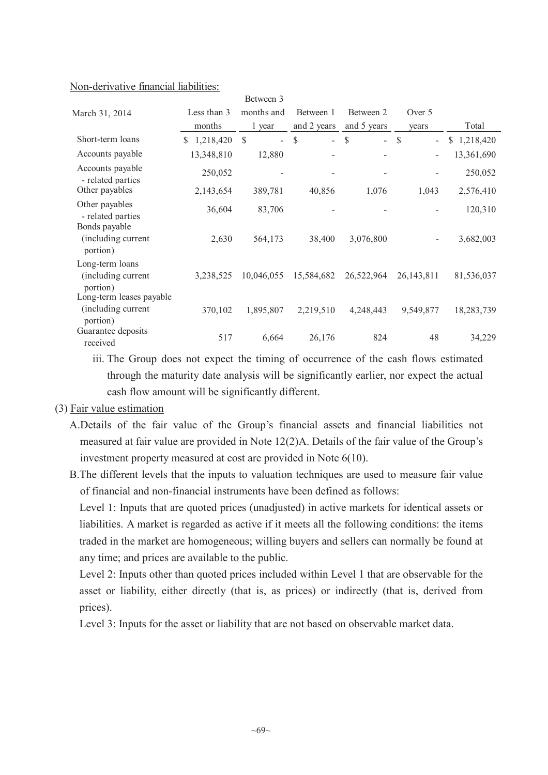|                                                            |                 | Between 3                                 |                        |                                     |                                           |             |
|------------------------------------------------------------|-----------------|-------------------------------------------|------------------------|-------------------------------------|-------------------------------------------|-------------|
| March 31, 2014                                             | Less than 3     | months and                                | Between 1              | Between 2                           | Over 5                                    |             |
|                                                            | months          | 1 year                                    | and 2 years            | and 5 years                         | years                                     | Total       |
| Short-term loans                                           | 1,218,420<br>S. | $\mathcal{S}$<br>$\overline{\phantom{0}}$ | $\mathbb{S}$<br>$\sim$ | $\mathbb{S}$<br>$\mathcal{L}^{\pm}$ | $\mathcal{S}$<br>$\overline{\phantom{0}}$ | \$1,218,420 |
| Accounts payable                                           | 13,348,810      | 12,880                                    |                        |                                     |                                           | 13,361,690  |
| Accounts payable<br>- related parties                      | 250,052         |                                           |                        |                                     |                                           | 250,052     |
| Other payables                                             | 2,143,654       | 389,781                                   | 40,856                 | 1,076                               | 1,043                                     | 2,576,410   |
| Other payables<br>- related parties                        | 36,604          | 83,706                                    |                        |                                     |                                           | 120,310     |
| Bonds payable<br>(including current<br>portion)            | 2,630           | 564,173                                   | 38,400                 | 3,076,800                           |                                           | 3,682,003   |
| Long-term loans<br>(including current<br>portion)          | 3,238,525       | 10,046,055                                | 15,584,682             | 26,522,964                          | 26, 143, 811                              | 81,536,037  |
| Long-term leases payable<br>(including current<br>portion) | 370,102         | 1,895,807                                 | 2,219,510              | 4,248,443                           | 9,549,877                                 | 18,283,739  |
| Guarantee deposits<br>received                             | 517             | 6,664                                     | 26,176                 | 824                                 | 48                                        | 34,229      |

#### Non-derivative financial liabilities:

iii. The Group does not expect the timing of occurrence of the cash flows estimated through the maturity date analysis will be significantly earlier, nor expect the actual cash flow amount will be significantly different.

### (3) Fair value estimation

- A.Details of the fair value of the Group's financial assets and financial liabilities not measured at fair value are provided in Note 12(2)A. Details of the fair value of the Group's investment property measured at cost are provided in Note 6(10).
- B.The different levels that the inputs to valuation techniques are used to measure fair value of financial and non-financial instruments have been defined as follows:

Level 1: Inputs that are quoted prices (unadjusted) in active markets for identical assets or liabilities. A market is regarded as active if it meets all the following conditions: the items traded in the market are homogeneous; willing buyers and sellers can normally be found at any time; and prices are available to the public.

Level 2: Inputs other than quoted prices included within Level 1 that are observable for the asset or liability, either directly (that is, as prices) or indirectly (that is, derived from prices).

Level 3: Inputs for the asset or liability that are not based on observable market data.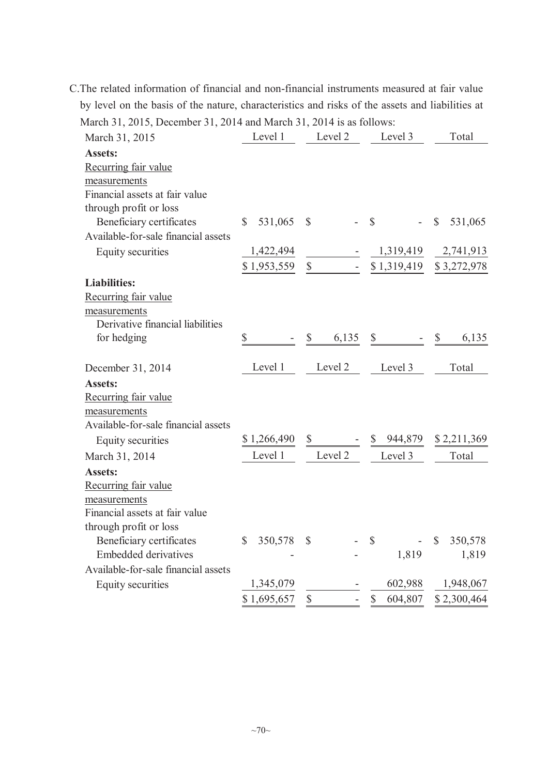| March 31, 2015, December 31, 2014 and March 31, 2014 is as follows: |                         |               |                           |                                    |
|---------------------------------------------------------------------|-------------------------|---------------|---------------------------|------------------------------------|
| March 31, 2015                                                      | Level 1                 | Level 2       | Level 3                   | Total                              |
| <b>Assets:</b>                                                      |                         |               |                           |                                    |
| Recurring fair value                                                |                         |               |                           |                                    |
| measurements                                                        |                         |               |                           |                                    |
| Financial assets at fair value                                      |                         |               |                           |                                    |
| through profit or loss                                              |                         |               |                           |                                    |
| Beneficiary certificates                                            | $\mathbb{S}$<br>531,065 | $\mathcal{S}$ | $\mathbb{S}$              | 531,065<br>$\mathbb{S}$            |
| Available-for-sale financial assets                                 |                         |               |                           |                                    |
| Equity securities                                                   | 1,422,494               |               | 1,319,419                 | 2,741,913                          |
|                                                                     | \$1,953,559             | $\$$          |                           | \$1,319,419 \$3,272,978            |
| <b>Liabilities:</b>                                                 |                         |               |                           |                                    |
| Recurring fair value                                                |                         |               |                           |                                    |
| measurements                                                        |                         |               |                           |                                    |
| Derivative financial liabilities                                    |                         |               |                           |                                    |
| for hedging                                                         | \$                      | \$<br>6,135   | $\boldsymbol{\mathsf{S}}$ | 6,135<br>$\boldsymbol{\mathsf{S}}$ |
| December 31, 2014                                                   | Level 1                 | Level 2       | Level 3                   | Total                              |
| <b>Assets:</b>                                                      |                         |               |                           |                                    |
| Recurring fair value                                                |                         |               |                           |                                    |
| measurements                                                        |                         |               |                           |                                    |
| Available-for-sale financial assets                                 |                         |               |                           |                                    |
| Equity securities                                                   | \$1,266,490             | $\mathbb{S}$  | \$ 944,879                | \$2,211,369                        |
| March 31, 2014                                                      | Level 1                 | Level 2       | Level 3                   | Total                              |
| <b>Assets:</b>                                                      |                         |               |                           |                                    |
| Recurring fair value                                                |                         |               |                           |                                    |
| measurements                                                        |                         |               |                           |                                    |
| Financial assets at fair value                                      |                         |               |                           |                                    |
| through profit or loss                                              |                         |               |                           |                                    |
| Beneficiary certificates                                            | 350,578<br>$\mathbb{S}$ | $\mathbb{S}$  | $\mathcal{S}$             | 350,578<br>$\mathbb{S}$            |
| <b>Embedded derivatives</b>                                         |                         |               | 1,819                     | 1,819                              |
| Available-for-sale financial assets                                 |                         |               |                           |                                    |
| Equity securities                                                   | 1,345,079               |               | 602,988                   | 1,948,067                          |
|                                                                     | \$1,695,657             | \$            | $\mathbb{S}$<br>604,807   | \$2,300,464                        |

C.The related information of financial and non-financial instruments measured at fair value by level on the basis of the nature, characteristics and risks of the assets and liabilities at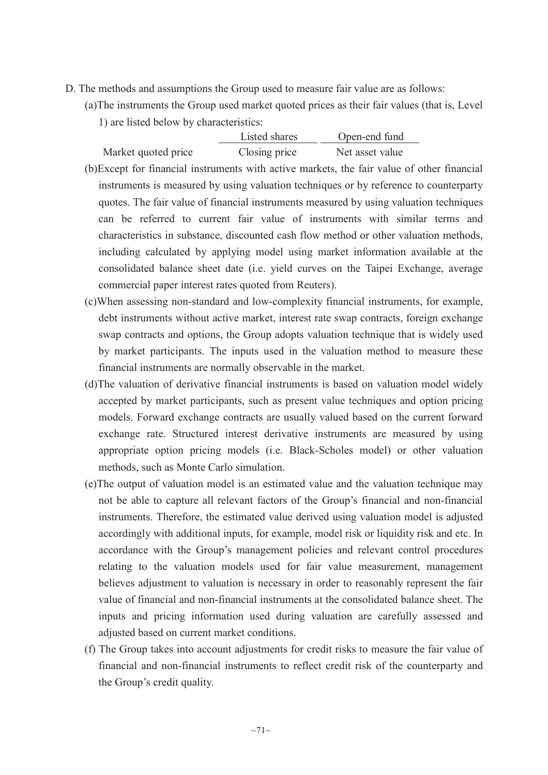- D. The methods and assumptions the Group used to measure fair value are as follows:
	- (a)The instruments the Group used market quoted prices as their fair values (that is, Level 1) are listed below by characteristics:

|                     | Listed shares | Open-end fund   |
|---------------------|---------------|-----------------|
| Market quoted price | Closing price | Net asset value |

- (b)Except for financial instruments with active markets, the fair value of other financial instruments is measured by using valuation techniques or by reference to counterparty quotes. The fair value of financial instruments measured by using valuation techniques can be referred to current fair value of instruments with similar terms and characteristics in substance, discounted cash flow method or other valuation methods, including calculated by applying model using market information available at the consolidated balance sheet date (i.e. yield curves on the Taipei Exchange, average commercial paper interest rates quoted from Reuters).
- (c)When assessing non-standard and low-complexity financial instruments, for example, debt instruments without active market, interest rate swap contracts, foreign exchange swap contracts and options, the Group adopts valuation technique that is widely used by market participants. The inputs used in the valuation method to measure these financial instruments are normally observable in the market.
- (d)The valuation of derivative financial instruments is based on valuation model widely accepted by market participants, such as present value techniques and option pricing models. Forward exchange contracts are usually valued based on the current forward exchange rate. Structured interest derivative instruments are measured by using appropriate option pricing models (i.e. Black-Scholes model) or other valuation methods, such as Monte Carlo simulation.
- (e)The output of valuation model is an estimated value and the valuation technique may not be able to capture all relevant factors of the Group's financial and non-financial instruments. Therefore, the estimated value derived using valuation model is adjusted accordingly with additional inputs, for example, model risk or liquidity risk and etc. In accordance with the Group's management policies and relevant control procedures relating to the valuation models used for fair value measurement, management believes adjustment to valuation is necessary in order to reasonably represent the fair value of financial and non-financial instruments at the consolidated balance sheet. The inputs and pricing information used during valuation are carefully assessed and adjusted based on current market conditions.
- (f) The Group takes into account adjustments for credit risks to measure the fair value of financial and non-financial instruments to reflect credit risk of the counterparty and the Group's credit quality.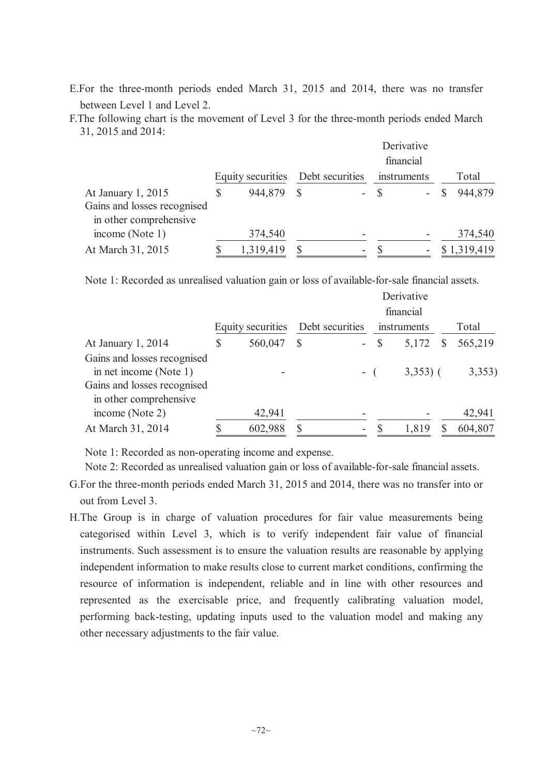- E.For the three-month periods ended March 31, 2015 and 2014, there was no transfer between Level 1 and Level 2.
- F.The following chart is the movement of Level 3 for the three-month periods ended March 31, 2015 and 2014:

|                             |                   |                 |      | Derivative  |             |
|-----------------------------|-------------------|-----------------|------|-------------|-------------|
|                             |                   |                 |      | financial   |             |
|                             | Equity securities | Debt securities |      | instruments | Total       |
| At January 1, 2015          | 944,879           |                 | - \$ |             | 944,879     |
| Gains and losses recognised |                   |                 |      |             |             |
| in other comprehensive      |                   |                 |      |             |             |
| income (Note 1)             | 374,540           |                 |      |             | 374,540     |
| At March 31, 2015           | 1,319,419         | ۰               |      | -           | \$1,319,419 |

Note 1: Recorded as unrealised valuation gain or loss of available-for-sale financial assets.

|                                                       |                   |                 |  |             | Derivative  |         |
|-------------------------------------------------------|-------------------|-----------------|--|-------------|-------------|---------|
|                                                       |                   |                 |  |             | financial   |         |
|                                                       | Equity securities | Debt securities |  | instruments |             | Total   |
| At January 1, 2014                                    | \$<br>560,047     | $\mathcal{S}$   |  | $-$ \$      | $5,172$ \$  | 565,219 |
| Gains and losses recognised<br>in net income (Note 1) |                   |                 |  | $-$ (       | $3,353$ ) ( | 3,353   |
| Gains and losses recognised<br>in other comprehensive |                   |                 |  |             |             |         |
| income (Note 2)                                       | 42,941            |                 |  |             |             | 42,941  |
| At March 31, 2014                                     | 602,988           |                 |  |             | 1,819       | 604,807 |

Note 1: Recorded as non-operating income and expense.

Note 2: Recorded as unrealised valuation gain or loss of available-for-sale financial assets.

- G.For the three-month periods ended March 31, 2015 and 2014, there was no transfer into or out from Level 3.
- H.The Group is in charge of valuation procedures for fair value measurements being categorised within Level 3, which is to verify independent fair value of financial instruments. Such assessment is to ensure the valuation results are reasonable by applying independent information to make results close to current market conditions, confirming the resource of information is independent, reliable and in line with other resources and represented as the exercisable price, and frequently calibrating valuation model, performing back-testing, updating inputs used to the valuation model and making any other necessary adjustments to the fair value.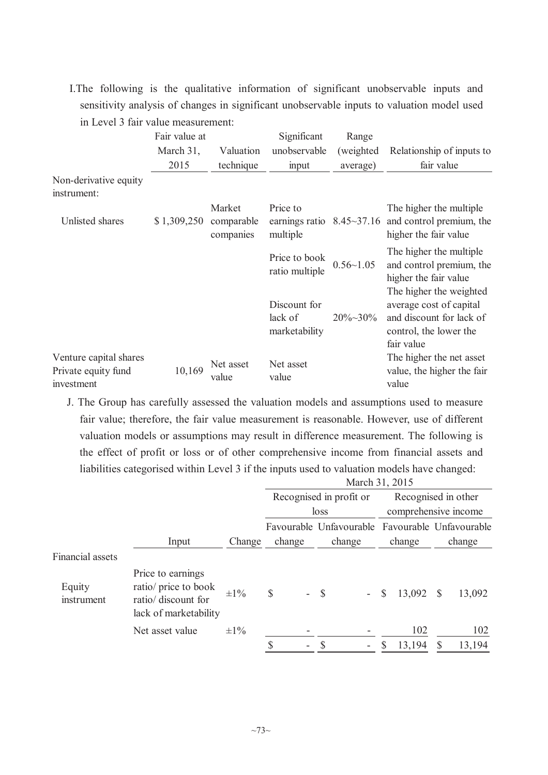I.The following is the qualitative information of significant unobservable inputs and sensitivity analysis of changes in significant unobservable inputs to valuation model used in Level 3 fair value measurement:

|                                                             | Fair value at |                                   | Significant                                              | Range            |                                                                                                                        |
|-------------------------------------------------------------|---------------|-----------------------------------|----------------------------------------------------------|------------------|------------------------------------------------------------------------------------------------------------------------|
|                                                             | March 31,     | Valuation                         | unobservable                                             | (weighted)       | Relationship of inputs to                                                                                              |
|                                                             | 2015          | technique                         | input                                                    | average)         | fair value                                                                                                             |
| Non-derivative equity<br>instrument:                        |               |                                   |                                                          |                  |                                                                                                                        |
| Unlisted shares                                             | \$1,309,250   | Market<br>comparable<br>companies | Price to<br>earnings ratio $8.45 \sim 37.16$<br>multiple |                  | The higher the multiple<br>and control premium, the<br>higher the fair value                                           |
|                                                             |               |                                   | Price to book<br>ratio multiple                          | $0.56 - 1.05$    | The higher the multiple<br>and control premium, the<br>higher the fair value                                           |
|                                                             |               |                                   | Discount for<br>lack of<br>marketability                 | $20\% \sim 30\%$ | The higher the weighted<br>average cost of capital<br>and discount for lack of<br>control, the lower the<br>fair value |
| Venture capital shares<br>Private equity fund<br>investment | 10,169        | Net asset<br>value                | Net asset<br>value                                       |                  | The higher the net asset<br>value, the higher the fair<br>value                                                        |

J. The Group has carefully assessed the valuation models and assumptions used to measure fair value; therefore, the fair value measurement is reasonable. However, use of different valuation models or assumptions may result in difference measurement. The following is the effect of profit or loss or of other comprehensive income from financial assets and liabilities categorised within Level 3 if the inputs used to valuation models have changed:  $M_{\text{enob}}$  31, 2015

|                         |                                                                                           |           | March $31, 2015$               |                                                 |                        |                        |  |  |  |  |  |  |
|-------------------------|-------------------------------------------------------------------------------------------|-----------|--------------------------------|-------------------------------------------------|------------------------|------------------------|--|--|--|--|--|--|
|                         |                                                                                           |           |                                | Recognised in profit or                         |                        | Recognised in other    |  |  |  |  |  |  |
|                         |                                                                                           |           |                                | loss                                            |                        | comprehensive income   |  |  |  |  |  |  |
|                         |                                                                                           |           |                                | Favourable Unfavourable Favourable Unfavourable |                        |                        |  |  |  |  |  |  |
|                         | Input                                                                                     | Change    | change                         | change                                          | change                 | change                 |  |  |  |  |  |  |
| <b>Financial assets</b> |                                                                                           |           |                                |                                                 |                        |                        |  |  |  |  |  |  |
| Equity<br>instrument    | Price to earnings<br>ratio/ price to book<br>ratio/ discount for<br>lack of marketability | $\pm 1\%$ | \$<br>$\overline{\phantom{0}}$ | <b>S</b><br>$\sim$ $-$                          | 13,092<br>$\mathbb{S}$ | 13,092<br><sup>S</sup> |  |  |  |  |  |  |
|                         | Net asset value                                                                           | $\pm 1\%$ |                                |                                                 | 102                    | 102                    |  |  |  |  |  |  |
|                         |                                                                                           |           | \$<br>$\overline{\phantom{0}}$ | \$<br>$\overline{\phantom{a}}$                  | 13,194<br>\$           | 13,194<br>$\mathbb{S}$ |  |  |  |  |  |  |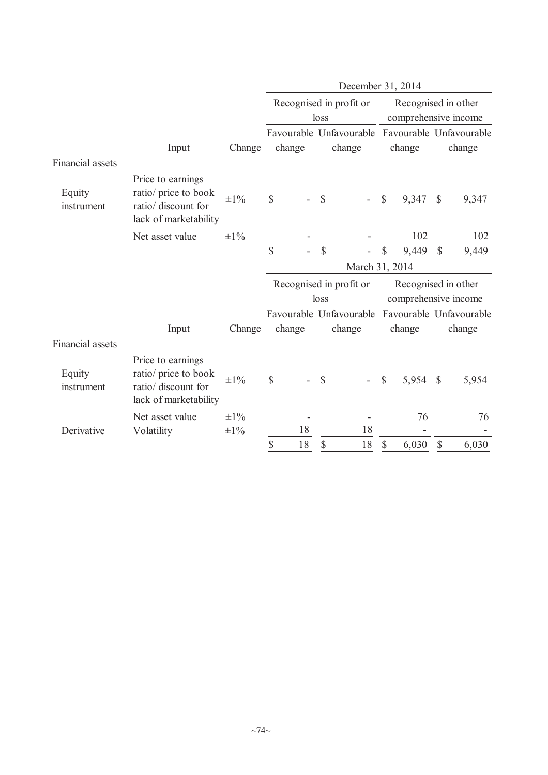|                         |                                                                                           |           | December 31, 2014 |        |               |                         |                |                                             |               |                                                           |  |  |
|-------------------------|-------------------------------------------------------------------------------------------|-----------|-------------------|--------|---------------|-------------------------|----------------|---------------------------------------------|---------------|-----------------------------------------------------------|--|--|
|                         |                                                                                           |           |                   |        | loss          | Recognised in profit or |                | Recognised in other<br>comprehensive income |               |                                                           |  |  |
|                         |                                                                                           |           |                   |        |               | Favourable Unfavourable |                |                                             |               | Favourable Unfavourable                                   |  |  |
|                         | Input                                                                                     | Change    |                   | change |               | change                  |                | change                                      |               | change                                                    |  |  |
| <b>Financial</b> assets |                                                                                           |           |                   |        |               |                         |                |                                             |               |                                                           |  |  |
| Equity<br>instrument    | Price to earnings<br>ratio/ price to book<br>ratio/ discount for<br>lack of marketability | $\pm 1\%$ | \$                |        | $\mathbb{S}$  |                         | $\$$           | 9,347                                       | $\mathbb{S}$  | 9,347                                                     |  |  |
|                         | Net asset value                                                                           | $\pm 1\%$ |                   |        |               |                         |                | 102                                         |               | 102                                                       |  |  |
|                         |                                                                                           |           | $\mathcal{S}$     |        | $\mathsf{\$}$ |                         | \$             | 9,449                                       | $\mathbb{S}$  | 9,449                                                     |  |  |
|                         |                                                                                           |           |                   |        |               |                         | March 31, 2014 |                                             |               |                                                           |  |  |
|                         |                                                                                           |           |                   |        | loss          | Recognised in profit or |                | Recognised in other<br>comprehensive income |               |                                                           |  |  |
|                         | Input                                                                                     | Change    |                   | change |               | change                  |                | change                                      |               | Favourable Unfavourable Favourable Unfavourable<br>change |  |  |
| <b>Financial</b> assets |                                                                                           |           |                   |        |               |                         |                |                                             |               |                                                           |  |  |
| Equity<br>instrument    | Price to earnings<br>ratio/ price to book<br>ratio/ discount for<br>lack of marketability | $\pm 1\%$ | \$                |        | \$            |                         | $\mathbb S$    | 5,954                                       | $\mathcal{S}$ | 5,954                                                     |  |  |
|                         | Net asset value                                                                           | $\pm 1\%$ |                   |        |               |                         |                | 76                                          |               | 76                                                        |  |  |
| Derivative              | Volatility                                                                                | $\pm 1\%$ |                   | 18     |               | 18                      |                |                                             |               |                                                           |  |  |
|                         |                                                                                           |           | \$                | 18     | \$            | 18                      | \$             | 6,030                                       | \$            | 6,030                                                     |  |  |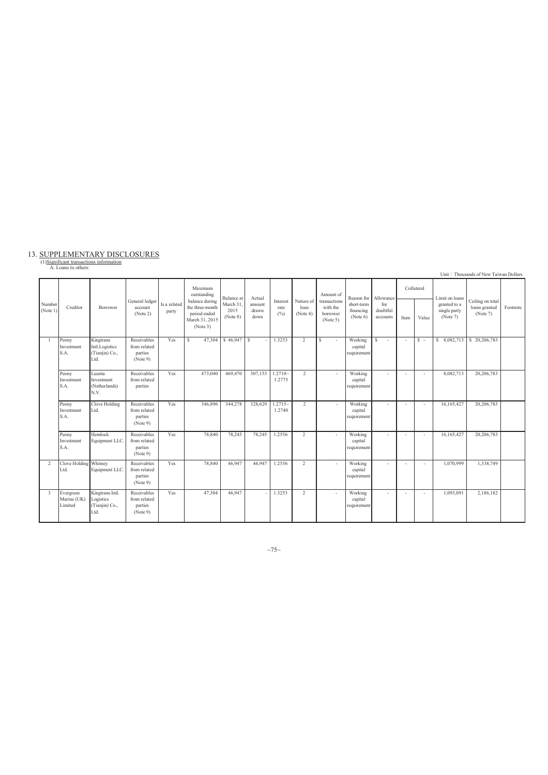# 13. SUPPLEMENTARY DISCLOSURES<br>(1)Significant transactions information<br>A. Loans to others:

|                    |                                     |                                                        |                                                    |                       |                                                                                                           |                                            |                                   |                                   |                               |                                                               |                                                   |                                          |                          |                     |                                                            | Unit: Thousands of New Taiwan Dollars         |          |
|--------------------|-------------------------------------|--------------------------------------------------------|----------------------------------------------------|-----------------------|-----------------------------------------------------------------------------------------------------------|--------------------------------------------|-----------------------------------|-----------------------------------|-------------------------------|---------------------------------------------------------------|---------------------------------------------------|------------------------------------------|--------------------------|---------------------|------------------------------------------------------------|-----------------------------------------------|----------|
| Number<br>(Note 1) | Creditor                            | Borrower                                               | General ledger<br>account<br>(Note 2)              | Is a related<br>party | Maximum<br>outstanding<br>balance during<br>the three-month<br>period ended<br>March 31, 2015<br>(Note 3) | Balance at<br>March 31<br>2015<br>(Note 8) | Actual<br>amount<br>drawn<br>down | Interest<br>rate<br>$(^{0}/_{0})$ | Nature of<br>loan<br>(Note 4) | Amount of<br>transactions<br>with the<br>borrower<br>(Note 5) | Reason for<br>short-term<br>financing<br>(Note 6) | Allowance<br>for<br>doubtful<br>accounts | Item                     | Collateral<br>Value | Limit on loans<br>granted to a<br>single party<br>(Note 7) | Ceiling on total<br>loans granted<br>(Note 7) | Footnote |
| - 1                | Peony<br>Investment<br>S.A.         | Kingtrans<br>Intl.Logistics<br>(Tianjin) Co.,<br>Ltd.  | Receivables<br>from related<br>parties<br>(Note 9) | Yes                   | $\mathbf{s}$<br>47.304                                                                                    | $\frac{1}{2}$ \$ 46.947 \ \ \$             |                                   | 1.3253                            | 2                             | s                                                             | Working<br>capital<br>requirement                 | <sup>\$</sup><br>$\sim$                  | $\sim$                   | $S -$               | \$8,082,713                                                | \$20,206,783                                  |          |
|                    | Peony<br>Investment<br>S.A.         | Luanta<br>Investment<br>(Netherlands)<br>N.V.          | Receivables<br>from related<br>parties             | Yes                   | 473.040                                                                                                   | 469,470                                    | 307.153                           | $1.2710-$<br>1.2775               | 2                             |                                                               | Working<br>capital<br>requirement                 |                                          | $\overline{\phantom{a}}$ | ٠                   | 8,082,713                                                  | 20,206,783                                    |          |
|                    | Peony<br>Investment<br>S.A.         | Clove Holding<br>Ltd.                                  | Receivables<br>from related<br>parties<br>(Note 9) | Yes                   | 346,896                                                                                                   | 344,278                                    | 328,629                           | $1.2715-$<br>1.2740               | 2                             |                                                               | Working<br>capital<br>requirement                 |                                          |                          | ٠                   | 16,165,427                                                 | 20,206,783                                    |          |
|                    | Peony<br>Investment<br>S.A.         | Hemlock<br>Equipment LLC.                              | Receivables<br>from related<br>parties<br>(Note 9) | Yes                   | 78,840                                                                                                    | 78,245                                     | 78,245                            | 1.2556                            | $\overline{2}$                |                                                               | Working<br>capital<br>requirement                 |                                          | $\sim$                   | ÷.                  | 16,165,427                                                 | 20,206,783                                    |          |
| 2                  | Clove Holding Whitney<br>Ltd.       | Equipment LLC                                          | Receivables<br>from related<br>parties<br>(Note 9) | Yes                   | 78,840                                                                                                    | 46,947                                     | 46.947                            | 1.2556                            | 2                             | ٠                                                             | Working<br>capital<br>requirement                 |                                          | $\overline{\phantom{a}}$ | ٠                   | 1,070,999                                                  | 1,338,749                                     |          |
| 3                  | Evergreen<br>Marine (UK)<br>Limited | Kingtrans Intl.<br>Logistics<br>(Tianjin) Co.,<br>Ltd. | Receivables<br>from related<br>parties<br>(Note 9) | Yes                   | 47,304                                                                                                    | 46,947                                     |                                   | 1.3253                            | 2                             |                                                               | Working<br>capital<br>requirement                 | ٠                                        | $\overline{\phantom{a}}$ | ٠                   | 1,093,091                                                  | 2,186,182                                     |          |

 $~175~$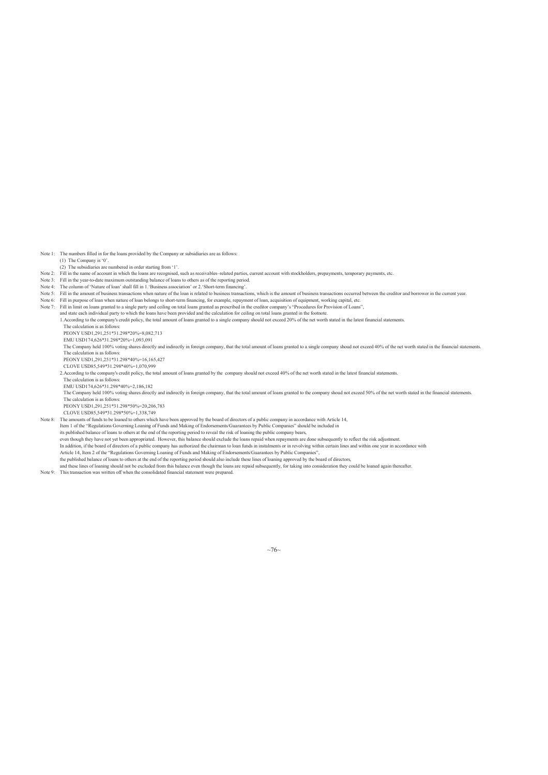Note 1: The numbers filled in for the loans provided by the Company or subsidiaries are as follows:

- (1) The Company is '0'.
- (2) The subsidiaries are numbered in order starting from '1'. Note 2: Fill in the name of account in which the loans are recognised, such as receivables-related parties, current account with stockholders, prepayments, temporary payments, etc.
- 
- Note 3: Fill in the year-to-date maximum outstanding balance of loans to others as of the reporting period. Note 4: The column of 'Nature of loan' shall fill in 1.'Business association' or 2.'Short-term financing'.
- 
- Note 5: Fill in the amount of business transactions when nature of the loan is related to business transactions, which is the amount of business transactions occurred between the creditor and borrower in the current year.<br>
- Note 7: Fill in limit on loans granted to a single party and ceiling on total loans granted as prescribed in the creditor company's "Procedures for Provision of Loans",
- - and state each individual party to which the loans have been provided and the calculation for ceiling on total loans granted in the footnote.<br>1.According to the company's credit policy, the total amount of loans granted to
		- The calculation is as follows:
		- PEONY USD1,291,251\*31.298\*20%=8,082,713
		- EMU USD174,626\*31.298\*20%=1,093,091
		- The Company held 100% voting shares directly and indirectly in foreign company, that the total amount of loans granted to a single company shoud not exceed 40% of the net worth stated in the financial statements. The calculation is as follows:
		- PEONY USD1,291,251\*31.298\*40%=16,165,427
		- CLOVE USD85,549\*31.298\*40%=1,070,999
- 2.According to the company's credit policy, the total amount of loans granted by the company should not exceed 40% of the net worth stated in the latest financial statements.
	- The calculation is as follows: EMU USD174,626\*31.298\*40%=2,186,182
	- The Company held 100% voting shares directly and indirectly in foreign company, that the total amount of loans granted to the company shoud not exceed 50% of the net worth stated in the financial statements.
	- The calculation is as follows: PEONY USD1,291,251\*31.298\*50%=20,206,783
	- CLOVE USD85,549\*31.298\*50%=1,338,749

Note 8: The amounts of funds to be loaned to others which have been approved by the board of directors of a public company in accordance with Article 14,

Item 1 of the "Regulations Governing Loaning of Funds and Making of Endorsements/Guarantees by Public Companies" should be included in

its published balance of loans to others at the end of the reporting period to reveal the risk of loaning the public company bears,<br>even though they have not yet been appropriated. However, this balance should exclude the

- In addition, if the board of directors of a public company has authorized the chairman to loan funds in instalments or in revolving within certain lines and within one year in accordance with<br>Article 14, Item 2 of the "Reg
- the published balance of loans to others at the end of the reporting period should also include these lines of loaning approved by the board of directors,
- and these lines of loaning should not be excluded from this balance even though the loans are repaid subsequently, for taking into consideration they could be loaned again thereafter.
- Note 9: This transaction was written off when the consolidated financial statement were prepared.

 $~10~$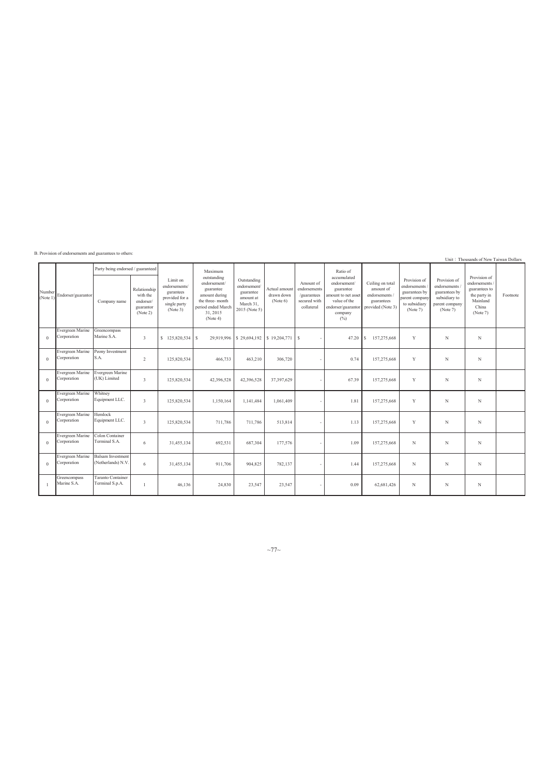|                    | D. I TOVISION OF CHAOLSCHICHES and guarantees to others. |                                                   |                                                                |                                                                                      |                                                                                                                                       |                                                                                     |                                         |                                                                        |                                                                                                                                     |                                                                                  |                                                                                              |                                                                                              | Unit: Thousands of New Taiwan Dollars                                                            |          |
|--------------------|----------------------------------------------------------|---------------------------------------------------|----------------------------------------------------------------|--------------------------------------------------------------------------------------|---------------------------------------------------------------------------------------------------------------------------------------|-------------------------------------------------------------------------------------|-----------------------------------------|------------------------------------------------------------------------|-------------------------------------------------------------------------------------------------------------------------------------|----------------------------------------------------------------------------------|----------------------------------------------------------------------------------------------|----------------------------------------------------------------------------------------------|--------------------------------------------------------------------------------------------------|----------|
| Number<br>(Note 1) | Endorser/guarantor                                       | Party being endorsed / guaranteed<br>Company name | Relationship<br>with the<br>endorser/<br>guarantor<br>(Note 2) | Limit on<br>endorsements/<br>gurantees<br>provided for a<br>single party<br>(Note 3) | Maximum<br>outstanding<br>endorsement/<br>guarantee<br>amount during<br>the three-month<br>period ended March<br>31, 2015<br>(Note 4) | Outstanding<br>endorsement/<br>guarantee<br>amount at<br>March 31,<br>2015 (Note 5) | Actual amount<br>drawn down<br>(Note 6) | Amount of<br>endorsements<br>/guarantees<br>secured with<br>collateral | Ratio of<br>accumulated<br>endorsement/<br>guarantee<br>amount to net asset<br>value of the<br>endorser/guarantor<br>company<br>(%) | Ceiling on total<br>amount of<br>endorsements<br>guarantees<br>provided (Note 3) | Provision of<br>endorsements<br>guarantees by<br>parent company<br>to subsidiary<br>(Note 7) | Provision of<br>endorsements<br>guarantees by<br>subsidiary to<br>parent company<br>(Note 7) | Provision of<br>endorsements /<br>guarantees to<br>the party in<br>Mainland<br>China<br>(Note 7) | Footnote |
| $\Omega$           | Evergreen Marine Greencompass<br>Corporation             | Marine S.A.                                       | $3 -$                                                          | \$125,820,534 \$                                                                     |                                                                                                                                       | 29.919.996   \$29,694,192                                                           | \$19.204.771                            | l s                                                                    | 47.20                                                                                                                               | 157,275,668<br>S.                                                                | Y                                                                                            | N                                                                                            | N                                                                                                |          |
| $\theta$           | Evergreen Marine<br>Corporation                          | Peony Investment<br>S.A.                          | $\overline{2}$                                                 | 125,820,534                                                                          | 466,733                                                                                                                               | 463,210                                                                             | 306,720                                 |                                                                        | 0.74                                                                                                                                | 157,275,668                                                                      | Y                                                                                            | N                                                                                            | N                                                                                                |          |
| $\theta$           | Evergreen Marine Evergreen Marine<br>Corporation         | (UK) Limited                                      | $\overline{3}$                                                 | 125,820,534                                                                          | 42,396,528                                                                                                                            | 42,396,528                                                                          | 37,397,629                              |                                                                        | 67.39                                                                                                                               | 157,275,668                                                                      | Y                                                                                            | N                                                                                            | N                                                                                                |          |
| $\theta$           | Evergreen Marine<br>Corporation                          | Whitney<br>Equipment LLC.                         | $\overline{3}$                                                 | 125,820,534                                                                          | 1,150,164                                                                                                                             | 1,141,484                                                                           | 1,061,409                               |                                                                        | 1.81                                                                                                                                | 157,275,668                                                                      | Y                                                                                            | N                                                                                            | N                                                                                                |          |
| $\Omega$           | Evergreen Marine Hemlock<br>Corporation                  | Equipment LLC.                                    | 3                                                              | 125,820,534                                                                          | 711,786                                                                                                                               | 711.786                                                                             | 513,814                                 |                                                                        | 1.13                                                                                                                                | 157,275,668                                                                      | Y                                                                                            | N                                                                                            | N                                                                                                |          |
| $\theta$           | Evergreen Marine<br>Corporation                          | Colon Container<br>Terminal S.A.                  | 6                                                              | 31,455,134                                                                           | 692,531                                                                                                                               | 687.304                                                                             | 177,576                                 |                                                                        | 1.09                                                                                                                                | 157,275,668                                                                      | N                                                                                            | N                                                                                            | N                                                                                                |          |
| $\theta$           | Evergreen Marine<br>Corporation                          | <b>Balsam</b> Investment<br>(Netherlands) N.V.    | 6                                                              | 31,455,134                                                                           | 911,706                                                                                                                               | 904,825                                                                             | 782,137                                 |                                                                        | 1.44                                                                                                                                | 157,275,668                                                                      | N                                                                                            | N                                                                                            | N                                                                                                |          |
|                    | Greencompass<br>Marine S.A.                              | <b>Taranto Container</b><br>Terminal S.p.A.       | -1                                                             | 46,136                                                                               | 24,830                                                                                                                                | 23,547                                                                              | 23,547                                  |                                                                        | 0.09                                                                                                                                | 62,681,426                                                                       | N                                                                                            | N                                                                                            | N                                                                                                |          |

B. Provision of endorsements and guarantees to others:

 $~\sim$ 77 $\sim$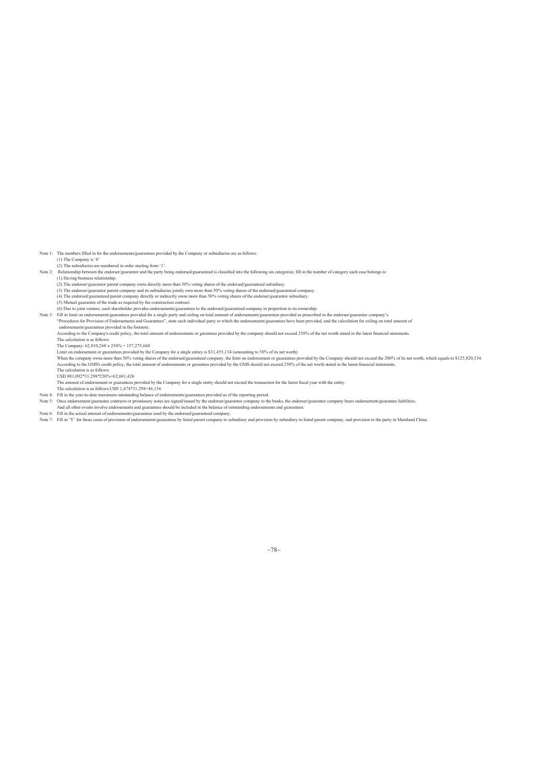Note 1: The numbers filled in for the endorsements/guarantees provided by the Company or subsidiaries are as follows: (1) The Company is '0'

(2) The subsidiaries are numbered in order starting from '1'.<br>Note 2: Relationship between the endorser/guarantor and the party being endorsed/guaranteed is classified into the following six categories; fill in the number (1) Having business relationship.

(2) The endorser/guarantor parent company owns directly more than 50% voting shares of the endorsed/guaranteed subsidiary.

(3) The endorser/guarantor parent company and its subsidiaries jointly own more than 50% voting shares of the endorsed/guaranteed company.

(4) The endorsed/guaranteed parent company directly or indirectly owns more than 50% voting shares of the endorser/guarantor subsidiary. (5) Mutual guarantee of the trade as required by the construction contract.

(6) Due to joint venture, each shareholder provides endorsements/guarantees to the endorsed/guaranteed company in proportion to its ownership.<br>Note 3: Fill in limit on endorsements/guarantees provided for a single party an

endorsements/guarantees provided in the footnote.<br>According to the Company's credit policy, the total amount of endorsements or gurantees provided by the company should not exceed 250% of the net worth stated in the latest

The Company: 62,910,268 x 250% = 157,275,668

Limit on endorsement or guarantees provided by the Company for a single enticy is \$31,455,134 (amounting to 50% of its net worth)<br>When the company owns more than 50% voting shares of the endorsed/guaranteed company, the li

The calculation is as follows: USD 801,092\*31.298\*250%=62,681,426

The amount of endorsement or guarantees provided by the Company for a single entity should not exceed the transaction for the latest fiscal year with the entity. The calculation is as follows:USD 1,474\*31.298=46,136

Note 4: Fill in the year-to-date maximum outstanding balance of endorsements/guarantees provided as of the reporting period.

- 
- 
- Note 5: Once endorsement/guarantee contracts or promissory notes are signed/issued by the endorser/guarantor company to the banks, the endorser/guarantor company bears endorsement/guarantee liabilities.<br>And all other event

 $~10$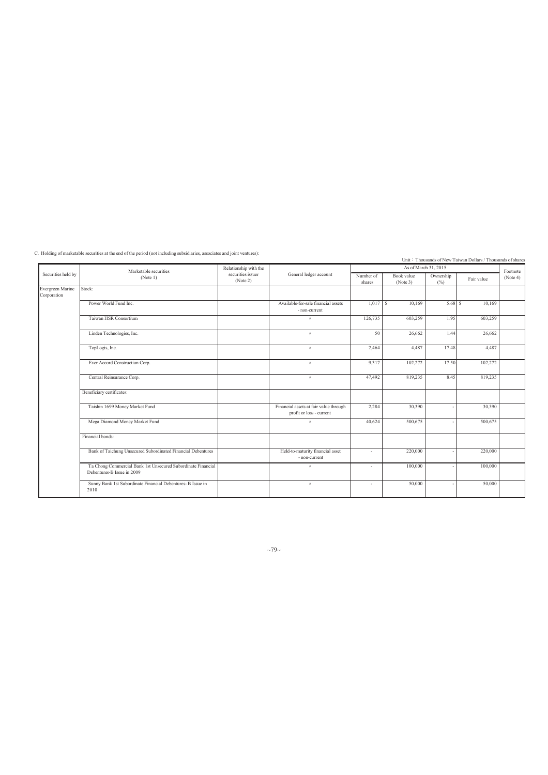C. Holding of marketable securities at the end of the period (not including subsidiaries, associates and joint ventures):

Unit: Thousands of New Taiwan Dollars / Thousands of shares Number of shares Securities held by Marketable securities<br>
(Note 1) Marketable securities issuer (Note 4) Securities in the Mumber of Book value Ownership Fair value (Note 3) wnership  $\begin{array}{c} \text{Far value} \\ \text{[No]} \end{array}$ tock: Power World Fund Inc. Available-for-sale financial assets - non-current  $1,017$  S  $10,169$   $5,68$  S  $10,169$ Taiwan HSR Consortium 1998 Consortium 1998 1.95 603,259 1.95 603,259 1.95 603,259 1.95 603,259 1.95 Linden Technologies, Inc. 26,662 1.44 26,662 1.44 26,662 TopLogis, Inc. 17.48 4,487 17.48 4,487 4,487 4,487 4,487 4,487 4,487 4,487 4,487 4,487 4,487 4,487 4,487 4,487 4,487 4,487 4,487 4,487 4,487 4,487 4,487 4,487 4,487 4,487 4,487 4,487 4,487 4,487 4,487 4,487 4,487 4,487 4,4 Ever Accord Construction Corp. 102,272 17.50 102,272 17.50 102,272 17.50 102,272 Central Reinsurance Corp. 2819,235 8.45 819,235 8.45 819,235 8.45 819,235 8.45 819,235 8.45 819,235 8.45 819,235 8.45 819,235 8.45 819,235 8.45 819,235 8.45 819,235 8.45 819,235 8.45 819,235 8.45 819,235 8.45 819,235 8.45 Beneficiary certificates: Taishin 1699 Money Market Fund Financial assets at fair value through<br>
profit or loss - current 2,284 30,390 - 30,390 Mega Diamond Money Market Fund 1996,675 - 500,675 - 500,675 - 500,675 - 500,675 - 500,675 - 500,675 - 500,675 - 500,675 - 500,675 - 500,675 - 500,675 - 500,675 - 500,675 - 500,675 - 500,675 - 500,675 - 500,675 - 500,675 - Financial bonds: Bank of Taichung Unsecured Subordinated Financial Debentures Held-to-maturity financial asset<br>- non-current  $-$  220,000  $-$  220,000 Ta Chong Commercial Bank 1st Unsecured Subordinate Financial Debentures-B Issue in 2009  $\frac{1}{2}$  - 100,000 - 100,000 Sunny Bank 1st Subordinate Financial Debentures- B Issue in 2010  $\frac{1}{2}$  -  $\frac{1}{2}$  -  $\frac{50,000}{2}$  -  $\frac{50,000}{2}$ Footnote<br>(Note 4) (Note 1) Relationship with the securities issuer (Note 2) General ledger account As of March 31, 2015 Evergreen Marine Corporation

 $~10~$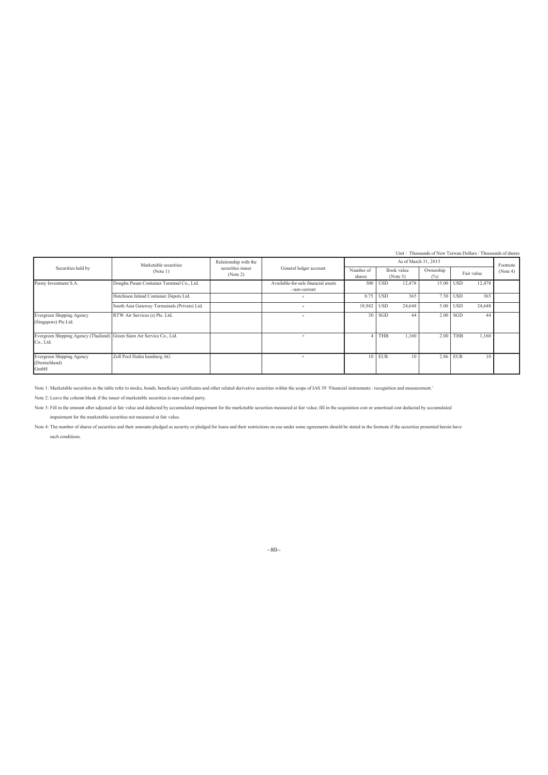Unit: Thousands of New Taiwan Dollars / Thousands of sh

|                                                                                    |                                              |                                            |                                                      |                     |            |                        | UIII · I HOUSAIRES OF NEW TAIWAH DOHALS / THOUSAIRES OF STATES |            |            |          |
|------------------------------------------------------------------------------------|----------------------------------------------|--------------------------------------------|------------------------------------------------------|---------------------|------------|------------------------|----------------------------------------------------------------|------------|------------|----------|
|                                                                                    | Marketable securities                        | Relationship with the<br>securities issuer |                                                      |                     |            | As of March 31, 2015   |                                                                |            |            | Footnote |
| Securities held by                                                                 | (Note 1)                                     | (Note 2)                                   | General ledger account                               | Number of<br>shares |            | Book value<br>(Note 3) | Ownership<br>$(\%)$                                            |            | Fair value | (Note 4) |
| Peony Investment S.A.                                                              | Dongbu Pusan Container Terminal Co., Ltd.    |                                            | Available-for-sale financial assets<br>- non-current |                     | $300$ USD  | 12,478                 | $15.00$ USD                                                    |            | 12,478     |          |
|                                                                                    | Hutchison Inland Container Depots Ltd.       |                                            |                                                      |                     | $0.75$ USD | 365                    |                                                                | 7.50 USD   | 365        |          |
|                                                                                    | South Asia Gateway Termainals (Private) Ltd. |                                            |                                                      | 18.942 USD          |            | 24,648                 |                                                                | $5.00$ USD | 24,648     |          |
| Evergreen Shipping Agency<br>(Singapore) Pte Ltd.                                  | RTW Air Services (s) Pte. Ltd.               |                                            |                                                      |                     | $30$ SGD   | 44                     |                                                                | $2.00$ SGD | 44         |          |
| Evergreen Shipping Agency (Thailand) Green Siam Air Service Co., Ltd.<br>Co., Ltd. |                                              |                                            |                                                      |                     | THB        | 1.160                  | 2.00                                                           | <b>THB</b> | 1,160      |          |
| Evergreen Shipping Agency<br>(Deutschland)<br>GmbH                                 | Zoll Pool Hafen hamburg AG                   |                                            |                                                      |                     | $10$ EUR   | 10                     |                                                                | 2.86 EUR   | 10         |          |

Note 1: Marketable securities in the table refer to stocks, bonds, beneficiary certificates and other related derivative securities within the scope of IAS 39 'Financial instruments : recognition and measurement.'

Note 2: Leave the column blank if the issuer of marketable securities is non-related party.

Note 3: Fill in the amount after adjusted at fair value and deducted by accumulated impairment for the marketable securities measured at fair value; fill in the acquisition cost or amortised cost deducted by accumulated impairment for the marketable securities not measured at fair value.

Note 4: The number of shares of securities and their amounts pledged as security or pledged for loans and their restrictions on use under some agreements should be stated in the footnote if the securities presented herein such conditions.

### $~80~$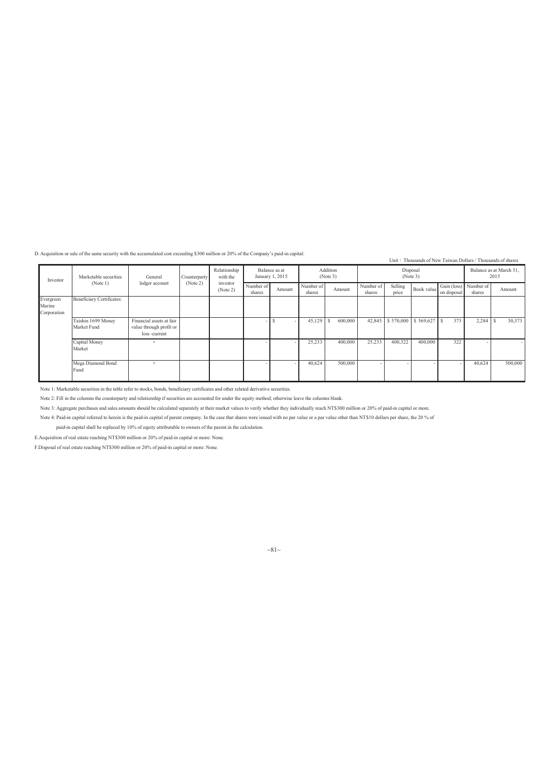D. Acquisition or sale of the same security with the accumulated cost exceeding \$300 million or 20% of the Company's paid-in capital:

|                                    |                                   |                                                                      |              |                          |                     |                                  |                     |                      |                     |                  |                            |             |                                 | Unit: Thousands of New Taiwan Dollars / Thousands of shares |
|------------------------------------|-----------------------------------|----------------------------------------------------------------------|--------------|--------------------------|---------------------|----------------------------------|---------------------|----------------------|---------------------|------------------|----------------------------|-------------|---------------------------------|-------------------------------------------------------------|
| Investor                           | Marketable securities             | General                                                              | Counterparty | Relationship<br>with the |                     | Balance as at<br>January 1, 2015 |                     | Addition<br>(Note 3) |                     |                  | Disposal<br>(Note 3)       |             |                                 | Balance as at March 31,<br>2015                             |
|                                    | (Note 1)                          | ledger account                                                       | (Note 2)     | investor<br>(Note 2)     | Number of<br>shares | Amount                           | Number of<br>shares | Amount               | Number of<br>shares | Selling<br>price | Book value                 | on disposal | Gain (loss) Number of<br>shares | Amount                                                      |
| Evergreen<br>Marine<br>Corporation | Beneficiary Certificates:         |                                                                      |              |                          |                     |                                  |                     |                      |                     |                  |                            |             |                                 |                                                             |
|                                    | Taishin 1699 Money<br>Market Fund | Financial assets at fair<br>value through profit or<br>loss -current |              |                          |                     |                                  | 45,129              | 600.000              |                     |                  | 42,845 \$570,000 \$569,627 | 373<br>S    | 2,284                           | 30,373                                                      |
|                                    | Capital Money<br>Market           |                                                                      |              |                          |                     |                                  | 25,233              | 400,000              | 25,233              | 400,322          | 400,000                    | 322         |                                 |                                                             |
|                                    | Mega Diamond Bond<br>Fund         |                                                                      |              |                          |                     |                                  | 40,624              | 500,000              |                     |                  |                            |             | 40,624                          | 500,000                                                     |

Note 1: Marketable securities in the table refer to stocks, bonds, beneficiary certificates and other related derivative securities.

Note 2: Fill in the columns the counterparty and relationship if securities are accounted for under the equity method; otherwise leave the columns blank.

Note 3: Aggregate purchases and sales amounts should be calculated separately at their market values to verify whether they individually reach NT\$300 million or 20% of paid-in capital or more.

Note 4: Paid-in capital referred to herein is the paid-in capital of parent company. In the case that shares were issued with no par value or a par value other than NT\$10 dollars per share, the 20 % of

paid-in capital shall be replaced by 10% of equity attributable to owners of the parent.in the calculation.

E.Acquisition of real estate reaching NT\$300 million or 20% of paid-in capital or more: None.

F.Disposal of real estate reaching NT\$300 million or 20% of paid-in capital or more: None.

 $~1~1~$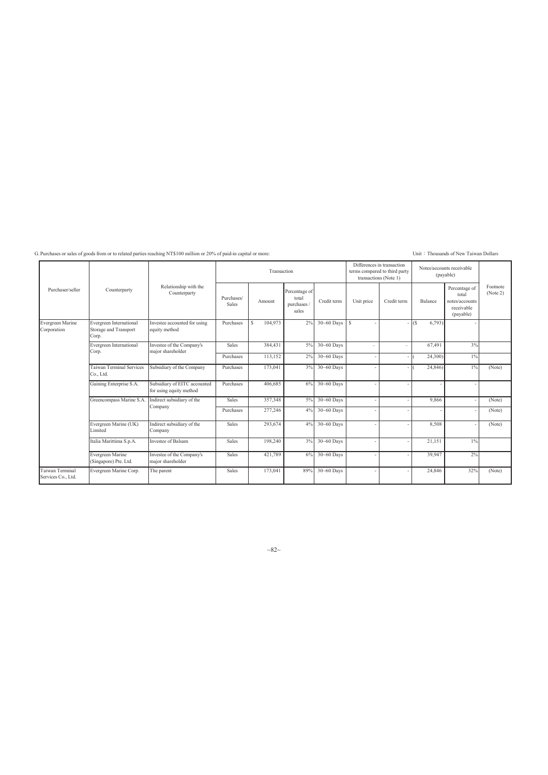G. Purchases or sales of goods from or to related parties reaching NT\$100 million or 20% of paid-in capital or more: Unit Chousands of New Taiwan Dollars

|                                       |                                                           |                                                         |                     | Transaction   |                                                |                |            | Differences in transaction<br>terms compared to third party<br>transactions (Note 1) |             | Notes/accounts receivable<br>(payable)                              |                      |
|---------------------------------------|-----------------------------------------------------------|---------------------------------------------------------|---------------------|---------------|------------------------------------------------|----------------|------------|--------------------------------------------------------------------------------------|-------------|---------------------------------------------------------------------|----------------------|
| Purchaser/seller                      | Counterparty                                              | Relationship with the<br>Counterparty                   | Purchases/<br>Sales | Amount        | Percentage of<br>total<br>purchases /<br>sales | Credit term    | Unit price | Credit term                                                                          | Balance     | Percentage of<br>total<br>notes/accounts<br>receivable<br>(payable) | Footnote<br>(Note 2) |
| Evergreen Marine<br>Corporation       | Evergreen International<br>Storage and Transport<br>Corp. | Investee accounted for using<br>equity method           | Purchases           | 104.973<br>S. | 2%                                             | 30~60 Days     | Is.        |                                                                                      | 6,793<br>(S |                                                                     |                      |
|                                       | Evergreen International<br>Corp.                          | Investee of the Company's<br>major shareholder          | <b>Sales</b>        | 384,431       | 5%                                             | $30 - 60$ Days |            | -                                                                                    | 67,491      | 3%                                                                  |                      |
|                                       |                                                           |                                                         | Purchases           | 113,152       | 2%                                             | 30~60 Days     |            |                                                                                      | 24,300)     | $1\%$                                                               |                      |
|                                       | <b>Faiwan Terminal Services</b><br>Co., Ltd.              | Subsidiary of the Company                               | Purchases           | 173,041       | 3%                                             | 30~60 Days     |            |                                                                                      | 24,846)     | 1%                                                                  | (Note)               |
|                                       | Gaining Enterprise S.A.                                   | Subsidiary of EITC accounted<br>for using equity method | Purchases           | 406,685       | 6%                                             | 30~60 Days     |            |                                                                                      |             |                                                                     |                      |
|                                       | Greencompass Marine S.A.                                  | Indirect subsidiary of the                              | <b>Sales</b>        | 357,348       | 5%                                             | $30 - 60$ Days |            |                                                                                      | 9,866       |                                                                     | (Note)               |
|                                       |                                                           | Company                                                 | Purchases           | 277,246       | 4%                                             | $30 - 60$ Days |            |                                                                                      |             |                                                                     | (Note)               |
|                                       | Evergreen Marine (UK)<br>Limited                          | Indirect subsidiary of the<br>Company                   | Sales               | 293,674       | 4%                                             | 30~60 Days     |            |                                                                                      | 8,508       |                                                                     | (Note)               |
|                                       | Italia Marittima S.p.A.                                   | Investee of Balsam                                      | Sales               | 198,240       | 3%                                             | 30~60 Days     |            |                                                                                      | 21,151      | $1\%$                                                               |                      |
|                                       | Evergreen Marine<br>(Singapore) Pte. Ltd.                 | Investee of the Company's<br>major shareholder          | Sales               | 421,789       | 6%                                             | 30~60 Days     |            |                                                                                      | 39,947      | 2%                                                                  |                      |
| Taiwan Terminal<br>Services Co., Ltd. | Evergreen Marine Corp.                                    | The parent                                              | Sales               | 173,041       | 89%                                            | 30~60 Days     |            |                                                                                      | 24,846      | 32%                                                                 | (Note)               |

 ${\sim}82{\sim}$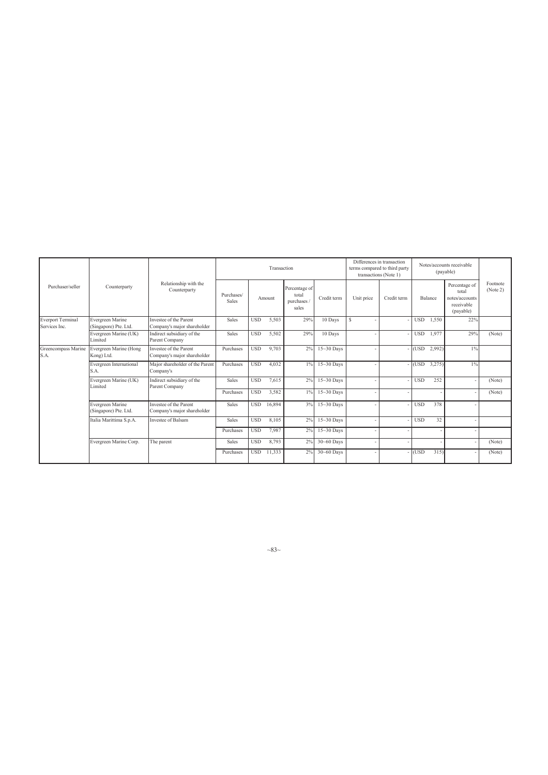| Purchaser/seller                          |                                           |                                                       |                     |            | Transaction |                                              |                | Differences in transaction | terms compared to third party<br>transactions (Note 1) |            |         | Notes/accounts receivable<br>(payable)                              |                      |
|-------------------------------------------|-------------------------------------------|-------------------------------------------------------|---------------------|------------|-------------|----------------------------------------------|----------------|----------------------------|--------------------------------------------------------|------------|---------|---------------------------------------------------------------------|----------------------|
|                                           | Counterparty                              | Relationship with the<br>Counterparty                 | Purchases/<br>Sales |            | Amount      | Percentage of<br>total<br>purchases<br>sales | Credit term    | Unit price                 | Credit term                                            |            | Balance | Percentage of<br>total<br>notes/accounts<br>receivable<br>(payable) | Footnote<br>(Note 2) |
| <b>Everport Terminal</b><br>Services Inc. | Evergreen Marine<br>(Singapore) Pte. Ltd. | Investee of the Parent<br>Company's major shareholder | Sales               | <b>USD</b> | 5,503       | 29%                                          | 10 Days        | S                          |                                                        | <b>USD</b> | 1,550   | 22%                                                                 |                      |
|                                           | Evergreen Marine (UK)<br>Limited          | Indirect subsidiary of the<br>Parent Company          | Sales               | <b>USD</b> | 5,502       | 29%                                          | 10 Days        |                            |                                                        | <b>USD</b> | 1.977   | 29%                                                                 | (Note)               |
| Greencompass Marine<br>S.A.<br>S.A.       | Evergreen Marine (Hong<br>Kong) Ltd.      | Investee of the Parent<br>Company's major shareholder | Purchases           | <b>USD</b> | 9.703       | 2%                                           | $15-30$ Days   |                            |                                                        | (USD)      | 2,992)  | $1\%$                                                               |                      |
|                                           | Evergreen International                   | Major shareholder of the Parent<br>Company's          | Purchases           | <b>USD</b> | 4,032       | $1\%$                                        | 15~30 Days     |                            |                                                        | (USD)      | 3,275   | $1\%$                                                               |                      |
|                                           | Evergreen Marine (UK)<br>Limited          | Indirect subsidiary of the<br>Parent Company          | Sales               | <b>USD</b> | 7,615       | 2%                                           | $15 - 30$ Days |                            |                                                        | <b>USD</b> | 252     |                                                                     | (Note)               |
|                                           |                                           |                                                       | Purchases           | <b>USD</b> | 3,582       | $1\%$                                        | $15 - 30$ Days |                            |                                                        |            |         |                                                                     | (Note)               |
|                                           | Evergreen Marine<br>(Singapore) Pte. Ltd. | Investee of the Parent<br>Company's major shareholder | Sales               | <b>USD</b> | 16,894      | 3%                                           | $15-30$ Days   |                            |                                                        | <b>USD</b> | 378     |                                                                     |                      |
|                                           | Italia Marittima S.p.A.                   | Investee of Balsam                                    | Sales               | <b>USD</b> | 8,105       | 2%                                           | $15 - 30$ Days |                            |                                                        | <b>USD</b> | 32      |                                                                     |                      |
|                                           |                                           |                                                       | Purchases           | <b>USD</b> | 7,987       | 2%                                           | $15 - 30$ Days |                            |                                                        |            |         |                                                                     |                      |
|                                           | Evergreen Marine Corp.                    | The parent                                            | Sales               | <b>USD</b> | 8,793       | 2%                                           | 30~60 Days     |                            |                                                        |            |         |                                                                     | (Note)               |
|                                           |                                           |                                                       | Purchases           | <b>USD</b> | 11.333      | 2%                                           | 30~60 Days     |                            |                                                        | (USD       | 315     |                                                                     | (Note)               |

 $~1 - 83$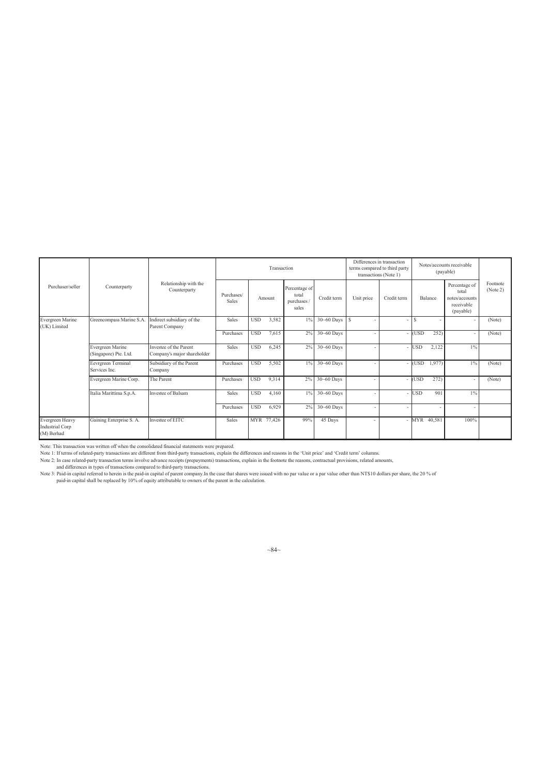|                                                  |                                           |                                                       |                     |            | Transaction |                                                |                | Differences in transaction<br>terms compared to third party<br>transactions (Note 1) |             |            | Notes/accounts receivable<br>(payable) |                                                                     |                      |
|--------------------------------------------------|-------------------------------------------|-------------------------------------------------------|---------------------|------------|-------------|------------------------------------------------|----------------|--------------------------------------------------------------------------------------|-------------|------------|----------------------------------------|---------------------------------------------------------------------|----------------------|
| Purchaser/seller                                 | Counterparty                              | Relationship with the<br>Counterparty                 | Purchases/<br>Sales |            | Amount      | Percentage of<br>total<br>purchases /<br>sales | Credit term    | Unit price                                                                           | Credit term |            | Balance                                | Percentage of<br>total<br>notes/accounts<br>receivable<br>(payable) | Footnote<br>(Note 2) |
| Evergreen Marine<br>(UK) Limited                 | Greencompass Marine S.A.                  | Indirect subsidiary of the<br>Parent Company          | Sales               | <b>USD</b> | 3,582       | 1%                                             | 30~60 Days     | <sup>\$</sup>                                                                        |             | S          |                                        |                                                                     | (Note)               |
|                                                  |                                           |                                                       | Purchases           | <b>USD</b> | 7,615       | 2%                                             | 30~60 Days     |                                                                                      |             | USD        | 252)                                   |                                                                     | (Note)               |
|                                                  | Evergreen Marine<br>(Singapore) Pte. Ltd. | Investee of the Parent<br>Company's major shareholder | Sales               | <b>USD</b> | 6,245       | 2%                                             | 30~60 Days     |                                                                                      |             | USD        | 2,122                                  | $1\%$                                                               |                      |
|                                                  | Eevrgreen Terminal<br>Services Inc.       | Subsidiary of the Parent<br>Company                   | Purchases           | <b>USD</b> | 5,502       | $1\%$                                          | $30 - 60$ Days |                                                                                      |             | <b>USD</b> | 1,977)                                 | $1\%$                                                               | (Note)               |
|                                                  | Evergreen Marine Corp.                    | The Parent                                            | Purchases           | <b>USD</b> | 9,314       | 2%                                             | $30 - 60$ Days |                                                                                      |             | <b>USD</b> | 272)                                   | ٠                                                                   | (Note)               |
|                                                  | Italia Marittima S.p.A.                   | Investee of Balsam                                    | Sales               | <b>USD</b> | 4,160       | $1\%$                                          | 30~60 Days     |                                                                                      |             | <b>USD</b> | 901                                    | $1\%$                                                               |                      |
|                                                  |                                           |                                                       | Purchases           | <b>USD</b> | 6,929       | 2%                                             | 30~60 Days     |                                                                                      |             |            |                                        |                                                                     |                      |
| Evergreen Heavy<br>Industrial Corp<br>(M) Berhad | Gaining Enterprise S. A.                  | Investee of EITC                                      | Sales               |            | MYR 77,426  | 99%                                            | 45 Days        |                                                                                      |             |            | MYR 40,581                             | 100%                                                                |                      |

Note: This transaction was written off when the consolidated financial statements were prepared.<br>
Note 1: If terms of related-party transactions are different from third-party transactions, explain the differences and reas

 $~84~$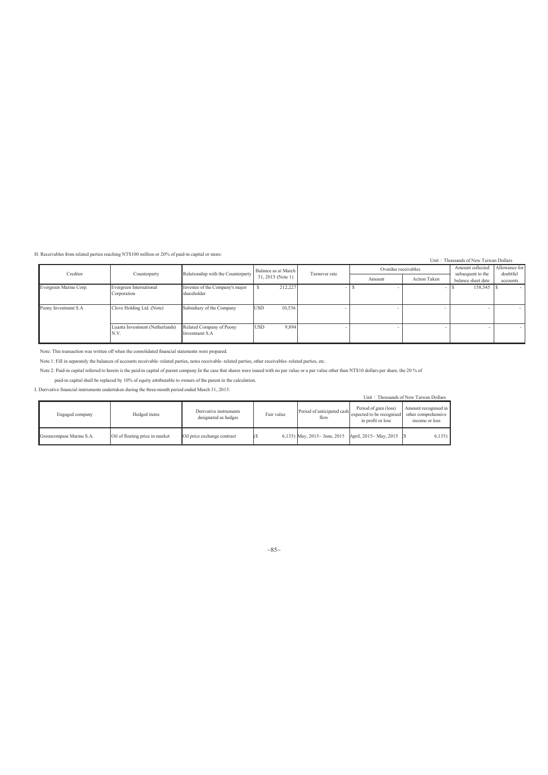H. Receivables from related parties reaching NT\$100 million or 20% of paid-in capital or more:

#### Unit: Thousands of New Taiwan Dollars

| Creditor               | Counterparty                            | Relationship with the Counterparty             | Balance as at March  | Turnover rate | Overdue receivables |                     | Amount collected<br>subsequent to the | Allowance for<br>doubtful |
|------------------------|-----------------------------------------|------------------------------------------------|----------------------|---------------|---------------------|---------------------|---------------------------------------|---------------------------|
|                        |                                         |                                                | $31, 2015$ (Note 1)  |               | Amount              | <b>Action Taken</b> | balance sheet date                    | accounts                  |
| Evergreen Marine Corp. | Evergreen International<br>Corporation  | Investee of the Company's major<br>shareholder | 212,227              |               |                     |                     | 158,545                               | $\sim$                    |
| Peony Investment S.A   | Clove Holding Ltd. (Note)               | Subsidiary of the Company                      | 10,536<br><b>USD</b> |               |                     |                     |                                       |                           |
|                        | Luanta Investment (Netherlands)<br>N.V. | Related Company of Peony<br>Investment S.A.    | 9.894<br><b>USD</b>  |               |                     |                     |                                       |                           |

Note: This transaction was written off when the consolidated financial statements were prepared.

Note 1: Fill in separately the balances of accounts receivable–related parties, notes receivable–related parties, other receivables–related parties, etc.

Note 2: Paid-in capital referred to herein is the paid-in capital of parent company.In the case that shares were issued with no par value or a par value other than NT\$10 dollars per share, the 20 % of

paid-in capital shall be replaced by 10% of equity attributable to owners of the parent in the calculation.

I. Derivative financial instruments undertaken during the three-month period ended March 31, 2015:

|                          |                                 |                                                |            |                                      |                                                                         | Unit: Thousands of New Taiwan Dollars                         |
|--------------------------|---------------------------------|------------------------------------------------|------------|--------------------------------------|-------------------------------------------------------------------------|---------------------------------------------------------------|
| Engaged company          | Hedged items                    | Derivative instruments<br>designated as hedges | Fair value | Period of anticipated cash<br>flow   | Period of gain (loss)<br>expected to be recognised<br>in profit or loss | Amount recognised in<br>other comprehensive<br>income or loss |
| Greencompass Marine S.A. | Oil of floating price in market | Oil price exchange contract                    |            | 6,135) May, $2015 \sim$ June, $2015$ | April, 2015~ May, 2015 \[\$                                             | $6,135$ )                                                     |

### $~85~$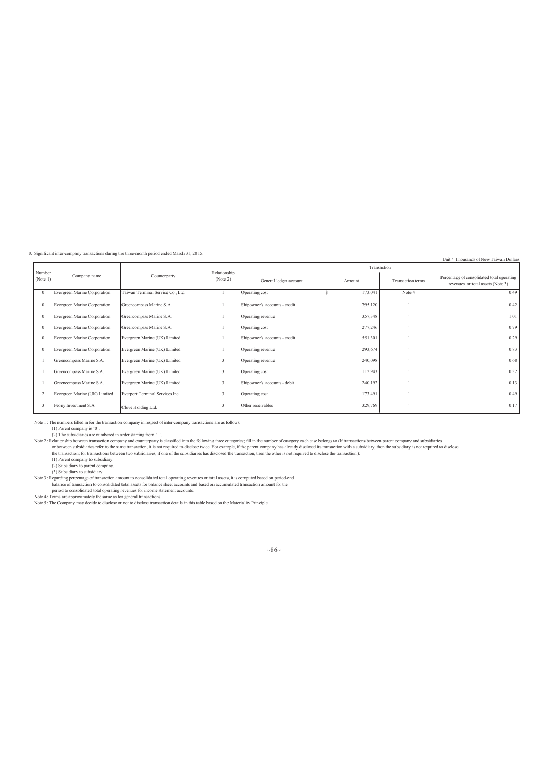J. Significant inter-company transactions during the three-month period ended March 31, 2015:

#### Unit: Thousands of New Taiwan Dollars

|                    |                               |                                   |                          |                               |         | Transaction          |                                                                                 |
|--------------------|-------------------------------|-----------------------------------|--------------------------|-------------------------------|---------|----------------------|---------------------------------------------------------------------------------|
| Number<br>(Note 1) | Company name                  | Counterparty                      | Relationship<br>(Note 2) | General ledger account        | Amount  | Transaction terms    | Percentage of consolidated total operating<br>revenues or total assets (Note 3) |
|                    | Evergreen Marine Corporation  | Taiwan Terminal Service Co., Ltd. |                          | Operating cost                | 173,041 | Note 4               | 0.49                                                                            |
|                    | Evergreen Marine Corporation  | Greencompass Marine S.A.          |                          | Shipowner's accounts - credit | 795,120 |                      | 0.42                                                                            |
|                    | Evergreen Marine Corporation  | Greencompass Marine S.A.          |                          | Operating revenue             | 357,348 |                      | 1.01                                                                            |
|                    | Evergreen Marine Corporation  | Greencompass Marine S.A.          |                          | Operating cost                | 277,246 |                      | 0.79                                                                            |
|                    | Evergreen Marine Corporation  | Evergreen Marine (UK) Limited     |                          | Shipowner's accounts - credit | 551,301 |                      | 0.29                                                                            |
|                    | Evergreen Marine Corporation  | Evergreen Marine (UK) Limited     |                          | Operating revenue             | 293,674 |                      | 0.83                                                                            |
|                    | Greencompass Marine S.A.      | Evergreen Marine (UK) Limited     | 3                        | Operating revenue             | 240,098 |                      | 0.68                                                                            |
|                    | Greencompass Marine S.A.      | Evergreen Marine (UK) Limited     | $\overline{\mathbf{3}}$  | Operating cost                | 112,943 |                      | 0.32                                                                            |
|                    | Greencompass Marine S.A.      | Evergreen Marine (UK) Limited     | 3                        | Shipowner's accounts - debit  | 240,192 |                      | 0.13                                                                            |
|                    | Evergreen Marine (UK) Limited | Everport Terminal Services Inc.   | $\overline{\mathbf{3}}$  | Operating cost                | 173,491 |                      | 0.49                                                                            |
|                    | Peony Investment S.A          | Clove Holding Ltd.                | 3                        | Other receivables             | 329,769 | $\ddot{\phantom{1}}$ | 0.17                                                                            |

Note 1: The numbers filled in for the transaction company in respect of inter-company transactions are as follows:

(1) Parent company is '0'.<br>(2) The subsidiaries are numbered in order starting from '1'.<br>Note 2: Relationship between ransaction company and counterparty is classified into the following three categories; fill in the numbe

(1) Parent company to subsidiary.<br>
(2) Subsidiary to parent company.<br>
(3) Subsidiary to subsidiary.<br>
Note 3: Regarding percentage of transaction amount to consolidated total operating revenues or total assets, it is comput

period to consolidated total operating revenues for income statement accounts.<br>Note 4: Terms are approximately the same as for general transactions.<br>Note 5: The Company may decide to disclose or not to disclose transactio

 $~86~$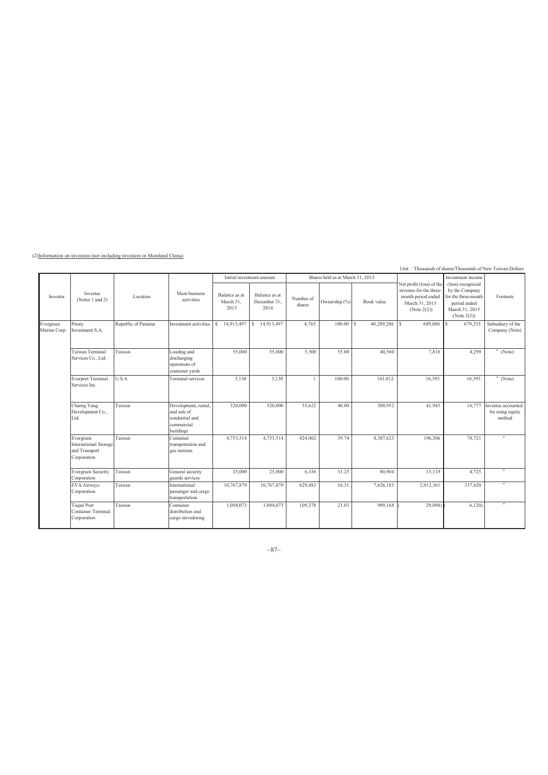(2)Information on investees (not including investees in Mainland China)

Unit: Thousands of shares/Thousands of New Taiwan Dolla

|                           |                                                                    |                    |                                                                                   |                                    |                                       |                     |                                  |                   | Unit $\frac{1}{2}$ Thousands of shares/Thousands of New Taiwan Dollars                                     |                                                                                                             |                                                  |
|---------------------------|--------------------------------------------------------------------|--------------------|-----------------------------------------------------------------------------------|------------------------------------|---------------------------------------|---------------------|----------------------------------|-------------------|------------------------------------------------------------------------------------------------------------|-------------------------------------------------------------------------------------------------------------|--------------------------------------------------|
|                           |                                                                    |                    |                                                                                   |                                    | Initial investment amount             |                     | Shares held as at March 31, 2015 |                   |                                                                                                            | Investment income                                                                                           |                                                  |
| Investor                  | Investee<br>(Notes 1 and 2)                                        | Location           | Main business<br>activities                                                       | Balance as at<br>March 31,<br>2015 | Balance as at<br>December 31,<br>2014 | Number of<br>shares | Ownership (%)                    | Book value        | Net profit (loss) of the<br>investee for the three-<br>month period ended<br>March 31, 2015<br>(Note 2(2)) | (loss) recognized<br>by the Company<br>for the three-month<br>period ended<br>March 31, 2015<br>(Note 2(3)) | Footnote                                         |
| Evergreen<br>Marine Corp. | Peony<br>Investment S.A.                                           | Republic of Panama | Investment activities                                                             | 14,913,497<br>s                    | S<br>14,913,497                       | 4,765               | 100.00                           | 40,289,286<br>l s | <b>Is</b><br>689,086                                                                                       | 679,335<br>S                                                                                                | Subsidiary of the<br>Company (Note)              |
|                           | Taiwan Terminal<br>Services Co., Ltd.                              | Taiwan             | Loading and<br>discharging<br>operations of<br>container yards                    | 55,000                             | 55,000                                | 5,500               | 55.00                            | 40.560            | 7,816                                                                                                      | 4,299                                                                                                       | (Note)                                           |
|                           | <b>Everport Terminal</b><br>Services Inc.                          | U.S.A              | Terminal services                                                                 | 3,130                              | 3,130                                 | $\overline{1}$      | 100.00                           | 161,812           | 16,395                                                                                                     | 16,395                                                                                                      | (Note)                                           |
|                           | Charng Yang<br>Development Co.,<br>Ltd.                            | Taiwan             | Development, rental,<br>and sale of<br>residential and<br>commercial<br>buildings | 320,000                            | 320,000                               | 55,622              | 40.00                            | 500,952           | 41,943                                                                                                     | 16,777                                                                                                      | Investee accounted<br>for using equity<br>method |
|                           | Evergreen<br>International Storage<br>and Transport<br>Corporation | Taiwan             | Container<br>transportation and<br>gas stations                                   | 4,753,514                          | 4,753,514                             | 424,062             | 39.74                            | 8,387,623         | 196,306                                                                                                    | 78,721                                                                                                      | $\overline{a}$                                   |
|                           | <b>Evergreen Security</b><br>Corporation                           | Taiwan             | General security<br>guards services                                               | 25,000                             | 25,000                                | 6,336               | 31.25                            | 80,904            | 15,119                                                                                                     | 4,725                                                                                                       | $\overline{''}$                                  |
|                           | <b>EVA Airways</b><br>Corporation                                  | Taiwan             | International<br>passenger and cargo<br>transportation                            | 10,767,879                         | 10,767,879                            | 629,483             | 16.31                            | 7,626,183         | 2,012,361                                                                                                  | 337,420                                                                                                     |                                                  |
|                           | Taipei Port<br>Container Terminal<br>Corporation                   | Taiwan             | Container<br>distribution and<br>cargo stevedoring                                | 1,094,073                          | 1,094,073                             | 109.378             | 21.03                            | 999,168           | 29,094)                                                                                                    | 6,120                                                                                                       |                                                  |

 $~\sim$ 87 $\sim$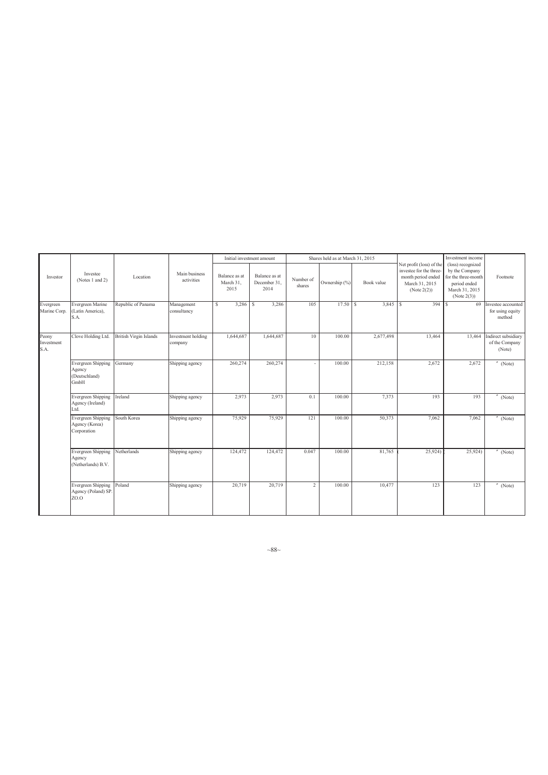|                             |                                                              |                               |                               |                                    | Initial investment amount             |                     | Shares held as at March 31, 2015 |            |                                                                                                            | Investment income                                                                                           |                                                  |
|-----------------------------|--------------------------------------------------------------|-------------------------------|-------------------------------|------------------------------------|---------------------------------------|---------------------|----------------------------------|------------|------------------------------------------------------------------------------------------------------------|-------------------------------------------------------------------------------------------------------------|--------------------------------------------------|
| Investor                    | Investee<br>(Notes 1 and 2)                                  | Location                      | Main business<br>activities   | Balance as at<br>March 31,<br>2015 | Balance as at<br>December 31,<br>2014 | Number of<br>shares | Ownership (%)                    | Book value | Net profit (loss) of the<br>investee for the three-<br>month period ended<br>March 31, 2015<br>(Note 2(2)) | (loss) recognized<br>by the Company<br>for the three-month<br>period ended<br>March 31, 2015<br>(Note 2(3)) | Footnote                                         |
| Evergreen<br>Marine Corp.   | Evergreen Marine<br>(Latin America),<br>S.A.                 | Republic of Panama            | Management<br>consultancy     | S                                  | 3,286                                 | 105                 | $17.50$ \ \$                     | $3,845$ \$ | $394$ $\overline{\text{S}}$                                                                                | 69                                                                                                          | Investee accounted<br>for using equity<br>method |
| Peony<br>Investment<br>S.A. | Clove Holding Ltd.                                           | <b>British Virgin Islands</b> | Investment holding<br>company | 1,644,687                          | 1,644,687                             | 10                  | 100.00                           | 2,677,498  | 13,464                                                                                                     | 13,464                                                                                                      | Indirect subsidiary<br>of the Company<br>(Note)  |
|                             | <b>Evergreen Shipping</b><br>Agency<br>(Deutschland)<br>GmbH | Germany                       | Shipping agency               | 260,274                            | 260,274                               |                     | 100.00                           | 212,158    | 2,672                                                                                                      | 2,672                                                                                                       | $''$ (Note)                                      |
|                             | Evergreen Shipping<br>Agency (Ireland)<br>Ltd.               | Ireland                       | Shipping agency               | 2,973                              | 2,973                                 | 0.1                 | 100.00                           | 7,373      | 193                                                                                                        | 193                                                                                                         | (Note)                                           |
|                             | <b>Evergreen Shipping</b><br>Agency (Korea)<br>Corporation   | South Korea                   | Shipping agency               | 75,929                             | 75,929                                | 121                 | 100.00                           | 50,373     | 7,062                                                                                                      | 7,062                                                                                                       | $''$ (Note)                                      |
|                             | <b>Evergreen Shipping</b><br>Agency<br>(Netherlands) B.V.    | Netherlands                   | Shipping agency               | 124,472                            | 124,472                               | 0.047               | 100.00                           | 81,765     | 25,924)                                                                                                    | 25,924)                                                                                                     | $''$ (Note)                                      |
|                             | <b>Evergreen Shipping</b><br>Agency (Poland) SP.<br>ZO.O     | Poland                        | Shipping agency               | 20,719                             | 20,719                                | $\overline{2}$      | 100.00                           | 10,477     | 123                                                                                                        | 123                                                                                                         | $^{\prime\prime}$ (Note)                         |

 $~88~$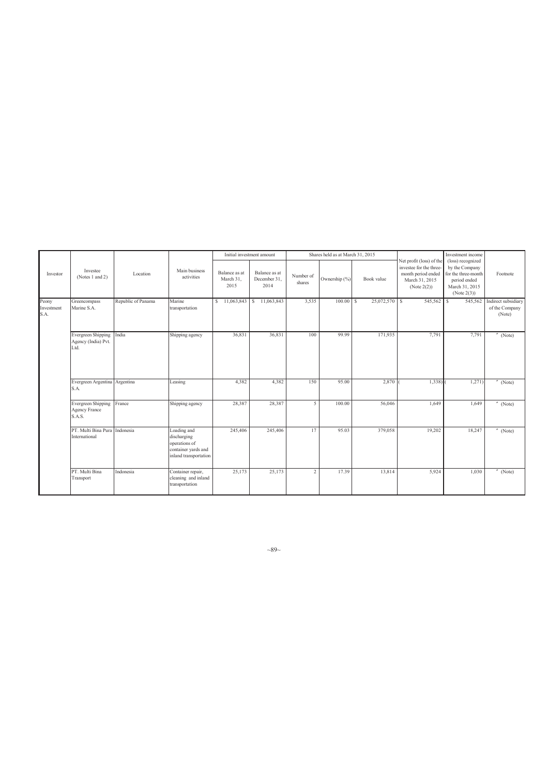|                             |                                                   |                    |                                                                                             |                                    | Initial investment amount             |                     | Shares held as at March 31, 2015 |               |                                                                                                            | Investment income                                                                                           |                                                 |
|-----------------------------|---------------------------------------------------|--------------------|---------------------------------------------------------------------------------------------|------------------------------------|---------------------------------------|---------------------|----------------------------------|---------------|------------------------------------------------------------------------------------------------------------|-------------------------------------------------------------------------------------------------------------|-------------------------------------------------|
| Investor                    | Investee<br>(Notes 1 and 2)                       | Location           | Main business<br>activities                                                                 | Balance as at<br>March 31,<br>2015 | Balance as at<br>December 31,<br>2014 | Number of<br>shares | Ownership (%)                    | Book value    | Net profit (loss) of the<br>investee for the three-<br>month period ended<br>March 31, 2015<br>(Note 2(2)) | (loss) recognized<br>by the Company<br>for the three-month<br>period ended<br>March 31, 2015<br>(Note 2(3)) | Footnote                                        |
| Peony<br>Investment<br>S.A. | Greencompass<br>Marine S.A.                       | Republic of Panama | Marine<br>transportation                                                                    | \$11,063,843                       | \$11,063,843                          | 3,535               | $100.00$ S                       | 25,072,570 \$ | 545,562 \$                                                                                                 | 545,562                                                                                                     | Indirect subsidiary<br>of the Company<br>(Note) |
|                             | Evergreen Shipping<br>Agency (India) Pvt.<br>Ltd. | India              | Shipping agency                                                                             | 36,831                             | 36,831                                | 100                 | 99.99                            | 171,935       | 7,791                                                                                                      | 7,791                                                                                                       | $''$ (Note)                                     |
|                             | Evergreen Argentina Argentina<br>S.A.             |                    | Leasing                                                                                     | 4,382                              | 4,382                                 | 150                 | 95.00                            | 2,870         | 1,338)                                                                                                     | 1,271)                                                                                                      | (Note)                                          |
|                             | Evergreen Shipping<br>Agency France<br>S.A.S.     | France             | Shipping agency                                                                             | 28,387                             | 28,387                                | 5 <sup>1</sup>      | 100.00                           | 56,046        | 1.649                                                                                                      | 1,649                                                                                                       | $^{\prime\prime}$ (Note)                        |
|                             | PT. Multi Bina Pura Indonesia<br>International    |                    | Loading and<br>discharging<br>operations of<br>container yards and<br>inland transportation | 245,406                            | 245,406                               | 17                  | 95.03                            | 379,058       | 19,202                                                                                                     | 18,247                                                                                                      | $^{\prime\prime}$ (Note)                        |
|                             | PT. Multi Bina<br>Transport                       | Indonesia          | Container repair,<br>cleaning and inland<br>transportation                                  | 25,173                             | 25,173                                | $\overline{c}$      | 17.39                            | 13,814        | 5,924                                                                                                      | 1,030                                                                                                       | $^{\prime\prime}$ (Note)                        |

 $~89~$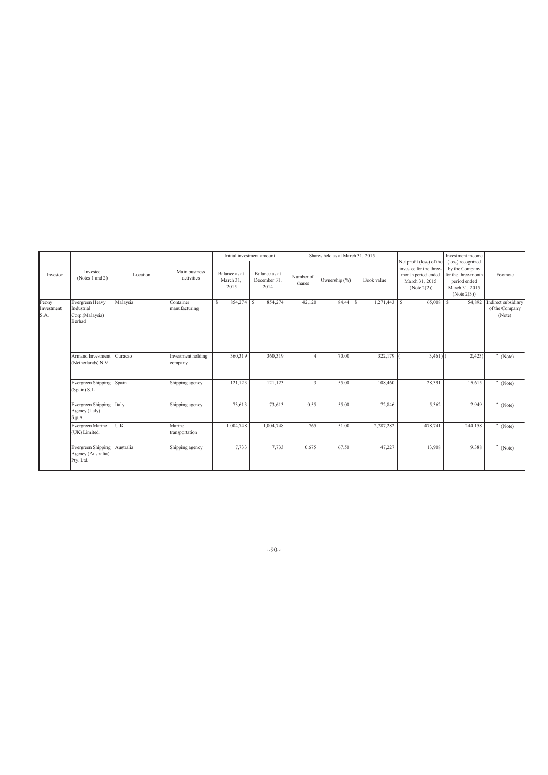|                             |                                                            |           |                               |                                    | Initial investment amount             |                     | Shares held as at March 31, 2015  |                |                                                                                                            | Investment income                                                                                           |                                                 |
|-----------------------------|------------------------------------------------------------|-----------|-------------------------------|------------------------------------|---------------------------------------|---------------------|-----------------------------------|----------------|------------------------------------------------------------------------------------------------------------|-------------------------------------------------------------------------------------------------------------|-------------------------------------------------|
| Investor                    | Investee<br>(Notes 1 and 2)                                | Location  | Main business<br>activities   | Balance as at<br>March 31,<br>2015 | Balance as at<br>December 31,<br>2014 | Number of<br>shares | Ownership (%)                     | Book value     | Net profit (loss) of the<br>investee for the three-<br>month period ended<br>March 31, 2015<br>(Note 2(2)) | (loss) recognized<br>by the Company<br>for the three-month<br>period ended<br>March 31, 2015<br>(Note 2(3)) | Footnote                                        |
| Peony<br>Investment<br>S.A. | Evergreen Heavy<br>Industrial<br>Corp.(Malaysia)<br>Berhad | Malaysia  | Container<br>manufacturing    | 854,274 \$<br>s                    | 854,274                               | 42,120              | $84.44$ $\overline{\phantom{1}5}$ | $1,271,443$ \$ | 65,008 \$                                                                                                  | 54,892                                                                                                      | Indirect subsidiary<br>of the Company<br>(Note) |
|                             | <b>Armand Investment</b><br>(Netherlands) N.V.             | Curacao   | Investment holding<br>company | 360,319                            | 360,319                               |                     | 70.00                             | 322,179        | 3,461                                                                                                      | 2,423                                                                                                       | (Note)                                          |
|                             | <b>Evergreen Shipping</b><br>(Spain) S.L.                  | Spain     | Shipping agency               | 121,123                            | 121,123                               | $\overline{3}$      | 55.00                             | 108,460        | 28,391                                                                                                     | 15,615                                                                                                      | (Note)                                          |
|                             | Evergreen Shipping<br>Agency (Italy)<br>S.p.A.             | Italy     | Shipping agency               | 73,613                             | 73,613                                | 0.55                | 55.00                             | 72,846         | 5,362                                                                                                      | 2,949                                                                                                       | (Note)                                          |
|                             | Evergreen Marine<br>(UK) Limited.                          | U.K.      | Marine<br>transportation      | 1,004,748                          | 1,004,748                             | 765                 | 51.00                             | 2,787,282      | 478,741                                                                                                    | 244,158                                                                                                     | (Note)                                          |
|                             | Evergreen Shipping<br>Agency (Australia)<br>Pty. Ltd.      | Australia | Shipping agency               | 7,733                              | 7,733                                 | 0.675               | 67.50                             | 47,227         | 13,908                                                                                                     | 9,388                                                                                                       | (Note)                                          |

 $~10~$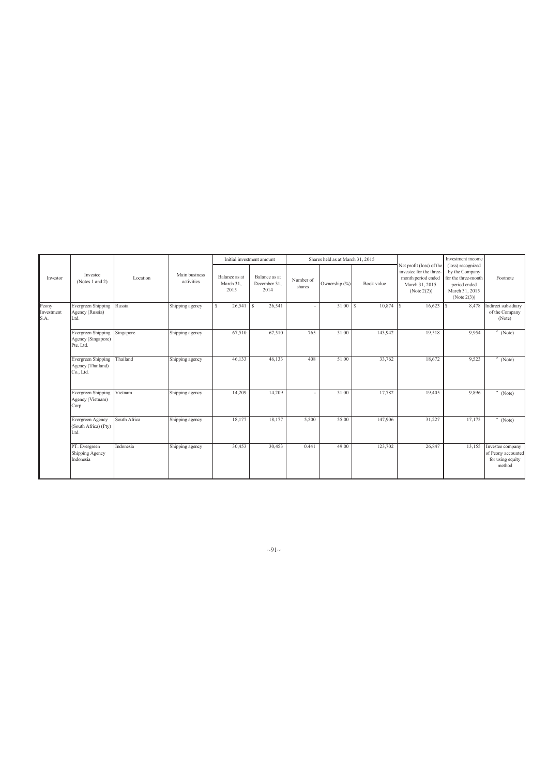|                             |                                                              |              |                             |                                    | Initial investment amount             |                     | Shares held as at March 31, 2015 |            |                                                                                                            | Investment income                                                                                           |                                                                      |
|-----------------------------|--------------------------------------------------------------|--------------|-----------------------------|------------------------------------|---------------------------------------|---------------------|----------------------------------|------------|------------------------------------------------------------------------------------------------------------|-------------------------------------------------------------------------------------------------------------|----------------------------------------------------------------------|
| Investor                    | Investee<br>(Notes 1 and 2)                                  | Location     | Main business<br>activities | Balance as at<br>March 31,<br>2015 | Balance as at<br>December 31,<br>2014 | Number of<br>shares | Ownership (%)                    | Book value | Net profit (loss) of the<br>investee for the three-<br>month period ended<br>March 31, 2015<br>(Note 2(2)) | (loss) recognized<br>by the Company<br>for the three-month<br>period ended<br>March 31, 2015<br>(Note 2(3)) | Footnote                                                             |
| Peony<br>Investment<br>S.A. | <b>Evergreen Shipping</b><br>Agency (Russia)<br>Ltd.         | Russia       | Shipping agency             | 26,541<br>S                        | 26,541<br><sup>S</sup>                |                     | $51.00$ S                        | 10,874     | $16,623$ S                                                                                                 | 8,478                                                                                                       | Indirect subsidiary<br>of the Company<br>(Note)                      |
|                             | <b>Evergreen Shipping</b><br>Agency (Singapore)<br>Pte. Ltd. | Singapore    | Shipping agency             | 67,510                             | 67,510                                | 765                 | 51.00                            | 143,942    | 19,518                                                                                                     | 9,954                                                                                                       | $"$ (Note)                                                           |
|                             | Evergreen Shipping<br>Agency (Thailand)<br>Co., Ltd.         | Thailand     | Shipping agency             | 46,133                             | 46,133                                | 408                 | 51.00                            | 33,762     | 18,672                                                                                                     | 9,523                                                                                                       | $''$ (Note)                                                          |
|                             | Evergreen Shipping<br>Agency (Vietnam)<br>Corp.              | Vietnam      | Shipping agency             | 14,209                             | 14,209                                |                     | 51.00                            | 17,782     | 19,405                                                                                                     | 9,896                                                                                                       | (Note)                                                               |
|                             | Evergreen Agency<br>(South Africa) (Pty)<br>Ltd.             | South Africa | Shipping agency             | 18,177                             | 18,177                                | 5,500               | 55.00                            | 147,906    | 31,227                                                                                                     | 17,175                                                                                                      | (Note)                                                               |
|                             | PT. Evergreen<br>Shipping Agency<br>Indonesia                | Indonesia    | Shipping agency             | 30,453                             | 30,453                                | 0.441               | 49.00                            | 123,702    | 26,847                                                                                                     | 13,155                                                                                                      | Investee company<br>of Peony accounted<br>for using equity<br>method |

 $\sim 91$ ~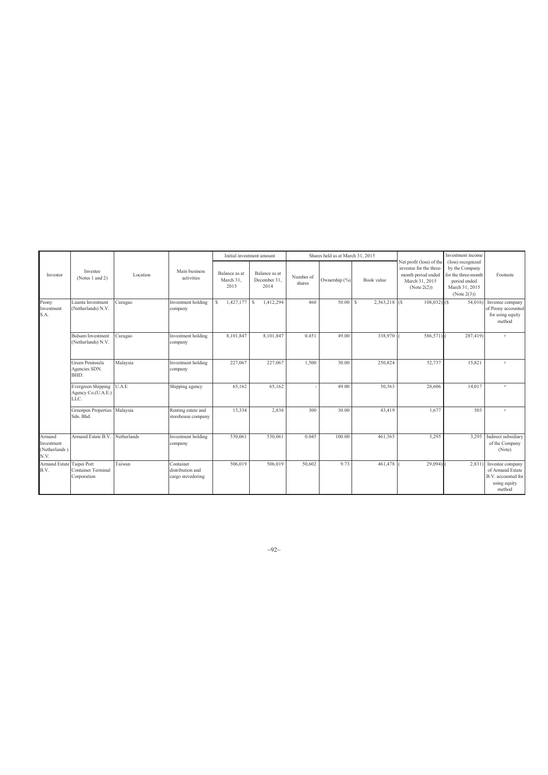|                                               |                                                         |             |                                                    |                                    | Initial investment amount             |                     | Shares held as at March 31, 2015 |                  |                                                                                                            | Investment income                                                                                           |                                                                                      |
|-----------------------------------------------|---------------------------------------------------------|-------------|----------------------------------------------------|------------------------------------|---------------------------------------|---------------------|----------------------------------|------------------|------------------------------------------------------------------------------------------------------------|-------------------------------------------------------------------------------------------------------------|--------------------------------------------------------------------------------------|
| Investor                                      | Investee<br>(Notes 1 and 2)                             | Location    | Main business<br>activities                        | Balance as at<br>March 31,<br>2015 | Balance as at<br>December 31,<br>2014 | Number of<br>shares | Ownership (%)                    | Book value       | Net profit (loss) of the<br>investee for the three-<br>month period ended<br>March 31, 2015<br>(Note 2(2)) | (loss) recognized<br>by the Company<br>for the three-month<br>period ended<br>March 31, 2015<br>(Note 2(3)) | Footnote                                                                             |
| Peony<br>Investment<br>S.A.                   | Luanta Investment<br>(Netherlands) N.V.                 | Curagao     | Investment holding<br>company                      | 1,427,177<br>s                     | 1,412,294<br>$\mathbf{I}$ s           | 460                 | $50.00$ S                        | $2,363,218$ (\$) | $108,032$ (\$)                                                                                             | 54,016)                                                                                                     | Investee company<br>of Peony accounted<br>for using equity<br>method                 |
|                                               | <b>Balsam Investment</b><br>(Netherlands) N.V.          | Curagao     | Investment holding<br>company                      | 8,101,847                          | 8,101,847                             | 0.451               | 49.00                            | 338,970          | 586,571)                                                                                                   | 287,419)                                                                                                    | $^{\prime\prime}$                                                                    |
|                                               | Green Peninsula<br>Agencies SDN.<br>BHD.                | Malaysia    | Investment holding<br>company                      | 227,067                            | 227,067                               | 1,500               | 30.00                            | 250,824          | 52,737                                                                                                     | 15,821                                                                                                      | $^{\prime\prime}$                                                                    |
|                                               | <b>Evergreen Shipping</b><br>Agency Co.(U.A.E.)<br>LLC. | U.A.E       | Shipping agency                                    | 65,162                             | 65,162                                |                     | 49.00                            | 50,363           | 28,606                                                                                                     | 14,017                                                                                                      | $^{\prime\prime}$                                                                    |
|                                               | Greenpen Properties Malaysia<br>Sdn. Bhd.               |             | Renting estate and<br>storehouse company           | 13,334                             | 2,838                                 | 300                 | 30.00                            | 43,419           | 1,677                                                                                                      | 503                                                                                                         | $^{\prime\prime}$                                                                    |
| Armand<br>Investment<br>(Netherlands)<br>N.V. | Armand Estate B.V.                                      | Netherlands | Investment holding<br>company                      | 530,061                            | 530,061                               | 0.045               | 100.00                           | 461,365          | 3,295                                                                                                      | 3,295                                                                                                       | Indirect subsidiary<br>of the Company<br>(Note)                                      |
| Armand Estate Taipei Port<br>B.V.             | Container Terminal<br>Corporation                       | Taiwan      | Container<br>distribution and<br>cargo stevedoring | 506,019                            | 506,019                               | 50,602              | 9.73                             | 461,478          | 29,094                                                                                                     | 2,831                                                                                                       | Investee company<br>of Armand Estate<br>B.V. accounted for<br>using equity<br>method |

 $\sim$ 92 $\sim$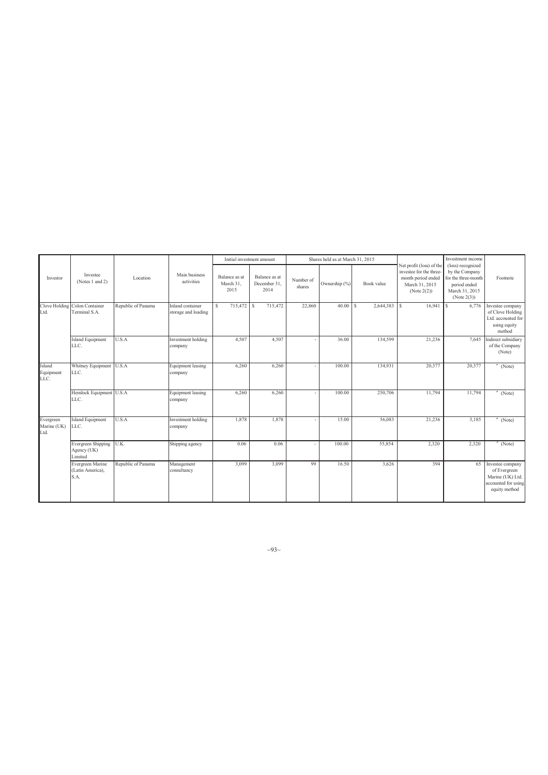|                                  |                                                |                    |                                         |                                    | Initial investment amount             |                     | Shares held as at March 31, 2015 |                     |                                                                                                            | Investment income                                                                                           |                                                                                              |
|----------------------------------|------------------------------------------------|--------------------|-----------------------------------------|------------------------------------|---------------------------------------|---------------------|----------------------------------|---------------------|------------------------------------------------------------------------------------------------------------|-------------------------------------------------------------------------------------------------------------|----------------------------------------------------------------------------------------------|
| Investor                         | Investee<br>(Notes 1 and 2)                    | Location           | Main business<br>activities             | Balance as at<br>March 31,<br>2015 | Balance as at<br>December 31,<br>2014 | Number of<br>shares | Ownership (%)                    | Book value          | Net profit (loss) of the<br>investee for the three-<br>month period ended<br>March 31, 2015<br>(Note 2(2)) | (loss) recognized<br>by the Company<br>for the three-month<br>period ended<br>March 31, 2015<br>(Note 2(3)) | Footnote                                                                                     |
| Ltd.                             | Clove Holding Colon Container<br>Terminal S.A. | Republic of Panama | Inland container<br>storage and loading | 715,472 \$<br>£.                   | 715,472                               | 22,860              | 40.00                            | $2,644,383$ \$<br>s | 16,941                                                                                                     | 6,776<br><sup>S</sup>                                                                                       | Investee company<br>of Clove Holding<br>Ltd. accounted for<br>using equity<br>method         |
|                                  | <b>Island Equipment</b><br>LLC.                | U.S.A              | Investment holding<br>company           | 4,507                              | 4,507                                 |                     | 36.00                            | 134,599             | 21,236                                                                                                     | 7.645                                                                                                       | Indirect subsidiary<br>of the Company<br>(Note)                                              |
| Island<br>Equipment<br>LLC.      | Whitney Equipment<br>LLC.                      | U.S.A              | <b>Equipment</b> leasing<br>company     | 6,260                              | 6,260                                 |                     | 100.00                           | 134,931             | 20,377                                                                                                     | 20,377                                                                                                      | $''$ (Note)                                                                                  |
|                                  | Hemlock Equipment U.S.A<br>LLC.                |                    | <b>Equipment</b> leasing<br>company     | 6,260                              | 6,260                                 |                     | 100.00                           | 250,706             | 11,794                                                                                                     | 11,794                                                                                                      | $''$ (Note)                                                                                  |
| Evergreen<br>Marine (UK)<br>Ltd. | <b>Island Equipment</b><br>LLC.                | U.S.A              | Investment holding<br>company           | 1,878                              | 1,878                                 |                     | 15.00                            | 56,083              | 21,236                                                                                                     | 3,185                                                                                                       | $"$ (Note)                                                                                   |
|                                  | Evergreen Shipping<br>Agency (UK)<br>Limited   | U.K.               | Shipping agency                         | 0.06                               | 0.06                                  |                     | 100.00                           | 55,854              | 2,320                                                                                                      | 2,320                                                                                                       | (Note)                                                                                       |
|                                  | Evergreen Marine<br>(Latin America),<br>S.A.   | Republic of Panama | Management<br>consultancy               | 3,099                              | 3,099                                 | 99                  | 16.50                            | 3,626               | 394                                                                                                        | 65                                                                                                          | Investee company<br>of Evergreen<br>Marine (UK) Ltd.<br>accounted for using<br>equity method |

 $\sim$ 93 $\sim$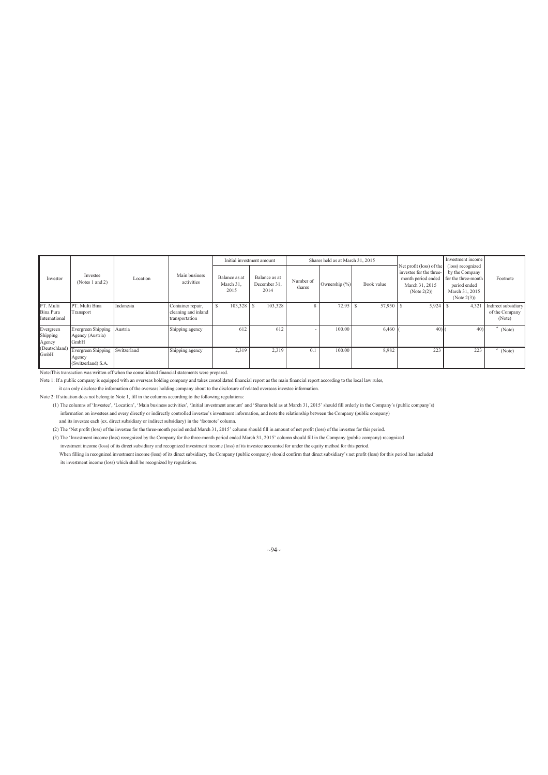|                                         |                                                    |             |                                                            | Initial investment amount          |                                       |                     | Shares held as at March 31, 2015 |            |                                                                                                               | Investment income                                                                                           |                                                 |
|-----------------------------------------|----------------------------------------------------|-------------|------------------------------------------------------------|------------------------------------|---------------------------------------|---------------------|----------------------------------|------------|---------------------------------------------------------------------------------------------------------------|-------------------------------------------------------------------------------------------------------------|-------------------------------------------------|
| Investor                                | Investee<br>(Notes 1 and 2)                        | Location    | Main business<br>activities                                | Balance as at<br>March 31,<br>2015 | Balance as at<br>December 31,<br>2014 | Number of<br>shares | Ownership (%)                    | Book value | Net profit (loss) of the<br>investee for the three-<br>month period ended<br>March 31, 2015<br>(Note $2(2)$ ) | (loss) recognized<br>by the Company<br>for the three-month<br>period ended<br>March 31, 2015<br>(Note 2(3)) | Footnote                                        |
| PT. Multi<br>Bina Pura<br>International | PT. Multi Bina<br>Transport                        | Indonesia   | Container repair,<br>cleaning and inland<br>transportation | 103,328<br>S                       | 103,328<br>$\cdot$ s                  |                     | 72.95                            | 57,950 \$  | $5,924$ \$                                                                                                    | 4,321                                                                                                       | Indirect subsidiary<br>of the Company<br>(Note) |
| Evergreen<br>Shipping<br>Agency         | Evergreen Shipping<br>Agency (Austria)<br>GmbH     | Austria     | Shipping agency                                            | 612                                | 612                                   |                     | 100.00                           | 6,460      | 40 <sub>1</sub>                                                                                               | 40 <sub>1</sub>                                                                                             | (Note)                                          |
| (Deutschland)<br>GmbH                   | Evergreen Shipping<br>Agency<br>(Switzerland) S.A. | Switzerland | Shipping agency                                            | 2,319                              | 2,319                                 |                     | 100.00                           | 8,982      | 223                                                                                                           | 223                                                                                                         | (Note)                                          |

Note:This transaction was written off when the consolidated financial statements were prepared.

Note 1: If a public company is equipped with an overseas holding company and takes consolidated financial report as the main financial report according to the local law rules,

it can only disclose the information of the overseas holding company about to the disclosure of related overseas investee information.

Note 2: If situation does not belong to Note 1, fill in the columns according to the following regulations:

(1) The columns of 'Investee', 'Location', 'Main business activities', 'Initial investment amount' and 'Shares held as at March 31, 2015' should fill orderly in the Company's (public company's) information on investees and every directly or indirectly controlled investee's investment information, and note the relationship between the Company (public company)

and its investee each (ex. direct subsidiary or indirect subsidiary) in the 'footnote' column.

(2) The 'Net profit (loss) of the investee for the three-month period ended March 31, 2015' column should fill in amount of net profit (loss) of the investee for this period.

(3) The 'Investment income (loss) recognized by the Company for the three-month period ended March 31, 2015' column should fill in the Company (public company) recognized

investment income (loss) of its direct subsidiary and recognized investment income (loss) of its investee accounted for under the equity method for this period. When filling in recognized investment income (loss) of its direct subsidiary, the Company (public company) should confirm that direct subsidiary's net profit (loss) for this period has included its investment income (loss) which shall be recognized by regulations.

 $\sim$ 94 $\sim$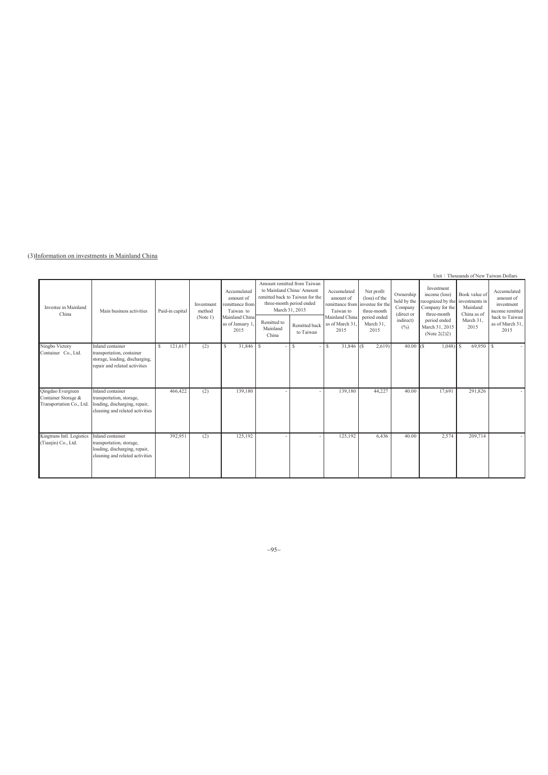(3)Information on investments in Mainland China

|                                                                             |                                                                                                                  |                 |                      |                                                          |                                  |                                                                                                                                           |                                                                           |                                            |                                                   |                                                                                    | Unit: Thousands of New Taiwan Dollars                      |                                                           |
|-----------------------------------------------------------------------------|------------------------------------------------------------------------------------------------------------------|-----------------|----------------------|----------------------------------------------------------|----------------------------------|-------------------------------------------------------------------------------------------------------------------------------------------|---------------------------------------------------------------------------|--------------------------------------------|---------------------------------------------------|------------------------------------------------------------------------------------|------------------------------------------------------------|-----------------------------------------------------------|
| Investee in Mainland<br>China                                               | Main business activities                                                                                         | Paid-in capital | Investment<br>method | Accumulated<br>amount of<br>remittance from<br>Taiwan to |                                  | Amount remitted from Taiwan<br>to Mainland China/ Amount<br>remitted back to Taiwan for the<br>three-month period ended<br>March 31, 2015 | Accumulated<br>amount of<br>remittance from investee for the<br>Taiwan to | Net profit<br>(loss) of the<br>three-month | Ownership<br>held by the<br>Company<br>(direct or | Investment<br>income (loss)<br>recognized by the<br>Company for the<br>three-month | Book value of<br>investments in<br>Mainland<br>China as of | Accumulated<br>amount of<br>investment<br>income remitted |
|                                                                             |                                                                                                                  |                 | (Note 1)             | Mainland China<br>as of January 1<br>2015                | Remitted to<br>Mainland<br>China | Remitted back<br>to Taiwan                                                                                                                | Mainland China<br>as of March 31<br>2015                                  | period ended<br>March 31,<br>2015          | indirect)<br>$(\%)$                               | period ended<br>March 31, 2015<br>(Note $2(2)2$ )                                  | March 31.<br>2015                                          | back to Taiwan<br>as of March 31,<br>2015                 |
| Ningbo Victory<br>Container Co., Ltd.                                       | Inland container<br>transportation, container<br>storage, loading, discharging,<br>repair and related activities | 121,617<br>-S   | (2)                  | $31,846$ \$<br>-S                                        |                                  | s                                                                                                                                         | $\mathbf{s}$<br>$31,846$ (\$)                                             | 2,619                                      | $40.00$ (\$)                                      | $1,048$ \$                                                                         | 69,950                                                     | l S                                                       |
| <b>Qingdao</b> Evergreen<br>Container Storage &<br>Transportation Co., Ltd. | Inland container<br>transportation, storage,<br>loading, discharging, repair,<br>cleaning and related activities | 466,422         | (2)                  | 139,180                                                  |                                  |                                                                                                                                           | 139,180                                                                   | 44,227                                     | 40.00                                             | 17,691                                                                             | 291,826                                                    |                                                           |
| Kingtrans Intl. Logistics<br>(Tianjin) Co., Ltd.                            | Inland container<br>transportation, storage,<br>loading, discharging, repair,<br>cleaning and related activities | 392,951         | (2)                  | 125,192                                                  |                                  |                                                                                                                                           | 125,192                                                                   | 6,436                                      | 40.00                                             | 2,574                                                                              | 209,714                                                    |                                                           |

 $\sim 95$ ~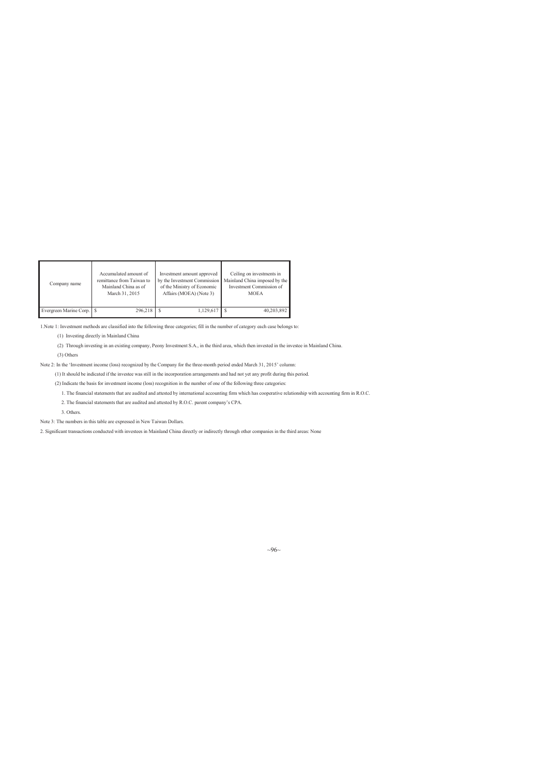| Company name              | Accumulated amount of     | Investment amount approved   | Ceiling on investments in     |
|---------------------------|---------------------------|------------------------------|-------------------------------|
|                           | remittance from Taiwan to | by the Investment Commission | Mainland China imposed by the |
|                           | Mainland China as of      | of the Ministry of Economic  | Investment Commission of      |
|                           | March 31, 2015            | Affairs (MOEA) (Note 3)      | <b>MOEA</b>                   |
| Evergreen Marine Corp. \$ | 296,218                   | 1,129,617                    | 40,203,892                    |

1.Note 1: Investment methods are classified into the following three categories; fill in the number of category each case belongs to:

(1) Investing directly in Mainland China

(2) Through investing in an existing company, Peony Investment S.A., in the third area, which then invested in the investee in Mainland China. (3) Others

Note 2: In the 'Investment income (loss) recognized by the Company for the three-month period ended March 31, 2015' column:

(1) It should be indicated if the investee was still in the incorporation arrangements and had not yet any profit during this period.

(2) Indicate the basis for investment income (loss) recognition in the number of one of the following three categories:

1. The financial statements that are audited and attested by international accounting firm which has cooperative relationship with accounting firm in R.O.C.

2. The financial statements that are audited and attested by R.O.C. parent company's CPA.

3. Others.

Note 3: The numbers in this table are expressed in New Taiwan Dollars.

2. Significant transactions conducted with investees in Mainland China directly or indirectly through other companies in the third areas: None

 $\sim 96$ ~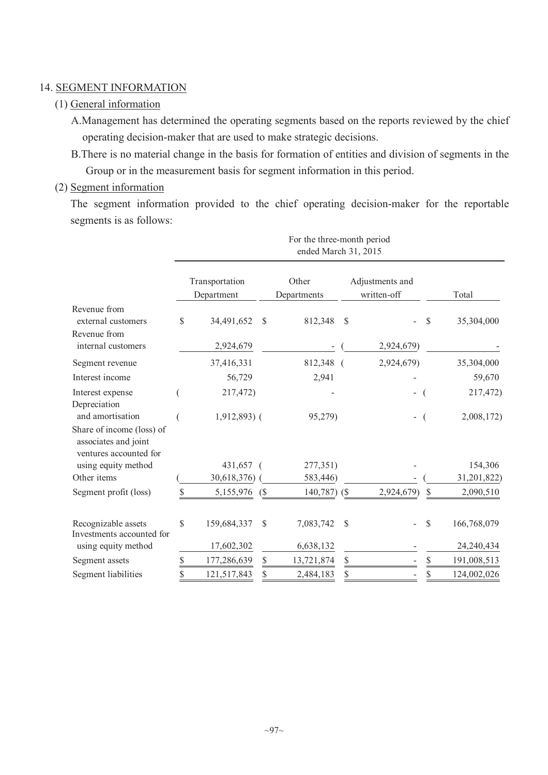# 14. SEGMENT INFORMATION

# (1) General information

A.Management has determined the operating segments based on the reports reviewed by the chief operating decision-maker that are used to make strategic decisions.

B.There is no material change in the basis for formation of entities and division of segments in the Group or in the measurement basis for segment information in this period.

## (2) Segment information

The segment information provided to the chief operating decision-maker for the reportable segments is as follows:

|                                                                                                 | For the three-month period<br>ended March 31, 2015 |                              |               |                      |              |                                |    |             |  |
|-------------------------------------------------------------------------------------------------|----------------------------------------------------|------------------------------|---------------|----------------------|--------------|--------------------------------|----|-------------|--|
|                                                                                                 |                                                    | Transportation<br>Department |               | Other<br>Departments |              | Adjustments and<br>written-off |    | Total       |  |
| Revenue from<br>external customers                                                              | \$                                                 | 34,491,652                   | $\mathcal{S}$ | 812,348              | $\mathbb{S}$ |                                | \$ | 35,304,000  |  |
| Revenue from<br>internal customers                                                              |                                                    | 2,924,679                    |               |                      |              | 2,924,679)                     |    |             |  |
| Segment revenue                                                                                 |                                                    | 37,416,331                   |               | 812,348 (            |              | 2,924,679)                     |    | 35,304,000  |  |
| Interest income                                                                                 |                                                    | 56,729                       |               | 2,941                |              |                                |    | 59,670      |  |
| Interest expense<br>Depreciation                                                                |                                                    | 217,472)                     |               |                      |              | $\overline{\phantom{0}}$       |    | 217,472)    |  |
| and amortisation<br>Share of income (loss) of<br>associates and joint<br>ventures accounted for |                                                    | $1,912,893$ (                |               | 95,279)              |              |                                |    | 2,008,172)  |  |
| using equity method                                                                             |                                                    | 431,657 (                    |               | 277,351)             |              |                                |    | 154,306     |  |
| Other items                                                                                     |                                                    | 30,618,376)                  |               | 583,446)             |              |                                |    | 31,201,822) |  |
| Segment profit (loss)                                                                           | \$                                                 | 5,155,976 (\$                |               | $140,787$ (\$)       |              | 2,924,679)                     | \$ | 2,090,510   |  |
| Recognizable assets<br>Investments accounted for                                                | \$                                                 | 159,684,337                  | \$            | 7,083,742            | \$           |                                | \$ | 166,768,079 |  |
| using equity method                                                                             |                                                    | 17,602,302                   |               | 6,638,132            |              |                                |    | 24,240,434  |  |
| Segment assets                                                                                  | \$                                                 | 177,286,639                  | \$            | 13,721,874           | \$           |                                | \$ | 191,008,513 |  |
| Segment liabilities                                                                             | \$                                                 | 121,517,843                  | \$            | 2,484,183            | \$           |                                | \$ | 124,002,026 |  |